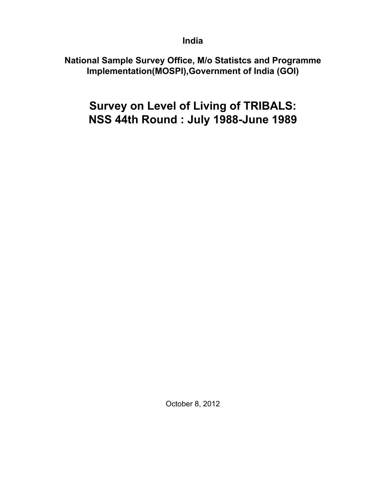## **India**

# **National Sample Survey Office, M/o Statistcs and Programme Implementation(MOSPI),Government of India (GOI)**

# **Survey on Level of Living of TRIBALS: NSS 44th Round : July 1988-June 1989**

October 8, 2012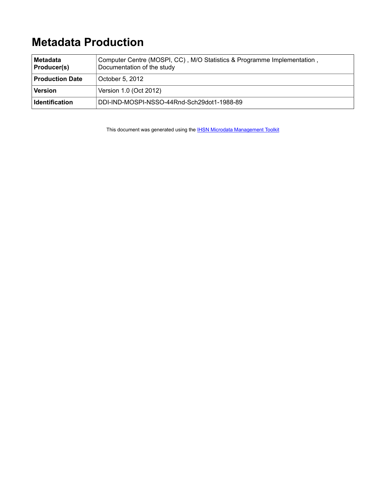# **Metadata Production**

| <b>Metadata</b><br>Producer(s) | Computer Centre (MOSPI, CC), M/O Statistics & Programme Implementation,<br>Documentation of the study |
|--------------------------------|-------------------------------------------------------------------------------------------------------|
| <b>Production Date</b>         | October 5, 2012                                                                                       |
| <b>Version</b>                 | Version 1.0 (Oct 2012)                                                                                |
| <b>Identification</b>          | DDI-IND-MOSPI-NSSO-44Rnd-Sch29dot1-1988-89                                                            |

This document was generated using the **[IHSN Microdata Management Toolkit](http://www.surveynetwork.org/toolkit)**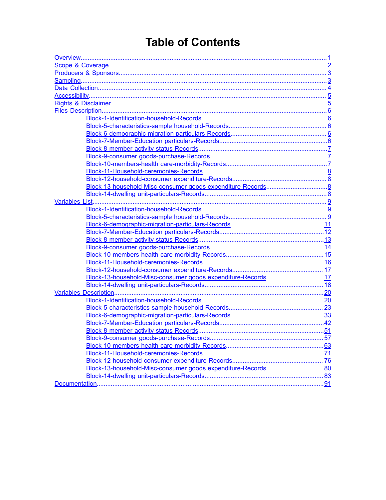# **Table of Contents**

| Block-13-household-Misc-consumer goods expenditure-Records17 |  |
|--------------------------------------------------------------|--|
|                                                              |  |
|                                                              |  |
|                                                              |  |
|                                                              |  |
|                                                              |  |
|                                                              |  |
|                                                              |  |
|                                                              |  |
|                                                              |  |
|                                                              |  |
|                                                              |  |
|                                                              |  |
|                                                              |  |
|                                                              |  |
|                                                              |  |
|                                                              |  |
|                                                              |  |
|                                                              |  |
|                                                              |  |
|                                                              |  |
|                                                              |  |
|                                                              |  |
|                                                              |  |
|                                                              |  |
|                                                              |  |
|                                                              |  |
|                                                              |  |
|                                                              |  |
|                                                              |  |
|                                                              |  |
|                                                              |  |
|                                                              |  |
|                                                              |  |
|                                                              |  |
|                                                              |  |
|                                                              |  |
|                                                              |  |
|                                                              |  |
|                                                              |  |
|                                                              |  |
|                                                              |  |
|                                                              |  |
|                                                              |  |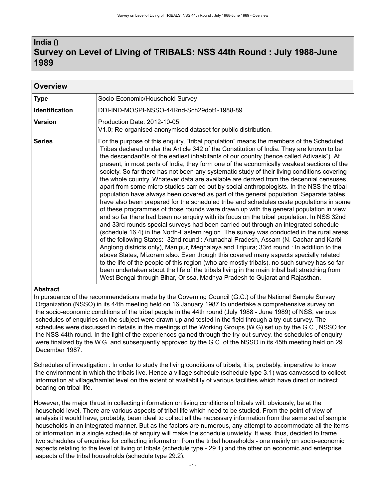# <span id="page-4-0"></span>**India () Survey on Level of Living of TRIBALS: NSS 44th Round : July 1988-June 1989**

| <b>Overview</b>       |                                                                                                                                                                                                                                                                                                                                                                                                                                                                                                                                                                                                                                                                                                                                                                                                                                                                                                                                                                                                                                                                                                                                                                                                                                                                                                                                                                                                                                                                                                                                                                                                                                                                                                                                                                                              |
|-----------------------|----------------------------------------------------------------------------------------------------------------------------------------------------------------------------------------------------------------------------------------------------------------------------------------------------------------------------------------------------------------------------------------------------------------------------------------------------------------------------------------------------------------------------------------------------------------------------------------------------------------------------------------------------------------------------------------------------------------------------------------------------------------------------------------------------------------------------------------------------------------------------------------------------------------------------------------------------------------------------------------------------------------------------------------------------------------------------------------------------------------------------------------------------------------------------------------------------------------------------------------------------------------------------------------------------------------------------------------------------------------------------------------------------------------------------------------------------------------------------------------------------------------------------------------------------------------------------------------------------------------------------------------------------------------------------------------------------------------------------------------------------------------------------------------------|
| <b>Type</b>           | Socio-Economic/Household Survey                                                                                                                                                                                                                                                                                                                                                                                                                                                                                                                                                                                                                                                                                                                                                                                                                                                                                                                                                                                                                                                                                                                                                                                                                                                                                                                                                                                                                                                                                                                                                                                                                                                                                                                                                              |
| <b>Identification</b> | DDI-IND-MOSPI-NSSO-44Rnd-Sch29dot1-1988-89                                                                                                                                                                                                                                                                                                                                                                                                                                                                                                                                                                                                                                                                                                                                                                                                                                                                                                                                                                                                                                                                                                                                                                                                                                                                                                                                                                                                                                                                                                                                                                                                                                                                                                                                                   |
| <b>Version</b>        | Production Date: 2012-10-05<br>V1.0; Re-organised anonymised dataset for public distribution.                                                                                                                                                                                                                                                                                                                                                                                                                                                                                                                                                                                                                                                                                                                                                                                                                                                                                                                                                                                                                                                                                                                                                                                                                                                                                                                                                                                                                                                                                                                                                                                                                                                                                                |
| <b>Series</b>         | For the purpose of this enquiry, "tribal population" means the members of the Scheduled<br>Tribes declared under the Article 342 of the Constitution of India. They are known to be<br>the descendan6ts of the earliest inhabitants of our country (hence called Adivasis"). At<br>present, in most parts of India, they form one of the economically weakest sections of the<br>society. So far there has not been any systematic study of their living conditions covering<br>the whole country. Whatever data are available are derived from the decennial censuses,<br>apart from some micro studies carried out by social anthropologists. In the NSS the tribal<br>population have always been covered as part of the general population. Separate tables<br>have also been prepared for the scheduled tribe and schedules caste populations in some<br>of these programmes of those rounds were drawn up with the general population in view<br>and so far there had been no enquiry with its focus on the tribal population. In NSS 32nd<br>and 33rd rounds special surveys had been carried out through an integrated schedule<br>(schedule 16.4) in the North-Eastern region. The survey was conducted in the rural areas<br>of the following States:- 32nd round: Arunachal Pradesh, Assam (N. Cachar and Karbi<br>Anglong districts only), Manipur, Meghalaya and Tripura; 33rd round : In addition to the<br>above States, Mizoram also. Even though this covered many aspects specially related<br>to the life of the people of this region (who are mostly tribals), no such survey has so far<br>been undertaken about the life of the tribals living in the main tribal belt stretching from<br>West Bengal through Bihar, Orissa, Madhya Pradesh to Gujarat and Rajasthan. |

### **Abstract**

In pursuance of the recommendations made by the Governing Council (G.C.) of the National Sample Survey Organization (NSSO) in its 44th meeting held on 16 January 1987 to undertake a comprehensive survey on the socio-economic conditions of the tribal people in the 44th round (July 1988 - June 1989) of NSS, various schedules of enquiries on the subject were drawn up and tested in the field through a try-out survey. The schedules were discussed in details in the meetings of the Working Groups (W.G) set up by the G.C., NSSO for the NSS 44th round. In the light of the experiences gained through the try-out survey, the schedules of enquiry were finalized by the W.G. and subsequently approved by the G.C. of the NSSO in its 45th meeting held on 29 December 1987.

Schedules of investigation : In order to study the living conditions of tribals, it is, probably, imperative to know the environment in which the tribals live. Hence a village schedule (schedule type 3.1) was canvassed to collect information at village/hamlet level on the extent of availability of various facilities which have direct or indirect bearing on tribal life.

However, the major thrust in collecting information on living conditions of tribals will, obviously, be at the household level. There are various aspects of tribal life which need to be studied. From the point of view of analysis it would have, probably, been ideal to collect all the necessary information from the same set of sample households in an integrated manner. But as the factors are numerous, any attempt to accommodate all the items of information in a single schedule of enquiry will make the schedule unwieldy. It was, thus, decided to frame two schedules of enquiries for collecting information from the tribal households - one mainly on socio-economic aspects relating to the level of living of tribals (schedule type - 29.1) and the other on economic and enterprise aspects of the tribal households (schedule type 29.2).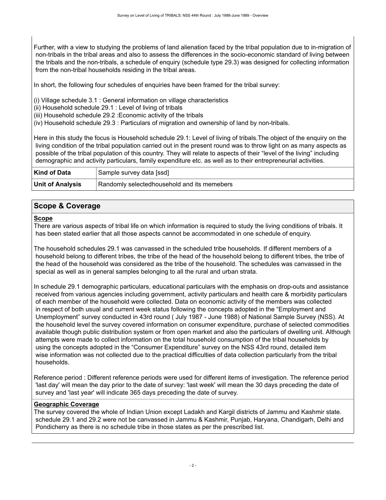Further, with a view to studying the problems of land alienation faced by the tribal population due to in-migration of non-tribals in the tribal areas and also to assess the differences in the socio-economic standard of living between the tribals and the non-tribals, a schedule of enquiry (schedule type 29.3) was designed for collecting information from the non-tribal households residing in the tribal areas.

In short, the following four schedules of enquiries have been framed for the tribal survey:

- (i) Village schedule 3.1 : General information on village characteristics
- (ii) Household schedule 29.1 : Level of living of tribals
- (iii) Household schedule 29.2 :Economic activity of the tribals
- (iv) Household schedule 29.3 : Particulars of migration and ownership of land by non-tribals.

Here in this study the focus is Household schedule 29.1: Level of living of tribals.The object of the enquiry on the living condition of the tribal population carried out in the present round was to throw light on as many aspects as possible of the tribal population of this country. They will relate to aspects of their "level of the living" including demographic and activity particulars, family expenditure etc. as well as to their entrepreneurial activities.

| Kind of Data            | Sample survey data [ssd]                    |
|-------------------------|---------------------------------------------|
| <b>Unit of Analysis</b> | Randomly selectedhousehold and its memebers |

### <span id="page-5-0"></span>**Scope & Coverage**

#### **Scope**

There are various aspects of tribal life on which information is required to study the living conditions of tribals. It has been stated earlier that all those aspects cannot be accommodated in one schedule of enquiry.

The household schedules 29.1 was canvassed in the scheduled tribe households. If different members of a household belong to different tribes, the tribe of the head of the household belong to different tribes, the tribe of the head of the household was considered as the tribe of the household. The schedules was canvassed in the special as well as in general samples belonging to all the rural and urban strata.

In schedule 29.1 demographic particulars, educational particulars with the emphasis on drop-outs and assistance received from various agencies including government, activity particulars and health care & morbidity particulars of each member of the household were collected. Data on economic activity of the members was collected in respect of both usual and current week status following the concepts adopted in the "Employment and Unemployment" survey conducted in 43rd round ( July 1987 - June 1988) of National Sample Survey (NSS). At the household level the survey covered information on consumer expenditure, purchase of selected commodities available though public distribution system or from open market and also the particulars of dwelling unit. Although attempts were made to collect information on the total household consumption of the tribal households by using the concepts adopted in the "Consumer Expenditure" survey on the NSS 43rd round, detailed item wise information was not collected due to the practical difficulties of data collection particularly from the tribal households.

Reference period : Different reference periods were used for different items of investigation. The reference period 'last day' will mean the day prior to the date of survey: 'last week' will mean the 30 days preceding the date of survey and 'last year' will indicate 365 days preceding the date of survey.

### **Geographic Coverage**

The survey covered the whole of Indian Union except Ladakh and Kargil districts of Jammu and Kashmir state. schedule 29.1 and 29.2 were not be canvassed in Jammu & Kashmir, Punjab, Haryana, Chandigarh, Delhi and Pondicherry as there is no schedule tribe in those states as per the prescribed list.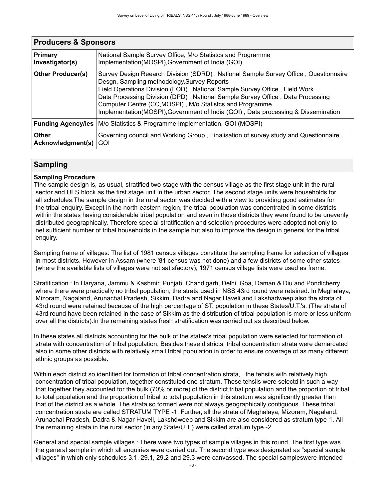<span id="page-6-0"></span>

| <b>Producers &amp; Sponsors</b>   |                                                                                                                                                                                                                                                                                                                                                                                                                                                     |
|-----------------------------------|-----------------------------------------------------------------------------------------------------------------------------------------------------------------------------------------------------------------------------------------------------------------------------------------------------------------------------------------------------------------------------------------------------------------------------------------------------|
| Primary<br>Investigator(s)        | National Sample Survey Office, M/o Statistcs and Programme<br>Implementation(MOSPI), Government of India (GOI)                                                                                                                                                                                                                                                                                                                                      |
| <b>Other Producer(s)</b>          | Survey Design Reearch Division (SDRD), National Sample Survey Office, Questionnaire<br>Desgn, Sampling methodology, Survey Reports<br>Field Operations Division (FOD), National Sample Survey Office, Field Work<br>Data Processing Division (DPD), National Sample Survey Office, Data Processing<br>Computer Centre (CC, MOSPI), M/o Statistcs and Programme<br>Implementation(MOSPI), Government of India (GOI), Data processing & Dissemination |
| <b>Funding Agency/ies</b>         | M/o Statistics & Programme Implementation, GOI (MOSPI)                                                                                                                                                                                                                                                                                                                                                                                              |
| <b>Other</b><br>Acknowledgment(s) | Governing council and Working Group, Finalisation of survey study and Questionnaire,<br>GOI                                                                                                                                                                                                                                                                                                                                                         |

### <span id="page-6-1"></span>**Sampling**

### **Sampling Procedure**

Tthe sample design is, as usual, stratified two-stage with the census village as the first stage unit in the rural sector and UFS block as the first stage unit in the urban sector. The second stage units were households for all schedules.The sample design in the rural sector was decided with a view to providing good estimates for the tribal enquiry. Except in the north-eastern region, the tribal population was concentrated in some districts within the states having considerable tribal population and even in those districts they were found to be unevenly distributed geographically. Therefore special stratification and selection procedures were adopted not only to net sufficient number of tribal households in the sample but also to improve the design in general for the tribal enquiry.

Sampling frame of villages: The list of 1981 census villages constitute the sampling frame for selection of villages in most districts. However in Assam (where '81 census was not done) and a few districts of some other states (where the available lists of villages were not satisfactory), 1971 census village lists were used as frame.

Stratification : In Haryana, Jammu & Kashmir, Punjab, Chandigarh, Delhi, Goa, Daman & Diu and Pondicherry where there were practically no tribal population, the strata used in NSS 43rd round were retained. In Meghalaya, Mizoram, Nagaland, Arunachal Pradesh, Sikkim, Dadra and Nagar Haveli and Lakshadweep also the strata of 43rd round were retained because of the high percentage of ST. population in these States/U.T.'s. (The strata of 43rd round have been retained in the case of Sikkim as the distribution of tribal population is more or less uniform over all the districts).In the remaining states fresh stratification was carried out as described below.

In these states all districts accounting for the bulk of the states's tribal population were selected for formation of strata with concentration of tribal population. Besides these districts, tribal concentration strata were demarcated also in some other districts with relatively small tribal population in order to ensure coverage of as many different ethnic groups as possible.

Within each district so identified for formation of tribal concentration strata, , the tehsils with relatively high concentration of tribal population, together constituted one stratum. These tehsils were selectd in such a way that together they accounted for the bulk (70% or more) of the district tribal population and the proportion of tribal to total population and the proportion of tribal to total population in this stratum was significantly greater than that of the district as a whole. The strata so formed were not always geographically contiguous. These tribal concentration strata are called STRATUM TYPE -1. Further, all the strata of Meghalaya, Mizoram, Nagaland, Arunachal Pradesh, Dadra & Nagar Haveli, Lakshdweep and Sikkim are also considered as stratum type-1. All the remaining strata in the rural sector (in any State/U.T.) were called stratum type -2.

General and special sample villages : There were two types of sample villages in this round. The first type was the general sample in which all enquiries were carried out. The second type was designated as "special sample villages" in which only schedules 3.1, 29.1, 29.2 and 29.3 were canvassed. The special sampleswere intended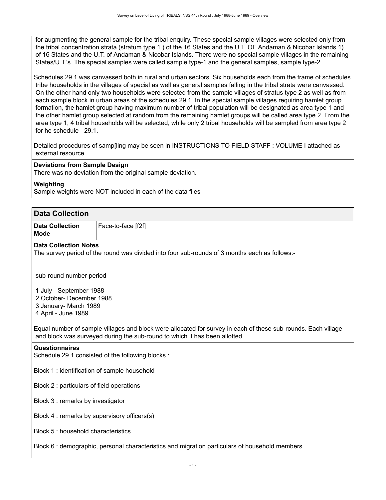for augmenting the general sample for the tribal enquiry. These special sample villages were selected only from the tribal concentration strata (stratum type 1 ) of the 16 States and the U.T. OF Andaman & Nicobar Islands 1) of 16 States and the U.T. of Andaman & Nicobar Islands. There were no special sample villages in the remaining States/U.T.'s. The special samples were called sample type-1 and the general samples, sample type-2.

Schedules 29.1 was canvassed both in rural and urban sectors. Six households each from the frame of schedules tribe households in the villages of special as well as general samples falling in the tribal strata were canvassed. On the other hand only two households were selected from the sample villages of stratus type 2 as well as from each sample block in urban areas of the schedules 29.1. In the special sample villages requiring hamlet group formation, the hamlet group having maximum number of tribal population will be designated as area type 1 and the other hamlet group selected at random from the remaining hamlet groups will be called area type 2. From the area type 1, 4 tribal households will be selected, while only 2 tribal households will be sampled from area type 2 for he schedule - 29.1.

Detailed procedures of samp[ling may be seen in INSTRUCTIONS TO FIELD STAFF : VOLUME I attached as external resource.

#### **Deviations from Sample Design**

There was no deviation from the original sample deviation.

#### **Weighting**

Sample weights were NOT included in each of the data files

<span id="page-7-0"></span>

| <b>Data Collection</b>                       |                                                                                                                                                                                             |
|----------------------------------------------|---------------------------------------------------------------------------------------------------------------------------------------------------------------------------------------------|
| <b>Data Collection</b><br>Mode               | Face-to-face [f2f]                                                                                                                                                                          |
| <b>Data Collection Notes</b>                 |                                                                                                                                                                                             |
|                                              | The survey period of the round was divided into four sub-rounds of 3 months each as follows:-                                                                                               |
| sub-round number period                      |                                                                                                                                                                                             |
| 1 July - September 1988                      |                                                                                                                                                                                             |
| 2 October- December 1988                     |                                                                                                                                                                                             |
| 3 January- March 1989                        |                                                                                                                                                                                             |
| 4 April - June 1989                          |                                                                                                                                                                                             |
|                                              | Equal number of sample villages and block were allocated for survey in each of these sub-rounds. Each village<br>and block was surveyed during the sub-round to which it has been allotted. |
| <b>Questionnaires</b>                        |                                                                                                                                                                                             |
|                                              | Schedule 29.1 consisted of the following blocks :                                                                                                                                           |
| Block 1: identification of sample household  |                                                                                                                                                                                             |
| Block 2 : particulars of field operations    |                                                                                                                                                                                             |
| Block 3 : remarks by investigator            |                                                                                                                                                                                             |
| Block 4 : remarks by supervisory officers(s) |                                                                                                                                                                                             |
| Block 5 : household characteristics          |                                                                                                                                                                                             |

Block 6 : demographic, personal characteristics and migration particulars of household members.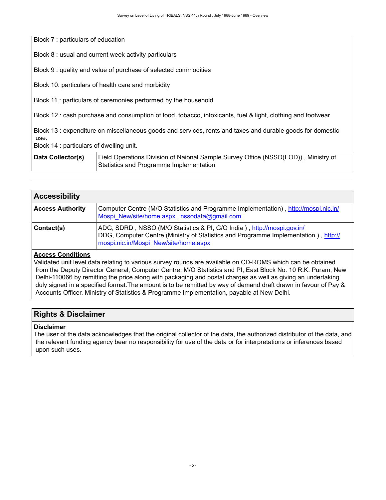Block 7 : particulars of education

Block 8 : usual and current week activity particulars

Block 9 : quality and value of purchase of selected commodities

Block 10: particulars of health care and morbidity

Block 11 : particulars of ceremonies performed by the household

Block 12 : cash purchase and consumption of food, tobacco, intoxicants, fuel & light, clothing and footwear

Block 13 : expenditure on miscellaneous goods and services, rents and taxes and durable goods for domestic use.

Block 14 : particulars of dwelling unit.

| Data Collector(s) | Field Operations Division of Naional Sample Survey Office (NSSO(FOD)), Ministry of |
|-------------------|------------------------------------------------------------------------------------|
|                   | Statistics and Programme Implementation                                            |

### <span id="page-8-0"></span>**Accessibility**

| <b>Access Authority</b> | Computer Centre (M/O Statistics and Programme Implementation), http://mospi.nic.in/<br>Mospi New/site/home.aspx, nssodata@gmail.com                                                                    |
|-------------------------|--------------------------------------------------------------------------------------------------------------------------------------------------------------------------------------------------------|
| Contact(s)              | ADG, SDRD, NSSO (M/O Statistics & PI, G/O India), http://mospi.gov.in/<br>DDG, Computer Centre (Ministry of Statistics and Programme Implementation), http://<br>mospi.nic.in/Mospi New/site/home.aspx |

#### **Access Conditions**

Validated unit level data relating to various survey rounds are available on CD-ROMS which can be obtained from the Deputy Director General, Computer Centre, M/O Statistics and PI, East Block No. 10 R.K. Puram, New Delhi-110066 by remitting the price along with packaging and postal charges as well as giving an undertaking duly signed in a specified format.The amount is to be remitted by way of demand draft drawn in favour of Pay & Accounts Officer, Ministry of Statistics & Programme Implementation, payable at New Delhi.

### <span id="page-8-1"></span>**Rights & Disclaimer**

#### **Disclaimer**

The user of the data acknowledges that the original collector of the data, the authorized distributor of the data, and the relevant funding agency bear no responsibility for use of the data or for interpretations or inferences based upon such uses.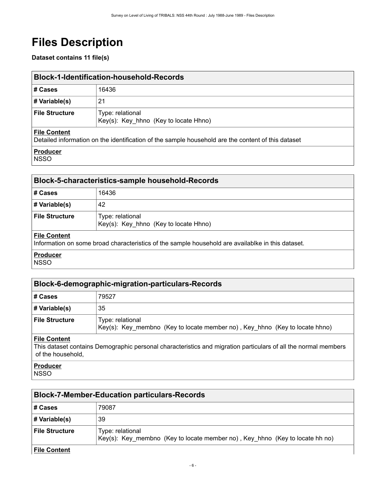# <span id="page-9-0"></span>**Files Description**

### **Dataset contains 11 file(s)**

<span id="page-9-1"></span>

| <b>Block-1-Identification-household-Records</b>                                                                           |                                                           |
|---------------------------------------------------------------------------------------------------------------------------|-----------------------------------------------------------|
| # Cases                                                                                                                   | 16436                                                     |
| # Variable(s)                                                                                                             | 21                                                        |
| <b>File Structure</b>                                                                                                     | Type: relational<br>Key(s): Key hhno (Key to locate Hhno) |
| <b>File Content</b><br>Detailed information on the identification of the sample household are the content of this dataset |                                                           |
| <b>Producer</b>                                                                                                           |                                                           |

NSSO

<span id="page-9-2"></span>

| <b>Block-5-characteristics-sample household-Records</b> |                                                                                                   |
|---------------------------------------------------------|---------------------------------------------------------------------------------------------------|
| # Cases                                                 | 16436                                                                                             |
| # Variable(s)                                           | 42                                                                                                |
| <b>File Structure</b>                                   | Type: relational<br>Key(s): Key hhno (Key to locate Hhno)                                         |
| <b>File Content</b>                                     | Information on some broad characteristics of the sample household are availablke in this dataset. |

**Producer NSSO** 

<span id="page-9-3"></span>

| Block-6-demographic-migration-particulars-Records |                                                                                                                |
|---------------------------------------------------|----------------------------------------------------------------------------------------------------------------|
| # Cases                                           | 79527                                                                                                          |
| # Variable(s)                                     | 35                                                                                                             |
| <b>File Structure</b>                             | Type: relational<br>Key(s): Key membno (Key to locate member no), Key hhno (Key to locate hhno)                |
| <b>File Content</b>                               | This dataset contains Demographic personal characteristics and migration particulars of all the normal members |

 of the household, **Producer**

NSSO

<span id="page-9-4"></span>

| <b>Block-7-Member-Education particulars-Records</b> |                                                                                                  |
|-----------------------------------------------------|--------------------------------------------------------------------------------------------------|
| # Cases                                             | 79087                                                                                            |
| # Variable(s)                                       | 39                                                                                               |
| <b>File Structure</b>                               | Type: relational<br>Key(s): Key membno (Key to locate member no), Key hhno (Key to locate hh no) |
| <b>File Content</b>                                 |                                                                                                  |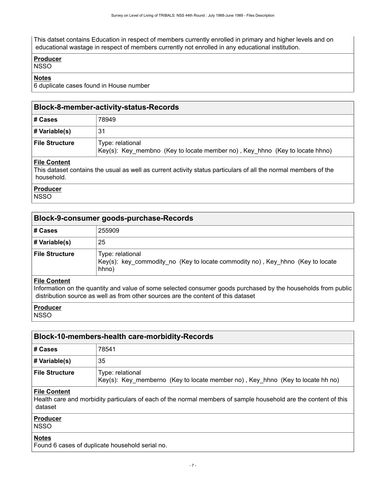This datset contains Education in respect of members currently enrolled in primary and higher levels and on educational wastage in respect of members currently not enrolled in any educational institution.

### **Producer**

**NSSO** 

#### **Notes**

6 duplicate cases found in House number

<span id="page-10-0"></span>

| <b>Block-8-member-activity-status-Records</b> |                                                                                                                 |  |  |  |
|-----------------------------------------------|-----------------------------------------------------------------------------------------------------------------|--|--|--|
| # Cases                                       | 78949                                                                                                           |  |  |  |
| # Variable(s)                                 | 31                                                                                                              |  |  |  |
| <b>File Structure</b>                         | Type: relational<br>Key(s): Key membno (Key to locate member no), Key hhno (Key to locate hhno)                 |  |  |  |
| <b>File Content</b>                           | This dataset contains the usual as well as current activity status particulars of all the normal members of the |  |  |  |

 household. **Producer**

**NSSO** 

### <span id="page-10-1"></span>**Block-9-consumer goods-purchase-Records**

| # Cases               | 255909                                                                                                      |
|-----------------------|-------------------------------------------------------------------------------------------------------------|
| # Variable(s)         | 25                                                                                                          |
| <b>File Structure</b> | Type: relational<br>Key(s): key_commodity_no (Key to locate commodity no), Key_hhno (Key to locate<br>hhno) |
|                       |                                                                                                             |

### **File Content**

Information on the quantity and value of some selected consumer goods purchased by the households from public distribution source as well as from other sources are the content of this dataset

### **Producer**

**NSSO** 

### <span id="page-10-2"></span>**Block-10-members-health care-morbidity-Records**

| # Cases               | 78541                                                                                              |
|-----------------------|----------------------------------------------------------------------------------------------------|
| # Variable(s)         | 35                                                                                                 |
| <b>File Structure</b> | Type: relational<br>Key(s): Key memberno (Key to locate member no), Key_hhno (Key to locate hh no) |

#### **File Content**

Health care and morbidity particulars of each of the normal members of sample household are the content of this dataset

#### **Producer**

**NSSO** 

#### **Notes**

Found 6 cases of duplicate household serial no.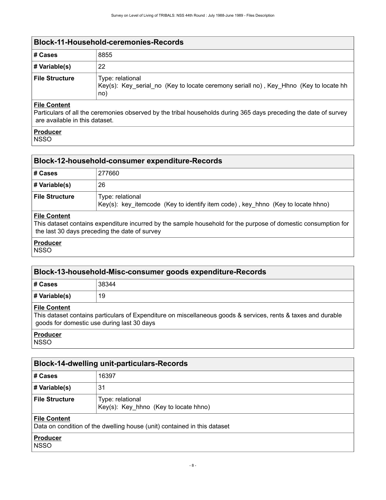<span id="page-11-0"></span>

| Block-11-Household-ceremonies-Records |                                                                                                                  |  |  |  |  |
|---------------------------------------|------------------------------------------------------------------------------------------------------------------|--|--|--|--|
| # Cases                               | 8855                                                                                                             |  |  |  |  |
| $\#$ Variable(s)                      | 22                                                                                                               |  |  |  |  |
| <b>File Structure</b>                 | Type: relational<br>Key(s): Key serial no (Key to locate ceremony seriall no), Key Hhno (Key to locate hh<br>no) |  |  |  |  |
| <b>Eile Contont</b>                   |                                                                                                                  |  |  |  |  |

#### **File Content**

Particulars of all the ceremonies observed by the tribal households during 365 days preceding the date of survey are available in this dataset.

| nducer |  |
|--------|--|
| ישו    |  |

### <span id="page-11-1"></span>**Block-12-household-consumer expenditure-Records**

| # Cases               | 277660                                                                                              |
|-----------------------|-----------------------------------------------------------------------------------------------------|
| # Variable(s)         | 26                                                                                                  |
| <b>File Structure</b> | Type: relational<br>Key(s): key_itemcode (Key to identify item code), key_hhno (Key to locate hhno) |
|                       |                                                                                                     |

#### **File Content**

This dataset contains expenditure incurred by the sample household for the purpose of domestic consumption for the last 30 days preceding the date of survey

|--|

**NSSO** 

<span id="page-11-2"></span>

| Block-13-household-Misc-consumer goods expenditure-Records                                                                                                                         |       |  |  |  |  |  |
|------------------------------------------------------------------------------------------------------------------------------------------------------------------------------------|-------|--|--|--|--|--|
| # Cases                                                                                                                                                                            | 38344 |  |  |  |  |  |
| # Variable(s)<br>19                                                                                                                                                                |       |  |  |  |  |  |
| <b>File Content</b><br>This dataset contains particulars of Expenditure on miscellaneous goods & services, rents & taxes and durable<br>goods for domestic use during last 30 days |       |  |  |  |  |  |

# **Producer**

**NSSO** 

<span id="page-11-3"></span>

| <b>Block-14-dwelling unit-particulars-Records</b>                                        |                                                           |  |  |  |  |
|------------------------------------------------------------------------------------------|-----------------------------------------------------------|--|--|--|--|
| # Cases                                                                                  | 16397                                                     |  |  |  |  |
| $\#$ Variable(s)                                                                         | 31                                                        |  |  |  |  |
| <b>File Structure</b>                                                                    | Type: relational<br>Key(s): Key hhno (Key to locate hhno) |  |  |  |  |
| File Content<br>Data on condition of the dwelling house (unit) contained in this dataset |                                                           |  |  |  |  |
| Producer<br>NSSO                                                                         |                                                           |  |  |  |  |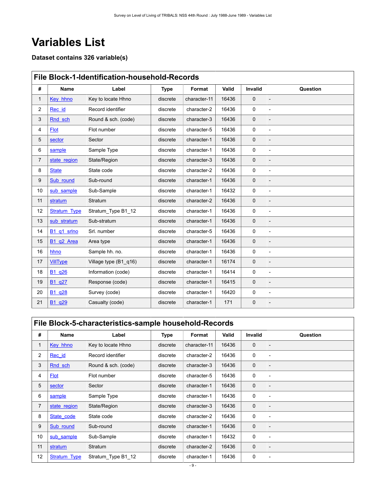# <span id="page-12-0"></span>**Variables List**

**Dataset contains 326 variable(s)**

<span id="page-12-1"></span>

|                | <b>File Block-1-Identification-household-Records</b> |                       |             |              |       |              |                |  |  |
|----------------|------------------------------------------------------|-----------------------|-------------|--------------|-------|--------------|----------------|--|--|
| #              | <b>Name</b>                                          | Label                 | <b>Type</b> | Format       | Valid | Invalid      | Question       |  |  |
| $\mathbf{1}$   | Key hhno                                             | Key to locate Hhno    | discrete    | character-11 | 16436 | $\mathbf{0}$ | $\overline{a}$ |  |  |
| $\overline{a}$ | Rec id                                               | Record identifier     | discrete    | character-2  | 16436 | 0            |                |  |  |
| 3              | Rnd sch                                              | Round & sch. (code)   | discrete    | character-3  | 16436 | $\mathbf 0$  |                |  |  |
| 4              | <b>Flot</b>                                          | Flot number           | discrete    | character-5  | 16436 | $\Omega$     |                |  |  |
| 5              | sector                                               | Sector                | discrete    | character-1  | 16436 | $\mathbf 0$  |                |  |  |
| 6              | sample                                               | Sample Type           | discrete    | character-1  | 16436 | $\mathbf 0$  |                |  |  |
| $\overline{7}$ | state region                                         | State/Region          | discrete    | character-3  | 16436 | $\mathbf 0$  |                |  |  |
| 8              | <b>State</b>                                         | State code            | discrete    | character-2  | 16436 | $\mathbf 0$  |                |  |  |
| 9              | Sub round                                            | Sub-round             | discrete    | character-1  | 16436 | $\mathbf{0}$ |                |  |  |
| 10             | sub sample                                           | Sub-Sample            | discrete    | character-1  | 16432 | 0            |                |  |  |
| 11             | stratum                                              | Stratum               | discrete    | character-2  | 16436 | $\mathbf 0$  |                |  |  |
| 12             | <b>Stratum Type</b>                                  | Stratum_Type B1_12    | discrete    | character-1  | 16436 | 0            | $\overline{a}$ |  |  |
| 13             | sub stratum                                          | Sub-stratum           | discrete    | character-1  | 16436 | $\mathbf 0$  |                |  |  |
| 14             | B1 q1 srlno                                          | Srl. number           | discrete    | character-5  | 16436 | 0            | $\overline{a}$ |  |  |
| 15             | B <sub>1</sub> q <sub>2</sub> Area                   | Area type             | discrete    | character-1  | 16436 | $\mathbf 0$  |                |  |  |
| 16             | hhno                                                 | Sample hh. no.        | discrete    | character-1  | 16436 | 0            |                |  |  |
| 17             | <b>VillType</b>                                      | Village type (B1 q16) | discrete    | character-1  | 16174 | $\mathbf 0$  |                |  |  |
| 18             | B1 q26                                               | Information (code)    | discrete    | character-1  | 16414 | 0            |                |  |  |
| 19             | B <sub>1</sub> q <sub>27</sub>                       | Response (code)       | discrete    | character-1  | 16415 | $\mathbf 0$  |                |  |  |
| 20             | B <sub>1</sub> q <sub>28</sub>                       | Survey (code)         | discrete    | character-1  | 16420 | 0            | $\overline{a}$ |  |  |
| 21             | B <sub>1</sub> q <sub>29</sub>                       | Casualty (code)       | discrete    | character-1  | 171   | $\mathbf 0$  |                |  |  |

# <span id="page-12-2"></span>**File Block-5-characteristics-sample household-Records**

| #  | Name         | Label               | <b>Type</b> | Format       | <b>Valid</b> | <b>Invalid</b> | Question                 |
|----|--------------|---------------------|-------------|--------------|--------------|----------------|--------------------------|
| 1  | Key hhno     | Key to locate Hhno  | discrete    | character-11 | 16436        | 0              |                          |
| 2  | Rec id       | Record identifier   | discrete    | character-2  | 16436        | 0              | $\overline{\phantom{a}}$ |
| 3  | Rnd sch      | Round & sch. (code) | discrete    | character-3  | 16436        | $\mathbf 0$    |                          |
| 4  | <b>Flot</b>  | Flot number         | discrete    | character-5  | 16436        | 0              | $\overline{\phantom{0}}$ |
| 5  | sector       | Sector              | discrete    | character-1  | 16436        | $\mathbf 0$    | $\overline{\phantom{a}}$ |
| 6  | sample       | Sample Type         | discrete    | character-1  | 16436        | $\mathbf 0$    | $\overline{\phantom{0}}$ |
| 7  | state region | State/Region        | discrete    | character-3  | 16436        | $\mathbf 0$    |                          |
| 8  | State code   | State code          | discrete    | character-2  | 16436        | 0              | $\overline{\phantom{a}}$ |
| 9  | Sub round    | Sub-round           | discrete    | character-1  | 16436        | $\mathbf 0$    | $\overline{\phantom{0}}$ |
| 10 | sub sample   | Sub-Sample          | discrete    | character-1  | 16432        | $\mathbf 0$    | $\qquad \qquad$          |
| 11 | stratum      | <b>Stratum</b>      | discrete    | character-2  | 16436        | $\mathbf 0$    | $\overline{\phantom{0}}$ |
| 12 | Stratum Type | Stratum Type B1 12  | discrete    | character-1  | 16436        | 0              | $\overline{\phantom{a}}$ |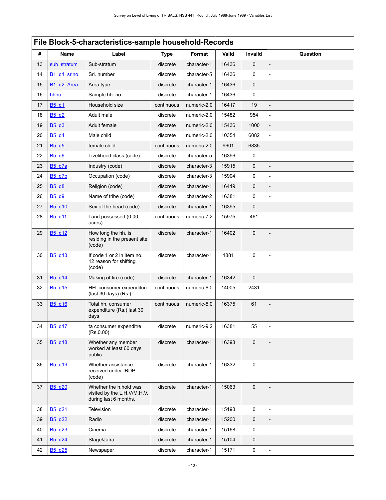|    | File Block-5-characteristics-sample household-Records |                                                                                |             |             |       |             |                          |  |
|----|-------------------------------------------------------|--------------------------------------------------------------------------------|-------------|-------------|-------|-------------|--------------------------|--|
| #  | Name                                                  | Label                                                                          | <b>Type</b> | Format      | Valid | Invalid     | Question                 |  |
| 13 | sub stratum                                           | Sub-stratum                                                                    | discrete    | character-1 | 16436 | $\mathbf 0$ |                          |  |
| 14 | B1 q1 srlno                                           | Srl. number                                                                    | discrete    | character-5 | 16436 | 0           |                          |  |
| 15 | B1 q2 Area                                            | Area type                                                                      | discrete    | character-1 | 16436 | $\mathbf 0$ |                          |  |
| 16 | hhno                                                  | Sample hh. no.                                                                 | discrete    | character-1 | 16436 | 0           | $\frac{1}{2}$            |  |
| 17 | B5 q1                                                 | Household size                                                                 | continuous  | numeric-2.0 | 16417 | 19          | $\overline{a}$           |  |
| 18 | B <sub>5</sub> q <sub>2</sub>                         | Adult male                                                                     | discrete    | numeric-2.0 | 15482 | 954         |                          |  |
| 19 | B <sub>5</sub> q <sub>3</sub>                         | Adult female                                                                   | discrete    | numeric-2.0 | 15436 | 1000        | $\overline{\phantom{a}}$ |  |
| 20 | B <sub>5</sub> q <sub>4</sub>                         | Male child                                                                     | discrete    | numeric-2.0 | 10354 | 6082        | $\frac{1}{2}$            |  |
| 21 | B <sub>5</sub> q <sub>5</sub>                         | female child                                                                   | continuous  | numeric-2.0 | 9601  | 6835        |                          |  |
| 22 | B <sub>5</sub> q <sub>6</sub>                         | Livelihood class (code)                                                        | discrete    | character-5 | 16396 | 0           | $\overline{\phantom{a}}$ |  |
| 23 | <b>B5_q7a</b>                                         | Industry (code)                                                                | discrete    | character-3 | 15915 | $\mathbf 0$ |                          |  |
| 24 | <b>B5 q7b</b>                                         | Occupation (code)                                                              | discrete    | character-3 | 15904 | 0           |                          |  |
| 25 | B <sub>5</sub> q <sub>8</sub>                         | Religion (code)                                                                | discrete    | character-1 | 16419 | $\mathbf 0$ |                          |  |
| 26 | B <sub>5</sub> q <sub>9</sub>                         | Name of tribe (code)                                                           | discrete    | character-2 | 16381 | 0           | $\frac{1}{2}$            |  |
| 27 | B5 q10                                                | Sex of the head (code)                                                         | discrete    | character-1 | 16395 | $\mathbf 0$ |                          |  |
| 28 | B5 g11                                                | Land possessed (0.00<br>acres)                                                 | continuous  | numeric-7.2 | 15975 | 461         | $\overline{a}$           |  |
| 29 | B <sub>5</sub> q <sub>12</sub>                        | How long the hh. is<br>residing in the present site<br>(code)                  | discrete    | character-1 | 16402 | $\mathbf 0$ |                          |  |
| 30 | B5 q13                                                | If code 1 or 2 in item no.<br>12 reason for shifting<br>(code)                 | discrete    | character-1 | 1881  | 0           |                          |  |
| 31 | B5 q14                                                | Making of fire (code)                                                          | discrete    | character-1 | 16342 | $\mathbf 0$ |                          |  |
| 32 | B <sub>5</sub> q <sub>15</sub>                        | HH. consumer expenditure<br>(last 30 days) (Rs.)                               | continuous  | numeric-6.0 | 14005 | 2431        | L,                       |  |
| 33 | B <sub>5</sub> q <sub>16</sub>                        | Total hh. consumer<br>expenditure (Rs.) last 30<br>days                        | continuous  | numeric-5.0 | 16375 | 61          |                          |  |
| 34 | B <sub>5</sub> q17                                    | ta consumer expenditre<br>(Rs.0.00)                                            | discrete    | numeric-9.2 | 16381 | 55          |                          |  |
| 35 | B5_q18                                                | Whether any member<br>worked at least 60 days<br>public                        | discrete    | character-1 | 16398 | 0           |                          |  |
| 36 | B5 q19                                                | Whether assistance<br>received under IRDP<br>(code)                            | discrete    | character-1 | 16332 | 0           |                          |  |
| 37 | B <sub>5</sub> q20                                    | Whether the h.hold was<br>visited by the L.H.V/M.H.V.<br>during last 6 months. | discrete    | character-1 | 15063 | 0           |                          |  |
| 38 | B <sub>5</sub> q21                                    | Television                                                                     | discrete    | character-1 | 15198 | 0           | $\overline{\phantom{a}}$ |  |
| 39 | B <sub>5</sub> q22                                    | Radio                                                                          | discrete    | character-1 | 15200 | 0           |                          |  |
| 40 | B <sub>5</sub> q23                                    | Cinema                                                                         | discrete    | character-1 | 15168 | 0           |                          |  |
| 41 | B <sub>5</sub> q24                                    | Stage/Jatra                                                                    | discrete    | character-1 | 15104 | 0           |                          |  |
| 42 | B <sub>5</sub> q25                                    | Newspaper                                                                      | discrete    | character-1 | 15171 | 0           | $\overline{\phantom{m}}$ |  |

 $\mathbf{I}$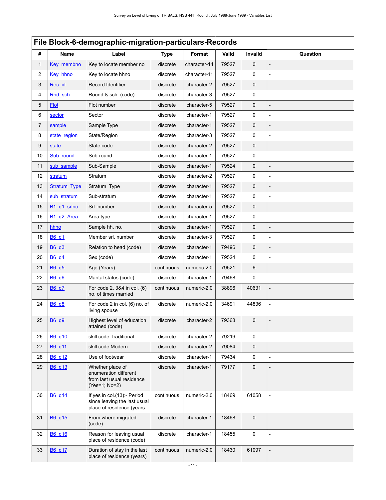<span id="page-14-0"></span>

| #              | Name                | Label                                                                                    | Type       | Format       | Valid | Invalid     | Question                 |
|----------------|---------------------|------------------------------------------------------------------------------------------|------------|--------------|-------|-------------|--------------------------|
| 1              | Key membno          | Key to locate member no                                                                  | discrete   | character-14 | 79527 | 0           |                          |
| 2              | Key hhno            | Key to locate hhno                                                                       | discrete   | character-11 | 79527 | 0           | $\overline{\phantom{a}}$ |
| 3              | Rec id              | Record Identifier                                                                        | discrete   | character-2  | 79527 | 0           |                          |
| 4              | Rnd sch             | Round & sch. (code)                                                                      | discrete   | character-3  | 79527 | 0           |                          |
| 5              | <b>Flot</b>         | Flot number                                                                              | discrete   | character-5  | 79527 | 0           |                          |
| 6              | sector              | Sector                                                                                   | discrete   | character-1  | 79527 | 0           |                          |
| $\overline{7}$ | sample              | Sample Type                                                                              | discrete   | character-1  | 79527 | 0           |                          |
| 8              | state region        | State/Region                                                                             | discrete   | character-3  | 79527 | 0           |                          |
| 9              | state               | State code                                                                               | discrete   | character-2  | 79527 | 0           |                          |
| 10             | Sub round           | Sub-round                                                                                | discrete   | character-1  | 79527 | 0           |                          |
| 11             | sub sample          | Sub-Sample                                                                               | discrete   | character-1  | 79524 | 0           |                          |
| 12             | stratum             | Stratum                                                                                  | discrete   | character-2  | 79527 | 0           |                          |
| 13             | <b>Stratum Type</b> | Stratum_Type                                                                             | discrete   | character-1  | 79527 | 0           |                          |
| 14             | sub stratum         | Sub-stratum                                                                              | discrete   | character-1  | 79527 | 0           |                          |
| 15             | B1_q1_srlno         | Srl. number                                                                              | discrete   | character-5  | 79527 | 0           |                          |
| 16             | B1 q2 Area          | Area type                                                                                | discrete   | character-1  | 79527 | 0           |                          |
| 17             | hhno                | Sample hh. no.                                                                           | discrete   | character-1  | 79527 | $\mathbf 0$ |                          |
| 18             | <b>B6</b> q1        | Member srl. number                                                                       | discrete   | character-3  | 79527 | 0           | $\overline{a}$           |
| 19             | <b>B6 q3</b>        | Relation to head (code)                                                                  | discrete   | character-1  | 79496 | 0           |                          |
| 20             | B6_q4               | Sex (code)                                                                               | discrete   | character-1  | 79524 | 0           |                          |
| 21             | B6 q5               | Age (Years)                                                                              | continuous | numeric-2.0  | 79521 | 6           |                          |
| 22             | B6_q6               | Marital status (code)                                                                    | discrete   | character-1  | 79468 | 0           |                          |
| 23             | B6_q7               | For code 2. 3&4 in col. (6)<br>no. of times married                                      | continuous | numeric-2.0  | 38896 | 40631       |                          |
| 24             | B6_q8               | For code 2 in col. (6) no. of<br>living spouse                                           | discrete   | numeric-2.0  | 34691 | 44836       |                          |
| 25             | <b>B6 q9</b>        | Highest level of education<br>attained (code)                                            | discrete   | character-2  | 79368 | 0           |                          |
| 26             | B6_q10              | skill code Traditional                                                                   | discrete   | character-2  | 79219 | 0           |                          |
| 27             | B6 q11              | skill code Modern                                                                        | discrete   | character-2  | 79084 | 0           |                          |
| 28             | B6 q12              | Use of footwear                                                                          | discrete   | character-1  | 79434 | 0           |                          |
| 29             | B6_q13              | Whether place of<br>enumeration different<br>from last usual residence<br>(Yes=1; No=2)  | discrete   | character-1  | 79177 | 0           |                          |
| 30             | B6_q14              | If yes in col.(13):- Period<br>since leaving the last usual<br>place of residence (years | continuous | numeric-2.0  | 18469 | 61058       |                          |
| 31             | B6_q15              | From where migrated<br>(code)                                                            | discrete   | character-1  | 18468 | 0           |                          |
| 32             | B6_q16              | Reason for leaving usual<br>place of residence (code)                                    | discrete   | character-1  | 18455 | 0           | $\overline{\phantom{a}}$ |
| 33             | B6_q17              | Duration of stay in the last<br>place of residence (years)                               | continuous | numeric-2.0  | 18430 | 61097       |                          |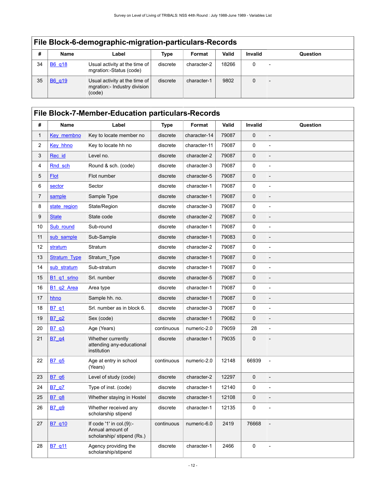|    | File Block-6-demographic-migration-particulars-Records |                                                                             |          |             |       |                |          |  |  |  |
|----|--------------------------------------------------------|-----------------------------------------------------------------------------|----------|-------------|-------|----------------|----------|--|--|--|
| #  | <b>Name</b>                                            | Label                                                                       | Type     | Format      | Valid | <b>Invalid</b> | Question |  |  |  |
| 34 | <b>B6</b> q18                                          | Usual activity at the time of<br>mgration:-Status (code)                    | discrete | character-2 | 18266 | 0              |          |  |  |  |
| 35 | B6 q19                                                 | Usual activity at the time of $ $<br>mgration:- Industry division<br>(code) | discrete | character-1 | 9802  | $\Omega$       | ۰        |  |  |  |

### <span id="page-15-0"></span>**File Block-7-Member-Education particulars-Records # Name Label Type Format Valid Invalid Question** 1  $\overline{Key \text{ membno}}$   $Key \text{ to locate member}$   $\overline{}$  discrete  $\overline{}$  character-14 79087  $\overline{}$  0 2  $Key\_hhno$  Key to locate hh no discrete character-11 79087 0 3 [Rec\\_id](#page-45-3) Level no. discrete character-2 | 79087 | 0 = | -4 [Rnd\\_sch](#page-45-4) Round & sch. (code) discrete character-3 79087 0 5 [Flot](#page-45-5) TFlot number discrete character-5 79087 0 -6 [sector](#page-45-6) Sector discrete character-1 79087 0 7 [sample](#page-45-7) Sample Type discrete character-1 79087 0 8 [state\\_region](#page-46-0) State/Region discrete character-3 79087 0 9 <u>[State](#page-46-1)</u> | State code | discrete | character-2 | 79087 | 0 | -10 [Sub\\_round](#page-46-2) Sub-round discrete character-1 79087 0 -11 sub sample Sub-Sample discrete character-1 79083 0 -12 [stratum](#page-46-4) Stratum discrete character-2 79087 0 - 13 [Stratum\\_Type](#page-46-5) Stratum\_Type discrete character-1 79087 0 14 [sub\\_stratum](#page-46-6) Sub-stratum discrete character-1 79087 0 -15  $\frac{B1 \text{ q1} \text{ srlno}}{2}$  Srl. number discrete character-5 79087 0 -16 B1 q2 Area Area type discrete character-1 79087 0 17 [hhno](#page-47-2) Sample hh. no. discrete character-1 79087 0 -18  $\overline{B7}$  g1 Srl. number as in block 6. discrete character-3 79087 0 -19 [B7\\_q2](#page-47-4) Sex (code) discrete character-1 | 79082 | 0 |-20 <mark>[B7\\_q3](#page-48-0)</mark> | Age (Years) | continuous | numeric-2.0 | 79059 | 28 | -21  $\left| \frac{B7}{94} \right|$  Whether currently attending any-educational institution discrete  $\vert$  character-1 79035  $\vert$  0 22  $\left| \frac{B7}{95} \right|$  Age at entry in school (Years) continuous numeric-2.0 12148  $\vert$  66939  $\vert$  - $23 \left| \frac{B7 \cdot q6}{2} \right|$  Level of study (code) discrete character-2 | 12297 | 0 24  $\overline{B7_q}$  Type of inst. (code) discrete character-1 | 12140 | 0  $25$   $\overline{B7}$  q8 Whether staying in Hostel discrete character-1 12108 0 -26  $\sqrt{B7 \cdot 99}$  Whether received any scholarship stipend discrete  $\vert$  character-1 | 12135 | 0 |-27  $\left| \frac{B7}{910} \right|$  If code '1' in col.(9):-Annual amount of scholarship/ stipend (Rs.) continuous numeric-6.0  $\vert$  2419  $\vert$  76668 28  $\left| \frac{B7}{911} \right|$  Agency providing the scholarship/stipend discrete  $\vert$  character-1  $\vert$  2466  $\vert$  0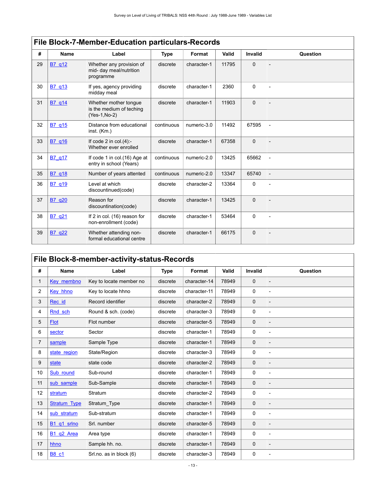| #  | <b>Name</b>   | Label                                                              | <b>Type</b> | Format      | Valid | <b>Invalid</b> | Question                 |
|----|---------------|--------------------------------------------------------------------|-------------|-------------|-------|----------------|--------------------------|
| 29 | B7_q12        | Whether any provision of<br>mid- day meal/nutrition<br>programme   | discrete    | character-1 | 11795 | $\Omega$       |                          |
| 30 | B7 q13        | If yes, agency providing<br>midday meal                            | discrete    | character-1 | 2360  | 0              |                          |
| 31 | B7 q14        | Whether mother tongue<br>is the medium of teching<br>(Yes-1, No-2) | discrete    | character-1 | 11903 | $\Omega$       |                          |
| 32 | B7 q15        | Distance from educational<br>inst. (Km.)                           | continuous  | numeric-3.0 | 11492 | 67595          | $\overline{a}$           |
| 33 | <b>B7</b> q16 | If code 2 in col. $(4)$ :-<br>Whether ever enrolled                | discrete    | character-1 | 67358 | $\mathbf 0$    | $\overline{a}$           |
| 34 | B7 g17        | If code 1 in col.(16) Age at<br>entry in school (Years)            | continuous  | numeric-2.0 | 13425 | 65662          | $\overline{\phantom{a}}$ |
| 35 | <b>B7</b> q18 | Number of years attented                                           | continuous  | numeric-2.0 | 13347 | 65740          | $\overline{\phantom{a}}$ |
| 36 | <b>B7</b> q19 | Level at which<br>discountinued(code)                              | discrete    | character-2 | 13364 | 0              |                          |
| 37 | B7 q20        | Reason for<br>discountination(code)                                | discrete    | character-1 | 13425 | $\Omega$       |                          |
| 38 | B7 q21        | If 2 in col. (16) reason for<br>non-enrollment (code)              | discrete    | character-1 | 53464 | 0              |                          |
| 39 | B7 q22        | Whether attending non-<br>formal educational centre                | discrete    | character-1 | 66175 | $\mathbf 0$    |                          |

# <span id="page-16-0"></span>**File Block-8-member-activity-status-Records**

| #              | <b>Name</b>                        | Label                   | Type     | Format       | Valid | <b>Invalid</b> | Question                 |
|----------------|------------------------------------|-------------------------|----------|--------------|-------|----------------|--------------------------|
| 1              | Key_membno                         | Key to locate member no | discrete | character-14 | 78949 | $\mathbf{0}$   |                          |
| $\overline{2}$ | <b>Key_hhno</b>                    | Key to locate hhno      | discrete | character-11 | 78949 | 0              | $\overline{a}$           |
| 3              | Rec id                             | Record identifier       | discrete | character-2  | 78949 | $\mathbf 0$    | $\overline{a}$           |
| 4              | Rnd sch                            | Round & sch. (code)     | discrete | character-3  | 78949 | $\mathbf 0$    | $\overline{a}$           |
| 5              | <b>Flot</b>                        | Flot number             | discrete | character-5  | 78949 | $\mathbf 0$    | $\overline{a}$           |
| 6              | sector                             | Sector                  | discrete | character-1  | 78949 | $\mathbf 0$    |                          |
| 7              | sample                             | Sample Type             | discrete | character-1  | 78949 | $\mathbf{0}$   |                          |
| 8              | state region                       | State/Region            | discrete | character-3  | 78949 | $\mathbf 0$    | $\overline{a}$           |
| 9              | state                              | state code              | discrete | character-2  | 78949 | $\mathbf{0}$   |                          |
| 10             | Sub round                          | Sub-round               | discrete | character-1  | 78949 | $\mathbf 0$    |                          |
| 11             | sub sample                         | Sub-Sample              | discrete | character-1  | 78949 | $\mathbf 0$    |                          |
| 12             | stratum                            | Stratum                 | discrete | character-2  | 78949 | $\mathbf 0$    |                          |
| 13             | <b>Stratum_Type</b>                | Stratum Type            | discrete | character-1  | 78949 | $\mathbf 0$    |                          |
| 14             | sub stratum                        | Sub-stratum             | discrete | character-1  | 78949 | 0              | $\overline{a}$           |
| 15             | B1_q1_srlno                        | Srl. number             | discrete | character-5  | 78949 | $\mathbf 0$    |                          |
| 16             | B <sub>1</sub> q <sub>2</sub> Area | Area type               | discrete | character-1  | 78949 | $\mathbf 0$    | $\overline{a}$           |
| 17             | hhno                               | Sample hh. no.          | discrete | character-1  | 78949 | $\mathbf 0$    | $\overline{\phantom{0}}$ |
| 18             | <b>B8 c1</b>                       | Srl.no. as in block (6) | discrete | character-3  | 78949 | 0              |                          |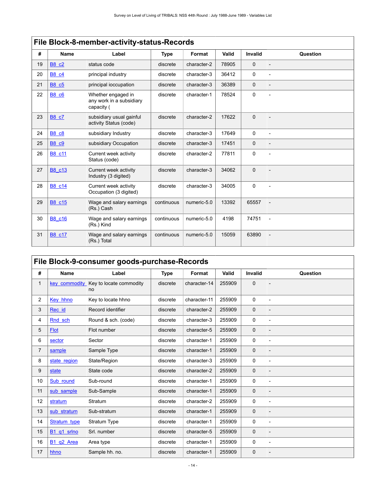|    | File Block-8-member-activity-status-Records |                                                              |             |             |       |                |                          |  |  |  |  |
|----|---------------------------------------------|--------------------------------------------------------------|-------------|-------------|-------|----------------|--------------------------|--|--|--|--|
| #  | <b>Name</b>                                 | Label                                                        | <b>Type</b> | Format      | Valid | <b>Invalid</b> | Question                 |  |  |  |  |
| 19 | <b>B8 c2</b>                                | status code                                                  | discrete    | character-2 | 78905 | $\Omega$       | $\overline{a}$           |  |  |  |  |
| 20 | <b>B8 c4</b>                                | principal industry                                           | discrete    | character-3 | 36412 | $\Omega$       |                          |  |  |  |  |
| 21 | B8 c5                                       | principal ioccupation                                        | discrete    | character-3 | 36389 | $\mathbf 0$    |                          |  |  |  |  |
| 22 | <b>B8 c6</b>                                | Whether engaged in<br>any work in a subsidiary<br>capacity ( | discrete    | character-1 | 78524 | $\Omega$       |                          |  |  |  |  |
| 23 | B8 c7                                       | subsidiary usual gainful<br>activity Status (code)           | discrete    | character-2 | 17622 | $\mathbf{0}$   |                          |  |  |  |  |
| 24 | <b>B8 c8</b>                                | subsidiary Industry                                          | discrete    | character-3 | 17649 | $\Omega$       | $\overline{a}$           |  |  |  |  |
| 25 | <b>B8 c9</b>                                | subsidiary Occupation                                        | discrete    | character-3 | 17451 | $\Omega$       |                          |  |  |  |  |
| 26 | B8 c11                                      | Current week activity<br>Status (code)                       | discrete    | character-2 | 77811 | 0              |                          |  |  |  |  |
| 27 | B8 c13                                      | Current week activity<br>Industry (3 digited)                | discrete    | character-3 | 34062 | $\mathbf{0}$   | $\overline{\phantom{a}}$ |  |  |  |  |
| 28 | B8 c14                                      | Current week activity<br>Occupation (3 digited)              | discrete    | character-3 | 34005 | $\Omega$       |                          |  |  |  |  |
| 29 | B8 c15                                      | Wage and salary earnings<br>(Rs.) Cash                       | continuous  | numeric-5.0 | 13392 | 65557          |                          |  |  |  |  |
| 30 | <b>B8 c16</b>                               | Wage and salary earnings<br>(Rs.) Kind                       | continuous  | numeric-5.0 | 4198  | 74751          | $\overline{a}$           |  |  |  |  |
| 31 | B8 c17                                      | Wage and salary earnings<br>(Rs.) Total                      | continuous  | numeric-5.0 | 15059 | 63890          |                          |  |  |  |  |

<span id="page-17-0"></span>

|    |                     | File Block-9-consumer goods-purchase-Records |             |              |        |                |                          |
|----|---------------------|----------------------------------------------|-------------|--------------|--------|----------------|--------------------------|
| #  | <b>Name</b>         | Label                                        | <b>Type</b> | Format       | Valid  | <b>Invalid</b> | Question                 |
| 1  | key commodity       | Key to locate commodity<br>no                | discrete    | character-14 | 255909 | $\mathbf 0$    |                          |
| 2  | Key hhno            | Key to locate hhno                           | discrete    | character-11 | 255909 | 0              | $\overline{a}$           |
| 3  | Rec id              | Record identifier                            | discrete    | character-2  | 255909 | $\mathbf 0$    | $\overline{a}$           |
| 4  | Rnd sch             | Round & sch. (code)                          | discrete    | character-3  | 255909 | $\mathbf 0$    | $\overline{a}$           |
| 5  | <b>Flot</b>         | Flot number                                  | discrete    | character-5  | 255909 | $\mathbf 0$    |                          |
| 6  | sector              | Sector                                       | discrete    | character-1  | 255909 | 0              | $\overline{a}$           |
| 7  | sample              | Sample Type                                  | discrete    | character-1  | 255909 | $\mathbf 0$    |                          |
| 8  | state region        | State/Region                                 | discrete    | character-3  | 255909 | $\mathbf 0$    | $\overline{a}$           |
| 9  | state               | State code                                   | discrete    | character-2  | 255909 | $\mathbf 0$    |                          |
| 10 | Sub round           | Sub-round                                    | discrete    | character-1  | 255909 | $\mathbf 0$    |                          |
| 11 | sub sample          | Sub-Sample                                   | discrete    | character-1  | 255909 | $\mathbf 0$    |                          |
| 12 | stratum             | Stratum                                      | discrete    | character-2  | 255909 | 0              | $\overline{a}$           |
| 13 | sub stratum         | Sub-stratum                                  | discrete    | character-1  | 255909 | $\mathbf 0$    | $\overline{\phantom{a}}$ |
| 14 | <b>Stratum type</b> | Stratum Type                                 | discrete    | character-1  | 255909 | $\mathbf 0$    |                          |
| 15 | B1 q1 srlno         | Srl. number                                  | discrete    | character-5  | 255909 | $\mathbf 0$    |                          |
| 16 | B1 q2 Area          | Area type                                    | discrete    | character-1  | 255909 | 0              | $\overline{a}$           |
| 17 | hhno                | Sample hh. no.                               | discrete    | character-1  | 255909 | $\mathbf 0$    |                          |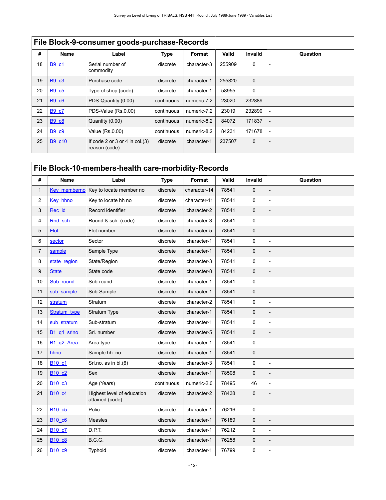|    | File Block-9-consumer goods-purchase-Records |                                                    |             |             |        |                |                          |  |  |  |  |
|----|----------------------------------------------|----------------------------------------------------|-------------|-------------|--------|----------------|--------------------------|--|--|--|--|
| #  | Name                                         | Label                                              | <b>Type</b> | Format      | Valid  | <b>Invalid</b> | Question                 |  |  |  |  |
| 18 | <b>B9 c1</b>                                 | Serial number of<br>commodity                      | discrete    | character-3 | 255909 | 0              |                          |  |  |  |  |
| 19 | <b>B9 c3</b>                                 | Purchase code                                      | discrete    | character-1 | 255820 | $\mathbf 0$    |                          |  |  |  |  |
| 20 | B <sub>9</sub> c <sub>5</sub>                | Type of shop (code)                                | discrete    | character-1 | 58955  | 0              | $\overline{\phantom{a}}$ |  |  |  |  |
| 21 | <b>B9 c6</b>                                 | PDS-Quantity (0.00)                                | continuous  | numeric-7.2 | 23020  | 232889         |                          |  |  |  |  |
| 22 | <b>B9 c7</b>                                 | PDS-Value (Rs.0.00)                                | continuous  | numeric-7.2 | 23019  | 232890         | $\overline{\phantom{a}}$ |  |  |  |  |
| 23 | <b>B9 c8</b>                                 | Quantity (0.00)                                    | continuous  | numeric-8.2 | 84072  | 171837         | $\overline{\phantom{a}}$ |  |  |  |  |
| 24 | <b>B9 c9</b>                                 | Value (Rs.0.00)                                    | continuous  | numeric-8.2 | 84231  | 171678         | $\overline{\phantom{a}}$ |  |  |  |  |
| 25 | <b>B9 c10</b>                                | If code 2 or 3 or 4 in col. $(3)$<br>reason (code) | discrete    | character-1 | 237507 | $\mathbf{0}$   |                          |  |  |  |  |

### <span id="page-18-0"></span>**File Block-10-members-health care-morbidity-Records**

| #              | <b>Name</b>                         | Label                                         | <b>Type</b> | Format       | Valid | <b>Invalid</b> | Question                 |  |  |  |  |
|----------------|-------------------------------------|-----------------------------------------------|-------------|--------------|-------|----------------|--------------------------|--|--|--|--|
| $\mathbf{1}$   | Key memberno                        | Key to locate member no                       | discrete    | character-14 | 78541 | $\mathbf 0$    |                          |  |  |  |  |
| 2              | Key hhno                            | Key to locate hh no                           | discrete    | character-11 | 78541 | 0              | $\overline{a}$           |  |  |  |  |
| 3              | Rec id                              | Record identifier                             | discrete    | character-2  | 78541 | $\mathbf 0$    |                          |  |  |  |  |
| 4              | Rnd sch                             | Round & sch. (code)                           | discrete    | character-3  | 78541 | 0              |                          |  |  |  |  |
| 5              | <b>Flot</b>                         | Flot number                                   | discrete    | character-5  | 78541 | $\mathbf 0$    |                          |  |  |  |  |
| 6              | sector                              | Sector                                        | discrete    | character-1  | 78541 | 0              | $\overline{\phantom{a}}$ |  |  |  |  |
| $\overline{7}$ | sample                              | Sample Type                                   | discrete    | character-1  | 78541 | $\mathbf 0$    |                          |  |  |  |  |
| 8              | state region                        | State/Region                                  | discrete    | character-3  | 78541 | 0              |                          |  |  |  |  |
| 9              | <b>State</b>                        | State code                                    | discrete    | character-8  | 78541 | 0              |                          |  |  |  |  |
| 10             | Sub round                           | Sub-round                                     | discrete    | character-1  | 78541 | 0              |                          |  |  |  |  |
| 11             | sub sample                          | Sub-Sample                                    | discrete    | character-1  | 78541 | $\mathbf 0$    |                          |  |  |  |  |
| 12             | stratum                             | Stratum                                       | discrete    | character-2  | 78541 | 0              |                          |  |  |  |  |
| 13             | Stratum type                        | Stratum Type                                  | discrete    | character-1  | 78541 | $\mathbf 0$    |                          |  |  |  |  |
| 14             | sub_stratum                         | Sub-stratum                                   | discrete    | character-1  | 78541 | 0              |                          |  |  |  |  |
| 15             | B <sub>1</sub> q <sub>1</sub> srlno | Srl. number                                   | discrete    | character-5  | 78541 | $\mathbf 0$    |                          |  |  |  |  |
| 16             | B1 q2 Area                          | Area type                                     | discrete    | character-1  | 78541 | 0              |                          |  |  |  |  |
| 17             | hhno                                | Sample hh. no.                                | discrete    | character-1  | 78541 | $\mathbf 0$    |                          |  |  |  |  |
| 18             | B <sub>10</sub> c <sub>1</sub>      | Srl.no. as in bl.(6)                          | discrete    | character-3  | 78541 | 0              | $\overline{a}$           |  |  |  |  |
| 19             | B <sub>10</sub> c <sub>2</sub>      | Sex                                           | discrete    | character-1  | 78508 | $\mathbf 0$    |                          |  |  |  |  |
| 20             | B <sub>10</sub> c <sub>3</sub>      | Age (Years)                                   | continuous  | numeric-2.0  | 78495 | 46             |                          |  |  |  |  |
| 21             | B <sub>10</sub> c <sub>4</sub>      | Highest level of education<br>attained (code) | discrete    | character-2  | 78438 | 0              |                          |  |  |  |  |
| 22             | B <sub>10</sub> c <sub>5</sub>      | Polio                                         | discrete    | character-1  | 76216 | 0              |                          |  |  |  |  |
| 23             | B <sub>10</sub> c <sub>6</sub>      | Measles                                       | discrete    | character-1  | 76189 | 0              |                          |  |  |  |  |
| 24             | B <sub>10</sub> c <sub>7</sub>      | D.P.T.                                        | discrete    | character-1  | 76212 | 0              |                          |  |  |  |  |
| 25             | B <sub>10</sub> c <sub>8</sub>      | B.C.G.                                        | discrete    | character-1  | 76258 | 0              |                          |  |  |  |  |
| 26             | B <sub>10</sub> c <sub>9</sub>      | Typhoid                                       | discrete    | character-1  | 76799 | 0              |                          |  |  |  |  |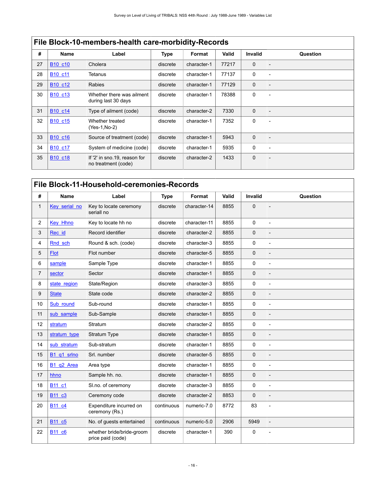|    | File Block-10-members-health care-morbidity-Records |                                                     |          |             |       |                |          |  |  |  |  |  |
|----|-----------------------------------------------------|-----------------------------------------------------|----------|-------------|-------|----------------|----------|--|--|--|--|--|
| #  | Name                                                | Label                                               | Type     | Format      | Valid | <b>Invalid</b> | Question |  |  |  |  |  |
| 27 | B <sub>10</sub> c <sub>10</sub>                     | Cholera                                             | discrete | character-1 | 77217 | 0              |          |  |  |  |  |  |
| 28 | B <sub>10</sub> c <sub>11</sub>                     | Tetanus                                             | discrete | character-1 | 77137 | 0              |          |  |  |  |  |  |
| 29 | B <sub>10</sub> c <sub>12</sub>                     | Rabies                                              | discrete | character-1 | 77129 | 0              |          |  |  |  |  |  |
| 30 | B <sub>10</sub> c <sub>13</sub>                     | Whether there was ailment<br>during last 30 days    | discrete | character-1 | 78388 | $\Omega$       |          |  |  |  |  |  |
| 31 | B10 c14                                             | Type of ailment (code)                              | discrete | character-2 | 7330  | 0              |          |  |  |  |  |  |
| 32 | B <sub>10</sub> c <sub>15</sub>                     | Whether treated<br>(Yes-1, No-2)                    | discrete | character-1 | 7352  | $\Omega$       |          |  |  |  |  |  |
| 33 | B <sub>10</sub> c <sub>16</sub>                     | Source of treatment (code)                          | discrete | character-1 | 5943  | 0              |          |  |  |  |  |  |
| 34 | B <sub>10</sub> c <sub>17</sub>                     | System of medicine (code)                           | discrete | character-1 | 5935  | 0              |          |  |  |  |  |  |
| 35 | B <sub>10</sub> c <sub>18</sub>                     | If '2' in sno.19, reason for<br>no treatment (code) | discrete | character-2 | 1433  | $\mathbf 0$    |          |  |  |  |  |  |

# <span id="page-19-0"></span>**File Block-11-Household-ceremonies-Records**

| #              | <b>Name</b>                    | Label                                          | <b>Type</b> | Format       | Valid | <b>Invalid</b> | Question                 |
|----------------|--------------------------------|------------------------------------------------|-------------|--------------|-------|----------------|--------------------------|
| $\mathbf{1}$   | Key serial no                  | Key to locate ceremony<br>seriall no           | discrete    | character-14 | 8855  | $\mathbf{0}$   |                          |
| $\overline{2}$ | <b>Key Hhno</b>                | Key to locate hh no                            | discrete    | character-11 | 8855  | 0              | $\overline{\phantom{a}}$ |
| 3              | Rec id                         | Record identifier                              | discrete    | character-2  | 8855  | $\mathbf 0$    | $\overline{\phantom{a}}$ |
| 4              | Rnd sch                        | Round & sch. (code)                            | discrete    | character-3  | 8855  | 0              | $\overline{\phantom{0}}$ |
| 5              | Flot                           | Flot number                                    | discrete    | character-5  | 8855  | $\mathbf 0$    | $\overline{\phantom{a}}$ |
| 6              | sample                         | Sample Type                                    | discrete    | character-1  | 8855  | 0              | $\overline{\phantom{a}}$ |
| $\overline{7}$ | sector                         | Sector                                         | discrete    | character-1  | 8855  | $\mathbf 0$    | $\overline{a}$           |
| 8              | state region                   | State/Region                                   | discrete    | character-3  | 8855  | 0              | $\overline{\phantom{a}}$ |
| 9              | <b>State</b>                   | State code                                     | discrete    | character-2  | 8855  | $\mathbf 0$    |                          |
| 10             | Sub round                      | Sub-round                                      | discrete    | character-1  | 8855  | 0              | $\overline{a}$           |
| 11             | sub sample                     | Sub-Sample                                     | discrete    | character-1  | 8855  | $\mathbf 0$    | $\overline{a}$           |
| 12             | stratum                        | Stratum                                        | discrete    | character-2  | 8855  | 0              | $\overline{\phantom{a}}$ |
| 13             | stratum type                   | Stratum Type                                   | discrete    | character-1  | 8855  | $\mathbf 0$    | $\overline{a}$           |
| 14             | sub stratum                    | Sub-stratum                                    | discrete    | character-1  | 8855  | 0              | $\overline{a}$           |
| 15             | B1 q1 srlno                    | Srl. number                                    | discrete    | character-5  | 8855  | 0              |                          |
| 16             | B1 q2 Area                     | Area type                                      | discrete    | character-1  | 8855  | 0              | $\overline{a}$           |
| 17             | hhno                           | Sample hh. no.                                 | discrete    | character-1  | 8855  | $\mathbf 0$    |                          |
| 18             | B <sub>11</sub> c <sub>1</sub> | SI.no. of ceremony                             | discrete    | character-3  | 8855  | 0              |                          |
| 19             | B <sub>11</sub> c <sub>3</sub> | Ceremony code                                  | discrete    | character-2  | 8853  | $\mathbf 0$    |                          |
| 20             | B <sub>11</sub> c <sub>4</sub> | Expenditure incurred on<br>ceremony (Rs.)      | continuous  | numeric-7.0  | 8772  | 83             | $\overline{a}$           |
| 21             | B <sub>11</sub> c <sub>5</sub> | No. of guests entertained                      | continuous  | numeric-5.0  | 2906  | 5949           | $\overline{\phantom{0}}$ |
| 22             | B11 c6                         | whether bride/bride-groom<br>price paid (code) | discrete    | character-1  | 390   | 0              | $\overline{a}$           |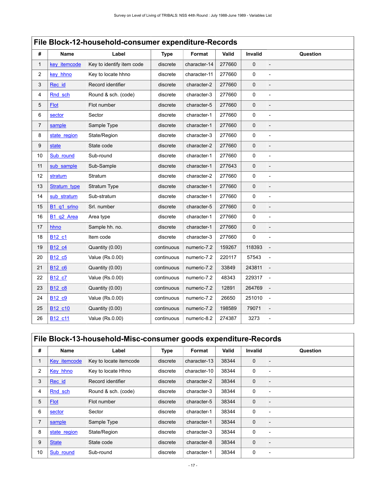<span id="page-20-0"></span>

|                | File Block-12-household-consumer expenditure-Records |                           |             |              |        |                     |                          |  |  |  |  |  |
|----------------|------------------------------------------------------|---------------------------|-------------|--------------|--------|---------------------|--------------------------|--|--|--|--|--|
| #              | Name                                                 | Label                     | <b>Type</b> | Format       | Valid  | Invalid             | Question                 |  |  |  |  |  |
| 1              | key itemcode                                         | Key to identify item code | discrete    | character-14 | 277660 | $\mathbf 0$         |                          |  |  |  |  |  |
| 2              | key hhno                                             | Key to locate hhno        | discrete    | character-11 | 277660 | 0                   |                          |  |  |  |  |  |
| 3              | Rec id                                               | Record identifier         | discrete    | character-2  | 277660 | $\mathbf 0$         |                          |  |  |  |  |  |
| 4              | Rnd sch                                              | Round & sch. (code)       | discrete    | character-3  | 277660 | 0                   |                          |  |  |  |  |  |
| 5              | <b>Flot</b>                                          | Flot number               | discrete    | character-5  | 277660 | $\mathbf 0$         |                          |  |  |  |  |  |
| 6              | sector                                               | Sector                    | discrete    | character-1  | 277660 | 0                   |                          |  |  |  |  |  |
| $\overline{7}$ | sample                                               | Sample Type               | discrete    | character-1  | 277660 | $\mathbf 0$         |                          |  |  |  |  |  |
| 8              | state region                                         | State/Region              | discrete    | character-3  | 277660 | 0                   |                          |  |  |  |  |  |
| 9              | state                                                | State code                | discrete    | character-2  | 277660 | $\mathbf 0$         |                          |  |  |  |  |  |
| 10             | Sub round                                            | Sub-round                 | discrete    | character-1  | 277660 | $\mathsf{O}\xspace$ |                          |  |  |  |  |  |
| 11             | sub sample                                           | Sub-Sample                | discrete    | character-1  | 277643 | $\mathbf 0$         |                          |  |  |  |  |  |
| 12             | stratum                                              | Stratum                   | discrete    | character-2  | 277660 | 0                   |                          |  |  |  |  |  |
| 13             | Stratum type                                         | Stratum Type              | discrete    | character-1  | 277660 | $\mathbf 0$         |                          |  |  |  |  |  |
| 14             | sub stratum                                          | Sub-stratum               | discrete    | character-1  | 277660 | 0                   |                          |  |  |  |  |  |
| 15             | B1 q1 srlno                                          | Srl. number               | discrete    | character-5  | 277660 | $\mathbf 0$         |                          |  |  |  |  |  |
| 16             | B <sub>1</sub> q <sub>2</sub> Area                   | Area type                 | discrete    | character-1  | 277660 | $\mathbf 0$         |                          |  |  |  |  |  |
| 17             | hhno                                                 | Sample hh. no.            | discrete    | character-1  | 277660 | $\mathbf 0$         |                          |  |  |  |  |  |
| 18             | B12 c1                                               | Item code                 | discrete    | character-3  | 277660 | 0                   | $\overline{\phantom{0}}$ |  |  |  |  |  |
| 19             | B12 c4                                               | Quantity (0.00)           | continuous  | numeric-7.2  | 159267 | 118393              |                          |  |  |  |  |  |
| 20             | B <sub>12</sub> c <sub>5</sub>                       | Value (Rs.0.00)           | continuous  | numeric-7.2  | 220117 | 57543               |                          |  |  |  |  |  |
| 21             | B <sub>12</sub> c <sub>6</sub>                       | Quantity (0.00)           | continuous  | numeric-7.2  | 33849  | 243811              |                          |  |  |  |  |  |
| 22             | B <sub>12</sub> c <sub>7</sub>                       | Value (Rs.0.00)           | continuous  | numeric-7.2  | 48343  | 229317              |                          |  |  |  |  |  |
| 23             | B <sub>12</sub> c <sub>8</sub>                       | Quantity (0.00)           | continuous  | numeric-7.2  | 12891  | 264769              |                          |  |  |  |  |  |
| 24             | B <sub>12</sub> c <sub>9</sub>                       | Value (Rs.0.00)           | continuous  | numeric-7.2  | 26650  | 251010              |                          |  |  |  |  |  |
| 25             | B <sub>12</sub> c <sub>10</sub>                      | Quantity (0.00)           | continuous  | numeric-7.2  | 198589 | 79071               |                          |  |  |  |  |  |
| 26             | B <sub>12</sub> c <sub>11</sub>                      | Value (Rs.0.00)           | continuous  | numeric-8.2  | 274387 | 3273                |                          |  |  |  |  |  |

# <span id="page-20-1"></span>**File Block-13-household-Misc-consumer goods expenditure-Records**

| #              | Name                | Label                  | Type     | Format       | Valid | Invalid     | Question                 |
|----------------|---------------------|------------------------|----------|--------------|-------|-------------|--------------------------|
|                | <b>Key itemcode</b> | Key to locate itemcode | discrete | character-13 | 38344 | $\mathbf 0$ | $\overline{\phantom{0}}$ |
| $\overline{2}$ | Key hhno            | Key to locate Hhno     | discrete | character-10 | 38344 | 0           | $\overline{\phantom{0}}$ |
| 3              | Rec id              | Record identifier      | discrete | character-2  | 38344 | $\mathbf 0$ | $\overline{\phantom{0}}$ |
| 4              | Rnd sch             | Round & sch. (code)    | discrete | character-3  | 38344 | $\mathbf 0$ | $\overline{\phantom{0}}$ |
| 5              | <b>Flot</b>         | Flot number            | discrete | character-5  | 38344 | $\mathbf 0$ | $\overline{a}$           |
| 6              | sector              | Sector                 | discrete | character-1  | 38344 | 0           | $\overline{\phantom{0}}$ |
| 7              | sample              | Sample Type            | discrete | character-1  | 38344 | $\mathbf 0$ | $\overline{\phantom{0}}$ |
| 8              | state region        | State/Region           | discrete | character-3  | 38344 | 0           | $\overline{\phantom{0}}$ |
| 9              | <b>State</b>        | State code             | discrete | character-8  | 38344 | $\mathbf 0$ | $\overline{\phantom{0}}$ |
| 10             | Sub round           | Sub-round              | discrete | character-1  | 38344 | 0           | $\overline{\phantom{a}}$ |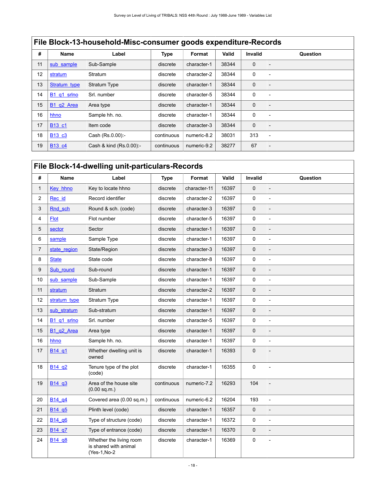|    | File Block-13-household-Misc-consumer goods expenditure-Records |                         |             |             |       |                |                          |  |  |  |  |
|----|-----------------------------------------------------------------|-------------------------|-------------|-------------|-------|----------------|--------------------------|--|--|--|--|
| #  | Name                                                            | Label                   | <b>Type</b> | Format      | Valid | <b>Invalid</b> | Question                 |  |  |  |  |
| 11 | sub sample                                                      | Sub-Sample              | discrete    | character-1 | 38344 | $\mathbf 0$    |                          |  |  |  |  |
| 12 | stratum                                                         | Stratum                 | discrete    | character-2 | 38344 | 0              |                          |  |  |  |  |
| 13 | Stratum type                                                    | Stratum Type            | discrete    | character-1 | 38344 | $\mathbf 0$    | ٠                        |  |  |  |  |
| 14 | B1 q1 srlno                                                     | Srl. number             | discrete    | character-5 | 38344 | 0              |                          |  |  |  |  |
| 15 | B <sub>1</sub> q <sub>2</sub> Area                              | Area type               | discrete    | character-1 | 38344 | $\mathbf 0$    |                          |  |  |  |  |
| 16 | hhno                                                            | Sample hh. no.          | discrete    | character-1 | 38344 | 0              |                          |  |  |  |  |
| 17 | <b>B13 c1</b>                                                   | Item code               | discrete    | character-3 | 38344 | $\mathbf 0$    |                          |  |  |  |  |
| 18 | <b>B13 c3</b>                                                   | Cash (Rs.0.00):-        | continuous  | numeric-8.2 | 38031 | 313            | $\overline{\phantom{a}}$ |  |  |  |  |
| 19 | B <sub>13</sub> c <sub>4</sub>                                  | Cash & kind (Rs.0.00):- | continuous  | numeric-9.2 | 38277 | 67             |                          |  |  |  |  |

### <span id="page-21-0"></span>**File Block-14-dwelling unit-particulars-Records**

| #              | <b>Name</b>                        | Label                                                             | <b>Type</b> | Format       | Valid | <b>Invalid</b> | Question                 |
|----------------|------------------------------------|-------------------------------------------------------------------|-------------|--------------|-------|----------------|--------------------------|
| $\mathbf{1}$   | Key hhno                           | Key to locate hhno                                                | discrete    | character-11 | 16397 | $\mathbf 0$    |                          |
| 2              | Rec id                             | Record identifier                                                 | discrete    | character-2  | 16397 | 0              | $\overline{\phantom{0}}$ |
| 3              | Rnd sch                            | Round & sch. (code)                                               | discrete    | character-3  | 16397 | 0              |                          |
| 4              | Flot                               | Flot number                                                       | discrete    | character-5  | 16397 | 0              |                          |
| 5              | sector                             | Sector                                                            | discrete    | character-1  | 16397 | 0              | $\overline{a}$           |
| 6              | sample                             | Sample Type                                                       | discrete    | character-1  | 16397 | 0              | $\overline{a}$           |
| $\overline{7}$ | state region                       | State/Region                                                      | discrete    | character-3  | 16397 | $\mathbf 0$    |                          |
| 8              | <b>State</b>                       | State code                                                        | discrete    | character-8  | 16397 | 0              | $\overline{a}$           |
| 9              | Sub round                          | Sub-round                                                         | discrete    | character-1  | 16397 | $\mathbf 0$    |                          |
| 10             | sub sample                         | Sub-Sample                                                        | discrete    | character-1  | 16397 | 0              | $\overline{a}$           |
| 11             | stratum                            | Stratum                                                           | discrete    | character-2  | 16397 | $\mathbf 0$    | $\overline{a}$           |
| 12             | stratum type                       | Stratum Type                                                      | discrete    | character-1  | 16397 | 0              | $\overline{a}$           |
| 13             | sub stratum                        | Sub-stratum                                                       | discrete    | character-1  | 16397 | $\mathbf 0$    |                          |
| 14             | B1 q1 srlno                        | Srl. number                                                       | discrete    | character-5  | 16397 | 0              | $\overline{\phantom{m}}$ |
| 15             | B <sub>1</sub> q <sub>2</sub> Area | Area type                                                         | discrete    | character-1  | 16397 | $\mathbf 0$    |                          |
| 16             | hhno                               | Sample hh. no.                                                    | discrete    | character-1  | 16397 | 0              | $\overline{a}$           |
| 17             | B <sub>14</sub> q <sub>1</sub>     | Whether dwelling unit is<br>owned                                 | discrete    | character-1  | 16393 | $\mathbf 0$    |                          |
| 18             | B <sub>14</sub> q <sub>2</sub>     | Tenure type of the plot<br>(code)                                 | discrete    | character-1  | 16355 | 0              | $\overline{\phantom{m}}$ |
| 19             | B <sub>14</sub> q <sub>3</sub>     | Area of the house site<br>$(0.00$ sq.m.)                          | continuous  | numeric-7.2  | 16293 | 104            | $\overline{a}$           |
| 20             | B <sub>14</sub> q <sub>4</sub>     | Covered area (0.00 sq.m.)                                         | continuous  | numeric-6.2  | 16204 | 193            | $\overline{a}$           |
| 21             | B14 q5                             | Plinth level (code)                                               | discrete    | character-1  | 16357 | 0              | $\overline{a}$           |
| 22             | B <sub>14</sub> q <sub>6</sub>     | Type of structure (code)                                          | discrete    | character-1  | 16372 | 0              | $\overline{a}$           |
| 23             | B <sub>14</sub> q <sub>7</sub>     | Type of entrance (code)                                           | discrete    | character-1  | 16370 | $\mathbf 0$    |                          |
| 24             | B <sub>14</sub> q <sub>8</sub>     | Whether the living room<br>is shared with animal<br>(Yes-1, No-2) | discrete    | character-1  | 16369 | $\mathsf 0$    | $\overline{a}$           |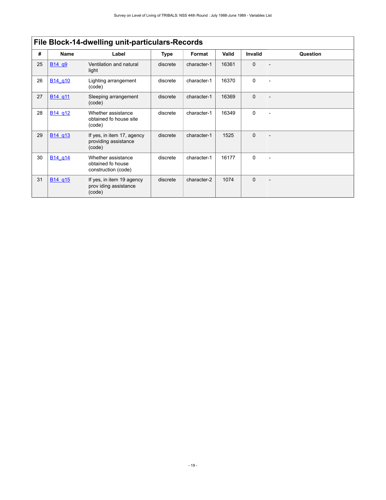|    |                                 | File Block-14-dwelling unit-particulars-Records                |          |             |       |                |          |
|----|---------------------------------|----------------------------------------------------------------|----------|-------------|-------|----------------|----------|
| #  | <b>Name</b>                     | Label                                                          | Type     | Format      | Valid | <b>Invalid</b> | Question |
| 25 | B <sub>14</sub> q <sub>9</sub>  | Ventilation and natural<br>light                               | discrete | character-1 | 16361 | $\Omega$       |          |
| 26 | B <sub>14</sub> q <sub>10</sub> | Lighting arrangement<br>(code)                                 | discrete | character-1 | 16370 | $\Omega$       |          |
| 27 | B14 g11                         | Sleeping arrangement<br>(code)                                 | discrete | character-1 | 16369 | $\Omega$       |          |
| 28 | B <sub>14</sub> q <sub>12</sub> | Whether assistance<br>obtained fo house site<br>(code)         | discrete | character-1 | 16349 | $\Omega$       |          |
| 29 | B <sub>14</sub> q <sub>13</sub> | If yes, in item 17, agency<br>providing assistance<br>(code)   | discrete | character-1 | 1525  | $\Omega$       |          |
| 30 | B <sub>14</sub> q <sub>14</sub> | Whether assistance<br>obtained fo house<br>construction (code) | discrete | character-1 | 16177 | $\Omega$       |          |
| 31 | B14 q15                         | If yes, in item 19 agency<br>prov iding assistance<br>(code)   | discrete | character-2 | 1074  | $\Omega$       |          |

# **File Block-14-dwelling unit-particulars-Records**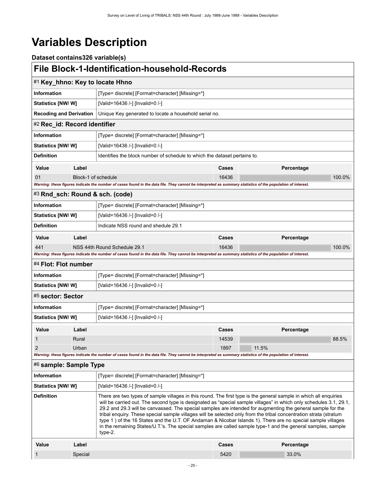# <span id="page-23-0"></span>**Variables Description**

<span id="page-23-7"></span><span id="page-23-6"></span><span id="page-23-5"></span><span id="page-23-4"></span><span id="page-23-3"></span><span id="page-23-2"></span><span id="page-23-1"></span>

| Dataset contains326 variable(s)       |                     |                                                                                                                                                                                                                                                                                                                                                                                                                                                                                                                                                                                                                                                                                                                       |       |            |  |
|---------------------------------------|---------------------|-----------------------------------------------------------------------------------------------------------------------------------------------------------------------------------------------------------------------------------------------------------------------------------------------------------------------------------------------------------------------------------------------------------------------------------------------------------------------------------------------------------------------------------------------------------------------------------------------------------------------------------------------------------------------------------------------------------------------|-------|------------|--|
|                                       |                     | <b>File Block-1-Identification-household-Records</b>                                                                                                                                                                                                                                                                                                                                                                                                                                                                                                                                                                                                                                                                  |       |            |  |
|                                       |                     | #1 Key_hhno: Key to locate Hhno                                                                                                                                                                                                                                                                                                                                                                                                                                                                                                                                                                                                                                                                                       |       |            |  |
| <b>Information</b>                    |                     | [Type= discrete] [Format=character] [Missing=*]                                                                                                                                                                                                                                                                                                                                                                                                                                                                                                                                                                                                                                                                       |       |            |  |
| <b>Statistics [NW/W]</b>              |                     | [Valid=16436 /-] [Invalid=0 /-]                                                                                                                                                                                                                                                                                                                                                                                                                                                                                                                                                                                                                                                                                       |       |            |  |
| <b>Recoding and Derivation</b>        |                     | Unique Key generated to locate a household serial no.                                                                                                                                                                                                                                                                                                                                                                                                                                                                                                                                                                                                                                                                 |       |            |  |
| #2 Rec_id: Record identifier          |                     |                                                                                                                                                                                                                                                                                                                                                                                                                                                                                                                                                                                                                                                                                                                       |       |            |  |
| <b>Information</b>                    |                     | [Type= discrete] [Format=character] [Missing=*]                                                                                                                                                                                                                                                                                                                                                                                                                                                                                                                                                                                                                                                                       |       |            |  |
| Statistics [NW/W]                     |                     | [Valid=16436 /-] [Invalid=0 /-]                                                                                                                                                                                                                                                                                                                                                                                                                                                                                                                                                                                                                                                                                       |       |            |  |
| <b>Definition</b>                     |                     | Identifies the block number of schedule to which the dataset pertains to.                                                                                                                                                                                                                                                                                                                                                                                                                                                                                                                                                                                                                                             |       |            |  |
| Value                                 | Label               |                                                                                                                                                                                                                                                                                                                                                                                                                                                                                                                                                                                                                                                                                                                       | Cases | Percentage |  |
| 01                                    | Block-1 of schedule |                                                                                                                                                                                                                                                                                                                                                                                                                                                                                                                                                                                                                                                                                                                       | 16436 | 100.0%     |  |
|                                       |                     | Warning: these figures indicate the number of cases found in the data file. They cannot be interpreted as summary statistics of the population of interest.                                                                                                                                                                                                                                                                                                                                                                                                                                                                                                                                                           |       |            |  |
|                                       |                     | #3 Rnd_sch: Round & sch. (code)                                                                                                                                                                                                                                                                                                                                                                                                                                                                                                                                                                                                                                                                                       |       |            |  |
| Information                           |                     | [Type= discrete] [Format=character] [Missing=*]                                                                                                                                                                                                                                                                                                                                                                                                                                                                                                                                                                                                                                                                       |       |            |  |
| Statistics [NW/W]                     |                     | [Valid=16436 /-] [Invalid=0 /-]                                                                                                                                                                                                                                                                                                                                                                                                                                                                                                                                                                                                                                                                                       |       |            |  |
| <b>Definition</b>                     |                     | Indicate NSS round and shedule 29.1                                                                                                                                                                                                                                                                                                                                                                                                                                                                                                                                                                                                                                                                                   |       |            |  |
| Label<br>Value<br>Percentage<br>Cases |                     |                                                                                                                                                                                                                                                                                                                                                                                                                                                                                                                                                                                                                                                                                                                       |       |            |  |
| 441                                   |                     | NSS 44th Round Schedule 29.1                                                                                                                                                                                                                                                                                                                                                                                                                                                                                                                                                                                                                                                                                          | 16436 | 100.0%     |  |
| #4 Flot: Flot number                  |                     | Warning: these figures indicate the number of cases found in the data file. They cannot be interpreted as summary statistics of the population of interest.                                                                                                                                                                                                                                                                                                                                                                                                                                                                                                                                                           |       |            |  |
| Information                           |                     | [Type= discrete] [Format=character] [Missing=*]                                                                                                                                                                                                                                                                                                                                                                                                                                                                                                                                                                                                                                                                       |       |            |  |
| <b>Statistics [NW/W]</b>              |                     | [Valid=16436 /-] [Invalid=0 /-]                                                                                                                                                                                                                                                                                                                                                                                                                                                                                                                                                                                                                                                                                       |       |            |  |
| #5 sector: Sector                     |                     |                                                                                                                                                                                                                                                                                                                                                                                                                                                                                                                                                                                                                                                                                                                       |       |            |  |
| <b>Information</b>                    |                     | [Type= discrete] [Format=character] [Missing=*]                                                                                                                                                                                                                                                                                                                                                                                                                                                                                                                                                                                                                                                                       |       |            |  |
| <b>Statistics [NW/W]</b>              |                     | [Valid=16436 /-] [Invalid=0 /-]                                                                                                                                                                                                                                                                                                                                                                                                                                                                                                                                                                                                                                                                                       |       |            |  |
| Value                                 | Label               |                                                                                                                                                                                                                                                                                                                                                                                                                                                                                                                                                                                                                                                                                                                       | Cases | Percentage |  |
| 1                                     | Rural               |                                                                                                                                                                                                                                                                                                                                                                                                                                                                                                                                                                                                                                                                                                                       | 14539 | 88.5%      |  |
| $\overline{2}$                        | Urban               |                                                                                                                                                                                                                                                                                                                                                                                                                                                                                                                                                                                                                                                                                                                       | 1897  | 11.5%      |  |
|                                       |                     | Warning: these figures indicate the number of cases found in the data file. They cannot be interpreted as summary statistics of the population of interest.                                                                                                                                                                                                                                                                                                                                                                                                                                                                                                                                                           |       |            |  |
| #6 sample: Sample Type                |                     |                                                                                                                                                                                                                                                                                                                                                                                                                                                                                                                                                                                                                                                                                                                       |       |            |  |
| <b>Information</b>                    |                     | [Type= discrete] [Format=character] [Missing=*]                                                                                                                                                                                                                                                                                                                                                                                                                                                                                                                                                                                                                                                                       |       |            |  |
| <b>Statistics [NW/W]</b>              |                     | [Valid=16436 /-] [Invalid=0 /-]                                                                                                                                                                                                                                                                                                                                                                                                                                                                                                                                                                                                                                                                                       |       |            |  |
| <b>Definition</b>                     |                     | There are two types of sample villages in this round. The first type is the general sample in which all enquiries<br>will be carried out. The second type is designated as "special sample villages" in which only schedules 3.1, 29.1,<br>29.2 and 29.3 will be canvassed. The special samples are intended for augmenting the general sample for the<br>tribal enquiry. These special sample villages will be selected only from the tribal concentration strata (stratum<br>type 1) of the 16 States and the U.T. OF Andaman & Nicobar Islands 1). There are no special sample villages<br>in the remaining States/U.T.'s. The special samples are called sample type-1 and the general samples, sample<br>type-2. |       |            |  |
| Value                                 | Label               |                                                                                                                                                                                                                                                                                                                                                                                                                                                                                                                                                                                                                                                                                                                       | Cases | Percentage |  |
| 1                                     | Special             |                                                                                                                                                                                                                                                                                                                                                                                                                                                                                                                                                                                                                                                                                                                       | 5420  | 33.0%      |  |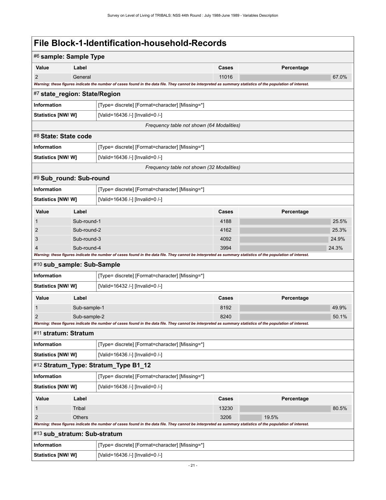# **File Block-1-Identification-household-Records**

<span id="page-24-6"></span><span id="page-24-5"></span><span id="page-24-4"></span><span id="page-24-3"></span><span id="page-24-2"></span><span id="page-24-1"></span><span id="page-24-0"></span>

| #6 sample: Sample Type        |               |                                                                                                                                                             |              |            |       |
|-------------------------------|---------------|-------------------------------------------------------------------------------------------------------------------------------------------------------------|--------------|------------|-------|
| Value                         | Label         |                                                                                                                                                             | Cases        | Percentage |       |
| $\overline{2}$                | General       | Warning: these figures indicate the number of cases found in the data file. They cannot be interpreted as summary statistics of the population of interest. | 11016        |            | 67.0% |
| #7 state_region: State/Region |               |                                                                                                                                                             |              |            |       |
| <b>Information</b>            |               | [Type= discrete] [Format=character] [Missing=*]                                                                                                             |              |            |       |
| <b>Statistics [NW/ W]</b>     |               | [Valid=16436 /-] [Invalid=0 /-]                                                                                                                             |              |            |       |
|                               |               | Frequency table not shown (64 Modalities)                                                                                                                   |              |            |       |
| #8 State: State code          |               |                                                                                                                                                             |              |            |       |
| <b>Information</b>            |               | [Type= discrete] [Format=character] [Missing=*]                                                                                                             |              |            |       |
| <b>Statistics [NW/ W]</b>     |               | [Valid=16436 /-] [Invalid=0 /-]                                                                                                                             |              |            |       |
|                               |               | Frequency table not shown (32 Modalities)                                                                                                                   |              |            |       |
| #9 Sub_round: Sub-round       |               |                                                                                                                                                             |              |            |       |
| <b>Information</b>            |               | [Type= discrete] [Format=character] [Missing=*]                                                                                                             |              |            |       |
|                               |               |                                                                                                                                                             |              |            |       |
| Statistics [NW/ W]            |               | [Valid=16436 /-] [Invalid=0 /-]                                                                                                                             |              |            |       |
| Value                         | Label         |                                                                                                                                                             | <b>Cases</b> | Percentage |       |
| 1                             | Sub-round-1   |                                                                                                                                                             | 4188         |            | 25.5% |
| $\overline{2}$                | Sub-round-2   |                                                                                                                                                             | 4162         |            | 25.3% |
| 3                             | Sub-round-3   |                                                                                                                                                             | 4092         |            | 24.9% |
| 4                             | Sub-round-4   | Warning: these figures indicate the number of cases found in the data file. They cannot be interpreted as summary statistics of the population of interest. | 3994         |            | 24.3% |
| #10 sub_sample: Sub-Sample    |               |                                                                                                                                                             |              |            |       |
| Information                   |               | [Type= discrete] [Format=character] [Missing=*]                                                                                                             |              |            |       |
| Statistics [NW/ W]            |               | [Valid=16432 /-] [Invalid=0 /-]                                                                                                                             |              |            |       |
| Value                         | Label         |                                                                                                                                                             | Cases        | Percentage |       |
| 1                             | Sub-sample-1  |                                                                                                                                                             | 8192         |            | 49.9% |
| $\overline{2}$                | Sub-sample-2  |                                                                                                                                                             | 8240         |            | 50.1% |
|                               |               | Warning: these figures indicate the number of cases found in the data file. They cannot be interpreted as summary statistics of the population of interest. |              |            |       |
| #11 stratum: Stratum          |               |                                                                                                                                                             |              |            |       |
| Information                   |               | [Type= discrete] [Format=character] [Missing=*]                                                                                                             |              |            |       |
| Statistics [NW/W]             |               | [Valid=16436 /-] [Invalid=0 /-]                                                                                                                             |              |            |       |
|                               |               | #12 Stratum_Type: Stratum_Type B1_12                                                                                                                        |              |            |       |
| Information                   |               | [Type= discrete] [Format=character] [Missing=*]                                                                                                             |              |            |       |
| <b>Statistics [NW/ W]</b>     |               | [Valid=16436 /-] [Invalid=0 /-]                                                                                                                             |              |            |       |
| Value                         | Label         |                                                                                                                                                             | Cases        | Percentage |       |
| $\mathbf{1}$                  | Tribal        |                                                                                                                                                             | 13230        |            | 80.5% |
| $\overline{2}$                | <b>Others</b> |                                                                                                                                                             | 3206         | 19.5%      |       |
|                               |               | Warning: these figures indicate the number of cases found in the data file. They cannot be interpreted as summary statistics of the population of interest. |              |            |       |
| #13 sub_stratum: Sub-stratum  |               |                                                                                                                                                             |              |            |       |
| Information                   |               | [Type= discrete] [Format=character] [Missing=*]                                                                                                             |              |            |       |
| Statistics [NW/W]             |               | [Valid=16436 /-] [Invalid=0 /-]                                                                                                                             |              |            |       |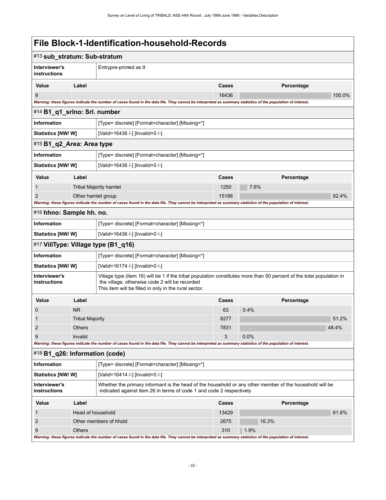# **File Block-1-Identification-household-Records**

<span id="page-25-4"></span><span id="page-25-3"></span><span id="page-25-2"></span><span id="page-25-1"></span><span id="page-25-0"></span>

| #13 sub_stratum: Sub-stratum                                   |                        |                                                                                                                                                                                                                                  |       |            |
|----------------------------------------------------------------|------------------------|----------------------------------------------------------------------------------------------------------------------------------------------------------------------------------------------------------------------------------|-------|------------|
| Interviewer's<br>instructions                                  |                        | Entrypre-printed as 9                                                                                                                                                                                                            |       |            |
| Value                                                          | Label                  |                                                                                                                                                                                                                                  | Cases | Percentage |
| 9                                                              |                        |                                                                                                                                                                                                                                  | 16436 | 100.0%     |
|                                                                |                        | Warning: these figures indicate the number of cases found in the data file. They cannot be interpreted as summary statistics of the population of interest.                                                                      |       |            |
| #14 B1_q1_srlno: Srl. number                                   |                        |                                                                                                                                                                                                                                  |       |            |
| <b>Information</b>                                             |                        | [Type= discrete] [Format=character] [Missing=*]                                                                                                                                                                                  |       |            |
| <b>Statistics [NW/ W]</b>                                      |                        | [Valid=16436 /-] [Invalid=0 /-]                                                                                                                                                                                                  |       |            |
| #15 B1_q2_Area: Area type                                      |                        |                                                                                                                                                                                                                                  |       |            |
| <b>Information</b>                                             |                        | [Type= discrete] [Format=character] [Missing=*]                                                                                                                                                                                  |       |            |
| <b>Statistics [NW/ W]</b>                                      |                        | [Valid=16436 /-] [Invalid=0 /-]                                                                                                                                                                                                  |       |            |
| Value                                                          | Label                  |                                                                                                                                                                                                                                  | Cases | Percentage |
| 1                                                              |                        | <b>Tribal Majority hamlet</b>                                                                                                                                                                                                    | 1250  | 7.6%       |
| $\overline{2}$                                                 | Other hamlet group     |                                                                                                                                                                                                                                  | 15186 | 92.4%      |
|                                                                |                        | Warning: these figures indicate the number of cases found in the data file. They cannot be interpreted as summary statistics of the population of interest.                                                                      |       |            |
| #16 hhno: Sample hh. no.                                       |                        |                                                                                                                                                                                                                                  |       |            |
| Information<br>[Type= discrete] [Format=character] [Missing=*] |                        |                                                                                                                                                                                                                                  |       |            |
| <b>Statistics [NW/ W]</b>                                      |                        | [Valid=16436 /-] [Invalid=0 /-]                                                                                                                                                                                                  |       |            |
|                                                                |                        | #17 VillType: Village type (B1_q16)                                                                                                                                                                                              |       |            |
| Information                                                    |                        | [Type= discrete] [Format=character] [Missing=*]                                                                                                                                                                                  |       |            |
| Statistics [NW/W]                                              |                        | [Valid=16174 /-] [Invalid=0 /-]                                                                                                                                                                                                  |       |            |
| Interviewer's<br>instructions                                  |                        | Village type (item 16) will be 1 if the tribal population constitutes more than 50 percent of the total population in<br>the village, otherwise code 2 will be recorded<br>This item will be filled in only in the rural sector. |       |            |
| Value                                                          | Label                  |                                                                                                                                                                                                                                  | Cases | Percentage |
| 0                                                              | <b>NR</b>              |                                                                                                                                                                                                                                  | 63    | 0.4%       |
| 1                                                              | <b>Tribal Majority</b> |                                                                                                                                                                                                                                  | 8277  | 51.2%      |
| $\overline{2}$                                                 | <b>Others</b>          |                                                                                                                                                                                                                                  | 7831  | 48.4%      |
| 9                                                              | Invalid                |                                                                                                                                                                                                                                  | 3     | 0.0%       |
|                                                                |                        | Warning: these figures indicate the number of cases found in the data file. They cannot be interpreted as summary statistics of the population of interest.                                                                      |       |            |
| #18 B1_q26: Information (code)                                 |                        |                                                                                                                                                                                                                                  |       |            |
| Information                                                    |                        | [Type= discrete] [Format=character] [Missing=*]                                                                                                                                                                                  |       |            |
| <b>Statistics [NW/ W]</b>                                      |                        | [Valid=16414 /-] [Invalid=0 /-]                                                                                                                                                                                                  |       |            |
| Interviewer's<br>instructions                                  |                        | Whether the primary informant is the head of the household or any other member of the household will be<br>indicated against item 26 in terms of code 1 and code 2 respectively                                                  |       |            |
| Value                                                          | Label                  |                                                                                                                                                                                                                                  | Cases | Percentage |
| 1                                                              | Head of household      |                                                                                                                                                                                                                                  | 13429 | 81.8%      |
| $\overline{2}$                                                 |                        | Other members of hhold                                                                                                                                                                                                           | 2675  | 16.3%      |
| 9                                                              | <b>Others</b>          | Warning: these figures indicate the number of cases found in the data file. They cannot be interpreted as summary statistics of the population of interest.                                                                      | 310   | 1.9%       |
|                                                                |                        |                                                                                                                                                                                                                                  |       |            |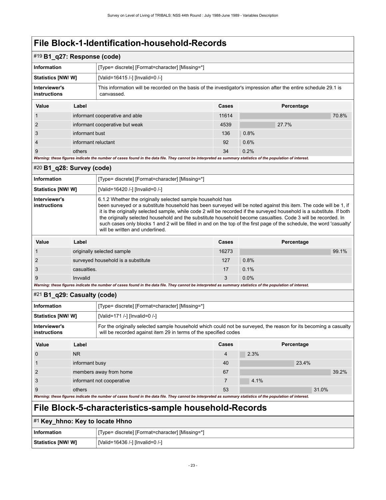# **File Block-1-Identification-household-Records**

### <span id="page-26-1"></span>#19 **B1\_q27: Response (code)**

| Information                   |                                                                                                                                 | [Type= discrete] [Format=character] [Missing=*]                                                                                                             |       |      |            |       |  |  |
|-------------------------------|---------------------------------------------------------------------------------------------------------------------------------|-------------------------------------------------------------------------------------------------------------------------------------------------------------|-------|------|------------|-------|--|--|
| Statistics [NW/W]             |                                                                                                                                 | [Valid=16415 /-] [Invalid=0 /-]                                                                                                                             |       |      |            |       |  |  |
| Interviewer's<br>instructions | This information will be recorded on the basis of the investigator's impression after the entire schedule 29.1 is<br>canvassed. |                                                                                                                                                             |       |      |            |       |  |  |
| Value                         | Label                                                                                                                           |                                                                                                                                                             | Cases |      | Percentage |       |  |  |
|                               |                                                                                                                                 | informant cooperative and able                                                                                                                              | 11614 |      |            | 70.8% |  |  |
| $\overline{2}$                |                                                                                                                                 | informant cooperative but weak                                                                                                                              | 4539  |      | 27.7%      |       |  |  |
| 3                             | informant bust                                                                                                                  |                                                                                                                                                             | 136   | 0.8% |            |       |  |  |
| $\overline{4}$                | informant reluctant                                                                                                             |                                                                                                                                                             | 92    | 0.6% |            |       |  |  |
| 9                             | others                                                                                                                          |                                                                                                                                                             | 34    | 0.2% |            |       |  |  |
|                               |                                                                                                                                 | Warning: these figures indicate the number of cases found in the data file. They cannot be interpreted as summary statistics of the population of interest. |       |      |            |       |  |  |

#### <span id="page-26-2"></span>#20 **B1\_q28: Survey (code)**

| <b>Information</b>                                                                                                                                                                                                                                                                                                                                                                                                                                                                                                                                                                                                       |             | [Type= discrete] [Format=character] [Missing=*] |       |            |       |  |  |
|--------------------------------------------------------------------------------------------------------------------------------------------------------------------------------------------------------------------------------------------------------------------------------------------------------------------------------------------------------------------------------------------------------------------------------------------------------------------------------------------------------------------------------------------------------------------------------------------------------------------------|-------------|-------------------------------------------------|-------|------------|-------|--|--|
| <b>Statistics [NW/ W]</b>                                                                                                                                                                                                                                                                                                                                                                                                                                                                                                                                                                                                |             | [Valid=16420 /-] [Invalid=0 /-]                 |       |            |       |  |  |
| Interviewer's<br>6.1.2 Whether the originally selected sample household has<br>been surveyed or a substitute household has been surveyed will be noted against this item. The code will be 1, if<br>instructions<br>it is the originally selected sample, while code 2 will be recorded if the surveyed household is a substitute. If both<br>the originally selected household and the substitute household become casualties. Code 3 will be recorded. In<br>such cases only blocks 1 and 2 will be filled in and on the top of the first page of the schedule, the word 'casualty'<br>will be written and underlined. |             |                                                 |       |            |       |  |  |
| Value                                                                                                                                                                                                                                                                                                                                                                                                                                                                                                                                                                                                                    | Label       |                                                 | Cases | Percentage |       |  |  |
|                                                                                                                                                                                                                                                                                                                                                                                                                                                                                                                                                                                                                          |             | originally selected sample                      | 16273 |            | 99.1% |  |  |
|                                                                                                                                                                                                                                                                                                                                                                                                                                                                                                                                                                                                                          |             | surveyed household is a substitute              | 127   | 0.8%       |       |  |  |
| 3                                                                                                                                                                                                                                                                                                                                                                                                                                                                                                                                                                                                                        | casualties. |                                                 | 17    | 0.1%       |       |  |  |
| 9                                                                                                                                                                                                                                                                                                                                                                                                                                                                                                                                                                                                                        | Invvalid    |                                                 | 3     | $0.0\%$    |       |  |  |

*Warning: these figures indicate the number of cases found in the data file. They cannot be interpreted as summary statistics of the population of interest.*

#### <span id="page-26-3"></span>#21 **B1\_q29: Casualty (code)**

| Information                          |                | [Type= discrete] [Format=character] [Missing=*]                                                                                                                                      |       |            |       |       |  |
|--------------------------------------|----------------|--------------------------------------------------------------------------------------------------------------------------------------------------------------------------------------|-------|------------|-------|-------|--|
| <b>Statistics [NW/ W]</b>            |                | [Valid=171 /-] [Invalid=0 /-]                                                                                                                                                        |       |            |       |       |  |
| Interviewer's<br><b>instructions</b> |                | For the originally selected sample household which could not be surveyed, the reason for its becoming a casualty<br>will be recorded against item 29 in terms of the specified codes |       |            |       |       |  |
| Value                                | Label          |                                                                                                                                                                                      | Cases | Percentage |       |       |  |
| $\Omega$                             | <b>NR</b>      |                                                                                                                                                                                      | 4     | 2.3%       |       |       |  |
|                                      | informant busy |                                                                                                                                                                                      | 40    |            | 23.4% |       |  |
| 2                                    |                | members away from home                                                                                                                                                               | 67    |            |       | 39.2% |  |
| 3                                    |                | informant not cooperative                                                                                                                                                            | 7     | 4.1%       |       |       |  |
| 9                                    | others         |                                                                                                                                                                                      | 53    |            | 31.0% |       |  |
|                                      |                | Warning: these figures indicate the number of cases found in the data file. They cannot be interpreted as summary statistics of the nonulation of interest                           |       |            |       |       |  |

*Warning: these figures indicate the number of cases found in the data file. They cannot be interpreted as summary statistics of the population of interest.*

# <span id="page-26-0"></span>**File Block-5-characteristics-sample household-Records**

### <span id="page-26-4"></span>#1 **Key\_hhno: Key to locate Hhno**

| ∣ Information     | [Type= discrete] [Format=character] [Missing=*] |
|-------------------|-------------------------------------------------|
| Statistics [NW/W] | [Valid=16436 /-] [Invalid=0 /-]                 |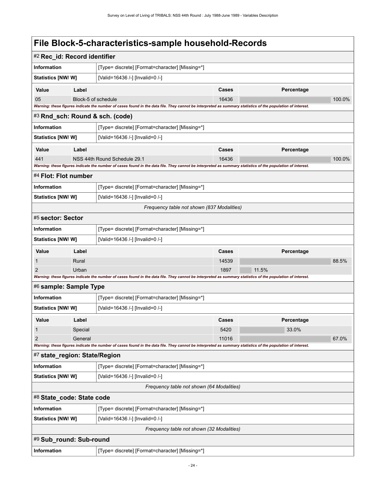<span id="page-27-7"></span><span id="page-27-6"></span><span id="page-27-5"></span><span id="page-27-4"></span><span id="page-27-3"></span><span id="page-27-2"></span><span id="page-27-1"></span><span id="page-27-0"></span>

| #2 Rec_id: Record identifier    |                                                 |                                                                                                                                                             |       |            |        |  |
|---------------------------------|-------------------------------------------------|-------------------------------------------------------------------------------------------------------------------------------------------------------------|-------|------------|--------|--|
| <b>Information</b>              |                                                 | [Type= discrete] [Format=character] [Missing=*]                                                                                                             |       |            |        |  |
| Statistics [NW/W]               |                                                 | [Valid=16436 /-] [Invalid=0 /-]                                                                                                                             |       |            |        |  |
| Value                           | Label                                           |                                                                                                                                                             | Cases | Percentage |        |  |
| 05                              | Block-5 of schedule                             |                                                                                                                                                             | 16436 |            | 100.0% |  |
|                                 |                                                 | Warning: these figures indicate the number of cases found in the data file. They cannot be interpreted as summary statistics of the population of interest. |       |            |        |  |
| #3 Rnd_sch: Round & sch. (code) |                                                 |                                                                                                                                                             |       |            |        |  |
| <b>Information</b>              |                                                 | [Type= discrete] [Format=character] [Missing=*]                                                                                                             |       |            |        |  |
| Statistics [NW/W]               |                                                 | [Valid=16436 /-] [Invalid=0 /-]                                                                                                                             |       |            |        |  |
| Value                           | Label                                           |                                                                                                                                                             | Cases | Percentage |        |  |
| 441                             |                                                 | NSS 44th Round Schedule 29.1                                                                                                                                | 16436 |            | 100.0% |  |
|                                 |                                                 | Warning: these figures indicate the number of cases found in the data file. They cannot be interpreted as summary statistics of the population of interest. |       |            |        |  |
| #4 Flot: Flot number            |                                                 |                                                                                                                                                             |       |            |        |  |
| <b>Information</b>              |                                                 | [Type= discrete] [Format=character] [Missing=*]                                                                                                             |       |            |        |  |
| <b>Statistics [NW/ W]</b>       |                                                 | [Valid=16436 /-] [Invalid=0 /-]                                                                                                                             |       |            |        |  |
|                                 |                                                 | Frequency table not shown (837 Modalities)                                                                                                                  |       |            |        |  |
| #5 sector: Sector               |                                                 |                                                                                                                                                             |       |            |        |  |
| Information                     |                                                 | [Type= discrete] [Format=character] [Missing=*]                                                                                                             |       |            |        |  |
| <b>Statistics [NW/ W]</b>       |                                                 | [Valid=16436 /-] [Invalid=0 /-]                                                                                                                             |       |            |        |  |
| Value                           | Label                                           |                                                                                                                                                             | Cases | Percentage |        |  |
| 1                               | Rural                                           |                                                                                                                                                             | 14539 |            | 88.5%  |  |
| 2                               | Urban                                           |                                                                                                                                                             | 1897  | 11.5%      |        |  |
|                                 |                                                 | Warning: these figures indicate the number of cases found in the data file. They cannot be interpreted as summary statistics of the population of interest. |       |            |        |  |
| #6 sample: Sample Type          |                                                 |                                                                                                                                                             |       |            |        |  |
| <b>Information</b>              |                                                 | [Type= discrete] [Format=character] [Missing=*]                                                                                                             |       |            |        |  |
| <b>Statistics [NW/ W]</b>       |                                                 | [Valid=16436 /-] [Invalid=0 /-]                                                                                                                             |       |            |        |  |
| Value                           | Label                                           |                                                                                                                                                             | Cases | Percentage |        |  |
| 1                               | Special                                         |                                                                                                                                                             | 5420  | 33.0%      |        |  |
| $\overline{2}$                  | General                                         |                                                                                                                                                             | 11016 |            | 67.0%  |  |
|                                 |                                                 | Warning: these figures indicate the number of cases found in the data file. They cannot be interpreted as summary statistics of the population of interest. |       |            |        |  |
| #7 state_region: State/Region   |                                                 |                                                                                                                                                             |       |            |        |  |
| <b>Information</b>              |                                                 | [Type= discrete] [Format=character] [Missing=*]                                                                                                             |       |            |        |  |
| Statistics [NW/W]               |                                                 | [Valid=16436 /-] [Invalid=0 /-]                                                                                                                             |       |            |        |  |
|                                 |                                                 | Frequency table not shown (64 Modalities)                                                                                                                   |       |            |        |  |
| #8 State_code: State code       |                                                 |                                                                                                                                                             |       |            |        |  |
| Information                     |                                                 | [Type= discrete] [Format=character] [Missing=*]                                                                                                             |       |            |        |  |
| <b>Statistics [NW/W]</b>        |                                                 | [Valid=16436 /-] [Invalid=0 /-]                                                                                                                             |       |            |        |  |
|                                 |                                                 | Frequency table not shown (32 Modalities)                                                                                                                   |       |            |        |  |
| #9 Sub_round: Sub-round         |                                                 |                                                                                                                                                             |       |            |        |  |
| Information                     | [Type= discrete] [Format=character] [Missing=*] |                                                                                                                                                             |       |            |        |  |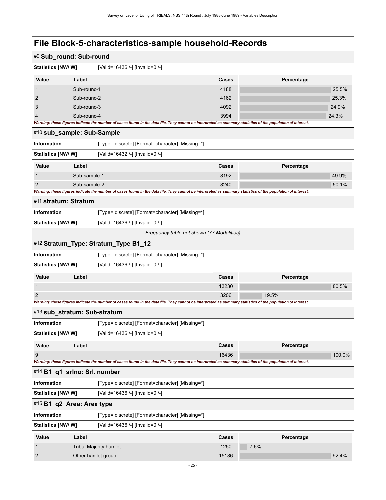<span id="page-28-5"></span><span id="page-28-4"></span><span id="page-28-3"></span><span id="page-28-2"></span><span id="page-28-1"></span><span id="page-28-0"></span>

|                                                              | #9 Sub_round: Sub-round                         |                                                                                                                                                             |       |            |        |
|--------------------------------------------------------------|-------------------------------------------------|-------------------------------------------------------------------------------------------------------------------------------------------------------------|-------|------------|--------|
| [Valid=16436 /-] [Invalid=0 /-]<br><b>Statistics [NW/ W]</b> |                                                 |                                                                                                                                                             |       |            |        |
| Value                                                        | Label                                           |                                                                                                                                                             | Cases | Percentage |        |
| 1                                                            | Sub-round-1                                     |                                                                                                                                                             | 4188  |            | 25.5%  |
| 2                                                            | Sub-round-2                                     |                                                                                                                                                             | 4162  |            | 25.3%  |
| 3                                                            | Sub-round-3                                     |                                                                                                                                                             | 4092  |            | 24.9%  |
| $\overline{4}$                                               | Sub-round-4                                     |                                                                                                                                                             | 3994  |            | 24.3%  |
|                                                              |                                                 | Warning: these figures indicate the number of cases found in the data file. They cannot be interpreted as summary statistics of the population of interest. |       |            |        |
| #10 sub_sample: Sub-Sample                                   |                                                 |                                                                                                                                                             |       |            |        |
| Information                                                  |                                                 | [Type= discrete] [Format=character] [Missing=*]                                                                                                             |       |            |        |
| Statistics [NW/ W]                                           |                                                 | [Valid=16432 /-] [Invalid=0 /-]                                                                                                                             |       |            |        |
| Value                                                        | Label                                           |                                                                                                                                                             | Cases | Percentage |        |
| 1                                                            | Sub-sample-1                                    |                                                                                                                                                             | 8192  |            | 49.9%  |
| 2                                                            | Sub-sample-2                                    |                                                                                                                                                             | 8240  |            | 50.1%  |
|                                                              |                                                 | Warning: these figures indicate the number of cases found in the data file. They cannot be interpreted as summary statistics of the population of interest. |       |            |        |
| #11 stratum: Stratum                                         |                                                 |                                                                                                                                                             |       |            |        |
| <b>Information</b>                                           |                                                 | [Type= discrete] [Format=character] [Missing=*]                                                                                                             |       |            |        |
| <b>Statistics [NW/ W]</b>                                    |                                                 | [Valid=16436 /-] [Invalid=0 /-]                                                                                                                             |       |            |        |
|                                                              |                                                 | Frequency table not shown (77 Modalities)                                                                                                                   |       |            |        |
|                                                              |                                                 | #12 Stratum_Type: Stratum_Type B1_12                                                                                                                        |       |            |        |
| Information                                                  | [Type= discrete] [Format=character] [Missing=*] |                                                                                                                                                             |       |            |        |
| <b>Statistics [NW/ W]</b>                                    |                                                 | [Valid=16436 /-] [Invalid=0 /-]                                                                                                                             |       |            |        |
| Value                                                        | Label                                           |                                                                                                                                                             | Cases | Percentage |        |
| 1                                                            |                                                 |                                                                                                                                                             | 13230 |            | 80.5%  |
| $\overline{2}$                                               |                                                 |                                                                                                                                                             | 3206  | 19.5%      |        |
|                                                              |                                                 | Warning: these figures indicate the number of cases found in the data file. They cannot be interpreted as summary statistics of the population of interest. |       |            |        |
| #13 sub_stratum: Sub-stratum                                 |                                                 |                                                                                                                                                             |       |            |        |
| <b>Information</b>                                           |                                                 | [Type= discrete] [Format=character] [Missing=*]                                                                                                             |       |            |        |
| Statistics [NW/ W]                                           |                                                 | [Valid=16436 /-] [Invalid=0 /-]                                                                                                                             |       |            |        |
| Value                                                        | Label                                           |                                                                                                                                                             | Cases | Percentage |        |
| 9                                                            |                                                 |                                                                                                                                                             | 16436 |            | 100.0% |
|                                                              |                                                 | Warning: these figures indicate the number of cases found in the data file. They cannot be interpreted as summary statistics of the population of interest. |       |            |        |
| #14 B1 q1 srlno: Srl. number                                 |                                                 |                                                                                                                                                             |       |            |        |
| Information                                                  |                                                 | [Type= discrete] [Format=character] [Missing=*]                                                                                                             |       |            |        |
| Statistics [NW/W]                                            |                                                 | [Valid=16436 /-] [Invalid=0 /-]                                                                                                                             |       |            |        |
| #15 B1_q2_Area: Area type                                    |                                                 |                                                                                                                                                             |       |            |        |
| Information                                                  |                                                 | [Type= discrete] [Format=character] [Missing=*]                                                                                                             |       |            |        |
| <b>Statistics [NW/ W]</b>                                    |                                                 | [Valid=16436 /-] [Invalid=0 /-]                                                                                                                             |       |            |        |
| Value                                                        | Label                                           |                                                                                                                                                             | Cases | Percentage |        |
| 1                                                            |                                                 | <b>Tribal Majority hamlet</b>                                                                                                                               | 1250  | 7.6%       |        |
| $\overline{\mathbf{c}}$                                      | Other hamlet group                              |                                                                                                                                                             | 15186 |            | 92.4%  |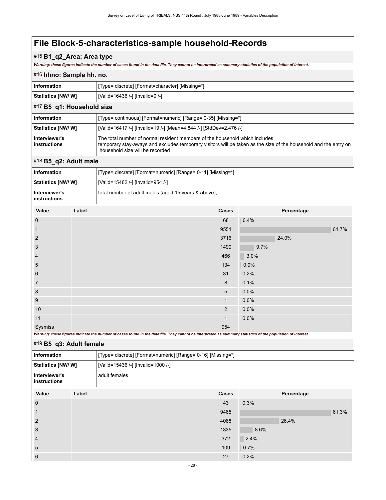#### #15 **B1\_q2\_Area: Area type**

*Warning: these figures indicate the number of cases found in the data file. They cannot be interpreted as summary statistics of the population of interest.*

<span id="page-29-0"></span>

| #16 hhno: Sample hh. no.  |                                                 |  |
|---------------------------|-------------------------------------------------|--|
| <b>Information</b>        | [Type= discrete] [Format=character] [Missing=*] |  |
| <b>Statistics [NW/ W]</b> | [Valid=16436 /-] [Invalid=0 /-]                 |  |
| #17 B5_q1: Household size |                                                 |  |

#### <span id="page-29-1"></span>**Information information** [Type= continuous] [Format=numeric] [Range= 0-35] [Missing=\*] **Statistics [NW/ W]** [Valid=16417 /-] [Invalid=19 /-] [Mean=4.844 /-] [StdDev=2.476 /-] **Interviewer's instructions** The total number of normal resident members of the household which includes temporary stay-aways and excludes temporary visitors will be taken as the size of the household and the entry on household size will be recorded

#### <span id="page-29-2"></span>#18 **B5\_q2: Adult male**

| <b>Information</b>            | [Type= discrete] [Format=numeric] [Range= 0-11] [Missing=*] |
|-------------------------------|-------------------------------------------------------------|
| Statistics [NW/ W]            | [Valid=15482 /-] [Invalid=954 /-]                           |
| Interviewer's<br>instructions | total number of adult males (aged 15 years & above).        |

| Value           | Label                                                                                                                                                       | Cases        | Percentage |
|-----------------|-------------------------------------------------------------------------------------------------------------------------------------------------------------|--------------|------------|
| $\mathbf 0$     |                                                                                                                                                             | 68           | 0.4%       |
| $\overline{1}$  |                                                                                                                                                             | 9551         | 61.7%      |
| $\overline{2}$  |                                                                                                                                                             | 3716         | 24.0%      |
| 3               |                                                                                                                                                             | 1499         | 9.7%       |
| $\overline{4}$  |                                                                                                                                                             | 466          | 3.0%       |
| $5\phantom{.0}$ |                                                                                                                                                             | 134          | 0.9%       |
| 6               |                                                                                                                                                             | 31           | 0.2%       |
| $\overline{7}$  |                                                                                                                                                             | 8            | 0.1%       |
| 8               |                                                                                                                                                             | 5            | 0.0%       |
| 9               |                                                                                                                                                             | $\mathbf{1}$ | 0.0%       |
| 10              |                                                                                                                                                             | 2            | 0.0%       |
| 11              |                                                                                                                                                             | $\mathbf{1}$ | 0.0%       |
| Sysmiss         |                                                                                                                                                             | 954          |            |
|                 | Warning: these figures indicate the number of cases found in the data file. They cannot be interpreted as summary statistics of the population of interest. |              |            |

#### <span id="page-29-3"></span>#19 **B5\_q3: Adult female**

| <u>- 11</u>                          |       |                                                             |       |      |            |       |
|--------------------------------------|-------|-------------------------------------------------------------|-------|------|------------|-------|
| <b>Information</b>                   |       | [Type= discrete] [Format=numeric] [Range= 0-16] [Missing=*] |       |      |            |       |
| <b>Statistics [NW/ W]</b>            |       | [Valid=15436 /-] [Invalid=1000 /-]                          |       |      |            |       |
| Interviewer's<br><b>instructions</b> |       | adult females                                               |       |      |            |       |
| Value                                | Label |                                                             | Cases |      | Percentage |       |
| $\mathbf 0$                          |       |                                                             | 43    | 0.3% |            |       |
| $\mathbf{1}$                         |       |                                                             | 9465  |      |            | 61.3% |
| $\overline{2}$                       |       |                                                             | 4068  |      | 26.4%      |       |
| 3                                    |       |                                                             | 1335  | 8.6% |            |       |
| $\overline{4}$                       |       |                                                             | 372   | 2.4% |            |       |
| 5                                    |       |                                                             | 109   | 0.7% |            |       |
| 6                                    |       |                                                             | 27    | 0.2% |            |       |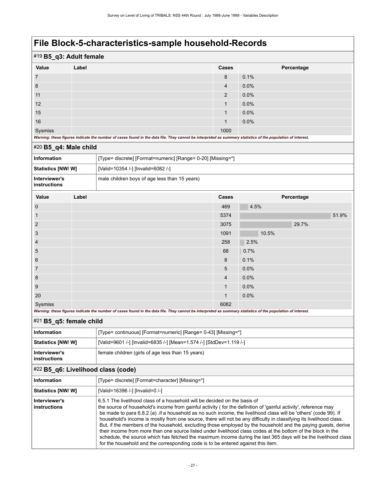| #19 B5_q3: Adult female                                                                                                                                     |       |                |            |
|-------------------------------------------------------------------------------------------------------------------------------------------------------------|-------|----------------|------------|
| Value                                                                                                                                                       | Label | Cases          | Percentage |
| $\overline{7}$                                                                                                                                              |       | 8              | 0.1%       |
| 8                                                                                                                                                           |       | $\overline{4}$ | 0.0%       |
| 11                                                                                                                                                          |       | 2              | 0.0%       |
| 12                                                                                                                                                          |       |                | 0.0%       |
| 15                                                                                                                                                          |       |                | 0.0%       |
| 16                                                                                                                                                          |       |                | 0.0%       |
| Sysmiss                                                                                                                                                     |       | 1000           |            |
| Warning: these figures indicate the number of cases found in the data file. They cannot be interpreted as summary statistics of the population of interest. |       |                |            |

### <span id="page-30-0"></span>#20 **B5\_q4: Male child**

| Information                   | [Type= discrete] [Format=numeric] [Range= 0-20] [Missing=*] |
|-------------------------------|-------------------------------------------------------------|
| <b>Statistics [NW/ W]</b>     | [Valid=10354 /-] [Invalid=6082 /-]                          |
| Interviewer's<br>instructions | male children boys of age less than 15 years)               |

| Value           | Label                                                                                                                                                       | Cases          | Percentage |
|-----------------|-------------------------------------------------------------------------------------------------------------------------------------------------------------|----------------|------------|
| $\mathbf{0}$    |                                                                                                                                                             | 469            | 4.5%       |
| $\mathbf{1}$    |                                                                                                                                                             | 5374           | 51.9%      |
| 2               |                                                                                                                                                             | 3075           | 29.7%      |
| 3               |                                                                                                                                                             | 1091           | 10.5%      |
| $\overline{4}$  |                                                                                                                                                             | 258            | 2.5%       |
| $5\phantom{.0}$ |                                                                                                                                                             | 68             | 0.7%       |
| 6               |                                                                                                                                                             | 8              | 0.1%       |
| $\overline{7}$  |                                                                                                                                                             | 5              | 0.0%       |
| 8               |                                                                                                                                                             | $\overline{4}$ | 0.0%       |
| 9               |                                                                                                                                                             | $\mathbf{1}$   | $0.0\%$    |
| 20              |                                                                                                                                                             | $\mathbf{1}$   | 0.0%       |
| Sysmiss         |                                                                                                                                                             | 6082           |            |
|                 | Warning: these figures indicate the number of cases found in the data file. They cannot be interpreted as summary statistics of the population of interest. |                |            |

### <span id="page-30-1"></span>#21 **B5\_q5: female child**

| Information                   | [Type= continuous] [Format=numeric] [Range= 0-43] [Missing=*]       |
|-------------------------------|---------------------------------------------------------------------|
| <b>Statistics [NW/ W]</b>     | [Valid=9601 /-] [Invalid=6835 /-] [Mean=1.574 /-] [StdDev=1.119 /-] |
| Interviewer's<br>instructions | female children (girls of age less than 15 years)                   |

### <span id="page-30-2"></span>#22 **B5\_q6: Livelihood class (code)**

| [Type= discrete] [Format=character] [Missing=*]                                                                                                                                                                                                                                                                                                                                                                                                                                                                                                                                                                                                                                                                                                                                                                                                                                |
|--------------------------------------------------------------------------------------------------------------------------------------------------------------------------------------------------------------------------------------------------------------------------------------------------------------------------------------------------------------------------------------------------------------------------------------------------------------------------------------------------------------------------------------------------------------------------------------------------------------------------------------------------------------------------------------------------------------------------------------------------------------------------------------------------------------------------------------------------------------------------------|
| [Valid=16396 /-] [Invalid=0 /-]                                                                                                                                                                                                                                                                                                                                                                                                                                                                                                                                                                                                                                                                                                                                                                                                                                                |
| 6.5.1 The livelihood class of a household will be decided on the basis of<br>the source of household's income from gainful activity (for the definition of 'gainful activity', reference may<br>be made to para 6.8.2 (a) if a household as no such income, the livelihood class will be 'others' (code 99). If<br>household's income is mostly from one source, there will not be any difficulty in classifying its livelihood class.<br>But, if the members of the household, excluding those employed by the household and the paying quests, derive<br>their income from more than one source listed under livelihood class codes at the bottom of the block in the<br>schedule, the source which has fetched the maximum income during the last 365 days will be the livelihood class<br>for the household and the corresponding code is to be entered against this item. |
|                                                                                                                                                                                                                                                                                                                                                                                                                                                                                                                                                                                                                                                                                                                                                                                                                                                                                |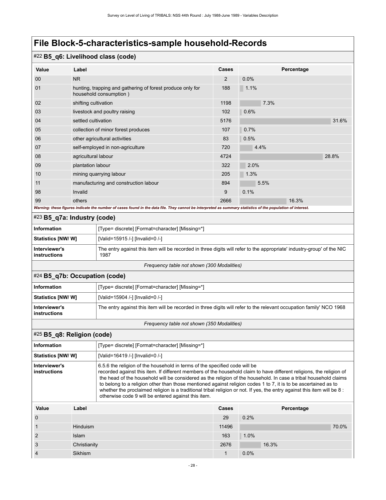### #22 **B5\_q6: Livelihood class (code)**

| Value                                                                                                                                                       | Label                                                                                | Cases          | Percentage |       |
|-------------------------------------------------------------------------------------------------------------------------------------------------------------|--------------------------------------------------------------------------------------|----------------|------------|-------|
| 00                                                                                                                                                          | NR                                                                                   | $\overline{2}$ | 0.0%       |       |
| 01                                                                                                                                                          | hunting, trapping and gathering of forest produce only for<br>household consumption) | 188            | 1.1%       |       |
| 02                                                                                                                                                          | shifting cultivation                                                                 | 1198           | 7.3%       |       |
| 03                                                                                                                                                          | livestock and poultry raising                                                        | 102            | 0.6%       |       |
| 04                                                                                                                                                          | settled cultivation                                                                  | 5176           |            | 31.6% |
| 05                                                                                                                                                          | collection of minor forest produces                                                  | 107            | 0.7%       |       |
| 06                                                                                                                                                          | other agricultural activities                                                        | 83             | 0.5%       |       |
| 07                                                                                                                                                          | self-employed in non-agriculture                                                     | 720            | 4.4%       |       |
| 08                                                                                                                                                          | agricultural labour                                                                  | 4724           |            | 28.8% |
| 09                                                                                                                                                          | plantation labour                                                                    | 322            | 2.0%       |       |
| 10                                                                                                                                                          | mining quarrying labour                                                              | 205            | 1.3%       |       |
| 11                                                                                                                                                          | manufacturing and construction labour                                                | 894            | 5.5%       |       |
| 98                                                                                                                                                          | Invalid                                                                              | 9              | 0.1%       |       |
| 99                                                                                                                                                          | others                                                                               | 2666           | 16.3%      |       |
| Warning: these figures indicate the number of cases found in the data file. They cannot be interpreted as summary statistics of the population of interest. |                                                                                      |                |            |       |

<span id="page-31-0"></span>

| $#23$ B5_q7a: Industry (code) |                                                                                                                                |  |
|-------------------------------|--------------------------------------------------------------------------------------------------------------------------------|--|
| <b>Information</b>            | [Type= discrete] [Format=character] [Missing=*]                                                                                |  |
| <b>Statistics [NW/ W]</b>     | [Valid=15915 /-] [Invalid=0 /-]                                                                                                |  |
| Interviewer's<br>instructions | The entry against this item will be recorded in three digits will refer to the appropriate' industry-group' of the NIC<br>1987 |  |
|                               |                                                                                                                                |  |

#### *Frequency table not shown (300 Modalities)*

### <span id="page-31-1"></span>#24 **B5\_q7b: Occupation (code)**

| Information                   | [Type= discrete] [Format=character] [Missing=*]                                                                     |
|-------------------------------|---------------------------------------------------------------------------------------------------------------------|
| <b>Statistics [NW/ W]</b>     | [Valid=15904 /-] [Invalid=0 /-]                                                                                     |
| Interviewer's<br>instructions | The entry against this item will be recorded in three digits will refer to the relevant occupation family' NCO 1968 |

*Frequency table not shown (350 Modalities)*

### <span id="page-31-2"></span>#25 **B5\_q8: Religion (code)**

| <b>Information</b><br>[Type= discrete] [Format=character] [Missing=*] |                |                                                                                                                                                                                                                                                                                                                                                                                                                                                                                                                                                                                                                              |       |            |       |
|-----------------------------------------------------------------------|----------------|------------------------------------------------------------------------------------------------------------------------------------------------------------------------------------------------------------------------------------------------------------------------------------------------------------------------------------------------------------------------------------------------------------------------------------------------------------------------------------------------------------------------------------------------------------------------------------------------------------------------------|-------|------------|-------|
| <b>Statistics [NW/W]</b><br>[Valid=16419 /-] [Invalid=0 /-]           |                |                                                                                                                                                                                                                                                                                                                                                                                                                                                                                                                                                                                                                              |       |            |       |
| Interviewer's<br>instructions                                         |                | 6.5.6 the religion of the household in terms of the specified code will be<br>recorded against this item. If different members of the household claim to have different religions, the religion of<br>the head of the household will be considered as the religion of the household. In case a tribal household claims<br>to belong to a religion other than those mentioned against religion codes 1 to 7, it is to be ascertained as to<br>whether the proclaimed religion is a traditional tribal religion or not. If yes, the entry against this item will be 8 :<br>otherwise code 9 will be entered against this item. |       |            |       |
| Value                                                                 | Label          |                                                                                                                                                                                                                                                                                                                                                                                                                                                                                                                                                                                                                              | Cases | Percentage |       |
| $\Omega$                                                              |                |                                                                                                                                                                                                                                                                                                                                                                                                                                                                                                                                                                                                                              | 29    | 0.2%       |       |
|                                                                       | Hinduism       |                                                                                                                                                                                                                                                                                                                                                                                                                                                                                                                                                                                                                              | 11496 |            | 70.0% |
| $\overline{2}$                                                        | <b>Islam</b>   |                                                                                                                                                                                                                                                                                                                                                                                                                                                                                                                                                                                                                              | 163   | 1.0%       |       |
| 3                                                                     | Christianity   |                                                                                                                                                                                                                                                                                                                                                                                                                                                                                                                                                                                                                              | 2676  | 16.3%      |       |
| 4                                                                     | <b>Sikhism</b> |                                                                                                                                                                                                                                                                                                                                                                                                                                                                                                                                                                                                                              |       | 0.0%       |       |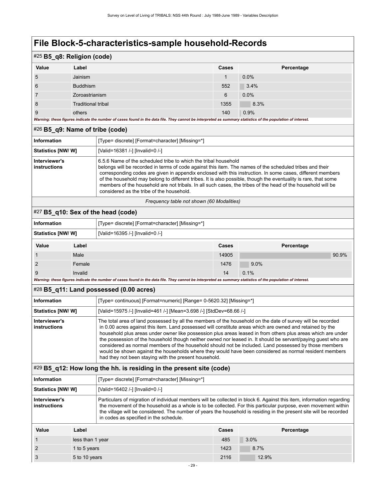| #25 B5_q8: Religion (code)                                                                                                                                  |                                                   |       |            |  |  |
|-------------------------------------------------------------------------------------------------------------------------------------------------------------|---------------------------------------------------|-------|------------|--|--|
| Value                                                                                                                                                       | Label                                             | Cases | Percentage |  |  |
| 5                                                                                                                                                           | Jainism                                           |       | 0.0%       |  |  |
| 6                                                                                                                                                           | <b>Buddhism</b>                                   | 552   | 3.4%       |  |  |
|                                                                                                                                                             | Zoroastrianism                                    | 6     | $0.0\%$    |  |  |
| 8                                                                                                                                                           | <b>Traditional tribal</b>                         | 1355  | 8.3%       |  |  |
| 9                                                                                                                                                           | others                                            | 140   | 0.9%       |  |  |
| Warning: these figures indicate the number of cases found in the data file. They cannot be interpreted as summary statistics of the population of interest. |                                                   |       |            |  |  |
|                                                                                                                                                             | $#26$ B <sub>5</sub> $q_9$ . Name of tribe (code) |       |            |  |  |

<span id="page-32-0"></span>

| Information                   | [Type= discrete] [Format=character] [Missing=*]                                                                                                                                                                                                                                                                                                                                                                                                                                                                                                                           |
|-------------------------------|---------------------------------------------------------------------------------------------------------------------------------------------------------------------------------------------------------------------------------------------------------------------------------------------------------------------------------------------------------------------------------------------------------------------------------------------------------------------------------------------------------------------------------------------------------------------------|
| <b>Statistics [NW/ W]</b>     | [Valid=16381 /-] [Invalid=0 /-]                                                                                                                                                                                                                                                                                                                                                                                                                                                                                                                                           |
| Interviewer's<br>instructions | 6.5.6 Name of the scheduled tribe to which the tribal household<br>belongs will be recorded in terms of code against this item. The names of the scheduled tribes and their<br>corresponding codes are given in appendix enclosed with this instruction. In some cases, different members<br>of the household may belong to different tribes. It is also possible, though the eventuality is rare, that some<br>members of the household are not tribals. In all such cases, the tribes of the head of the household will be<br>considered as the tribe of the household. |
|                               |                                                                                                                                                                                                                                                                                                                                                                                                                                                                                                                                                                           |

*Frequency table not shown (60 Modalities)*

### <span id="page-32-1"></span>#27 **B5\_q10: Sex of the head (code)**

| <b>Information</b>                                          | [Type= discrete] [Format=character] [Missing=*] |                                                                                                                                                             |       |            |       |
|-------------------------------------------------------------|-------------------------------------------------|-------------------------------------------------------------------------------------------------------------------------------------------------------------|-------|------------|-------|
| <b>Statistics [NW/W]</b><br>[Valid=16395 /-] [Invalid=0 /-] |                                                 |                                                                                                                                                             |       |            |       |
| Value                                                       | Label                                           |                                                                                                                                                             | Cases | Percentage |       |
|                                                             | Male                                            |                                                                                                                                                             | 14905 |            | 90.9% |
| $\overline{2}$                                              | Female                                          |                                                                                                                                                             | 1476  | 9.0%       |       |
| 9                                                           | Invalid                                         |                                                                                                                                                             | 14    | 0.1%       |       |
|                                                             |                                                 | Warning: these figures indicate the number of cases found in the data file. They cannot be interpreted as summary statistics of the population of interest. |       |            |       |

### <span id="page-32-2"></span>#28 **B5\_q11: Land possessed (0.00 acres)**

| Information                   | [Type= continuous] [Format=numeric] [Range= 0-5620.32] [Missing=*]                                                                                                                                                                                                                                                                                                                                                                                                                                                                                                                                                                                                                                                                    |
|-------------------------------|---------------------------------------------------------------------------------------------------------------------------------------------------------------------------------------------------------------------------------------------------------------------------------------------------------------------------------------------------------------------------------------------------------------------------------------------------------------------------------------------------------------------------------------------------------------------------------------------------------------------------------------------------------------------------------------------------------------------------------------|
| <b>Statistics [NW/ W]</b>     | [Valid=15975 /-] [Invalid=461 /-] [Mean=3.698 /-] [StdDev=68.66 /-]                                                                                                                                                                                                                                                                                                                                                                                                                                                                                                                                                                                                                                                                   |
| Interviewer's<br>instructions | The total area of land possessed by all the members of the household on the date of survey will be recorded<br>in 0.00 acres against this item. Land possessed will constitute areas which are owned and retained by the<br>household plus areas under owner like possession plus areas leased in from others plus areas which are under<br>the possession of the household though neither owned nor leased in. It should be servant/paying quest who are<br>considered as normal members of the household should not be included. Land possessed by those members<br>would be shown against the households where they would have been considered as normal resident members<br>had they not been staying with the present household. |

### <span id="page-32-3"></span>#29 **B5\_q12: How long the hh. is residing in the present site (code)**

| $\frac{1}{2}$                 | <b>Ahal</b> | 0.000                                                                                                                                                                                                                                                                                                                                                                                                   | <b>Dovoontogo</b> |
|-------------------------------|-------------|---------------------------------------------------------------------------------------------------------------------------------------------------------------------------------------------------------------------------------------------------------------------------------------------------------------------------------------------------------------------------------------------------------|-------------------|
| Interviewer's<br>instructions |             | Particulars of migration of individual members will be collected in block 6. Against this item, information regarding<br>the movement of the household as a whole is to be collected. For this particular purpose, even movement within<br>the village will be considered. The number of years the household is residing in the present site will be recorded<br>in codes as specified in the schedule. |                   |
| <b>Statistics [NW/ W]</b>     |             | [Valid=16402 /-] [Invalid=0 /-]                                                                                                                                                                                                                                                                                                                                                                         |                   |
| Information                   |             | [Type= discrete] [Format=character] [Missing=*]                                                                                                                                                                                                                                                                                                                                                         |                   |

| Value          | Label            | <b>Cases</b> | Percentage |
|----------------|------------------|--------------|------------|
|                | less than 1 year | 485          | $3.0\%$    |
| $\overline{2}$ | 1 to 5 years     | 1423         | 8.7%       |
| 3              | 5 to 10 years    | 2116         | 12.9%      |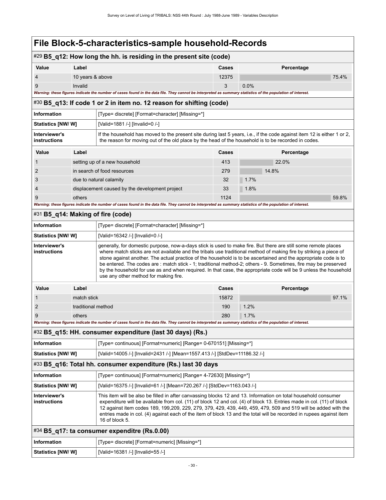<span id="page-33-4"></span><span id="page-33-3"></span><span id="page-33-2"></span><span id="page-33-1"></span><span id="page-33-0"></span>

|                                      |                                                                         | #29 B5_q12: How long the hh. is residing in the present site (code)                                                                                                                                                                                                                                                                                                                                                                                                                                                                                                                                                                    |       |            |  |  |
|--------------------------------------|-------------------------------------------------------------------------|----------------------------------------------------------------------------------------------------------------------------------------------------------------------------------------------------------------------------------------------------------------------------------------------------------------------------------------------------------------------------------------------------------------------------------------------------------------------------------------------------------------------------------------------------------------------------------------------------------------------------------------|-------|------------|--|--|
| Value                                | Label                                                                   |                                                                                                                                                                                                                                                                                                                                                                                                                                                                                                                                                                                                                                        | Cases | Percentage |  |  |
| 4                                    | 10 years & above                                                        |                                                                                                                                                                                                                                                                                                                                                                                                                                                                                                                                                                                                                                        | 12375 | 75.4%      |  |  |
| 9                                    | Invalid                                                                 |                                                                                                                                                                                                                                                                                                                                                                                                                                                                                                                                                                                                                                        | 3     | 0.0%       |  |  |
|                                      |                                                                         | Warning: these figures indicate the number of cases found in the data file. They cannot be interpreted as summary statistics of the population of interest.                                                                                                                                                                                                                                                                                                                                                                                                                                                                            |       |            |  |  |
|                                      |                                                                         | #30 B5_q13: If code 1 or 2 in item no. 12 reason for shifting (code)                                                                                                                                                                                                                                                                                                                                                                                                                                                                                                                                                                   |       |            |  |  |
| <b>Information</b>                   |                                                                         | [Type= discrete] [Format=character] [Missing=*]                                                                                                                                                                                                                                                                                                                                                                                                                                                                                                                                                                                        |       |            |  |  |
| Statistics [NW/W]                    |                                                                         | [Valid=1881 /-] [Invalid=0 /-]                                                                                                                                                                                                                                                                                                                                                                                                                                                                                                                                                                                                         |       |            |  |  |
| Interviewer's<br><b>instructions</b> |                                                                         | If the household has moved to the present site during last 5 years, i.e., if the code against item 12 is either 1 or 2,<br>the reason for moving out of the old place by the head of the household is to be recorded in codes.                                                                                                                                                                                                                                                                                                                                                                                                         |       |            |  |  |
| Value                                | Label                                                                   |                                                                                                                                                                                                                                                                                                                                                                                                                                                                                                                                                                                                                                        | Cases | Percentage |  |  |
|                                      |                                                                         | setting up of a new household                                                                                                                                                                                                                                                                                                                                                                                                                                                                                                                                                                                                          | 413   | 22.0%      |  |  |
| 2                                    |                                                                         | in search of food resources                                                                                                                                                                                                                                                                                                                                                                                                                                                                                                                                                                                                            | 279   | 14.8%      |  |  |
| 3                                    |                                                                         | due to natural calamity                                                                                                                                                                                                                                                                                                                                                                                                                                                                                                                                                                                                                | 32    | 1.7%       |  |  |
| 4                                    |                                                                         | displacement caused by the development project                                                                                                                                                                                                                                                                                                                                                                                                                                                                                                                                                                                         | 33    | 1.8%       |  |  |
| 9                                    | others                                                                  | Warning: these figures indicate the number of cases found in the data file. They cannot be interpreted as summary statistics of the population of interest.                                                                                                                                                                                                                                                                                                                                                                                                                                                                            | 1124  | 59.8%      |  |  |
|                                      |                                                                         |                                                                                                                                                                                                                                                                                                                                                                                                                                                                                                                                                                                                                                        |       |            |  |  |
|                                      |                                                                         | #31 B5_q14: Making of fire (code)                                                                                                                                                                                                                                                                                                                                                                                                                                                                                                                                                                                                      |       |            |  |  |
| <b>Information</b>                   |                                                                         | [Type= discrete] [Format=character] [Missing=*]                                                                                                                                                                                                                                                                                                                                                                                                                                                                                                                                                                                        |       |            |  |  |
| <b>Statistics [NW/W]</b>             |                                                                         | [Valid=16342 /-] [Invalid=0 /-]                                                                                                                                                                                                                                                                                                                                                                                                                                                                                                                                                                                                        |       |            |  |  |
| Interviewer's<br><b>instructions</b> |                                                                         | generally, for domestic purpose, now-a-days stick is used to make fire. But there are still some remote places<br>where match sticks are not available and the tribals use traditional method of making fire by striking a piece of<br>stone against another. The actual practice of the household is to be ascertained and the appropriate code is to<br>be entered. The codes are : match stick - 1; traditional method-2; others - 9. Sometimes, fire may be preserved<br>by the household for use as and when required. In that case, the appropriate code will be 9 unless the household<br>use any other method for making fire. |       |            |  |  |
| Value                                | Label                                                                   |                                                                                                                                                                                                                                                                                                                                                                                                                                                                                                                                                                                                                                        | Cases | Percentage |  |  |
|                                      | match stick                                                             |                                                                                                                                                                                                                                                                                                                                                                                                                                                                                                                                                                                                                                        | 15872 | 97.1%      |  |  |
| 2                                    | traditional method                                                      |                                                                                                                                                                                                                                                                                                                                                                                                                                                                                                                                                                                                                                        | 190   | 1.2%       |  |  |
| 9                                    | others                                                                  |                                                                                                                                                                                                                                                                                                                                                                                                                                                                                                                                                                                                                                        | 280   | 1.7%       |  |  |
|                                      |                                                                         | Warning: these figures indicate the number of cases found in the data file. They cannot be interpreted as summary statistics of the population of interest.                                                                                                                                                                                                                                                                                                                                                                                                                                                                            |       |            |  |  |
|                                      |                                                                         | #32 B5_q15: HH. consumer expenditure (last 30 days) (Rs.)                                                                                                                                                                                                                                                                                                                                                                                                                                                                                                                                                                              |       |            |  |  |
| Information                          |                                                                         | [Type= continuous] [Format=numeric] [Range= 0-670151] [Missing=*]                                                                                                                                                                                                                                                                                                                                                                                                                                                                                                                                                                      |       |            |  |  |
| Statistics [NW/ W]                   |                                                                         | [Valid=14005 /-] [Invalid=2431 /-] [Mean=1557.413 /-] [StdDev=11186.32 /-]                                                                                                                                                                                                                                                                                                                                                                                                                                                                                                                                                             |       |            |  |  |
|                                      |                                                                         | #33 B5_q16: Total hh. consumer expenditure (Rs.) last 30 days                                                                                                                                                                                                                                                                                                                                                                                                                                                                                                                                                                          |       |            |  |  |
| <b>Information</b>                   |                                                                         | [Type= continuous] [Format=numeric] [Range= 4-72630] [Missing=*]                                                                                                                                                                                                                                                                                                                                                                                                                                                                                                                                                                       |       |            |  |  |
| Statistics [NW/W]                    | [Valid=16375 /-] [Invalid=61 /-] [Mean=720.267 /-] [StdDev=1163.043 /-] |                                                                                                                                                                                                                                                                                                                                                                                                                                                                                                                                                                                                                                        |       |            |  |  |
| Interviewer's<br>instructions        |                                                                         | This item will be also be filled in after canvassing blocks 12 and 13. Information on total household consumer<br>expenditure will be available from col. (11) of block 12 and col. (4) of block 13. Entries made in col. (11) of block<br>12 against item codes 189, 199, 209, 229, 279, 379, 429, 439, 449, 459, 479, 509 and 519 will be added with the<br>entries made in col. (4) against each of the item of block 13 and the total will be recorded in rupees against item<br>16 of block 5.                                                                                                                                    |       |            |  |  |
|                                      |                                                                         | #34 B5_q17: ta consumer expenditre (Rs.0.00)                                                                                                                                                                                                                                                                                                                                                                                                                                                                                                                                                                                           |       |            |  |  |
| Information                          |                                                                         | [Type= discrete] [Format=numeric] [Missing=*]                                                                                                                                                                                                                                                                                                                                                                                                                                                                                                                                                                                          |       |            |  |  |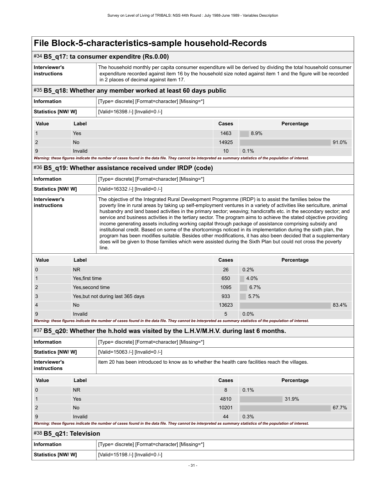### #34 **B5\_q17: ta consumer expenditre (Rs.0.00)**

| Interviewer's | The household monthly per capita consumer expenditure will be derived by dividing the total household consumer  |
|---------------|-----------------------------------------------------------------------------------------------------------------|
| instructions  | expenditure recorded against item 16 by the household size noted against item 1 and the figure will be recorded |
|               | in 2 places of decimal against item 17.                                                                         |

## <span id="page-34-0"></span>#35 **B5\_q18: Whether any member worked at least 60 days public**

| <b>Information</b>        |         | [Type= discrete] [Format=character] [Missing=*]                                                                                                             |       |            |       |  |
|---------------------------|---------|-------------------------------------------------------------------------------------------------------------------------------------------------------------|-------|------------|-------|--|
| <b>Statistics [NW/ W]</b> |         | [Valid=16398 /-] [Invalid=0 /-]                                                                                                                             |       |            |       |  |
| Value                     | Label   |                                                                                                                                                             | Cases | Percentage |       |  |
|                           | Yes     |                                                                                                                                                             | 1463  | 8.9%       |       |  |
| $\mathcal{P}$             | No.     |                                                                                                                                                             | 14925 |            | 91.0% |  |
| 9                         | Invalid |                                                                                                                                                             | 10    | $0.1\%$    |       |  |
|                           |         | Warning: these figures indicate the number of cases found in the data file. They cannot be interpreted as summary statistics of the population of interest. |       |            |       |  |

<span id="page-34-1"></span>

| #36 B5_q19: Whether assistance received under IRDP (code)                                                                                                                                                                                                                                                                                                                                                                                                                                                                                                                                                                                                                                                                                                                                                                                                                                                                                                                                      |                |                                                 |              |            |       |  |
|------------------------------------------------------------------------------------------------------------------------------------------------------------------------------------------------------------------------------------------------------------------------------------------------------------------------------------------------------------------------------------------------------------------------------------------------------------------------------------------------------------------------------------------------------------------------------------------------------------------------------------------------------------------------------------------------------------------------------------------------------------------------------------------------------------------------------------------------------------------------------------------------------------------------------------------------------------------------------------------------|----------------|-------------------------------------------------|--------------|------------|-------|--|
| <b>Information</b>                                                                                                                                                                                                                                                                                                                                                                                                                                                                                                                                                                                                                                                                                                                                                                                                                                                                                                                                                                             |                | [Type= discrete] [Format=character] [Missing=*] |              |            |       |  |
| Statistics [NW/W]                                                                                                                                                                                                                                                                                                                                                                                                                                                                                                                                                                                                                                                                                                                                                                                                                                                                                                                                                                              |                | [Valid=16332 /-] [Invalid=0 /-]                 |              |            |       |  |
| The objective of the Integrated Rural Development Programme (IRDP) is to assist the families below the<br>Interviewer's<br>poverty line in rural areas by taking up self-employment ventures in a variety of activities like sericulture, animal<br><b>instructions</b><br>husbandry and land based activities in the primary sector; weaving; handicrafts etc. in the secondary sector; and<br>service and business activities in the tertiary sector. The program aims to achieve the stated objective providing<br>income generating assets including working capital through package of assistance comprising subsidy and<br>institutional credit. Based on some of the shortcomings noticed in its implementation during the sixth plan, the<br>program has been modifies suitable. Besides other modifications, it has also been decided that a supplementary<br>does will be given to those families which were assisted during the Sixth Plan but could not cross the poverty<br>line. |                |                                                 |              |            |       |  |
| Value                                                                                                                                                                                                                                                                                                                                                                                                                                                                                                                                                                                                                                                                                                                                                                                                                                                                                                                                                                                          | Label          |                                                 | <b>Cases</b> | Percentage |       |  |
| $\Omega$                                                                                                                                                                                                                                                                                                                                                                                                                                                                                                                                                                                                                                                                                                                                                                                                                                                                                                                                                                                       | N <sub>R</sub> |                                                 | 26           | 0.2%       |       |  |
|                                                                                                                                                                                                                                                                                                                                                                                                                                                                                                                                                                                                                                                                                                                                                                                                                                                                                                                                                                                                |                | Yes, first time                                 |              | 4.0%       |       |  |
| 2                                                                                                                                                                                                                                                                                                                                                                                                                                                                                                                                                                                                                                                                                                                                                                                                                                                                                                                                                                                              |                | Yes, second time                                |              | 6.7%       |       |  |
| 3                                                                                                                                                                                                                                                                                                                                                                                                                                                                                                                                                                                                                                                                                                                                                                                                                                                                                                                                                                                              |                | Yes, but not during last 365 days               | 933          | 5.7%       |       |  |
| 4                                                                                                                                                                                                                                                                                                                                                                                                                                                                                                                                                                                                                                                                                                                                                                                                                                                                                                                                                                                              | <b>No</b>      |                                                 | 13623        |            | 83.4% |  |

*Warning: these figures indicate the number of cases found in the data file. They cannot be interpreted as summary statistics of the population of interest.* #37 **B5\_q20: Whether the h.hold was visited by the L.H.V/M.H.V. during last 6 months.**

9 Invalid  $10^{9}$  and  $10^{9}$  and  $10^{9}$  and  $10^{9}$  and  $10^{9}$  and  $10^{9}$  and  $10^{9}$  and  $10^{9}$  and  $10^{9}$  and  $10^{9}$  and  $10^{9}$  and  $10^{9}$  and  $10^{9}$  and  $10^{9}$  and  $10^{9}$  and  $10^{9}$  and  $10^{9}$  and  $10^{9}$ 

<span id="page-34-2"></span>

| $\#37$ B5 q20: Whether the n.hold was visited by the L.H.V/M.H.V. during last 6 months.                                                                     |                |                                                                                                                    |                     |      |       |       |  |  |  |  |
|-------------------------------------------------------------------------------------------------------------------------------------------------------------|----------------|--------------------------------------------------------------------------------------------------------------------|---------------------|------|-------|-------|--|--|--|--|
| <b>Information</b>                                                                                                                                          |                | [Type= discrete] [Format=character] [Missing=*]                                                                    |                     |      |       |       |  |  |  |  |
| Statistics [NW/W]                                                                                                                                           |                | [Valid=15063 /-] [Invalid=0 /-]                                                                                    |                     |      |       |       |  |  |  |  |
| Interviewer's<br><b>instructions</b>                                                                                                                        |                | item 20 has been introduced to know as to whether the health care facilities reach the villages.                   |                     |      |       |       |  |  |  |  |
| Value                                                                                                                                                       | Label          |                                                                                                                    | Cases<br>Percentage |      |       |       |  |  |  |  |
| 0                                                                                                                                                           | N <sub>R</sub> |                                                                                                                    | 8                   | 0.1% |       |       |  |  |  |  |
|                                                                                                                                                             | <b>Yes</b>     |                                                                                                                    |                     |      | 31.9% |       |  |  |  |  |
| 2                                                                                                                                                           | No.            |                                                                                                                    |                     |      |       | 67.7% |  |  |  |  |
| 9                                                                                                                                                           | Invalid        |                                                                                                                    | 44                  | 0.3% |       |       |  |  |  |  |
| Warning: these figures indicate the number of cases found in the data file. They cannot be interpreted as summary statistics of the population of interest. |                |                                                                                                                    |                     |      |       |       |  |  |  |  |
| #38 B5_q21: Television                                                                                                                                      |                |                                                                                                                    |                     |      |       |       |  |  |  |  |
| the first contract of the con-                                                                                                                              |                | FIRST ALL AND CONTRACT FIRST CONTRACT AND THE CONTRACT AND ACCEPTED AND ACCEPTED AND THE RESIDENCE OF A RESIDENCE. |                     |      |       |       |  |  |  |  |

<span id="page-34-3"></span>

| ∣ Information      | [Type= discrete] [Format=character] [Missing=*] |
|--------------------|-------------------------------------------------|
| Statistics [NW/ W] | [Valid=15198 /-] [Invalid=0 /-]                 |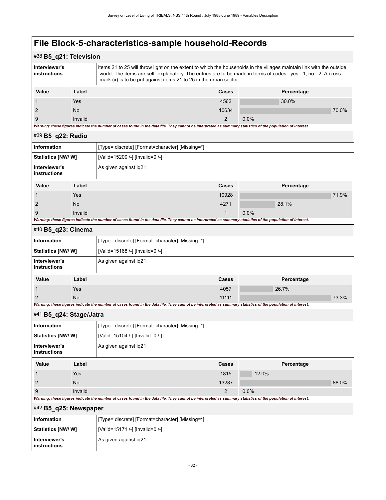<span id="page-35-3"></span><span id="page-35-2"></span><span id="page-35-1"></span><span id="page-35-0"></span>

| #38 B5_q21: Television                                                                                                                                      |         |                                                                                                                                                                                                                                                                                                                |                |            |       |  |  |  |  |  |
|-------------------------------------------------------------------------------------------------------------------------------------------------------------|---------|----------------------------------------------------------------------------------------------------------------------------------------------------------------------------------------------------------------------------------------------------------------------------------------------------------------|----------------|------------|-------|--|--|--|--|--|
| Interviewer's<br>instructions                                                                                                                               |         | items 21 to 25 will throw light on the extent to which the households in the villages maintain link with the outside<br>world. The items are self- explanatory. The entries are to be made in terms of codes : yes - 1; no - 2. A cross<br>mark $(x)$ is to be put against items 21 to 25 in the urban sector. |                |            |       |  |  |  |  |  |
| Value                                                                                                                                                       | Label   |                                                                                                                                                                                                                                                                                                                | <b>Cases</b>   | Percentage |       |  |  |  |  |  |
| 1                                                                                                                                                           | Yes     |                                                                                                                                                                                                                                                                                                                | 4562           | 30.0%      |       |  |  |  |  |  |
| 2                                                                                                                                                           | No      |                                                                                                                                                                                                                                                                                                                | 10634          |            | 70.0% |  |  |  |  |  |
| 9                                                                                                                                                           | Invalid |                                                                                                                                                                                                                                                                                                                | $\overline{2}$ | 0.0%       |       |  |  |  |  |  |
|                                                                                                                                                             |         | Warning: these figures indicate the number of cases found in the data file. They cannot be interpreted as summary statistics of the population of interest.                                                                                                                                                    |                |            |       |  |  |  |  |  |
| #39 <b>B5_q22: Radio</b>                                                                                                                                    |         |                                                                                                                                                                                                                                                                                                                |                |            |       |  |  |  |  |  |
| Information                                                                                                                                                 |         | [Type= discrete] [Format=character] [Missing=*]                                                                                                                                                                                                                                                                |                |            |       |  |  |  |  |  |
| <b>Statistics [NW/W]</b>                                                                                                                                    |         | [Valid=15200 /-] [Invalid=0 /-]                                                                                                                                                                                                                                                                                |                |            |       |  |  |  |  |  |
| Interviewer's<br>instructions                                                                                                                               |         | As given against iq21                                                                                                                                                                                                                                                                                          |                |            |       |  |  |  |  |  |
| Value                                                                                                                                                       | Label   |                                                                                                                                                                                                                                                                                                                | Cases          | Percentage |       |  |  |  |  |  |
| 1                                                                                                                                                           | Yes     |                                                                                                                                                                                                                                                                                                                | 10928          |            | 71.9% |  |  |  |  |  |
| 2                                                                                                                                                           | No      |                                                                                                                                                                                                                                                                                                                | 4271           | 28.1%      |       |  |  |  |  |  |
| 9                                                                                                                                                           | Invalid |                                                                                                                                                                                                                                                                                                                | $\mathbf{1}$   | 0.0%       |       |  |  |  |  |  |
|                                                                                                                                                             |         | Warning: these figures indicate the number of cases found in the data file. They cannot be interpreted as summary statistics of the population of interest.                                                                                                                                                    |                |            |       |  |  |  |  |  |
| #40 B5_q23: Cinema                                                                                                                                          |         |                                                                                                                                                                                                                                                                                                                |                |            |       |  |  |  |  |  |
| Information                                                                                                                                                 |         | [Type= discrete] [Format=character] [Missing=*]                                                                                                                                                                                                                                                                |                |            |       |  |  |  |  |  |
| <b>Statistics [NW/ W]</b>                                                                                                                                   |         | [Valid=15168 /-] [Invalid=0 /-]                                                                                                                                                                                                                                                                                |                |            |       |  |  |  |  |  |
| Interviewer's<br>instructions                                                                                                                               |         | As given against iq21                                                                                                                                                                                                                                                                                          |                |            |       |  |  |  |  |  |
| Value                                                                                                                                                       | Label   |                                                                                                                                                                                                                                                                                                                | Cases          | Percentage |       |  |  |  |  |  |
| 1                                                                                                                                                           | Yes     |                                                                                                                                                                                                                                                                                                                | 4057           | 26.7%      |       |  |  |  |  |  |
| 2                                                                                                                                                           | No      |                                                                                                                                                                                                                                                                                                                | 11111          |            | 73.3% |  |  |  |  |  |
| Warning: these figures indicate the number of cases found in the data file. They cannot be interpreted as summary statistics of the population of interest. |         |                                                                                                                                                                                                                                                                                                                |                |            |       |  |  |  |  |  |
| #41 B5_q24: Stage/Jatra                                                                                                                                     |         |                                                                                                                                                                                                                                                                                                                |                |            |       |  |  |  |  |  |
| <b>Information</b>                                                                                                                                          |         | [Type= discrete] [Format=character] [Missing=*]                                                                                                                                                                                                                                                                |                |            |       |  |  |  |  |  |
| <b>Statistics [NW/ W]</b>                                                                                                                                   |         | [Valid=15104 /-] [Invalid=0 /-]                                                                                                                                                                                                                                                                                |                |            |       |  |  |  |  |  |
| Interviewer's<br>instructions                                                                                                                               |         | As given against ig21                                                                                                                                                                                                                                                                                          |                |            |       |  |  |  |  |  |
| Value                                                                                                                                                       | Label   |                                                                                                                                                                                                                                                                                                                | <b>Cases</b>   | Percentage |       |  |  |  |  |  |
| 1                                                                                                                                                           | Yes     |                                                                                                                                                                                                                                                                                                                | 1815           | 12.0%      |       |  |  |  |  |  |
| $\overline{2}$                                                                                                                                              | No      |                                                                                                                                                                                                                                                                                                                | 13287          |            | 88.0% |  |  |  |  |  |
| 9                                                                                                                                                           | Invalid |                                                                                                                                                                                                                                                                                                                | $\overline{2}$ | 0.0%       |       |  |  |  |  |  |
| Warning: these figures indicate the number of cases found in the data file. They cannot be interpreted as summary statistics of the population of interest. |         |                                                                                                                                                                                                                                                                                                                |                |            |       |  |  |  |  |  |
| $#42$ B5_q25: Newspaper                                                                                                                                     |         |                                                                                                                                                                                                                                                                                                                |                |            |       |  |  |  |  |  |
| <b>Information</b>                                                                                                                                          |         | [Type= discrete] [Format=character] [Missing=*]                                                                                                                                                                                                                                                                |                |            |       |  |  |  |  |  |
| <b>Statistics [NW/W]</b>                                                                                                                                    |         | [Valid=15171 /-] [Invalid=0 /-]                                                                                                                                                                                                                                                                                |                |            |       |  |  |  |  |  |
| Interviewer's<br>instructions                                                                                                                               |         | As given against iq21                                                                                                                                                                                                                                                                                          |                |            |       |  |  |  |  |  |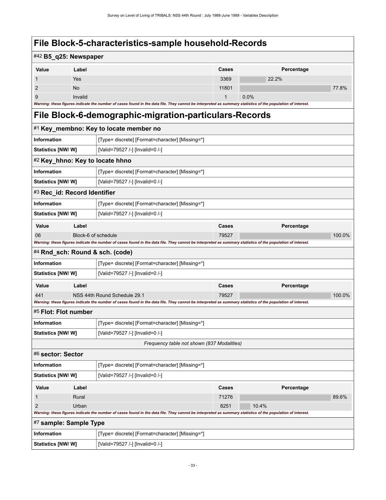# **File Block-5-characteristics-sample household-Records**

| #42 B5_q25: Newspaper           |                     |                                                                                                                                                             |       |            |        |
|---------------------------------|---------------------|-------------------------------------------------------------------------------------------------------------------------------------------------------------|-------|------------|--------|
| Value                           | Label               |                                                                                                                                                             | Cases | Percentage |        |
| 1                               | Yes                 |                                                                                                                                                             | 3369  | 22.2%      |        |
| 2                               | No                  |                                                                                                                                                             | 11801 |            | 77.8%  |
| 9                               | Invalid             |                                                                                                                                                             |       | 0.0%       |        |
|                                 |                     | Warning: these figures indicate the number of cases found in the data file. They cannot be interpreted as summary statistics of the population of interest. |       |            |        |
|                                 |                     | File Block-6-demographic-migration-particulars-Records                                                                                                      |       |            |        |
|                                 |                     | #1 Key_membno: Key to locate member no                                                                                                                      |       |            |        |
| Information                     |                     | [Type= discrete] [Format=character] [Missing=*]                                                                                                             |       |            |        |
| <b>Statistics [NW/ W]</b>       |                     | [Valid=79527 /-] [Invalid=0 /-]                                                                                                                             |       |            |        |
| #2 Key_hhno: Key to locate hhno |                     |                                                                                                                                                             |       |            |        |
| Information                     |                     | [Type= discrete] [Format=character] [Missing=*]                                                                                                             |       |            |        |
| <b>Statistics [NW/W]</b>        |                     | [Valid=79527 /-] [Invalid=0 /-]                                                                                                                             |       |            |        |
| #3 Rec_id: Record Identifier    |                     |                                                                                                                                                             |       |            |        |
| Information                     |                     | [Type= discrete] [Format=character] [Missing=*]                                                                                                             |       |            |        |
| <b>Statistics [NW/ W]</b>       |                     | [Valid=79527 /-] [Invalid=0 /-]                                                                                                                             |       |            |        |
| Value                           | Label               |                                                                                                                                                             | Cases | Percentage |        |
| 06                              | Block-6 of schedule |                                                                                                                                                             | 79527 |            | 100.0% |
|                                 |                     | Warning: these figures indicate the number of cases found in the data file. They cannot be interpreted as summary statistics of the population of interest. |       |            |        |
| #4 Rnd_sch: Round & sch. (code) |                     |                                                                                                                                                             |       |            |        |
| Information                     |                     | [Type= discrete] [Format=character] [Missing=*]                                                                                                             |       |            |        |
| <b>Statistics [NW/ W]</b>       |                     | [Valid=79527 /-] [Invalid=0 /-]                                                                                                                             |       |            |        |
| Value                           | Label               |                                                                                                                                                             | Cases | Percentage |        |
| 441                             |                     | NSS 44th Round Schedule 29.1                                                                                                                                | 79527 |            | 100.0% |
|                                 |                     | Warning: these figures indicate the number of cases found in the data file. They cannot be interpreted as summary statistics of the population of interest. |       |            |        |
| #5 Flot: Flot number            |                     |                                                                                                                                                             |       |            |        |
| <b>Information</b>              |                     | [Type= discrete] [Format=character] [Missing=*]                                                                                                             |       |            |        |
| Statistics [NW/W]               |                     | [Valid=79527 /-] [Invalid=0 /-]                                                                                                                             |       |            |        |
|                                 |                     | Frequency table not shown (837 Modalities)                                                                                                                  |       |            |        |
| #6 sector: Sector               |                     |                                                                                                                                                             |       |            |        |
| Information                     |                     | [Type= discrete] [Format=character] [Missing=*]                                                                                                             |       |            |        |
| Statistics [NW/W]               |                     | [Valid=79527 /-] [Invalid=0 /-]                                                                                                                             |       |            |        |
| Value                           | Label               |                                                                                                                                                             | Cases | Percentage |        |
| 1                               | Rural               |                                                                                                                                                             | 71276 |            | 89.6%  |
| $\overline{2}$                  | Urban               |                                                                                                                                                             | 8251  | 10.4%      |        |
|                                 |                     | Warning: these figures indicate the number of cases found in the data file. They cannot be interpreted as summary statistics of the population of interest. |       |            |        |
| #7 sample: Sample Type          |                     |                                                                                                                                                             |       |            |        |
| <b>Information</b>              |                     | [Type= discrete] [Format=character] [Missing=*]                                                                                                             |       |            |        |
| Statistics [NW/W]               |                     | [Valid=79527 /-] [Invalid=0 /-]                                                                                                                             |       |            |        |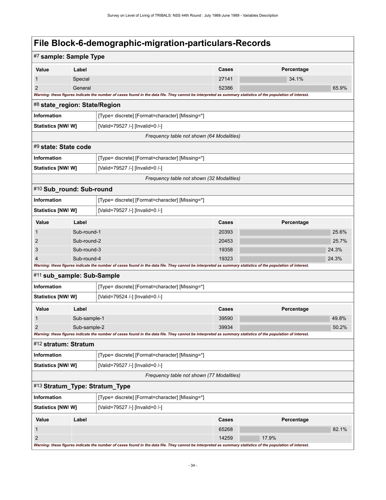| #7 sample: Sample Type                    |                              |                                                                                                                                                             |                |            |                |  |
|-------------------------------------------|------------------------------|-------------------------------------------------------------------------------------------------------------------------------------------------------------|----------------|------------|----------------|--|
| Value                                     | Label                        |                                                                                                                                                             | Cases          | Percentage |                |  |
| 1                                         | Special                      |                                                                                                                                                             | 27141          | 34.1%      |                |  |
| $\overline{2}$                            | General                      |                                                                                                                                                             | 52386          |            | 65.9%          |  |
|                                           |                              | Warning: these figures indicate the number of cases found in the data file. They cannot be interpreted as summary statistics of the population of interest. |                |            |                |  |
| #8 state_region: State/Region             |                              |                                                                                                                                                             |                |            |                |  |
| <b>Information</b>                        |                              | [Type= discrete] [Format=character] [Missing=*]                                                                                                             |                |            |                |  |
| <b>Statistics [NW/ W]</b>                 |                              | [Valid=79527 /-] [Invalid=0 /-]                                                                                                                             |                |            |                |  |
|                                           |                              | Frequency table not shown (64 Modalities)                                                                                                                   |                |            |                |  |
| #9 state: State code                      |                              |                                                                                                                                                             |                |            |                |  |
| <b>Information</b>                        |                              | [Type= discrete] [Format=character] [Missing=*]                                                                                                             |                |            |                |  |
| Statistics [NW/W]                         |                              | [Valid=79527 /-] [Invalid=0 /-]                                                                                                                             |                |            |                |  |
|                                           |                              | Frequency table not shown (32 Modalities)                                                                                                                   |                |            |                |  |
| #10 Sub_round: Sub-round                  |                              |                                                                                                                                                             |                |            |                |  |
| Information                               |                              | [Type= discrete] [Format=character] [Missing=*]                                                                                                             |                |            |                |  |
| Statistics [NW/W]                         |                              | [Valid=79527 /-] [Invalid=0 /-]                                                                                                                             |                |            |                |  |
| <b>Value</b>                              | Label                        |                                                                                                                                                             | <b>Cases</b>   | Percentage |                |  |
| 1                                         | Sub-round-1                  |                                                                                                                                                             | 20393          |            | 25.6%          |  |
| 2                                         | Sub-round-2                  |                                                                                                                                                             | 20453          |            | 25.7%          |  |
| 3                                         | Sub-round-3                  |                                                                                                                                                             | 19358          | 24.3%      |                |  |
| 4                                         | Sub-round-4                  | Warning: these figures indicate the number of cases found in the data file. They cannot be interpreted as summary statistics of the population of interest. | 19323          | 24.3%      |                |  |
| #11 sub_sample: Sub-Sample                |                              |                                                                                                                                                             |                |            |                |  |
| <b>Information</b>                        |                              | [Type= discrete] [Format=character] [Missing=*]                                                                                                             |                |            |                |  |
| Statistics [NW/W]                         |                              | [Valid=79524 /-] [Invalid=0 /-]                                                                                                                             |                |            |                |  |
|                                           |                              |                                                                                                                                                             |                |            |                |  |
| Value                                     | Label                        |                                                                                                                                                             | <b>Cases</b>   | Percentage |                |  |
| 1<br>$\overline{2}$                       | Sub-sample-1<br>Sub-sample-2 |                                                                                                                                                             | 39590<br>39934 |            | 49.8%<br>50.2% |  |
|                                           |                              | Warning: these figures indicate the number of cases found in the data file. They cannot be interpreted as summary statistics of the population of interest. |                |            |                |  |
| #12 stratum: Stratum                      |                              |                                                                                                                                                             |                |            |                |  |
| Information                               |                              | [Type= discrete] [Format=character] [Missing=*]                                                                                                             |                |            |                |  |
| <b>Statistics [NW/W]</b>                  |                              | [Valid=79527 /-] [Invalid=0 /-]                                                                                                                             |                |            |                |  |
| Frequency table not shown (77 Modalities) |                              |                                                                                                                                                             |                |            |                |  |
| #13 Stratum_Type: Stratum_Type            |                              |                                                                                                                                                             |                |            |                |  |
| Information                               |                              | [Type= discrete] [Format=character] [Missing=*]                                                                                                             |                |            |                |  |
| <b>Statistics [NW/W]</b>                  |                              | [Valid=79527 /-] [Invalid=0 /-]                                                                                                                             |                |            |                |  |
| Value                                     | Label                        |                                                                                                                                                             | Cases          | Percentage |                |  |
| 1                                         |                              |                                                                                                                                                             | 65268          |            | 82.1%          |  |
| $\overline{2}$                            |                              | Warning: these figures indicate the number of cases found in the data file. They cannot be interpreted as summary statistics of the population of interest. | 14259          | 17.9%      |                |  |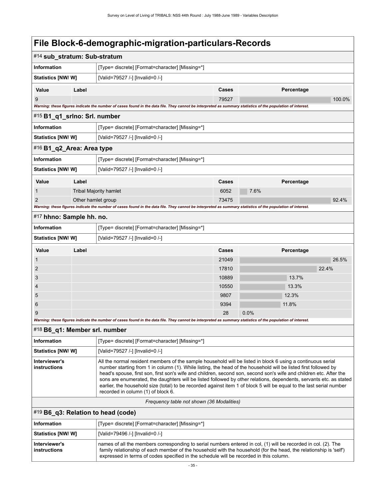| #14 sub_stratum: Sub-stratum                                                                                                                                                                                                                                                                                                                                   |                    |                                                                                                                                                                                                                                                                                                                                                                                                                                                                                                                                                                                                                                          |       |            |        |  |  |
|----------------------------------------------------------------------------------------------------------------------------------------------------------------------------------------------------------------------------------------------------------------------------------------------------------------------------------------------------------------|--------------------|------------------------------------------------------------------------------------------------------------------------------------------------------------------------------------------------------------------------------------------------------------------------------------------------------------------------------------------------------------------------------------------------------------------------------------------------------------------------------------------------------------------------------------------------------------------------------------------------------------------------------------------|-------|------------|--------|--|--|
| <b>Information</b>                                                                                                                                                                                                                                                                                                                                             |                    | [Type= discrete] [Format=character] [Missing=*]                                                                                                                                                                                                                                                                                                                                                                                                                                                                                                                                                                                          |       |            |        |  |  |
| Statistics [NW/ W]                                                                                                                                                                                                                                                                                                                                             |                    | [Valid=79527 /-] [Invalid=0 /-]                                                                                                                                                                                                                                                                                                                                                                                                                                                                                                                                                                                                          |       |            |        |  |  |
| Value                                                                                                                                                                                                                                                                                                                                                          | Label              |                                                                                                                                                                                                                                                                                                                                                                                                                                                                                                                                                                                                                                          | Cases | Percentage |        |  |  |
| 9                                                                                                                                                                                                                                                                                                                                                              |                    |                                                                                                                                                                                                                                                                                                                                                                                                                                                                                                                                                                                                                                          | 79527 |            | 100.0% |  |  |
|                                                                                                                                                                                                                                                                                                                                                                |                    | Warning: these figures indicate the number of cases found in the data file. They cannot be interpreted as summary statistics of the population of interest.                                                                                                                                                                                                                                                                                                                                                                                                                                                                              |       |            |        |  |  |
| #15 B1_q1_srlno: Srl. number                                                                                                                                                                                                                                                                                                                                   |                    |                                                                                                                                                                                                                                                                                                                                                                                                                                                                                                                                                                                                                                          |       |            |        |  |  |
| <b>Information</b>                                                                                                                                                                                                                                                                                                                                             |                    | [Type= discrete] [Format=character] [Missing=*]                                                                                                                                                                                                                                                                                                                                                                                                                                                                                                                                                                                          |       |            |        |  |  |
| <b>Statistics [NW/ W]</b>                                                                                                                                                                                                                                                                                                                                      |                    | [Valid=79527 /-] [Invalid=0 /-]                                                                                                                                                                                                                                                                                                                                                                                                                                                                                                                                                                                                          |       |            |        |  |  |
| #16 B1_q2_Area: Area type                                                                                                                                                                                                                                                                                                                                      |                    |                                                                                                                                                                                                                                                                                                                                                                                                                                                                                                                                                                                                                                          |       |            |        |  |  |
| <b>Information</b>                                                                                                                                                                                                                                                                                                                                             |                    | [Type= discrete] [Format=character] [Missing=*]                                                                                                                                                                                                                                                                                                                                                                                                                                                                                                                                                                                          |       |            |        |  |  |
| Statistics [NW/ W]                                                                                                                                                                                                                                                                                                                                             |                    | [Valid=79527 /-] [Invalid=0 /-]                                                                                                                                                                                                                                                                                                                                                                                                                                                                                                                                                                                                          |       |            |        |  |  |
| Value                                                                                                                                                                                                                                                                                                                                                          | Label              |                                                                                                                                                                                                                                                                                                                                                                                                                                                                                                                                                                                                                                          | Cases | Percentage |        |  |  |
|                                                                                                                                                                                                                                                                                                                                                                |                    | <b>Tribal Majority hamlet</b>                                                                                                                                                                                                                                                                                                                                                                                                                                                                                                                                                                                                            | 6052  | 7.6%       |        |  |  |
| 2                                                                                                                                                                                                                                                                                                                                                              | Other hamlet group |                                                                                                                                                                                                                                                                                                                                                                                                                                                                                                                                                                                                                                          | 73475 |            | 92.4%  |  |  |
|                                                                                                                                                                                                                                                                                                                                                                |                    | Warning: these figures indicate the number of cases found in the data file. They cannot be interpreted as summary statistics of the population of interest.                                                                                                                                                                                                                                                                                                                                                                                                                                                                              |       |            |        |  |  |
| #17 hhno: Sample hh. no.                                                                                                                                                                                                                                                                                                                                       |                    |                                                                                                                                                                                                                                                                                                                                                                                                                                                                                                                                                                                                                                          |       |            |        |  |  |
| <b>Information</b>                                                                                                                                                                                                                                                                                                                                             |                    | [Type= discrete] [Format=character] [Missing=*]                                                                                                                                                                                                                                                                                                                                                                                                                                                                                                                                                                                          |       |            |        |  |  |
| <b>Statistics [NW/ W]</b>                                                                                                                                                                                                                                                                                                                                      |                    | [Valid=79527 /-] [Invalid=0 /-]                                                                                                                                                                                                                                                                                                                                                                                                                                                                                                                                                                                                          |       |            |        |  |  |
| Value                                                                                                                                                                                                                                                                                                                                                          | Label              |                                                                                                                                                                                                                                                                                                                                                                                                                                                                                                                                                                                                                                          | Cases | Percentage |        |  |  |
|                                                                                                                                                                                                                                                                                                                                                                |                    |                                                                                                                                                                                                                                                                                                                                                                                                                                                                                                                                                                                                                                          | 21049 |            | 26.5%  |  |  |
| 2                                                                                                                                                                                                                                                                                                                                                              |                    |                                                                                                                                                                                                                                                                                                                                                                                                                                                                                                                                                                                                                                          | 17810 |            | 22.4%  |  |  |
| 3                                                                                                                                                                                                                                                                                                                                                              |                    |                                                                                                                                                                                                                                                                                                                                                                                                                                                                                                                                                                                                                                          | 10889 | 13.7%      |        |  |  |
|                                                                                                                                                                                                                                                                                                                                                                |                    |                                                                                                                                                                                                                                                                                                                                                                                                                                                                                                                                                                                                                                          | 10550 | 13.3%      |        |  |  |
| 5                                                                                                                                                                                                                                                                                                                                                              |                    |                                                                                                                                                                                                                                                                                                                                                                                                                                                                                                                                                                                                                                          | 9807  | 12.3%      |        |  |  |
| 6                                                                                                                                                                                                                                                                                                                                                              |                    |                                                                                                                                                                                                                                                                                                                                                                                                                                                                                                                                                                                                                                          | 9394  | 11.8%      |        |  |  |
| 9                                                                                                                                                                                                                                                                                                                                                              |                    | Warning: these figures indicate the number of cases found in the data file. They cannot be interpreted as summary statistics of the population of interest.                                                                                                                                                                                                                                                                                                                                                                                                                                                                              | 28    | 0.0%       |        |  |  |
| #18 B6 q1: Member srl. number                                                                                                                                                                                                                                                                                                                                  |                    |                                                                                                                                                                                                                                                                                                                                                                                                                                                                                                                                                                                                                                          |       |            |        |  |  |
| Information                                                                                                                                                                                                                                                                                                                                                    |                    | [Type= discrete] [Format=character] [Missing=*]                                                                                                                                                                                                                                                                                                                                                                                                                                                                                                                                                                                          |       |            |        |  |  |
| <b>Statistics [NW/ W]</b>                                                                                                                                                                                                                                                                                                                                      |                    | [Valid=79527 /-] [Invalid=0 /-]                                                                                                                                                                                                                                                                                                                                                                                                                                                                                                                                                                                                          |       |            |        |  |  |
| Interviewer's<br>instructions                                                                                                                                                                                                                                                                                                                                  |                    | All the normal resident members of the sample household will be listed in block 6 using a continuous serial<br>number starting from 1 in column (1). While listing, the head of the household will be listed first followed by<br>head's spouse, first son, first son's wife and children, second son, second son's wife and children etc. After the<br>sons are enumerated, the daughters will be listed followed by other relations, dependents, servants etc. as stated<br>earlier, the household size (total) to be recorded against item 1 of block 5 will be equal to the last serial number<br>recorded in column (1) of block 6. |       |            |        |  |  |
| Frequency table not shown (36 Modalities)                                                                                                                                                                                                                                                                                                                      |                    |                                                                                                                                                                                                                                                                                                                                                                                                                                                                                                                                                                                                                                          |       |            |        |  |  |
| #19 B6_q3: Relation to head (code)                                                                                                                                                                                                                                                                                                                             |                    |                                                                                                                                                                                                                                                                                                                                                                                                                                                                                                                                                                                                                                          |       |            |        |  |  |
| <b>Information</b>                                                                                                                                                                                                                                                                                                                                             |                    | [Type= discrete] [Format=character] [Missing=*]                                                                                                                                                                                                                                                                                                                                                                                                                                                                                                                                                                                          |       |            |        |  |  |
| Statistics [NW/W]                                                                                                                                                                                                                                                                                                                                              |                    | [Valid=79496 /-] [Invalid=0 /-]                                                                                                                                                                                                                                                                                                                                                                                                                                                                                                                                                                                                          |       |            |        |  |  |
| Interviewer's<br>names of all the members corresponding to serial numbers entered in col, (1) will be recorded in col. (2). The<br>instructions<br>family relationship of each member of the household with the household (for the head, the relationship is 'self')<br>expressed in terms of codes specified in the schedule will be recorded in this column. |                    |                                                                                                                                                                                                                                                                                                                                                                                                                                                                                                                                                                                                                                          |       |            |        |  |  |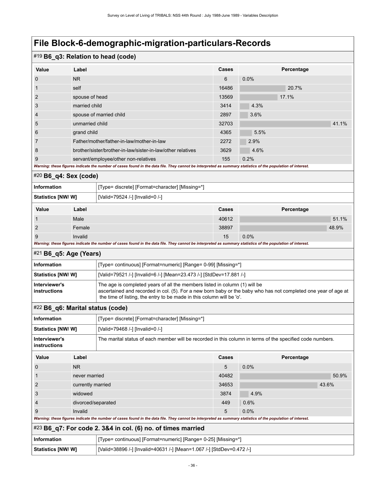|                                                                                                                                                             |                    | #19 B6_q3: Relation to head (code)                                                                                                                                                                                                                                    |              |            |  |  |
|-------------------------------------------------------------------------------------------------------------------------------------------------------------|--------------------|-----------------------------------------------------------------------------------------------------------------------------------------------------------------------------------------------------------------------------------------------------------------------|--------------|------------|--|--|
| Value                                                                                                                                                       | Label              |                                                                                                                                                                                                                                                                       | Cases        | Percentage |  |  |
| $\mathbf 0$                                                                                                                                                 | <b>NR</b>          |                                                                                                                                                                                                                                                                       | 6            | $0.0\%$    |  |  |
| 1                                                                                                                                                           | self               |                                                                                                                                                                                                                                                                       | 16486        | 20.7%      |  |  |
| $\overline{2}$                                                                                                                                              | spouse of head     |                                                                                                                                                                                                                                                                       | 13569        | 17.1%      |  |  |
| 3                                                                                                                                                           | married child      |                                                                                                                                                                                                                                                                       | 3414         | 4.3%       |  |  |
| 4                                                                                                                                                           |                    | spouse of married child                                                                                                                                                                                                                                               | 2897         | 3.6%       |  |  |
| 5                                                                                                                                                           | unmarried child    |                                                                                                                                                                                                                                                                       | 32703        | 41.1%      |  |  |
| 6                                                                                                                                                           | grand child        |                                                                                                                                                                                                                                                                       | 4365         | 5.5%       |  |  |
| 7                                                                                                                                                           |                    | Father/mother/father-in-law/mother-in-law                                                                                                                                                                                                                             | 2272         | 2.9%       |  |  |
| 8                                                                                                                                                           |                    | brother/sister/brother-in-law/sister-in-law/other relatives                                                                                                                                                                                                           | 3629         | 4.6%       |  |  |
| 9                                                                                                                                                           |                    | servant/employee/other non-relatives                                                                                                                                                                                                                                  | 155          | 0.2%       |  |  |
|                                                                                                                                                             |                    | Warning: these figures indicate the number of cases found in the data file. They cannot be interpreted as summary statistics of the population of interest.                                                                                                           |              |            |  |  |
| #20 B6_q4: Sex (code)                                                                                                                                       |                    |                                                                                                                                                                                                                                                                       |              |            |  |  |
| <b>Information</b>                                                                                                                                          |                    | [Type= discrete] [Format=character] [Missing=*]                                                                                                                                                                                                                       |              |            |  |  |
| <b>Statistics [NW/W]</b>                                                                                                                                    |                    | [Valid=79524 /-] [Invalid=0 /-]                                                                                                                                                                                                                                       |              |            |  |  |
| Value                                                                                                                                                       | Label              |                                                                                                                                                                                                                                                                       | <b>Cases</b> | Percentage |  |  |
| 1                                                                                                                                                           | Male               |                                                                                                                                                                                                                                                                       | 40612        | 51.1%      |  |  |
| $\overline{2}$                                                                                                                                              | Female             |                                                                                                                                                                                                                                                                       | 38897        | 48.9%      |  |  |
| 9                                                                                                                                                           | Invalid            |                                                                                                                                                                                                                                                                       | 15           | 0.0%       |  |  |
|                                                                                                                                                             |                    | Warning: these figures indicate the number of cases found in the data file. They cannot be interpreted as summary statistics of the population of interest.                                                                                                           |              |            |  |  |
| #21 B6_q5: Age (Years)                                                                                                                                      |                    |                                                                                                                                                                                                                                                                       |              |            |  |  |
| <b>Information</b>                                                                                                                                          |                    | [Type= continuous] [Format=numeric] [Range= 0-99] [Missing=*]                                                                                                                                                                                                         |              |            |  |  |
| <b>Statistics [NW/ W]</b>                                                                                                                                   |                    | [Valid=79521 /-] [Invalid=6 /-] [Mean=23.473 /-] [StdDev=17.881 /-]                                                                                                                                                                                                   |              |            |  |  |
| Interviewer's<br>instructions                                                                                                                               |                    | The age is completed years of all the members listed in column (1) will be<br>ascertained and recorded in col. (5). For a new born baby or the baby who has not completed one year of age at<br>the time of listing, the entry to be made in this column will be 'o'. |              |            |  |  |
| #22 B6_q6: Marital status (code)                                                                                                                            |                    |                                                                                                                                                                                                                                                                       |              |            |  |  |
| <b>Information</b>                                                                                                                                          |                    | [Type= discrete] [Format=character] [Missing=*]                                                                                                                                                                                                                       |              |            |  |  |
| Statistics [NW/ W]                                                                                                                                          |                    | [Valid=79468 /-] [Invalid=0 /-]                                                                                                                                                                                                                                       |              |            |  |  |
| Interviewer's<br>instructions                                                                                                                               |                    | The marital status of each member will be recorded in this column in terms of the specified code numbers.                                                                                                                                                             |              |            |  |  |
| Value                                                                                                                                                       | Label              |                                                                                                                                                                                                                                                                       | Cases        | Percentage |  |  |
| $\boldsymbol{0}$                                                                                                                                            | NR                 |                                                                                                                                                                                                                                                                       | 5            | 0.0%       |  |  |
| 1                                                                                                                                                           | never married      |                                                                                                                                                                                                                                                                       | 40482        | 50.9%      |  |  |
| $\overline{2}$                                                                                                                                              | currently married  |                                                                                                                                                                                                                                                                       | 34653        | 43.6%      |  |  |
| 3                                                                                                                                                           | widowed            |                                                                                                                                                                                                                                                                       | 3874         | 4.9%       |  |  |
| 4                                                                                                                                                           | divorced/separated |                                                                                                                                                                                                                                                                       | 449          | 0.6%       |  |  |
| 9<br>Invalid<br>0.0%<br>5                                                                                                                                   |                    |                                                                                                                                                                                                                                                                       |              |            |  |  |
| Warning: these figures indicate the number of cases found in the data file. They cannot be interpreted as summary statistics of the population of interest. |                    |                                                                                                                                                                                                                                                                       |              |            |  |  |
|                                                                                                                                                             |                    | $#23$ B6_q7: For code 2. 3&4 in col. (6) no. of times married                                                                                                                                                                                                         |              |            |  |  |
| Information                                                                                                                                                 |                    | [Type= continuous] [Format=numeric] [Range= 0-25] [Missing=*]                                                                                                                                                                                                         |              |            |  |  |
| Statistics [NW/ W]                                                                                                                                          |                    | [Valid=38896 /-] [Invalid=40631 /-] [Mean=1.067 /-] [StdDev=0.472 /-]                                                                                                                                                                                                 |              |            |  |  |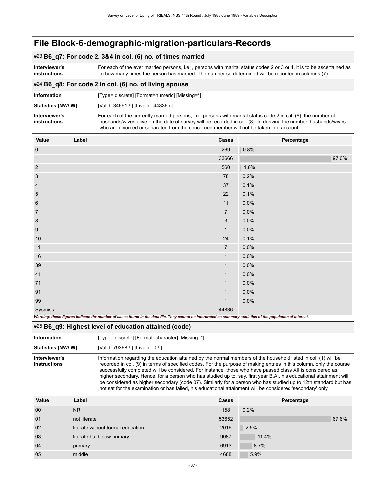#### #23 **B6\_q7: For code 2. 3&4 in col. (6) no. of times married**

**Interviewer's instructions** For each of the ever married persons, i.e. , persons with marital status codes 2 or 3 or 4, it is to be ascertained as to how many times the person has married. The number so determined will be recorded in columns (7).

#### #24 **B6\_q8: For code 2 in col. (6) no. of living spouse**

| Information                   | [Type= discrete] [Format=numeric] [Missing=*]                                                                                                                                                                                                                                                                                |
|-------------------------------|------------------------------------------------------------------------------------------------------------------------------------------------------------------------------------------------------------------------------------------------------------------------------------------------------------------------------|
| <b>Statistics [NW/ W]</b>     | [Valid=34691 /-] [Invalid=44836 /-]                                                                                                                                                                                                                                                                                          |
| Interviewer's<br>instructions | For each of the currently married persons, i.e., persons with marital status code 2 in col. (6), the number of<br>husbands/wives alive on the date of survey will be recorded in col. (8). In deriving the number, husbands/wives<br>who are divorced or separated from the concerned member will not be taken into account. |

| Value            | Label                                                                 | Cases          | Percentage                                                                                      |
|------------------|-----------------------------------------------------------------------|----------------|-------------------------------------------------------------------------------------------------|
| $\pmb{0}$        |                                                                       | 269            | 0.8%                                                                                            |
| $\mathbf{1}$     |                                                                       | 33666          | 97.0%                                                                                           |
| $\overline{2}$   |                                                                       | 560            | 1.6%                                                                                            |
| $\mathbf{3}$     |                                                                       | 78             | 0.2%                                                                                            |
| $\overline{4}$   |                                                                       | 37             | 0.1%                                                                                            |
| $\overline{5}$   |                                                                       | 22             | 0.1%                                                                                            |
| $\,6\,$          |                                                                       | 11             | 0.0%                                                                                            |
| $\overline{7}$   |                                                                       | $\overline{7}$ | 0.0%                                                                                            |
| $\bf8$           |                                                                       | $\sqrt{3}$     | 0.0%                                                                                            |
| $\boldsymbol{9}$ |                                                                       | $\mathbf{1}$   | $0.0\%$                                                                                         |
| $10$             |                                                                       | 24             | 0.1%                                                                                            |
| 11               |                                                                       | $\overline{7}$ | $0.0\%$                                                                                         |
| $16\,$           |                                                                       | $\mathbf{1}$   | 0.0%                                                                                            |
| 39               |                                                                       | $\mathbf{1}$   | 0.0%                                                                                            |
| 41               |                                                                       | $\mathbf{1}$   | 0.0%                                                                                            |
| 71               |                                                                       | $\mathbf{1}$   | 0.0%                                                                                            |
| 91               |                                                                       | $\mathbf{1}$   | 0.0%                                                                                            |
| 99               |                                                                       | $\mathbf{1}$   | 0.0%                                                                                            |
| Sysmiss          | the common control of the common<br><b>Contract Contract Contract</b> | 44836          | <b>Contract Contract Contract</b><br><b>Contract Contract</b><br><b><i><u>ALCO</u></i></b><br>. |

*Warning: these figures indicate the number of cases found in the data file. They cannot be interpreted as summary statistics of the population of interest.*

#### #25 **B6\_q9: Highest level of education attained (code)**

| [Type= discrete] [Format=character] [Missing=*]<br>Information |                           |                                                                                                                                                                                                                                                                                                                                                                                                                                                                                                                                                                                        |                        |                                                                                                                 |  |
|----------------------------------------------------------------|---------------------------|----------------------------------------------------------------------------------------------------------------------------------------------------------------------------------------------------------------------------------------------------------------------------------------------------------------------------------------------------------------------------------------------------------------------------------------------------------------------------------------------------------------------------------------------------------------------------------------|------------------------|-----------------------------------------------------------------------------------------------------------------|--|
| Statistics [NW/W]                                              |                           | [Valid=79368 /-] [Invalid=0 /-]                                                                                                                                                                                                                                                                                                                                                                                                                                                                                                                                                        |                        |                                                                                                                 |  |
| Interviewer's<br>instructions                                  |                           | Information regarding the education attained by the normal members of the household listed in col. (1) will be<br>recorded in col. (9) in terms of specified codes. For the purpose of making entries in this column, only the course<br>successfully completed will be considered. For instance, those who have passed class XII is considered as<br>higher secondary. Hence, for a person who has studied up to, say, first year B.A., his educational attainment will<br>not sat for the examination or has failed, his educational attainment will be considered 'secondary' only. |                        | be considered as higher secondary (code 07). Similarly for a person who has studied up to 12th standard but has |  |
| Value                                                          | Label                     |                                                                                                                                                                                                                                                                                                                                                                                                                                                                                                                                                                                        | Cases                  | Percentage                                                                                                      |  |
| 00                                                             | NR.                       |                                                                                                                                                                                                                                                                                                                                                                                                                                                                                                                                                                                        | 158                    | 0.2%                                                                                                            |  |
| $\bigcap$                                                      | المقصود والزارف والمراجين |                                                                                                                                                                                                                                                                                                                                                                                                                                                                                                                                                                                        | $F^{\wedge}F^{\wedge}$ | 0700                                                                                                            |  |

| 01 | not literate                      | 53652 | 67.6% |
|----|-----------------------------------|-------|-------|
| 02 | literate without formal education | 2016  | 2.5%  |
| 03 | literate but below primary        | 9087  | 11.4% |
| 04 | primary                           | 6913  | 8.7%  |
| 05 | middle                            | 4688  | 5.9%  |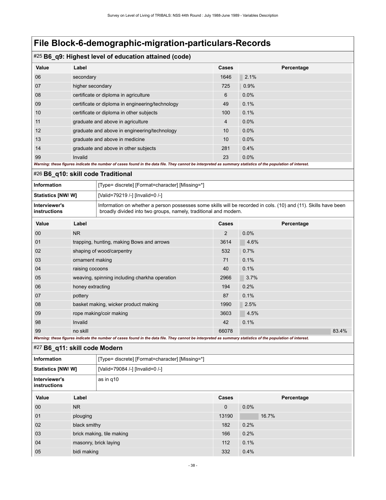#### #25 **B6\_q9: Highest level of education attained (code)**

| <b>Value</b> | Label                                            | Cases          | Percentage |
|--------------|--------------------------------------------------|----------------|------------|
| 06           | secondary                                        | 1646           | 2.1%       |
| 07           | higher secondary                                 | 725            | 0.9%       |
| 08           | certificate or diploma in agriculture            | 6              | 0.0%       |
| 09           | certificate or diploma in engineering/technology | 49             | 0.1%       |
| 10           | certificate or diploma in other subjects         | 100            | 0.1%       |
| 11           | graduate and above in agriculture                | $\overline{4}$ | 0.0%       |
| 12           | graduate and above in engineering/technology     | 10             | 0.0%       |
| 13           | graduate and above in medicine                   | 10             | 0.0%       |
| 14           | graduate and above in other subjects             | 281            | 0.4%       |
| 99           | Invalid                                          | 23             | 0.0%       |

*Warning: these figures indicate the number of cases found in the data file. They cannot be interpreted as summary statistics of the population of interest.*

#26 **B6\_q10: skill code Traditional**

| Information                   | [Type= discrete] [Format=character] [Missing=*]                                                                                                                                     |
|-------------------------------|-------------------------------------------------------------------------------------------------------------------------------------------------------------------------------------|
| <b>Statistics [NW/ W]</b>     | [Valid=79219 /-] [Invalid=0 /-]                                                                                                                                                     |
| Interviewer's<br>instructions | Information on whether a person possesses some skills will be recorded in cols. (10) and (11). Skills have been<br>broadly divided into two groups, namely, traditional and modern. |

| Value                                                                                                                                                       | Label                                         | Cases | Percentage |  |  |
|-------------------------------------------------------------------------------------------------------------------------------------------------------------|-----------------------------------------------|-------|------------|--|--|
| 00                                                                                                                                                          | N <sub>R</sub>                                | 2     | 0.0%       |  |  |
| 01                                                                                                                                                          | trapping, hunting, making Bows and arrows     | 3614  | 4.6%       |  |  |
| 02                                                                                                                                                          | shaping of wood/carpentry                     | 532   | 0.7%       |  |  |
| 03                                                                                                                                                          | ornament making                               | 71    | 0.1%       |  |  |
| 04                                                                                                                                                          | raising cocoons                               | 40    | 0.1%       |  |  |
| 05                                                                                                                                                          | weaving, spinning including charkha operation | 2966  | 3.7%       |  |  |
| 06                                                                                                                                                          | honey extracting                              | 194   | 0.2%       |  |  |
| 07                                                                                                                                                          | pottery                                       | 87    | 0.1%       |  |  |
| 08                                                                                                                                                          | basket making, wicker product making          | 1990  | 2.5%       |  |  |
| 09                                                                                                                                                          | rope making/coir making                       | 3603  | 4.5%       |  |  |
| 98                                                                                                                                                          | Invalid                                       | 42    | 0.1%       |  |  |
| 99                                                                                                                                                          | no skill                                      | 66078 | 83.4%      |  |  |
| Warning: these figures indicate the number of cases found in the data file. They cannot be interpreted as summary statistics of the population of interest. |                                               |       |            |  |  |

#### #27 **B6\_q11: skill code Modern**

| Information                          |                                                             | [Type= discrete] [Format=character] [Missing=*] |             |            |  |  |
|--------------------------------------|-------------------------------------------------------------|-------------------------------------------------|-------------|------------|--|--|
|                                      | <b>Statistics [NW/W]</b><br>[Valid=79084 /-] [Invalid=0 /-] |                                                 |             |            |  |  |
| Interviewer's<br><b>instructions</b> |                                                             | as in q10                                       |             |            |  |  |
| Value                                | Label                                                       |                                                 | Cases       | Percentage |  |  |
| 00                                   | N <sub>R</sub>                                              |                                                 | $\mathbf 0$ | 0.0%       |  |  |
| 01                                   | plouging                                                    |                                                 | 13190       | 16.7%      |  |  |
| 02                                   | black smithy                                                |                                                 | 182         | 0.2%       |  |  |
| 03                                   | brick making, tile making                                   |                                                 | 166         | 0.2%       |  |  |
| 04                                   | masonry, brick laying                                       |                                                 | 112         | 0.1%       |  |  |
| 05                                   | bidi making                                                 |                                                 | 332         | 0.4%       |  |  |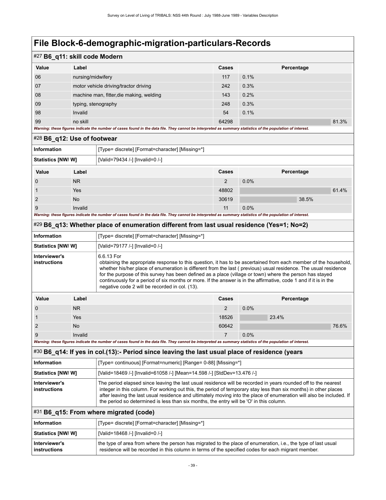| #27 B6_q11: skill code Modern |                                                                                                                                                             |              |            |       |  |
|-------------------------------|-------------------------------------------------------------------------------------------------------------------------------------------------------------|--------------|------------|-------|--|
| <b>Value</b>                  | Label                                                                                                                                                       | <b>Cases</b> | Percentage |       |  |
| 06                            | nursing/midwifery                                                                                                                                           | 117          | 0.1%       |       |  |
| 07                            | motor vehicle driving/tractor driving                                                                                                                       | 242          | 0.3%       |       |  |
| 08                            | machine man, fitter, die making, welding                                                                                                                    | 143          | 0.2%       |       |  |
| 09                            | typing, stenography                                                                                                                                         | 248          | 0.3%       |       |  |
| 98                            | Invalid                                                                                                                                                     | 54           | 0.1%       |       |  |
| 99                            | no skill                                                                                                                                                    | 64298        |            | 81.3% |  |
|                               | Warning: these figures indicate the number of cases found in the data file. They cannot be interpreted as summary statistics of the population of interest. |              |            |       |  |
|                               | $\#28$ RG, $\pi$ 12. Heg of footwaar                                                                                                                        |              |            |       |  |

| Information              |            | [Type= discrete] [Format=character] [Missing=*] |                |      |            |       |
|--------------------------|------------|-------------------------------------------------|----------------|------|------------|-------|
| <b>Statistics [NW/W]</b> |            | [Valid=79434 /-] [Invalid=0 /-]                 |                |      |            |       |
| Value                    | Label      |                                                 | Cases          |      | Percentage |       |
| $\Omega$                 | <b>NR</b>  |                                                 | $\overline{2}$ | 0.0% |            |       |
|                          | <b>Yes</b> |                                                 | 48802          |      |            | 61.4% |
| 2                        | <b>No</b>  |                                                 | 30619          |      | 38.5%      |       |
| 9                        | Invalid    |                                                 | 11             | 0.0% |            |       |

*Warning: these figures indicate the number of cases found in the data file. They cannot be interpreted as summary statistics of the population of interest.*

| #29 B6_q13: Whether place of enumeration different from last usual residence (Yes=1; No=2) |  |  |  |  |  |  |
|--------------------------------------------------------------------------------------------|--|--|--|--|--|--|
|--------------------------------------------------------------------------------------------|--|--|--|--|--|--|

| <b>Information</b>            |       | [Type= discrete] [Format=character] [Missing=*]                                                                                                                                                                                                                                                                                                                                                                                                                                                                                     |       |            |
|-------------------------------|-------|-------------------------------------------------------------------------------------------------------------------------------------------------------------------------------------------------------------------------------------------------------------------------------------------------------------------------------------------------------------------------------------------------------------------------------------------------------------------------------------------------------------------------------------|-------|------------|
| <b>Statistics [NW/ W]</b>     |       | [Valid=79177 /-] [Invalid=0 /-]                                                                                                                                                                                                                                                                                                                                                                                                                                                                                                     |       |            |
| Interviewer's<br>instructions |       | 6.6.13 For<br>obtaining the appropriate response to this question, it has to be ascertained from each member of the household,<br>whether his/her place of enumeration is different from the last (previous) usual residence. The usual residence<br>for the purpose of this survey has been defined as a place (village or town) where the person has stayed<br>continuously for a period of six months or more. If the answer is in the affirmative, code 1 and if it is in the<br>negative code 2 will be recorded in col. (13). |       |            |
| Value                         | Label |                                                                                                                                                                                                                                                                                                                                                                                                                                                                                                                                     | Cases | Percentage |

| <b>NR</b>                                                                                                                                                   |       | $0.0\%$ |       |
|-------------------------------------------------------------------------------------------------------------------------------------------------------------|-------|---------|-------|
| Yes                                                                                                                                                         | 18526 | 23.4%   |       |
| <b>No</b>                                                                                                                                                   | 60642 |         | 76.6% |
| Invalid                                                                                                                                                     |       | 0.0%    |       |
| Warning: these figures indicate the number of cases found in the data file. They cannot be interpreted as summary statistics of the population of interest. |       |         |       |

#### #30 **B6\_q14: If yes in col.(13):- Period since leaving the last usual place of residence (years**

| <b>Information</b>            | [Type= continuous] [Format=numeric] [Range= 0-88] [Missing=*]                                                                                                                                                                                                                                                                                                                                                                                         |  |  |
|-------------------------------|-------------------------------------------------------------------------------------------------------------------------------------------------------------------------------------------------------------------------------------------------------------------------------------------------------------------------------------------------------------------------------------------------------------------------------------------------------|--|--|
| <b>Statistics [NW/W]</b>      | [Valid=18469 /-] [Invalid=61058 /-] [Mean=14.598 /-] [StdDev=13.476 /-]                                                                                                                                                                                                                                                                                                                                                                               |  |  |
| Interviewer's<br>instructions | The period elapsed since leaving the last usual residence will be recorded in years rounded off to the nearest<br>integer in this column. For working out this, the period of temporary stay less than six months) in other places<br>after leaving the last usual residence and ultimately moving into the place of enumeration will also be included. If<br>the period so determined is less than six months, the entry will be 'O' in this column. |  |  |

#### #31 **B6\_q15: From where migrated (code)**

| Information                   | [Type= discrete] [Format=character] [Missing=*]                                                                                                                                                                     |
|-------------------------------|---------------------------------------------------------------------------------------------------------------------------------------------------------------------------------------------------------------------|
| <b>Statistics [NW/ W]</b>     | [Valid=18468 /-] [Invalid=0 /-]                                                                                                                                                                                     |
| Interviewer's<br>instructions | the type of area from where the person has migrated to the place of enumeration, i.e., the type of last usual<br>residence will be recorded in this column in terms of the specified codes for each migrant member. |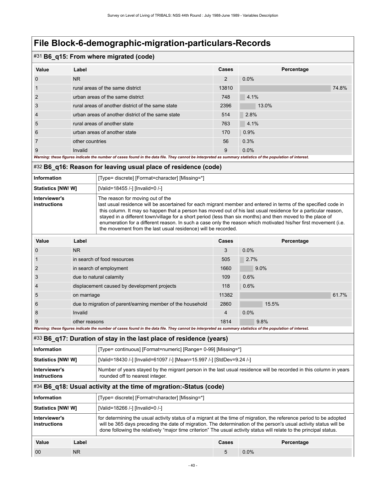|                | $\#31$ B6_q15: From where migrated (code)                                                                                                                   |                |            |       |  |  |
|----------------|-------------------------------------------------------------------------------------------------------------------------------------------------------------|----------------|------------|-------|--|--|
| Value          | Label                                                                                                                                                       | Cases          | Percentage |       |  |  |
| $\Omega$       | N <sub>R</sub>                                                                                                                                              | $\overline{2}$ | $0.0\%$    |       |  |  |
|                | rural areas of the same district                                                                                                                            | 13810          |            | 74.8% |  |  |
| $\overline{2}$ | urban areas of the same district                                                                                                                            | 748            | 4.1%       |       |  |  |
| 3              | rural areas of another district of the same state                                                                                                           | 2396           | 13.0%      |       |  |  |
| $\overline{4}$ | urban areas of another district of the same state                                                                                                           | 514            | 2.8%       |       |  |  |
| 5              | rural areas of another state                                                                                                                                | 763            | 4.1%       |       |  |  |
| 6              | urban areas of another state                                                                                                                                | 170            | 0.9%       |       |  |  |
| 7              | other countries                                                                                                                                             | 56             | 0.3%       |       |  |  |
| 9              | Invalid                                                                                                                                                     | 9              | $0.0\%$    |       |  |  |
|                | Warning: these figures indicate the number of cases found in the data file. They cannot be interpreted as summary statistics of the population of interest. |                |            |       |  |  |

#### #32 **B6\_q16: Reason for leaving usual place of residence (code)**

| Information                   | [Type= discrete] [Format=character] [Missing=*]                                                                                                                                                                                                                                                                                                                                                                                                                                                                                                                         |
|-------------------------------|-------------------------------------------------------------------------------------------------------------------------------------------------------------------------------------------------------------------------------------------------------------------------------------------------------------------------------------------------------------------------------------------------------------------------------------------------------------------------------------------------------------------------------------------------------------------------|
| <b>Statistics [NW/W]</b>      | [Valid=18455 /-] [Invalid=0 /-]                                                                                                                                                                                                                                                                                                                                                                                                                                                                                                                                         |
| Interviewer's<br>instructions | The reason for moving out of the<br>last usual residence will be ascertained for each migrant member and entered in terms of the specified code in<br>this column. It may so happen that a person has moved out of his last usual residence for a particular reason,<br>stayed in a different town/village for a short period (less than six months) and then moved to the place of<br>enumeration for a different reason. In such a case only the reason which motivated his/her first movement (i.e.<br>the movement from the last usual residence) will be recorded. |
|                               |                                                                                                                                                                                                                                                                                                                                                                                                                                                                                                                                                                         |

| <b>Value</b>   | Label                                                      | Cases          | Percentage |
|----------------|------------------------------------------------------------|----------------|------------|
| $\mathbf 0$    | N <sub>R</sub>                                             | 3              | 0.0%       |
|                | in search of food resources                                | 505            | 2.7%       |
| $\overline{2}$ | in search of employment                                    | 1660           | 9.0%       |
| 3              | due to natural calamity                                    | 109            | 0.6%       |
| 4              | displacement caused by development projects                | 118            | 0.6%       |
| 5              | on marriage                                                | 11382          | 61.7%      |
| 6              | due to migration of parent/earning member of the household | 2860           | 15.5%      |
| 8              | Invalid                                                    | $\overline{4}$ | 0.0%       |
| 9              | other reasons                                              | 1814           | 9.8%       |

*Warning: these figures indicate the number of cases found in the data file. They cannot be interpreted as summary statistics of the population of interest.*

#### #33 **B6\_q17: Duration of stay in the last place of residence (years)**

| <b>Information</b>                                                                                                                                                                                                                                                                                                                                                                               |                                                                   |                                                                                                                                                      | [Type= continuous] [Format=numeric] [Range= 0-99] [Missing=*] |            |  |  |
|--------------------------------------------------------------------------------------------------------------------------------------------------------------------------------------------------------------------------------------------------------------------------------------------------------------------------------------------------------------------------------------------------|-------------------------------------------------------------------|------------------------------------------------------------------------------------------------------------------------------------------------------|---------------------------------------------------------------|------------|--|--|
| Statistics [NW/W]                                                                                                                                                                                                                                                                                                                                                                                |                                                                   | [Valid=18430 /-] [Invalid=61097 /-] [Mean=15.997 /-] [StdDev=9.24 /-]                                                                                |                                                               |            |  |  |
| Interviewer's<br>instructions                                                                                                                                                                                                                                                                                                                                                                    |                                                                   | Number of years stayed by the migrant person in the last usual residence will be recorded in this column in years<br>rounded off to nearest integer. |                                                               |            |  |  |
|                                                                                                                                                                                                                                                                                                                                                                                                  | #34 B6_q18: Usual activity at the time of mgration:-Status (code) |                                                                                                                                                      |                                                               |            |  |  |
| <b>Information</b>                                                                                                                                                                                                                                                                                                                                                                               |                                                                   | [Type= discrete] [Format=character] [Missing=*]                                                                                                      |                                                               |            |  |  |
| <b>Statistics [NW/ W]</b>                                                                                                                                                                                                                                                                                                                                                                        | [Valid=18266 /-] [Invalid=0 /-]                                   |                                                                                                                                                      |                                                               |            |  |  |
| for determining the usual activity status of a migrant at the time of migration, the reference period to be adopted<br>Interviewer's<br>will be 365 days preceding the date of migration. The determination of the person's usual activity status will be<br>instructions<br>done following the relatively "major time criterion" The usual activity status will relate to the principal status. |                                                                   |                                                                                                                                                      |                                                               |            |  |  |
| Value                                                                                                                                                                                                                                                                                                                                                                                            | Label                                                             |                                                                                                                                                      | <b>Cases</b>                                                  | Percentage |  |  |
| 00                                                                                                                                                                                                                                                                                                                                                                                               | <b>NR</b>                                                         |                                                                                                                                                      | 5                                                             | $0.0\%$    |  |  |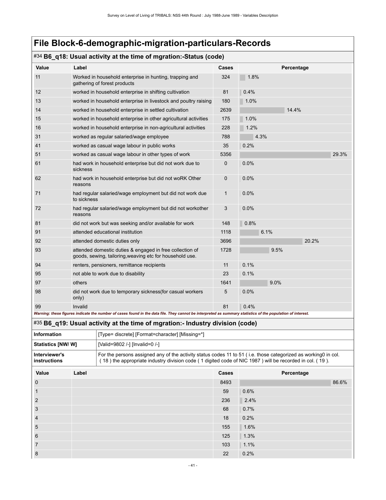#### #34 **B6\_q18: Usual activity at the time of mgration:-Status (code)**

| 11<br>324<br>1.8%<br>Worked in household enterprise in hunting, trapping and<br>gathering of forest products<br>worked in household enterprise in shifting cultivation<br>81<br>0.4%<br>12<br>13<br>worked in household enterprise in livestock and poultry raising<br>180<br>1.0%<br>14.4%<br>2639<br>14<br>worked in household enterprise in settled cultivation<br>15<br>1.0%<br>worked in household enterprise in other agricultural activities<br>175<br>228<br>1.2%<br>16<br>worked in household enterprise in non-agricultural activities<br>4.3%<br>788<br>worked as regular salaried/wage employee<br>0.2%<br>worked as casual wage labour in public works<br>35<br>51<br>worked as casual wage labour in other types of work<br>5356<br>29.3%<br>0<br>0.0%<br>had work in household enterprise but did not work due to<br>sickness<br>had work in household enterprise but did not woRK Other<br>$\mathbf 0$<br>0.0%<br>reasons<br>had regular salaried/wage employment but did not work due<br>0.0%<br>1<br>to sickness<br>0.0%<br>had regular salaried/wage employment but did not workother<br>3<br>reasons<br>did not work but was seeking and/or available for work<br>148<br>0.8%<br>81<br>attended educational institution<br>1118<br>6.1%<br>20.2%<br>92<br>attended domestic duties only<br>3696<br>1728<br>9.5%<br>attended domestic duties & engaged in free collection of<br>goods, sewing, tailoring, weaving etc for household use.<br>0.1%<br>11<br>94<br>renters, pensioners, remittance recipients<br>0.1%<br>not able to work due to disability<br>23<br>95<br>9.0%<br>97<br>others<br>1641<br>98<br>did not work due to temporary sickness(for casual workers<br>5<br>0.0%<br>only)<br>Invalid<br>81<br>0.4%<br>99<br>Warning: these figures indicate the number of cases found in the data file. They cannot be interpreted as summary statistics of the population of interest. | Value | Label | Cases | Percentage |  |
|----------------------------------------------------------------------------------------------------------------------------------------------------------------------------------------------------------------------------------------------------------------------------------------------------------------------------------------------------------------------------------------------------------------------------------------------------------------------------------------------------------------------------------------------------------------------------------------------------------------------------------------------------------------------------------------------------------------------------------------------------------------------------------------------------------------------------------------------------------------------------------------------------------------------------------------------------------------------------------------------------------------------------------------------------------------------------------------------------------------------------------------------------------------------------------------------------------------------------------------------------------------------------------------------------------------------------------------------------------------------------------------------------------------------------------------------------------------------------------------------------------------------------------------------------------------------------------------------------------------------------------------------------------------------------------------------------------------------------------------------------------------------------------------------------------------------------------------------------------------------------------------------------------------|-------|-------|-------|------------|--|
|                                                                                                                                                                                                                                                                                                                                                                                                                                                                                                                                                                                                                                                                                                                                                                                                                                                                                                                                                                                                                                                                                                                                                                                                                                                                                                                                                                                                                                                                                                                                                                                                                                                                                                                                                                                                                                                                                                                |       |       |       |            |  |
|                                                                                                                                                                                                                                                                                                                                                                                                                                                                                                                                                                                                                                                                                                                                                                                                                                                                                                                                                                                                                                                                                                                                                                                                                                                                                                                                                                                                                                                                                                                                                                                                                                                                                                                                                                                                                                                                                                                |       |       |       |            |  |
|                                                                                                                                                                                                                                                                                                                                                                                                                                                                                                                                                                                                                                                                                                                                                                                                                                                                                                                                                                                                                                                                                                                                                                                                                                                                                                                                                                                                                                                                                                                                                                                                                                                                                                                                                                                                                                                                                                                |       |       |       |            |  |
|                                                                                                                                                                                                                                                                                                                                                                                                                                                                                                                                                                                                                                                                                                                                                                                                                                                                                                                                                                                                                                                                                                                                                                                                                                                                                                                                                                                                                                                                                                                                                                                                                                                                                                                                                                                                                                                                                                                |       |       |       |            |  |
|                                                                                                                                                                                                                                                                                                                                                                                                                                                                                                                                                                                                                                                                                                                                                                                                                                                                                                                                                                                                                                                                                                                                                                                                                                                                                                                                                                                                                                                                                                                                                                                                                                                                                                                                                                                                                                                                                                                |       |       |       |            |  |
|                                                                                                                                                                                                                                                                                                                                                                                                                                                                                                                                                                                                                                                                                                                                                                                                                                                                                                                                                                                                                                                                                                                                                                                                                                                                                                                                                                                                                                                                                                                                                                                                                                                                                                                                                                                                                                                                                                                |       |       |       |            |  |
|                                                                                                                                                                                                                                                                                                                                                                                                                                                                                                                                                                                                                                                                                                                                                                                                                                                                                                                                                                                                                                                                                                                                                                                                                                                                                                                                                                                                                                                                                                                                                                                                                                                                                                                                                                                                                                                                                                                | 31    |       |       |            |  |
|                                                                                                                                                                                                                                                                                                                                                                                                                                                                                                                                                                                                                                                                                                                                                                                                                                                                                                                                                                                                                                                                                                                                                                                                                                                                                                                                                                                                                                                                                                                                                                                                                                                                                                                                                                                                                                                                                                                | 41    |       |       |            |  |
|                                                                                                                                                                                                                                                                                                                                                                                                                                                                                                                                                                                                                                                                                                                                                                                                                                                                                                                                                                                                                                                                                                                                                                                                                                                                                                                                                                                                                                                                                                                                                                                                                                                                                                                                                                                                                                                                                                                |       |       |       |            |  |
|                                                                                                                                                                                                                                                                                                                                                                                                                                                                                                                                                                                                                                                                                                                                                                                                                                                                                                                                                                                                                                                                                                                                                                                                                                                                                                                                                                                                                                                                                                                                                                                                                                                                                                                                                                                                                                                                                                                | 61    |       |       |            |  |
|                                                                                                                                                                                                                                                                                                                                                                                                                                                                                                                                                                                                                                                                                                                                                                                                                                                                                                                                                                                                                                                                                                                                                                                                                                                                                                                                                                                                                                                                                                                                                                                                                                                                                                                                                                                                                                                                                                                | 62    |       |       |            |  |
|                                                                                                                                                                                                                                                                                                                                                                                                                                                                                                                                                                                                                                                                                                                                                                                                                                                                                                                                                                                                                                                                                                                                                                                                                                                                                                                                                                                                                                                                                                                                                                                                                                                                                                                                                                                                                                                                                                                | 71    |       |       |            |  |
|                                                                                                                                                                                                                                                                                                                                                                                                                                                                                                                                                                                                                                                                                                                                                                                                                                                                                                                                                                                                                                                                                                                                                                                                                                                                                                                                                                                                                                                                                                                                                                                                                                                                                                                                                                                                                                                                                                                | 72    |       |       |            |  |
|                                                                                                                                                                                                                                                                                                                                                                                                                                                                                                                                                                                                                                                                                                                                                                                                                                                                                                                                                                                                                                                                                                                                                                                                                                                                                                                                                                                                                                                                                                                                                                                                                                                                                                                                                                                                                                                                                                                |       |       |       |            |  |
|                                                                                                                                                                                                                                                                                                                                                                                                                                                                                                                                                                                                                                                                                                                                                                                                                                                                                                                                                                                                                                                                                                                                                                                                                                                                                                                                                                                                                                                                                                                                                                                                                                                                                                                                                                                                                                                                                                                | 91    |       |       |            |  |
|                                                                                                                                                                                                                                                                                                                                                                                                                                                                                                                                                                                                                                                                                                                                                                                                                                                                                                                                                                                                                                                                                                                                                                                                                                                                                                                                                                                                                                                                                                                                                                                                                                                                                                                                                                                                                                                                                                                |       |       |       |            |  |
|                                                                                                                                                                                                                                                                                                                                                                                                                                                                                                                                                                                                                                                                                                                                                                                                                                                                                                                                                                                                                                                                                                                                                                                                                                                                                                                                                                                                                                                                                                                                                                                                                                                                                                                                                                                                                                                                                                                | 93    |       |       |            |  |
|                                                                                                                                                                                                                                                                                                                                                                                                                                                                                                                                                                                                                                                                                                                                                                                                                                                                                                                                                                                                                                                                                                                                                                                                                                                                                                                                                                                                                                                                                                                                                                                                                                                                                                                                                                                                                                                                                                                |       |       |       |            |  |
|                                                                                                                                                                                                                                                                                                                                                                                                                                                                                                                                                                                                                                                                                                                                                                                                                                                                                                                                                                                                                                                                                                                                                                                                                                                                                                                                                                                                                                                                                                                                                                                                                                                                                                                                                                                                                                                                                                                |       |       |       |            |  |
|                                                                                                                                                                                                                                                                                                                                                                                                                                                                                                                                                                                                                                                                                                                                                                                                                                                                                                                                                                                                                                                                                                                                                                                                                                                                                                                                                                                                                                                                                                                                                                                                                                                                                                                                                                                                                                                                                                                |       |       |       |            |  |
|                                                                                                                                                                                                                                                                                                                                                                                                                                                                                                                                                                                                                                                                                                                                                                                                                                                                                                                                                                                                                                                                                                                                                                                                                                                                                                                                                                                                                                                                                                                                                                                                                                                                                                                                                                                                                                                                                                                |       |       |       |            |  |
|                                                                                                                                                                                                                                                                                                                                                                                                                                                                                                                                                                                                                                                                                                                                                                                                                                                                                                                                                                                                                                                                                                                                                                                                                                                                                                                                                                                                                                                                                                                                                                                                                                                                                                                                                                                                                                                                                                                |       |       |       |            |  |

#35 **B6\_q19: Usual activity at the time of mgration:- Industry division (code)**

| Information                   | [Type= discrete] [Format=character] [Missing=*]                                                                                                                                                                                  |
|-------------------------------|----------------------------------------------------------------------------------------------------------------------------------------------------------------------------------------------------------------------------------|
| <b>Statistics [NW/ W]</b>     | 1-/ Valid=9802 /-] [Invalid=0 /                                                                                                                                                                                                  |
| Interviewer's<br>instructions | For the persons assigned any of the activity status codes 11 to 51 (i.e. those categorized as working 0 in col.<br>(19). (19) the appropriate industry division code (1 digited code of NIC 1987) will be recorded in col. (19). |

| Value           | Label | Cases | Percentage |
|-----------------|-------|-------|------------|
| $\overline{0}$  |       | 8493  | 86.6%      |
| $\mathbf 1$     |       | 59    | 0.6%       |
| $\overline{2}$  |       | 236   | 2.4%       |
| $\mathbf{3}$    |       | 68    | 0.7%       |
| $\overline{4}$  |       | 18    | 0.2%       |
| $5\phantom{.0}$ |       | 155   | 1.6%       |
| 6               |       | 125   | 1.3%       |
| $\overline{7}$  |       | 103   | 1.1%       |
| 8               |       | 22    | 0.2%       |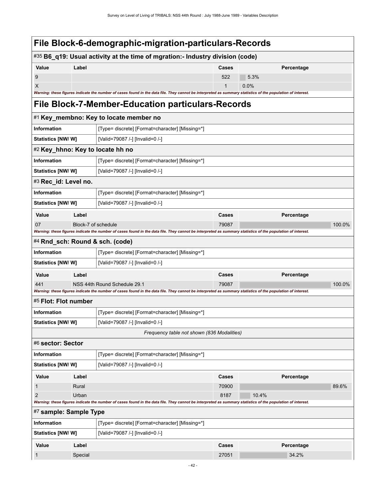### **File Block-6-demographic-migration-particulars-Records** #35 **B6\_q19: Usual activity at the time of mgration:- Industry division (code) Value Label Cases Percentage** 9 522 5.3% and  $\sim$  5.3% and  $\sim$  5.3% and  $\sim$  5.3% and  $\sim$  5.3% and  $\sim$  5.3% and  $\sim$  5.3% and  $\sim$  5.3% and  $\sim$  $\boldsymbol{\mathsf{X}}$  and the contract of the contract of the contract of the contract of the contract of the contract of the contract of the contract of the contract of the contract of the contract of the contract of the contract *Warning: these figures indicate the number of cases found in the data file. They cannot be interpreted as summary statistics of the population of interest.* **File Block-7-Member-Education particulars-Records** #1 **Key\_membno: Key to locate member no Information** [Type= discrete] [Format=character] [Missing=\*] **Statistics [NW/ W]** [Valid=79087 /-] [Invalid=0 /-] #2 **Key\_hhno: Key to locate hh no Information information information [Type= discrete]** [Format=character] [Missing=\*] **Statistics [NW/ W]** [Valid=79087 /-] [Invalid=0 /-] #3 **Rec\_id: Level no. Information information [Type= discrete] [Format=character] [Missing=\*] Statistics [NW/ W]** [Valid=79087 /-] [Invalid=0 /-] **Value Label Cases Percentage** 07 Block-7 of schedule 8 and 100.0% and 100.0% and 100.0% and 100.0% and 100.0% and 100.0% and 100.0% and 100.0% *Warning: these figures indicate the number of cases found in the data file. They cannot be interpreted as summary statistics of the population of interest.* #4 **Rnd\_sch: Round & sch. (code) Information information information [Type= discrete]** [Format=character] [Missing=\*] **Statistics [NW/ W]** [Valid=79087 /-] [Invalid=0 /-] **Value Label Cases Percentage** 441 NSS 44th Round Schedule 29.1 79087 100.0% *Warning: these figures indicate the number of cases found in the data file. They cannot be interpreted as summary statistics of the population of interest.* #5 **Flot: Flot number Information** [Type= discrete] [Format=character] [Missing=\*] **Statistics [NW/ W]** [Valid=79087 /-] [Invalid=0 /-] *Frequency table not shown (836 Modalities)* #6 **sector: Sector Information information information [Type= discrete]** [Format=character] [Missing=\*] **Statistics [NW/ W]** [Valid=79087 /-] [Invalid=0 /-] **Value Label Cases Percentage** 1 **1 Rural 89.6% من المركز التي يتم ال**عداد التي يتم التي يتم التي يتم التي يتم التي يتم التي يتم التي يتم التي ي 2 Urban 8187 10.4% *Warning: these figures indicate the number of cases found in the data file. They cannot be interpreted as summary statistics of the population of interest.* #7 **sample: Sample Type Information information information [Type= discrete]** [Format=character] [Missing=\*] **Statistics [NW/ W]** [Valid=79087 /-] [Invalid=0 /-] **Value Label Cases Percentage** 1 Special 27051 34.2%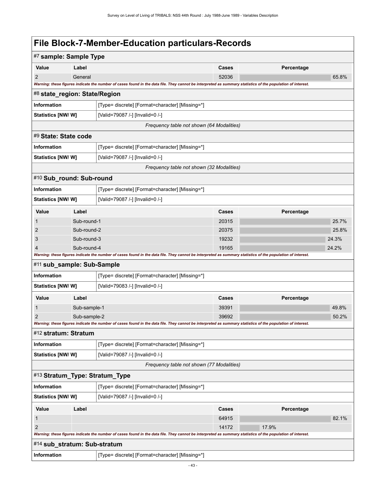| #7 sample: Sample Type                                         |              |                                                                                                                                                             |       |            |       |
|----------------------------------------------------------------|--------------|-------------------------------------------------------------------------------------------------------------------------------------------------------------|-------|------------|-------|
| Value                                                          | Label        |                                                                                                                                                             | Cases | Percentage |       |
| 2                                                              | General      |                                                                                                                                                             | 52036 |            | 65.8% |
|                                                                |              | Warning: these figures indicate the number of cases found in the data file. They cannot be interpreted as summary statistics of the population of interest. |       |            |       |
| #8 state_region: State/Region                                  |              |                                                                                                                                                             |       |            |       |
| Information                                                    |              | [Type= discrete] [Format=character] [Missing=*]                                                                                                             |       |            |       |
| <b>Statistics [NW/ W]</b>                                      |              | [Valid=79087 /-] [Invalid=0 /-]                                                                                                                             |       |            |       |
|                                                                |              | Frequency table not shown (64 Modalities)                                                                                                                   |       |            |       |
| #9 State: State code                                           |              |                                                                                                                                                             |       |            |       |
| <b>Information</b>                                             |              | [Type= discrete] [Format=character] [Missing=*]                                                                                                             |       |            |       |
| <b>Statistics [NW/W]</b>                                       |              | [Valid=79087 /-] [Invalid=0 /-]                                                                                                                             |       |            |       |
|                                                                |              | Frequency table not shown (32 Modalities)                                                                                                                   |       |            |       |
| #10 Sub_round: Sub-round                                       |              |                                                                                                                                                             |       |            |       |
| <b>Information</b>                                             |              | [Type= discrete] [Format=character] [Missing=*]                                                                                                             |       |            |       |
| <b>Statistics [NW/ W]</b>                                      |              | [Valid=79087 /-] [Invalid=0 /-]                                                                                                                             |       |            |       |
| Value                                                          | Label        |                                                                                                                                                             | Cases | Percentage |       |
|                                                                | Sub-round-1  |                                                                                                                                                             | 20315 |            | 25.7% |
| 2                                                              | Sub-round-2  |                                                                                                                                                             | 20375 |            | 25.8% |
| 3                                                              | Sub-round-3  |                                                                                                                                                             | 19232 |            | 24.3% |
|                                                                | Sub-round-4  |                                                                                                                                                             | 19165 |            | 24.2% |
|                                                                |              | Warning: these figures indicate the number of cases found in the data file. They cannot be interpreted as summary statistics of the population of interest. |       |            |       |
| #11 sub_sample: Sub-Sample                                     |              |                                                                                                                                                             |       |            |       |
| Information                                                    |              | [Type= discrete] [Format=character] [Missing=*]                                                                                                             |       |            |       |
| Statistics [NW/W]                                              |              | [Valid=79083 /-] [Invalid=0 /-]                                                                                                                             |       |            |       |
| Value                                                          | Label        |                                                                                                                                                             | Cases | Percentage |       |
| 1                                                              | Sub-sample-1 |                                                                                                                                                             | 39391 |            | 49.8% |
| 2                                                              | Sub-sample-2 |                                                                                                                                                             | 39692 |            | 50.2% |
|                                                                |              | Warning: these figures indicate the number of cases found in the data file. They cannot be interpreted as summary statistics of the population of interest. |       |            |       |
| #12 stratum: Stratum                                           |              |                                                                                                                                                             |       |            |       |
| Information                                                    |              | [Type= discrete] [Format=character] [Missing=*]                                                                                                             |       |            |       |
| Statistics [NW/W]                                              |              | [Valid=79087 /-] [Invalid=0 /-]                                                                                                                             |       |            |       |
|                                                                |              | Frequency table not shown (77 Modalities)                                                                                                                   |       |            |       |
| #13 Stratum_Type: Stratum_Type                                 |              |                                                                                                                                                             |       |            |       |
| Information<br>[Type= discrete] [Format=character] [Missing=*] |              |                                                                                                                                                             |       |            |       |
| Statistics [NW/W]                                              |              | [Valid=79087 /-] [Invalid=0 /-]                                                                                                                             |       |            |       |
| Value                                                          | Label        |                                                                                                                                                             | Cases | Percentage |       |
| 1                                                              |              |                                                                                                                                                             | 64915 |            | 82.1% |
| $\overline{2}$                                                 |              |                                                                                                                                                             | 14172 | 17.9%      |       |
|                                                                |              | Warning: these figures indicate the number of cases found in the data file. They cannot be interpreted as summary statistics of the population of interest. |       |            |       |
| #14 sub_stratum: Sub-stratum                                   |              |                                                                                                                                                             |       |            |       |
| Information                                                    |              | [Type= discrete] [Format=character] [Missing=*]                                                                                                             |       |            |       |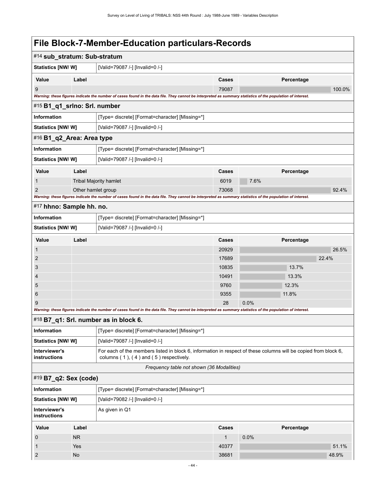| #14 sub_stratum: Sub-stratum                                          |                           |                                                                                                                                                                  |                                           |                |        |
|-----------------------------------------------------------------------|---------------------------|------------------------------------------------------------------------------------------------------------------------------------------------------------------|-------------------------------------------|----------------|--------|
| Statistics [NW/ W]                                                    |                           | [Valid=79087 /-] [Invalid=0 /-]                                                                                                                                  |                                           |                |        |
| Value                                                                 | Label                     |                                                                                                                                                                  | <b>Cases</b>                              | Percentage     |        |
| 9                                                                     |                           |                                                                                                                                                                  | 79087                                     |                | 100.0% |
|                                                                       |                           | Warning: these figures indicate the number of cases found in the data file. They cannot be interpreted as summary statistics of the population of interest.      |                                           |                |        |
| #15 B1_q1_srlno: Srl. number                                          |                           |                                                                                                                                                                  |                                           |                |        |
| <b>Information</b><br>[Type= discrete] [Format=character] [Missing=*] |                           |                                                                                                                                                                  |                                           |                |        |
| <b>Statistics [NW/ W]</b>                                             |                           | [Valid=79087 /-] [Invalid=0 /-]                                                                                                                                  |                                           |                |        |
|                                                                       | #16 B1_q2_Area: Area type |                                                                                                                                                                  |                                           |                |        |
| Information                                                           |                           | [Type= discrete] [Format=character] [Missing=*]                                                                                                                  |                                           |                |        |
| <b>Statistics [NW/ W]</b>                                             |                           | [Valid=79087 /-] [Invalid=0 /-]                                                                                                                                  |                                           |                |        |
| Value                                                                 | Label                     |                                                                                                                                                                  | Cases                                     | Percentage     |        |
| 1                                                                     |                           | Tribal Majority hamlet                                                                                                                                           | 6019                                      | 7.6%           |        |
| 2                                                                     | Other hamlet group        |                                                                                                                                                                  | 73068                                     |                | 92.4%  |
|                                                                       |                           | Warning: these figures indicate the number of cases found in the data file. They cannot be interpreted as summary statistics of the population of interest.      |                                           |                |        |
| #17 hhno: Sample hh. no.                                              |                           |                                                                                                                                                                  |                                           |                |        |
| Information                                                           |                           | [Type= discrete] [Format=character] [Missing=*]                                                                                                                  |                                           |                |        |
| <b>Statistics [NW/ W]</b>                                             |                           | [Valid=79087 /-] [Invalid=0 /-]                                                                                                                                  |                                           |                |        |
| Value                                                                 | Label                     |                                                                                                                                                                  | Cases                                     | Percentage     |        |
| 1                                                                     |                           |                                                                                                                                                                  | 20929                                     |                | 26.5%  |
| $\overline{2}$                                                        |                           |                                                                                                                                                                  | 17689                                     |                | 22.4%  |
| 3                                                                     |                           |                                                                                                                                                                  | 10835                                     | 13.7%          |        |
| $\overline{4}$<br>5                                                   |                           |                                                                                                                                                                  | 10491<br>9760                             | 13.3%<br>12.3% |        |
| 6                                                                     |                           |                                                                                                                                                                  | 9355                                      | 11.8%          |        |
| 9                                                                     |                           |                                                                                                                                                                  | 28                                        | 0.0%           |        |
|                                                                       |                           | Warning: these figures indicate the number of cases found in the data file. They cannot be interpreted as summary statistics of the population of interest.      |                                           |                |        |
|                                                                       |                           | #18 B7_q1: Srl. number as in block 6.                                                                                                                            |                                           |                |        |
| <b>Information</b>                                                    |                           | [Type= discrete] [Format=character] [Missing=*]                                                                                                                  |                                           |                |        |
| Statistics [NW/W]                                                     |                           | [Valid=79087 /-] [Invalid=0 /-]                                                                                                                                  |                                           |                |        |
| Interviewer's<br>instructions                                         |                           | For each of the members listed in block 6, information in respect of these columns will be copied from block 6,<br>columns $(1)$ , $(4)$ and $(5)$ respectively. |                                           |                |        |
|                                                                       |                           |                                                                                                                                                                  | Frequency table not shown (36 Modalities) |                |        |
| #19 B7_q2: Sex (code)                                                 |                           |                                                                                                                                                                  |                                           |                |        |
| Information                                                           |                           | [Type= discrete] [Format=character] [Missing=*]                                                                                                                  |                                           |                |        |
| Statistics [NW/W]                                                     |                           | [Valid=79082 /-] [Invalid=0 /-]                                                                                                                                  |                                           |                |        |
| Interviewer's<br>instructions                                         |                           | As given in Q1                                                                                                                                                   |                                           |                |        |
| Value                                                                 | Label                     |                                                                                                                                                                  | Cases                                     | Percentage     |        |
| $\mathbf 0$                                                           | <b>NR</b>                 |                                                                                                                                                                  | $\mathbf{1}$                              | 0.0%           |        |
| $\mathbf 1$                                                           | Yes                       |                                                                                                                                                                  | 40377                                     |                | 51.1%  |
| $\overline{\mathbf{c}}$                                               | <b>No</b>                 |                                                                                                                                                                  | 38681                                     |                | 48.9%  |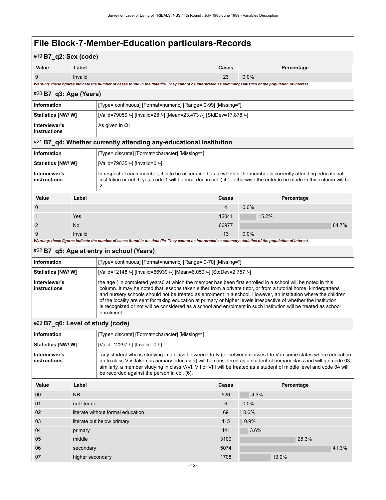| #19 B7_q2: Sex (code)                |                                                                                                                                                                                                                                                                                                                                                                                                                                                                                                                                                                                                                       |                                                                                                                                                                                                                                                |                |            |       |
|--------------------------------------|-----------------------------------------------------------------------------------------------------------------------------------------------------------------------------------------------------------------------------------------------------------------------------------------------------------------------------------------------------------------------------------------------------------------------------------------------------------------------------------------------------------------------------------------------------------------------------------------------------------------------|------------------------------------------------------------------------------------------------------------------------------------------------------------------------------------------------------------------------------------------------|----------------|------------|-------|
| Value                                | Label                                                                                                                                                                                                                                                                                                                                                                                                                                                                                                                                                                                                                 |                                                                                                                                                                                                                                                | Cases          | Percentage |       |
| 9                                    | Invalid                                                                                                                                                                                                                                                                                                                                                                                                                                                                                                                                                                                                               |                                                                                                                                                                                                                                                | 23             | 0.0%       |       |
|                                      |                                                                                                                                                                                                                                                                                                                                                                                                                                                                                                                                                                                                                       | Warning: these figures indicate the number of cases found in the data file. They cannot be interpreted as summary statistics of the population of interest.                                                                                    |                |            |       |
| #20 B7_q3: Age (Years)               |                                                                                                                                                                                                                                                                                                                                                                                                                                                                                                                                                                                                                       |                                                                                                                                                                                                                                                |                |            |       |
| <b>Information</b>                   |                                                                                                                                                                                                                                                                                                                                                                                                                                                                                                                                                                                                                       | [Type= continuous] [Format=numeric] [Range= 0-99] [Missing=*]                                                                                                                                                                                  |                |            |       |
| Statistics [NW/W]                    |                                                                                                                                                                                                                                                                                                                                                                                                                                                                                                                                                                                                                       | [Valid=79059 /-] [Invalid=28 /-] [Mean=23.473 /-] [StdDev=17.878 /-]                                                                                                                                                                           |                |            |       |
| Interviewer's<br><b>instructions</b> |                                                                                                                                                                                                                                                                                                                                                                                                                                                                                                                                                                                                                       | As given in Q1                                                                                                                                                                                                                                 |                |            |       |
|                                      |                                                                                                                                                                                                                                                                                                                                                                                                                                                                                                                                                                                                                       | #21 B7_q4: Whether currently attending any-educational institution                                                                                                                                                                             |                |            |       |
| <b>Information</b>                   |                                                                                                                                                                                                                                                                                                                                                                                                                                                                                                                                                                                                                       | [Type= discrete] [Format=character] [Missing=*]                                                                                                                                                                                                |                |            |       |
| <b>Statistics [NW/W]</b>             |                                                                                                                                                                                                                                                                                                                                                                                                                                                                                                                                                                                                                       | [Valid=79035 /-] [Invalid=0 /-]                                                                                                                                                                                                                |                |            |       |
| Interviewer's<br>instructions        |                                                                                                                                                                                                                                                                                                                                                                                                                                                                                                                                                                                                                       | In respect of each member, it is to be ascertained as to whether the member is currently attending educational<br>institution or not. If yes, code 1 will be recorded in col. (4): otherwise the entry to be made in this column will be<br>2. |                |            |       |
| Value                                | Label                                                                                                                                                                                                                                                                                                                                                                                                                                                                                                                                                                                                                 |                                                                                                                                                                                                                                                | Cases          | Percentage |       |
| 0                                    |                                                                                                                                                                                                                                                                                                                                                                                                                                                                                                                                                                                                                       |                                                                                                                                                                                                                                                | $\overline{4}$ | 0.0%       |       |
| 1                                    | Yes                                                                                                                                                                                                                                                                                                                                                                                                                                                                                                                                                                                                                   |                                                                                                                                                                                                                                                | 12041          | 15.2%      |       |
| 2                                    | <b>No</b>                                                                                                                                                                                                                                                                                                                                                                                                                                                                                                                                                                                                             |                                                                                                                                                                                                                                                | 66977          | 84.7%      |       |
| 9                                    | Invalid                                                                                                                                                                                                                                                                                                                                                                                                                                                                                                                                                                                                               | Warning: these figures indicate the number of cases found in the data file. They cannot be interpreted as summary statistics of the population of interest.                                                                                    | 13             | 0.0%       |       |
|                                      |                                                                                                                                                                                                                                                                                                                                                                                                                                                                                                                                                                                                                       | #22 B7_q5: Age at entry in school (Years)                                                                                                                                                                                                      |                |            |       |
|                                      |                                                                                                                                                                                                                                                                                                                                                                                                                                                                                                                                                                                                                       |                                                                                                                                                                                                                                                |                |            |       |
| <b>Information</b>                   |                                                                                                                                                                                                                                                                                                                                                                                                                                                                                                                                                                                                                       | [Type= continuous] [Format=numeric] [Range= 0-70] [Missing=*]                                                                                                                                                                                  |                |            |       |
| <b>Statistics [NW/ W]</b>            |                                                                                                                                                                                                                                                                                                                                                                                                                                                                                                                                                                                                                       | [Valid=12148 /-] [Invalid=66939 /-] [Mean=6.059 /-] [StdDev=2.757 /-]                                                                                                                                                                          |                |            |       |
| instructions                         | Interviewer's<br>the age (in completed years0 at which the member has been first enrolled in a school will be noted in this<br>column. It may he noted that lessons taken either from a private tutor, or from a tutorial home, kindergartens<br>and nursery schools should not be treated as enrolment in a school. However, an institution where the children<br>of the locality are sent for taking education at primary or higher levels irrespective of whether the institution<br>is recognized or not will be considered as a school and enrolment in such institution will be treated as school<br>enrolment. |                                                                                                                                                                                                                                                |                |            |       |
| #23 B7_q6: Level of study (code)     |                                                                                                                                                                                                                                                                                                                                                                                                                                                                                                                                                                                                                       |                                                                                                                                                                                                                                                |                |            |       |
| Information                          |                                                                                                                                                                                                                                                                                                                                                                                                                                                                                                                                                                                                                       | [Type= discrete] [Format=character] [Missing=*]                                                                                                                                                                                                |                |            |       |
| Statistics [NW/ W]                   |                                                                                                                                                                                                                                                                                                                                                                                                                                                                                                                                                                                                                       | [Valid=12297 /-] [Invalid=0 /-]                                                                                                                                                                                                                |                |            |       |
| Interviewer's<br>instructions        | any student who is studying in a class between I to Iv (or between classes I to V in some states where education<br>up to class V is taken as primary education) will be considered as a student of primary class and will get code 03,<br>similarly, a member studying in class V/VI, VII or VIII will be treated as a student of middle level and code 04 will<br>be recorded against the person in col. (6).                                                                                                                                                                                                       |                                                                                                                                                                                                                                                |                |            |       |
| Value                                | Label                                                                                                                                                                                                                                                                                                                                                                                                                                                                                                                                                                                                                 |                                                                                                                                                                                                                                                | Cases          | Percentage |       |
| 00                                   | <b>NR</b>                                                                                                                                                                                                                                                                                                                                                                                                                                                                                                                                                                                                             |                                                                                                                                                                                                                                                | 526            | 4.3%       |       |
| 01                                   | not literate                                                                                                                                                                                                                                                                                                                                                                                                                                                                                                                                                                                                          |                                                                                                                                                                                                                                                | 6              | 0.0%       |       |
| 02                                   |                                                                                                                                                                                                                                                                                                                                                                                                                                                                                                                                                                                                                       | literate without formal education                                                                                                                                                                                                              | 69             | 0.6%       |       |
| 03                                   |                                                                                                                                                                                                                                                                                                                                                                                                                                                                                                                                                                                                                       | literate but below primary                                                                                                                                                                                                                     | 115            | 0.9%       |       |
| 04                                   | primary                                                                                                                                                                                                                                                                                                                                                                                                                                                                                                                                                                                                               |                                                                                                                                                                                                                                                | 441            | 3.6%       |       |
| 05                                   | middle                                                                                                                                                                                                                                                                                                                                                                                                                                                                                                                                                                                                                |                                                                                                                                                                                                                                                | 3109           | 25.3%      |       |
| 06                                   | secondary                                                                                                                                                                                                                                                                                                                                                                                                                                                                                                                                                                                                             |                                                                                                                                                                                                                                                | 5074           |            | 41.3% |
| 07                                   | higher secondary                                                                                                                                                                                                                                                                                                                                                                                                                                                                                                                                                                                                      |                                                                                                                                                                                                                                                | 1708           | 13.9%      |       |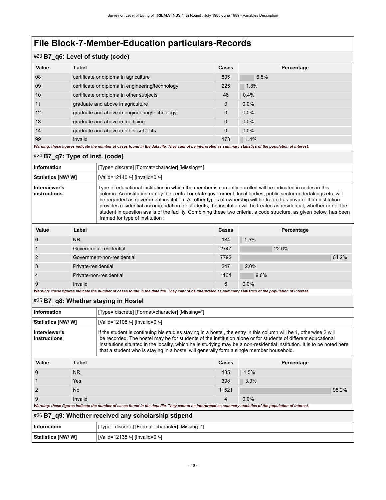### #23 **B7\_q6: Level of study (code)**

| - -<br>. . |                                                                                                                                                             |              |            |  |  |
|------------|-------------------------------------------------------------------------------------------------------------------------------------------------------------|--------------|------------|--|--|
| Value      | Label                                                                                                                                                       | <b>Cases</b> | Percentage |  |  |
| 08         | certificate or diploma in agriculture                                                                                                                       | 805          | 6.5%       |  |  |
| 09         | certificate or diploma in engineering/technology                                                                                                            | 225          | 1.8%       |  |  |
| 10         | certificate or diploma in other subjects                                                                                                                    | 46           | 0.4%       |  |  |
| 11         | graduate and above in agriculture                                                                                                                           | 0            | 0.0%       |  |  |
| 12         | graduate and above in engineering/technology                                                                                                                | $\Omega$     | $0.0\%$    |  |  |
| 13         | graduate and above in medicine                                                                                                                              | $\Omega$     | $0.0\%$    |  |  |
| 14         | graduate and above in other subjects                                                                                                                        | $\Omega$     | $0.0\%$    |  |  |
| 99         | Invalid                                                                                                                                                     | 173          | 1.4%       |  |  |
|            | Warning: these figures indicate the number of cases found in the data file. They cannot be interpreted as summary statistics of the population of interest. |              |            |  |  |

#### #24 **B7\_q7: Type of inst. (code)**

| Information                   |                | [Type= discrete] [Format=character] [Missing=*]                                                                                                                                                                                                                                                                                                                                                                                                                                                                                                                                                                                           |       |            |  |
|-------------------------------|----------------|-------------------------------------------------------------------------------------------------------------------------------------------------------------------------------------------------------------------------------------------------------------------------------------------------------------------------------------------------------------------------------------------------------------------------------------------------------------------------------------------------------------------------------------------------------------------------------------------------------------------------------------------|-------|------------|--|
| <b>Statistics [NW/W]</b>      |                | [Valid=12140 /-] [Invalid=0 /-]                                                                                                                                                                                                                                                                                                                                                                                                                                                                                                                                                                                                           |       |            |  |
| Interviewer's<br>instructions |                | Type of educational institution in which the member is currently enrolled will be indicated in codes in this<br>column. An institution run by the central or state government, local bodies, public sector undertakings etc. will<br>be regarded as government institution. All other types of ownership will be treated as private. If an institution<br>provides residential accommodation for students, the institution will be treated as residential, whether or not the<br>student in question avails of the facility. Combining these two criteria, a code structure, as given below, has been<br>framed for type of institution : |       |            |  |
| Value                         | Label          |                                                                                                                                                                                                                                                                                                                                                                                                                                                                                                                                                                                                                                           | Cases | Percentage |  |
|                               | N <sub>R</sub> |                                                                                                                                                                                                                                                                                                                                                                                                                                                                                                                                                                                                                                           | 184   | 1.5%       |  |
|                               |                | Government-residential                                                                                                                                                                                                                                                                                                                                                                                                                                                                                                                                                                                                                    | 2747  | 22.6%      |  |
|                               |                |                                                                                                                                                                                                                                                                                                                                                                                                                                                                                                                                                                                                                                           |       |            |  |

|                                                                                                                                                             | Government-non-residential | 7792 |         | 64.2% |
|-------------------------------------------------------------------------------------------------------------------------------------------------------------|----------------------------|------|---------|-------|
|                                                                                                                                                             | Private-residential        | 247  | 2.0%    |       |
|                                                                                                                                                             | Private-non-residential    | 1164 | $9.6\%$ |       |
|                                                                                                                                                             | Invalid                    |      | $0.0\%$ |       |
| Warning: these figures indicate the number of cases found in the data file. They cannot be interpreted as summary statistics of the population of interest. |                            |      |         |       |

#### #25 **B7\_q8: Whether staying in Hostel**

| <b>Information</b>                                  |                                                 | [Type= discrete] [Format=character] [Missing=*]                                                                                                                                                                                                                                                                                                                                                                                                             |       |            |       |
|-----------------------------------------------------|-------------------------------------------------|-------------------------------------------------------------------------------------------------------------------------------------------------------------------------------------------------------------------------------------------------------------------------------------------------------------------------------------------------------------------------------------------------------------------------------------------------------------|-------|------------|-------|
| Statistics [NW/ W]                                  |                                                 | [Valid=12108 /-] [Invalid=0 /-]                                                                                                                                                                                                                                                                                                                                                                                                                             |       |            |       |
| Interviewer's<br>instructions                       |                                                 | If the student is continuing his studies staying in a hostel, the entry in this column will be 1, otherwise 2 will<br>be recorded. The hostel may be for students of the institution alone or for students of different educational<br>institutions situated in the locality, which he is studying may be a non-residential institution. It is to be noted here<br>that a student who is staying in a hostel will generally form a single member household. |       |            |       |
| Value                                               | Label                                           |                                                                                                                                                                                                                                                                                                                                                                                                                                                             | Cases | Percentage |       |
| O                                                   | N <sub>R</sub>                                  |                                                                                                                                                                                                                                                                                                                                                                                                                                                             | 185   | 1.5%       |       |
|                                                     | <b>Yes</b>                                      |                                                                                                                                                                                                                                                                                                                                                                                                                                                             | 398   | 3.3%       |       |
| 2                                                   | No.                                             |                                                                                                                                                                                                                                                                                                                                                                                                                                                             | 11521 |            | 95.2% |
| 9                                                   | Invalid                                         |                                                                                                                                                                                                                                                                                                                                                                                                                                                             | 4     | $0.0\%$    |       |
|                                                     |                                                 | Warning: these figures indicate the number of cases found in the data file. They cannot be interpreted as summary statistics of the population of interest.                                                                                                                                                                                                                                                                                                 |       |            |       |
| #26 B7_q9: Whether received any scholarship stipend |                                                 |                                                                                                                                                                                                                                                                                                                                                                                                                                                             |       |            |       |
| <b>Information</b>                                  | [Type= discrete] [Format=character] [Missing=*] |                                                                                                                                                                                                                                                                                                                                                                                                                                                             |       |            |       |
| Statistics [NW/W]                                   |                                                 | [Valid=12135 /-] [Invalid=0 /-]                                                                                                                                                                                                                                                                                                                                                                                                                             |       |            |       |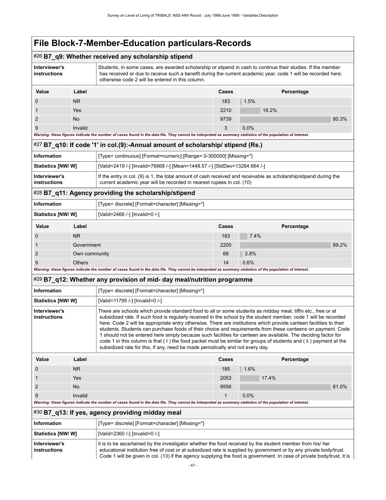### #26 **B7\_q9: Whether received any scholarship stipend**

| Interviewer's                                                                                                                                                                                                                                                                                     |                                                                                                                                                                                                                                                                                                                                                                                                                                                                                                                                                                                                                                                                                                                                                                                                | $\sim$ Dr. go. Wrighter received any scholarship superium.                                                                                                                                                                                                                                                                                                |       |            |
|---------------------------------------------------------------------------------------------------------------------------------------------------------------------------------------------------------------------------------------------------------------------------------------------------|------------------------------------------------------------------------------------------------------------------------------------------------------------------------------------------------------------------------------------------------------------------------------------------------------------------------------------------------------------------------------------------------------------------------------------------------------------------------------------------------------------------------------------------------------------------------------------------------------------------------------------------------------------------------------------------------------------------------------------------------------------------------------------------------|-----------------------------------------------------------------------------------------------------------------------------------------------------------------------------------------------------------------------------------------------------------------------------------------------------------------------------------------------------------|-------|------------|
| Students, in some cases, are awarded scholarship or stipend in cash to continue their studies. If the member<br>instructions<br>has received or due to receive such a benefit during the current academic year, code 1 will be recorded here;<br>otherwise code 2 will be entered in this column. |                                                                                                                                                                                                                                                                                                                                                                                                                                                                                                                                                                                                                                                                                                                                                                                                |                                                                                                                                                                                                                                                                                                                                                           |       |            |
| Value                                                                                                                                                                                                                                                                                             | Label                                                                                                                                                                                                                                                                                                                                                                                                                                                                                                                                                                                                                                                                                                                                                                                          |                                                                                                                                                                                                                                                                                                                                                           | Cases | Percentage |
| 0                                                                                                                                                                                                                                                                                                 | N <sub>R</sub>                                                                                                                                                                                                                                                                                                                                                                                                                                                                                                                                                                                                                                                                                                                                                                                 |                                                                                                                                                                                                                                                                                                                                                           | 183   | 1.5%       |
| 1                                                                                                                                                                                                                                                                                                 | Yes                                                                                                                                                                                                                                                                                                                                                                                                                                                                                                                                                                                                                                                                                                                                                                                            |                                                                                                                                                                                                                                                                                                                                                           | 2210  | 18.2%      |
| 2                                                                                                                                                                                                                                                                                                 | No                                                                                                                                                                                                                                                                                                                                                                                                                                                                                                                                                                                                                                                                                                                                                                                             |                                                                                                                                                                                                                                                                                                                                                           | 9739  | 80.3%      |
| 9                                                                                                                                                                                                                                                                                                 | Invalid                                                                                                                                                                                                                                                                                                                                                                                                                                                                                                                                                                                                                                                                                                                                                                                        |                                                                                                                                                                                                                                                                                                                                                           | 3     | 0.0%       |
|                                                                                                                                                                                                                                                                                                   |                                                                                                                                                                                                                                                                                                                                                                                                                                                                                                                                                                                                                                                                                                                                                                                                | Warning: these figures indicate the number of cases found in the data file. They cannot be interpreted as summary statistics of the population of interest.<br>#27 B7_q10: If code '1' in col.(9):-Annual amount of scholarship/ stipend (Rs.)                                                                                                            |       |            |
| Information                                                                                                                                                                                                                                                                                       |                                                                                                                                                                                                                                                                                                                                                                                                                                                                                                                                                                                                                                                                                                                                                                                                | [Type= continuous] [Format=numeric] [Range= 0-300000] [Missing=*]                                                                                                                                                                                                                                                                                         |       |            |
| <b>Statistics [NW/W]</b>                                                                                                                                                                                                                                                                          |                                                                                                                                                                                                                                                                                                                                                                                                                                                                                                                                                                                                                                                                                                                                                                                                | [Valid=2419 /-] [Invalid=76668 /-] [Mean=1448.57 /-] [StdDev=13264.664 /-]                                                                                                                                                                                                                                                                                |       |            |
| Interviewer's<br>instructions                                                                                                                                                                                                                                                                     |                                                                                                                                                                                                                                                                                                                                                                                                                                                                                                                                                                                                                                                                                                                                                                                                | If the entry in col. (9) is 1, the total amount of cash received and receivable as scholarship/stipend during the<br>current academic year will be recorded in nearest rupees in col. (10)                                                                                                                                                                |       |            |
|                                                                                                                                                                                                                                                                                                   |                                                                                                                                                                                                                                                                                                                                                                                                                                                                                                                                                                                                                                                                                                                                                                                                | #28 B7_q11: Agency providing the scholarship/stipend                                                                                                                                                                                                                                                                                                      |       |            |
| Information                                                                                                                                                                                                                                                                                       |                                                                                                                                                                                                                                                                                                                                                                                                                                                                                                                                                                                                                                                                                                                                                                                                | [Type= discrete] [Format=character] [Missing=*]                                                                                                                                                                                                                                                                                                           |       |            |
| Statistics [NW/W]                                                                                                                                                                                                                                                                                 |                                                                                                                                                                                                                                                                                                                                                                                                                                                                                                                                                                                                                                                                                                                                                                                                | [Valid=2466 /-] [Invalid=0 /-]                                                                                                                                                                                                                                                                                                                            |       |            |
| Value                                                                                                                                                                                                                                                                                             | Label                                                                                                                                                                                                                                                                                                                                                                                                                                                                                                                                                                                                                                                                                                                                                                                          |                                                                                                                                                                                                                                                                                                                                                           | Cases | Percentage |
| 0                                                                                                                                                                                                                                                                                                 | N <sub>R</sub>                                                                                                                                                                                                                                                                                                                                                                                                                                                                                                                                                                                                                                                                                                                                                                                 |                                                                                                                                                                                                                                                                                                                                                           | 183   | 7.4%       |
| 1                                                                                                                                                                                                                                                                                                 | Government                                                                                                                                                                                                                                                                                                                                                                                                                                                                                                                                                                                                                                                                                                                                                                                     |                                                                                                                                                                                                                                                                                                                                                           | 2200  | 89.2%      |
| $\overline{2}$                                                                                                                                                                                                                                                                                    | Own community                                                                                                                                                                                                                                                                                                                                                                                                                                                                                                                                                                                                                                                                                                                                                                                  |                                                                                                                                                                                                                                                                                                                                                           | 69    | 2.8%       |
| 9                                                                                                                                                                                                                                                                                                 | <b>Others</b>                                                                                                                                                                                                                                                                                                                                                                                                                                                                                                                                                                                                                                                                                                                                                                                  |                                                                                                                                                                                                                                                                                                                                                           | 14    | 0.6%       |
|                                                                                                                                                                                                                                                                                                   |                                                                                                                                                                                                                                                                                                                                                                                                                                                                                                                                                                                                                                                                                                                                                                                                | Warning: these figures indicate the number of cases found in the data file. They cannot be interpreted as summary statistics of the population of interest.                                                                                                                                                                                               |       |            |
|                                                                                                                                                                                                                                                                                                   |                                                                                                                                                                                                                                                                                                                                                                                                                                                                                                                                                                                                                                                                                                                                                                                                | #29 B7_q12: Whether any provision of mid- day meal/nutrition programme                                                                                                                                                                                                                                                                                    |       |            |
| Information                                                                                                                                                                                                                                                                                       |                                                                                                                                                                                                                                                                                                                                                                                                                                                                                                                                                                                                                                                                                                                                                                                                | [Type= discrete] [Format=character] [Missing=*]                                                                                                                                                                                                                                                                                                           |       |            |
| Statistics [NW/ W]                                                                                                                                                                                                                                                                                |                                                                                                                                                                                                                                                                                                                                                                                                                                                                                                                                                                                                                                                                                                                                                                                                | [Valid=11795 /-] [Invalid=0 /-]                                                                                                                                                                                                                                                                                                                           |       |            |
| Interviewer's<br>instructions                                                                                                                                                                                                                                                                     | There are schools which provide standard food to all or some students as midday meal, tiffin etc., free or at<br>subsidized rate. If such food is regularly received in the school by the student member, code 1 will be recorded<br>here. Code 2 will be appropriate entry otherwise. There are institutions which provide canteen facilities to their<br>students. Students can purchase foods of their choice and requirements from these canteens on payment. Code<br>1 should not be entered here simply because such facilities for canteen are available. The deciding factor for<br>code 1 in this column is that (1) the food packet must be similar for groups of students and (ii) payment at the<br>subsidized rate for this, if any, need be made periodically and not every day. |                                                                                                                                                                                                                                                                                                                                                           |       |            |
| Value                                                                                                                                                                                                                                                                                             | Label                                                                                                                                                                                                                                                                                                                                                                                                                                                                                                                                                                                                                                                                                                                                                                                          |                                                                                                                                                                                                                                                                                                                                                           | Cases | Percentage |
| 0                                                                                                                                                                                                                                                                                                 | N <sub>R</sub>                                                                                                                                                                                                                                                                                                                                                                                                                                                                                                                                                                                                                                                                                                                                                                                 |                                                                                                                                                                                                                                                                                                                                                           | 185   | 1.6%       |
| 1                                                                                                                                                                                                                                                                                                 | Yes                                                                                                                                                                                                                                                                                                                                                                                                                                                                                                                                                                                                                                                                                                                                                                                            |                                                                                                                                                                                                                                                                                                                                                           | 2053  | 17.4%      |
| $\overline{2}$                                                                                                                                                                                                                                                                                    | <b>No</b>                                                                                                                                                                                                                                                                                                                                                                                                                                                                                                                                                                                                                                                                                                                                                                                      |                                                                                                                                                                                                                                                                                                                                                           | 9556  | 81.0%      |
| 9<br>Invalid                                                                                                                                                                                                                                                                                      |                                                                                                                                                                                                                                                                                                                                                                                                                                                                                                                                                                                                                                                                                                                                                                                                | 1                                                                                                                                                                                                                                                                                                                                                         | 0.0%  |            |
|                                                                                                                                                                                                                                                                                                   |                                                                                                                                                                                                                                                                                                                                                                                                                                                                                                                                                                                                                                                                                                                                                                                                | Warning: these figures indicate the number of cases found in the data file. They cannot be interpreted as summary statistics of the population of interest.                                                                                                                                                                                               |       |            |
|                                                                                                                                                                                                                                                                                                   |                                                                                                                                                                                                                                                                                                                                                                                                                                                                                                                                                                                                                                                                                                                                                                                                | #30 B7_q13: If yes, agency providing midday meal                                                                                                                                                                                                                                                                                                          |       |            |
| Information                                                                                                                                                                                                                                                                                       |                                                                                                                                                                                                                                                                                                                                                                                                                                                                                                                                                                                                                                                                                                                                                                                                | [Type= discrete] [Format=character] [Missing=*]                                                                                                                                                                                                                                                                                                           |       |            |
| Statistics [NW/W]                                                                                                                                                                                                                                                                                 |                                                                                                                                                                                                                                                                                                                                                                                                                                                                                                                                                                                                                                                                                                                                                                                                | [Valid=2360 /-] [Invalid=0 /-]                                                                                                                                                                                                                                                                                                                            |       |            |
| Interviewer's<br>instructions                                                                                                                                                                                                                                                                     |                                                                                                                                                                                                                                                                                                                                                                                                                                                                                                                                                                                                                                                                                                                                                                                                | it is to be ascertained by the investigator whether the food received by the student member from his/ her<br>educational institution free of cost or at subsidized rate is supplied by government or by any private body/trust.<br>Code 1 will be given in col. (13) if the agency supplying the food is government. In case of private body/trust, it is |       |            |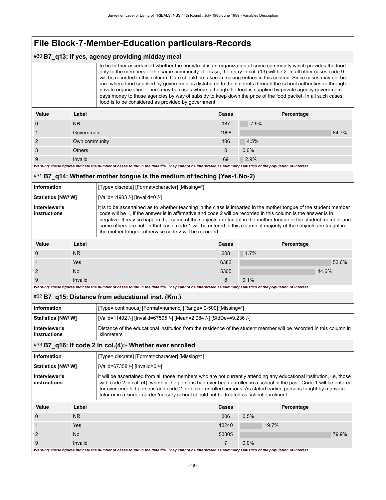#### #30 **B7\_q13: If yes, agency providing midday meal**

 to be further ascertained whether the body/trust is an organization of some community which provides the food only to the members of the same community. If it is so, the entry in col. (13) will be 2. In all other cases code 9 will be recorded in this column. Care should be taken in making entries in this column. Since cases may not be rare where food supplied by government is distributed to the students through the school authorities or through private organization. There may be cases where although the food is supplied by private agency government pays money to those agencies by way of subsidy to keep down the price of the food packet. In all such cases, food is to be considered as provided by government.

| Value          | Label                                                                                                                                                       | Cases | Percentage |  |  |  |
|----------------|-------------------------------------------------------------------------------------------------------------------------------------------------------------|-------|------------|--|--|--|
| $\mathbf 0$    | N <sub>R</sub>                                                                                                                                              | 187   | 7.9%       |  |  |  |
|                | Government                                                                                                                                                  | 1998  | 84.7%      |  |  |  |
| $\overline{2}$ | Own community                                                                                                                                               | 106   | 4.5%       |  |  |  |
| 3              | <b>Others</b>                                                                                                                                               | 0     | 0.0%       |  |  |  |
| 9              | Invalid                                                                                                                                                     | 69    | 2.9%       |  |  |  |
|                | Warning: these figures indicate the number of cases found in the data file. They cannot be interpreted as summary statistics of the population of interest. |       |            |  |  |  |

#### #31 **B7\_q14: Whether mother tongue is the medium of teching (Yes-1,No-2)**

| <b>Information</b>                   |                | [Type= discrete] [Format=character] [Missing=*]                                                                                                                                                                                                                                                                                                                                                                                                                                                                                        |       |            |  |
|--------------------------------------|----------------|----------------------------------------------------------------------------------------------------------------------------------------------------------------------------------------------------------------------------------------------------------------------------------------------------------------------------------------------------------------------------------------------------------------------------------------------------------------------------------------------------------------------------------------|-------|------------|--|
| Statistics [NW/W]                    |                | [Valid=11903 /-] [Invalid=0 /-]                                                                                                                                                                                                                                                                                                                                                                                                                                                                                                        |       |            |  |
| Interviewer's<br><b>instructions</b> |                | it is to be ascertained as to whether teaching in the class is imparted in the mother tongue of the student member<br>code will be 1, if the answer is in affirmative and code 2 will be recorded in this column is the answer is in<br>negative. It may so happen that some of the subjects are taught in the mother tongue of the student member and<br>some others are not. In that case, code 1 will be entered in this column, if majority of the subjects are taught in<br>the mother tonque; otherwise code 2 will be recorded. |       |            |  |
| Value                                | Label          |                                                                                                                                                                                                                                                                                                                                                                                                                                                                                                                                        | Cases | Percentage |  |
| $\Omega$                             | N <sub>R</sub> |                                                                                                                                                                                                                                                                                                                                                                                                                                                                                                                                        | 208   | 1.7%       |  |
|                                      | Yes            |                                                                                                                                                                                                                                                                                                                                                                                                                                                                                                                                        | 6382  | 53.6%      |  |
| $\overline{2}$                       | <b>No</b>      |                                                                                                                                                                                                                                                                                                                                                                                                                                                                                                                                        | 5305  | 44.6%      |  |
| 9                                    | Invalid        |                                                                                                                                                                                                                                                                                                                                                                                                                                                                                                                                        | 8     | 0.1%       |  |
|                                      |                | Magginer these formed indicate the number of cases found in the data file. Their counst he integrated as cummon statistics of the nonulation of integrat                                                                                                                                                                                                                                                                                                                                                                               |       |            |  |

#### *Warning: these figures indicate the number of cases found in the data file. They cannot be interpreted as summary statistics of the population of interest.*

#### #32 **B7\_q15: Distance from educational inst. (Km.)**

| Information                   | [Type= continuous] [Format=numeric] [Range= 0-500] [Missing=*]                                                                    |
|-------------------------------|-----------------------------------------------------------------------------------------------------------------------------------|
| <b>Statistics [NW/W]</b>      | [Valid=11492 /-] [Invalid=67595 /-] [Mean=2.084 /-] [StdDev=9.236 /-]                                                             |
| Interviewer's<br>instructions | Distance of the educational institution from the residence of the student member will be recorded in this column in<br>kilometers |

#### #33 **B7\_q16: If code 2 in col.(4):- Whether ever enrolled**

| <b>Information</b>            |                                                                                                                                                                                                                                                                                                                                                                                                                                                          | [Type= discrete] [Format=character] [Missing=*]                                                                                                             |       |            |       |
|-------------------------------|----------------------------------------------------------------------------------------------------------------------------------------------------------------------------------------------------------------------------------------------------------------------------------------------------------------------------------------------------------------------------------------------------------------------------------------------------------|-------------------------------------------------------------------------------------------------------------------------------------------------------------|-------|------------|-------|
| Statistics [NW/W]             |                                                                                                                                                                                                                                                                                                                                                                                                                                                          | [Valid=67358 /-] [Invalid=0 /-]                                                                                                                             |       |            |       |
| Interviewer's<br>instructions | it will be ascertained from all those members who are not currently attending any educational institution, i.e. those<br>with code 2 in col. (4), whether the persons had ever been enrolled in a school in the past. Code 1 will be entered<br>for ever-enrolled persons and code 2 for never-enrolled persons. As stated earlier, persons taught by a private<br>tutor or in a kinder-garden/nursery school should not be treated as school enrolment. |                                                                                                                                                             |       |            |       |
| Value                         | Label                                                                                                                                                                                                                                                                                                                                                                                                                                                    |                                                                                                                                                             | Cases | Percentage |       |
|                               | <b>NR</b>                                                                                                                                                                                                                                                                                                                                                                                                                                                |                                                                                                                                                             | 306   | 0.5%       |       |
|                               | <b>Yes</b>                                                                                                                                                                                                                                                                                                                                                                                                                                               |                                                                                                                                                             | 13240 | 19.7%      |       |
| 2                             | No.                                                                                                                                                                                                                                                                                                                                                                                                                                                      |                                                                                                                                                             | 53805 |            | 79.9% |
| 9                             | Invalid                                                                                                                                                                                                                                                                                                                                                                                                                                                  |                                                                                                                                                             | 7     | 0.0%       |       |
|                               |                                                                                                                                                                                                                                                                                                                                                                                                                                                          | Warning: these figures indicate the number of cases found in the data file. They cannot be interpreted as summary statistics of the population of interest. |       |            |       |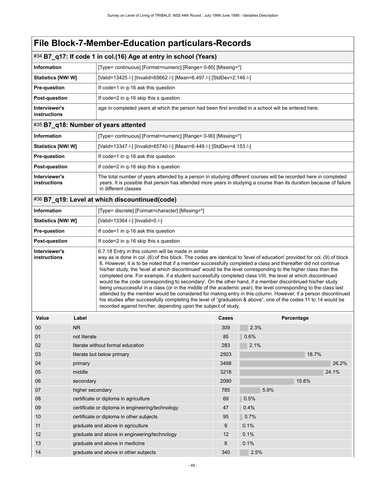| #34 B7_q17: If code 1 in col.(16) Age at entry in school (Years) |                                                                                                      |  |  |  |
|------------------------------------------------------------------|------------------------------------------------------------------------------------------------------|--|--|--|
| Information                                                      | [Type= continuous] [Format=numeric] [Range= 0-80] [Missing=*]                                        |  |  |  |
| <b>Statistics [NW/ W]</b>                                        | [Valid=13425 /-] [Invalid=65662 /-] [Mean=6.497 /-] [StdDev=2.146 /-]                                |  |  |  |
| <b>Pre-question</b>                                              | If code=1 in q-16 ask this question                                                                  |  |  |  |
| Post-question                                                    | If code=2 in q-16 skip this s question                                                               |  |  |  |
| Interviewer's<br>instructions                                    | age in completed years at which the person had been first enrolled in a school will be entered here. |  |  |  |

#### #35 **B7\_q18: Number of years attented**

| <b>Information</b>            | [Type= continuous] [Format=numeric] [Range= 0-90] [Missing=*]                                                                                                                                                                                                  |
|-------------------------------|----------------------------------------------------------------------------------------------------------------------------------------------------------------------------------------------------------------------------------------------------------------|
| <b>Statistics [NW/ W]</b>     | [Valid=13347 /-] [Invalid=65740 /-] [Mean=6.449 /-] [StdDev=4.153 /-]                                                                                                                                                                                          |
| <b>Pre-question</b>           | If code=1 in g-16 ask this question                                                                                                                                                                                                                            |
| <b>Post-question</b>          | If code=2 in q-16 skip this s question                                                                                                                                                                                                                         |
| Interviewer's<br>instructions | The total number of years attended by a person in studying different courses will be recorded here in completed<br>years. It is possible that person has attended more years in studying a course than its duration because of failure<br>in different classes |

### #36 **B7\_q19: Level at which discountinued(code)**

| <b>Information</b>            | [Type= discrete] [Format=character] [Missing=*]                                                                                                                                                                                                                                                                                                                                                                                                                                                                                                                                                                                                                                                                                                                                                                                                                                                                                                                                                                                                                         |
|-------------------------------|-------------------------------------------------------------------------------------------------------------------------------------------------------------------------------------------------------------------------------------------------------------------------------------------------------------------------------------------------------------------------------------------------------------------------------------------------------------------------------------------------------------------------------------------------------------------------------------------------------------------------------------------------------------------------------------------------------------------------------------------------------------------------------------------------------------------------------------------------------------------------------------------------------------------------------------------------------------------------------------------------------------------------------------------------------------------------|
| Statistics [NW/W]             | [Valid=13364 /-] [Invalid=0 /-]                                                                                                                                                                                                                                                                                                                                                                                                                                                                                                                                                                                                                                                                                                                                                                                                                                                                                                                                                                                                                                         |
| <b>Pre-question</b>           | If code=1 in q-16 ask this question                                                                                                                                                                                                                                                                                                                                                                                                                                                                                                                                                                                                                                                                                                                                                                                                                                                                                                                                                                                                                                     |
| Post-question                 | If code=2 in q-16 skip this s question                                                                                                                                                                                                                                                                                                                                                                                                                                                                                                                                                                                                                                                                                                                                                                                                                                                                                                                                                                                                                                  |
| Interviewer's<br>instructions | 6.7.18 Entry in this column will be made in similar<br>way as is done in col. (6) of this block. The codes are identical to 'level of education' provided for col. (9) of block<br>6. However, it is to be noted that if a member successfully completed a class and thereafter did not continue<br>his/her study, the 'level at which discontinued' would be the level corresponding to the higher class than the<br>completed one. For example, if a student successfully completed class VIII, the level at which discontinued<br>would be the code corresponding to secondary'. On the other hand, if a member discontinued his/her study<br>being unsuccessful in a class (or in the middle of the academic year), the level corresponding to the class last<br>attended by the member would be considered for making entry in this column. However, if a person discontinued<br>his studies after successfully completing the level of "graduation & above", one of the codes 11 to 14 would be<br>recorded against him/her, depending upon the subject of study. |

| Value | Label                                            | <b>Cases</b> | Percentage |
|-------|--------------------------------------------------|--------------|------------|
| 00    | N <sub>R</sub>                                   | 309          | 2.3%       |
| 01    | not literate                                     | 85           | 0.6%       |
| 02    | literate without formal education                | 283          | 2.1%       |
| 03    | literate but below primary                       | 2503         | 18.7%      |
| 04    | primary                                          | 3498         | 26.2%      |
| 05    | middle                                           | 3218         | 24.1%      |
| 06    | secondary                                        | 2090         | 15.6%      |
| 07    | higher secondary                                 | 785          | 5.9%       |
| 08    | certificate or diploma in agriculture            | 69           | 0.5%       |
| 09    | certificate or diploma in engineering/technology | 47           | 0.4%       |
| 10    | certificate or diploma in other subjects         | 95           | 0.7%       |
| 11    | graduate and above in agriculture                | 9            | 0.1%       |
| 12    | graduate and above in engineering/technology     | 12           | 0.1%       |
| 13    | graduate and above in medicine                   | 8            | 0.1%       |
| 14    | graduate and above in other subjects             | 340          | 2.5%       |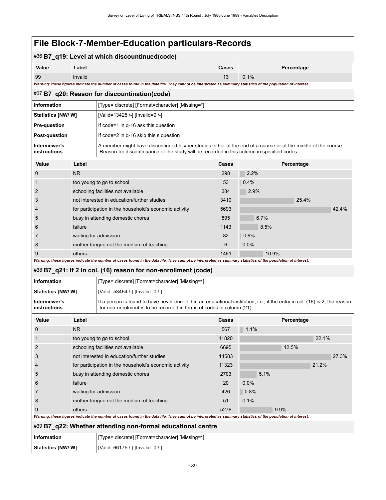# #36 **B7\_q19: Level at which discountinued(code)**

| Value                                                                                                                                                       | ∟abel   | Cases | Percentage |  |  |
|-------------------------------------------------------------------------------------------------------------------------------------------------------------|---------|-------|------------|--|--|
| 99                                                                                                                                                          | Invalid |       | 0.1%       |  |  |
| Warning: these figures indicate the number of cases found in the data file. They cannot be interpreted as summary statistics of the population of interest. |         |       |            |  |  |

#### #37 **B7\_q20: Reason for discountination(code)**

| Information                   | [Type= discrete] [Format=character] [Missing=*]                                                                                                                                                              |
|-------------------------------|--------------------------------------------------------------------------------------------------------------------------------------------------------------------------------------------------------------|
| <b>Statistics [NW/ W]</b>     | [Valid=13425 /-] [Invalid=0 /-]                                                                                                                                                                              |
| <b>Pre-guestion</b>           | If code=1 in g-16 ask this question                                                                                                                                                                          |
| <b>Post-question</b>          | If code=2 in q-16 skip this s question                                                                                                                                                                       |
| Interviewer's<br>instructions | A member might have discontinued his/her studies either at the end of a course or at the middle of the course.<br>Reason for discontinuance of the study will be recorded in this column in specified codes. |

| Value          | Label                                                                                                                                                       | Cases | Percentage |
|----------------|-------------------------------------------------------------------------------------------------------------------------------------------------------------|-------|------------|
| $\mathbf 0$    | N <sub>R</sub>                                                                                                                                              | 298   | 2.2%       |
| 1              | too young to go to school                                                                                                                                   | 53    | 0.4%       |
| $\overline{2}$ | schooling facilities not available                                                                                                                          | 384   | 2.9%       |
| 3              | not interested in education/further studies                                                                                                                 | 3410  | 25.4%      |
| $\overline{4}$ | for participation in the household's economic activity                                                                                                      | 5693  | 42.4%      |
| 5              | busy in attending domestic chores                                                                                                                           | 895   | 6.7%       |
| 6              | failure                                                                                                                                                     | 1143  | 8.5%       |
| $\overline{7}$ | waiting for admission                                                                                                                                       | 82    | 0.6%       |
| 8              | mother tonque not the medium of teaching                                                                                                                    | 6     | 0.0%       |
| 9              | others                                                                                                                                                      | 1461  | 10.9%      |
|                | Warning: these figures indicate the number of cases found in the data file. They cannot be interpreted as summary statistics of the population of interest. |       |            |

#### #38 **B7\_q21: If 2 in col. (16) reason for non-enrollment (code)**

| Information                   | [Type= discrete] [Format=character] [Missing=*]                                                                                                                                                        |
|-------------------------------|--------------------------------------------------------------------------------------------------------------------------------------------------------------------------------------------------------|
| <b>Statistics [NW/W]</b>      | [Valid=53464 /-] [Invalid=0 /-]                                                                                                                                                                        |
| Interviewer's<br>instructions | If a person is found to have never enrolled in an educational institution, i.e., if the entry in col. (16) is 2, the reason  <br>for non-enrolment is to be recorded in terms of codes in column (21). |

| Value                                                                 | Label                                                       |                                                                                                                                                             | Cases |         | Percentage |       |       |
|-----------------------------------------------------------------------|-------------------------------------------------------------|-------------------------------------------------------------------------------------------------------------------------------------------------------------|-------|---------|------------|-------|-------|
| 0                                                                     | N <sub>R</sub>                                              |                                                                                                                                                             | 567   | 1.1%    |            |       |       |
|                                                                       |                                                             | too young to go to school                                                                                                                                   | 11820 |         |            | 22.1% |       |
| 2                                                                     |                                                             | schooling facilities not available                                                                                                                          | 6695  |         | 12.5%      |       |       |
| 3                                                                     |                                                             | not interested in education/further studies                                                                                                                 | 14583 |         |            |       | 27.3% |
| 4                                                                     |                                                             | for participation in the household's economic activity                                                                                                      | 11323 |         |            | 21.2% |       |
| 5                                                                     | busy in attending domestic chores                           |                                                                                                                                                             | 2703  | 5.1%    |            |       |       |
| 6                                                                     | failure                                                     |                                                                                                                                                             | 20    | $0.0\%$ |            |       |       |
|                                                                       | waiting for admission                                       |                                                                                                                                                             | 426   | 0.8%    |            |       |       |
| 8                                                                     |                                                             | mother tongue not the medium of teaching                                                                                                                    |       | 0.1%    |            |       |       |
| 9                                                                     | others                                                      |                                                                                                                                                             |       | 9.9%    |            |       |       |
|                                                                       |                                                             | Warning: these figures indicate the number of cases found in the data file. They cannot be interpreted as summary statistics of the population of interest. |       |         |            |       |       |
|                                                                       | #39 B7_q22: Whether attending non-formal educational centre |                                                                                                                                                             |       |         |            |       |       |
| <b>Information</b><br>[Type= discrete] [Format=character] [Missing=*] |                                                             |                                                                                                                                                             |       |         |            |       |       |
| <b>Statistics [NW/ W]</b><br>[Valid=66175 /-] [Invalid=0 /-]          |                                                             |                                                                                                                                                             |       |         |            |       |       |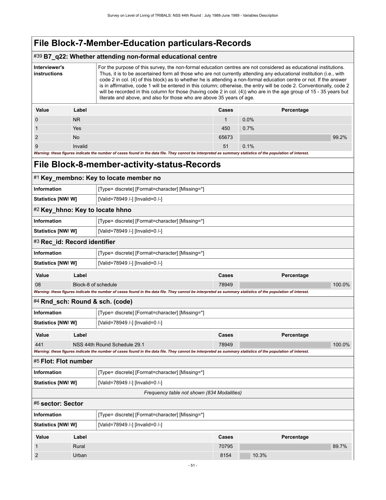#### #39 **B7\_q22: Whether attending non-formal educational centre**

| For the purpose of this survey, the non-formal education centres are not considered as educational institutions.<br>Interviewer's<br>Thus, it is to be ascertained form all those who are not currently attending any educational institution (i.e., with<br>instructions<br>code 2 in col. (4) of this block) as to whether he is attending a non-formal education centre or not. If the answer<br>is in affirmative, code 1 will be entered in this column; otherwise, the entry will be code 2. Conventionally, code 2<br>will be recorded in this column for those (having code 2 in col. (4)) who are in the age group of 15 - 35 years but<br>literate and above, and also for those who are above 35 years of age. |                |                                                                                                                                                             |       |            |       |
|---------------------------------------------------------------------------------------------------------------------------------------------------------------------------------------------------------------------------------------------------------------------------------------------------------------------------------------------------------------------------------------------------------------------------------------------------------------------------------------------------------------------------------------------------------------------------------------------------------------------------------------------------------------------------------------------------------------------------|----------------|-------------------------------------------------------------------------------------------------------------------------------------------------------------|-------|------------|-------|
| Value                                                                                                                                                                                                                                                                                                                                                                                                                                                                                                                                                                                                                                                                                                                     | Label          |                                                                                                                                                             | Cases | Percentage |       |
|                                                                                                                                                                                                                                                                                                                                                                                                                                                                                                                                                                                                                                                                                                                           | N <sub>R</sub> |                                                                                                                                                             |       | $0.0\%$    |       |
|                                                                                                                                                                                                                                                                                                                                                                                                                                                                                                                                                                                                                                                                                                                           | Yes            |                                                                                                                                                             | 450   | $0.7\%$    |       |
|                                                                                                                                                                                                                                                                                                                                                                                                                                                                                                                                                                                                                                                                                                                           | N <sub>o</sub> |                                                                                                                                                             | 65673 |            | 99 2% |
| 9                                                                                                                                                                                                                                                                                                                                                                                                                                                                                                                                                                                                                                                                                                                         | Invalid        |                                                                                                                                                             | 51    | 0.1%       |       |
|                                                                                                                                                                                                                                                                                                                                                                                                                                                                                                                                                                                                                                                                                                                           |                | Warning: these figures indicate the number of cases found in the data file. They cannot be interpreted as summary statistics of the population of interest. |       |            |       |

## **File Block-8-member-activity-status-Records**

|                                                                       | #1 Key_membno: Key to locate member no          |                                                                                                                                                             |       |            |        |
|-----------------------------------------------------------------------|-------------------------------------------------|-------------------------------------------------------------------------------------------------------------------------------------------------------------|-------|------------|--------|
| <b>Information</b>                                                    |                                                 | [Type= discrete] [Format=character] [Missing=*]                                                                                                             |       |            |        |
| <b>Statistics [NW/ W]</b>                                             |                                                 | [Valid=78949 /-] [Invalid=0 /-]                                                                                                                             |       |            |        |
|                                                                       | #2 Key_hhno: Key to locate hhno                 |                                                                                                                                                             |       |            |        |
| <b>Information</b>                                                    | [Type= discrete] [Format=character] [Missing=*] |                                                                                                                                                             |       |            |        |
| Statistics [NW/ W]                                                    |                                                 | [Valid=78949 /-] [Invalid=0 /-]                                                                                                                             |       |            |        |
| #3 Rec_id: Record identifier                                          |                                                 |                                                                                                                                                             |       |            |        |
| <b>Information</b>                                                    |                                                 | [Type= discrete] [Format=character] [Missing=*]                                                                                                             |       |            |        |
| Statistics [NW/ W]                                                    |                                                 | [Valid=78949 /-] [Invalid=0 /-]                                                                                                                             |       |            |        |
| Value                                                                 | Label                                           |                                                                                                                                                             | Cases | Percentage |        |
| 08                                                                    | Block-8 of schedule                             |                                                                                                                                                             | 78949 |            | 100.0% |
|                                                                       |                                                 | Warning: these figures indicate the number of cases found in the data file. They cannot be interpreted as summary statistics of the population of interest. |       |            |        |
| #4 Rnd_sch: Round & sch. (code)                                       |                                                 |                                                                                                                                                             |       |            |        |
| <b>Information</b><br>[Type= discrete] [Format=character] [Missing=*] |                                                 |                                                                                                                                                             |       |            |        |
| <b>Statistics [NW/ W]</b><br>[Valid=78949 /-] [Invalid=0 /-]          |                                                 |                                                                                                                                                             |       |            |        |
| Value<br>Label                                                        |                                                 |                                                                                                                                                             | Cases | Percentage |        |
| 441                                                                   |                                                 | NSS 44th Round Schedule 29.1                                                                                                                                | 78949 |            | 100.0% |
|                                                                       |                                                 | Warning: these figures indicate the number of cases found in the data file. They cannot be interpreted as summary statistics of the population of interest. |       |            |        |
| #5 Flot: Flot number                                                  |                                                 |                                                                                                                                                             |       |            |        |
| <b>Information</b>                                                    |                                                 | [Type= discrete] [Format=character] [Missing=*]                                                                                                             |       |            |        |
| Statistics [NW/W]                                                     |                                                 | [Valid=78949 /-] [Invalid=0 /-]                                                                                                                             |       |            |        |
| Frequency table not shown (834 Modalities)                            |                                                 |                                                                                                                                                             |       |            |        |
| #6 sector: Sector                                                     |                                                 |                                                                                                                                                             |       |            |        |
| <b>Information</b><br>[Type= discrete] [Format=character] [Missing=*] |                                                 |                                                                                                                                                             |       |            |        |
| <b>Statistics [NW/ W]</b>                                             |                                                 | [Valid=78949 /-] [Invalid=0 /-]                                                                                                                             |       |            |        |
| Value                                                                 | Label                                           |                                                                                                                                                             | Cases | Percentage |        |
|                                                                       | Rural                                           |                                                                                                                                                             | 70795 |            | 89.7%  |
| $\overline{2}$                                                        | Urban                                           |                                                                                                                                                             | 8154  | 10.3%      |        |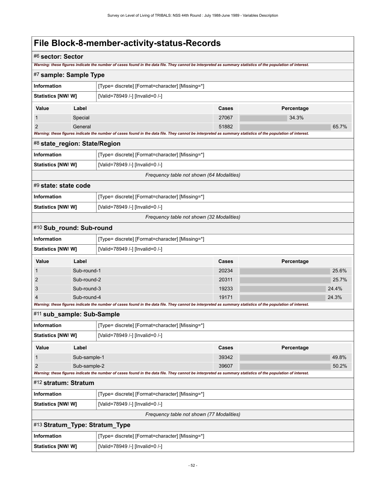#### #6 **sector: Sector**

*Warning: these figures indicate the number of cases found in the data file. They cannot be interpreted as summary statistics of the population of interest.*

|                                                      |                                 | armiy, aloso nyaros malcale ale namber of cases found in the data me. They cannot be interpreted as summary statistics of the population of interest        |              |            |       |
|------------------------------------------------------|---------------------------------|-------------------------------------------------------------------------------------------------------------------------------------------------------------|--------------|------------|-------|
| #7 sample: Sample Type                               |                                 |                                                                                                                                                             |              |            |       |
| Information                                          |                                 | [Type= discrete] [Format=character] [Missing=*]                                                                                                             |              |            |       |
| Statistics [NW/W]                                    | [Valid=78949 /-] [Invalid=0 /-] |                                                                                                                                                             |              |            |       |
| Value                                                | Label                           |                                                                                                                                                             | Cases        | Percentage |       |
| 1                                                    | Special                         |                                                                                                                                                             | 27067        | 34.3%      |       |
| 2                                                    | General                         |                                                                                                                                                             | 51882        |            | 65.7% |
|                                                      |                                 | Warning: these figures indicate the number of cases found in the data file. They cannot be interpreted as summary statistics of the population of interest. |              |            |       |
|                                                      | #8 state_region: State/Region   |                                                                                                                                                             |              |            |       |
| <b>Information</b>                                   |                                 | [Type= discrete] [Format=character] [Missing=*]                                                                                                             |              |            |       |
| Statistics [NW/W]                                    |                                 | [Valid=78949 /-] [Invalid=0 /-]                                                                                                                             |              |            |       |
|                                                      |                                 | Frequency table not shown (64 Modalities)                                                                                                                   |              |            |       |
| #9 state: state code                                 |                                 |                                                                                                                                                             |              |            |       |
| Information                                          |                                 | [Type= discrete] [Format=character] [Missing=*]                                                                                                             |              |            |       |
| <b>Statistics [NW/ W]</b>                            |                                 | [Valid=78949 /-] [Invalid=0 /-]                                                                                                                             |              |            |       |
|                                                      |                                 | Frequency table not shown (32 Modalities)                                                                                                                   |              |            |       |
| #10 Sub_round: Sub-round                             |                                 |                                                                                                                                                             |              |            |       |
| Information                                          |                                 | [Type= discrete] [Format=character] [Missing=*]                                                                                                             |              |            |       |
| Statistics [NW/W]<br>[Valid=78949 /-] [Invalid=0 /-] |                                 |                                                                                                                                                             |              |            |       |
| Value                                                | Label                           |                                                                                                                                                             | <b>Cases</b> | Percentage |       |
| 1                                                    | Sub-round-1                     |                                                                                                                                                             | 20234        |            | 25.6% |
| $\overline{2}$                                       | Sub-round-2                     |                                                                                                                                                             | 20311        |            | 25.7% |
| 3                                                    | Sub-round-3                     |                                                                                                                                                             | 19233        |            | 24.4% |
| 4                                                    | Sub-round-4                     |                                                                                                                                                             | 19171        |            | 24.3% |
|                                                      |                                 | Warning: these figures indicate the number of cases found in the data file. They cannot be interpreted as summary statistics of the population of interest. |              |            |       |
| #11 sub_sample: Sub-Sample                           |                                 |                                                                                                                                                             |              |            |       |
| Information                                          |                                 | [Type= discrete] [Format=character] [Missing=*]                                                                                                             |              |            |       |
| Statistics [NW/ W]                                   |                                 | [Valid=78949 /-] [Invalid=0 /-]                                                                                                                             |              |            |       |
| Value                                                | Label                           |                                                                                                                                                             | Cases        | Percentage |       |
| $\mathbf{1}$                                         | Sub-sample-1                    |                                                                                                                                                             | 39342        |            | 49.8% |
| $\overline{2}$<br>Sub-sample-2                       |                                 |                                                                                                                                                             | 39607        |            | 50.2% |
|                                                      |                                 | Warning: these figures indicate the number of cases found in the data file. They cannot be interpreted as summary statistics of the population of interest. |              |            |       |
| #12 stratum: Stratum                                 |                                 |                                                                                                                                                             |              |            |       |
| Information                                          |                                 | [Type= discrete] [Format=character] [Missing=*]                                                                                                             |              |            |       |
| <b>Statistics [NW/W]</b>                             |                                 | [Valid=78949 /-] [Invalid=0 /-]                                                                                                                             |              |            |       |
| Frequency table not shown (77 Modalities)            |                                 |                                                                                                                                                             |              |            |       |
| #13 Stratum_Type: Stratum_Type                       |                                 |                                                                                                                                                             |              |            |       |
| Information                                          |                                 | [Type= discrete] [Format=character] [Missing=*]                                                                                                             |              |            |       |
| Statistics [NW/W]                                    |                                 | [Valid=78949 /-] [Invalid=0 /-]                                                                                                                             |              |            |       |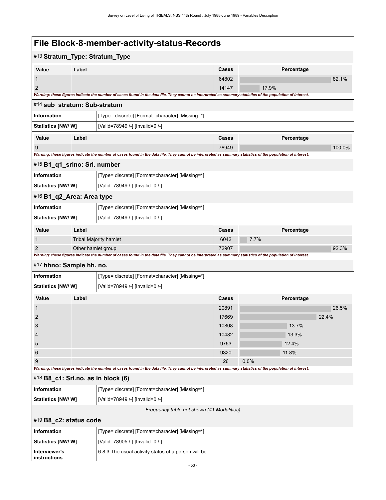### **File Block-8-member-activity-status-Records** #13 **Stratum\_Type: Stratum\_Type Value Label Cases Percentage** 1 and  $\sim$  82.1% and  $\sim$  82.1% and  $\sim$  64802  $\sim$  82.1% and  $\sim$  82.1% 2 14147 17.9% *Warning: these figures indicate the number of cases found in the data file. They cannot be interpreted as summary statistics of the population of interest.* #14 **sub\_stratum: Sub-stratum Information information information [Type= discrete]** [Format=character] [Missing=\*] **Statistics [NW/ W]** [Valid=78949 /-] [Invalid=0 /-] **Value Label Cases Percentage** 9 78949 100.0% *Warning: these figures indicate the number of cases found in the data file. They cannot be interpreted as summary statistics of the population of interest.* #15 **B1\_q1\_srlno: Srl. number Information If Type= discrete**] [Format=character] [Missing=\*] **Statistics [NW/ W]** [Valid=78949 /-] [Invalid=0 /-] #16 **B1\_q2\_Area: Area type Information** [Type= discrete] [Format=character] [Missing=\*] **Statistics [NW/ W]** [Valid=78949 /-] [Invalid=0 /-] **Value Label Cases Percentage** 1 Tribal Majority hamlet 6042 7.7% 2 Other hamlet group **72907** 2 Other hamlet group **72907** 92.3% *Warning: these figures indicate the number of cases found in the data file. They cannot be interpreted as summary statistics of the population of interest.* #17 **hhno: Sample hh. no. Information information information [Type= discrete]** [Format=character] [Missing=\*] **Statistics [NW/ W]** [Valid=78949 /-] [Invalid=0 /-] **Value Label Cases Percentage** 1  $\,$  20091  $\,$  20091  $\,$  20091  $\,$  20091  $\,$  20091  $\,$  20091  $\,$  20091  $\,$  20.5%  $\,$  20.5%  $\,$ 2 17669 22.4%  $3$  10808 13.7% and  $10808$  10808 13.7% 4 10482 13.3% and the set of the set of the set of the set of the set of the set of the set of the set of the s 5 9753 12.4% والتي يتعاون المستخدم المستخدم المستخدم المستخدم المستخدم المستخدم المستخدم المستخدم المستخدم المستخدم المستخدم المستخدم المستخدم المستخدم المستخدم المستخدم المستخدم المستخدم المستخدم المستخدم المستخدم المستخ 6  $\,$  9320  $\,$  11.8% $\,$ 9 26 26 27 28 28 29 20 20 21 22 23 24 25 26 27 28 29 20 21 22 23 24 25 26 27 28 27 28 27 28 27 28 27 28 27 28 *Warning: these figures indicate the number of cases found in the data file. They cannot be interpreted as summary statistics of the population of interest.* #18 **B8\_c1: Srl.no. as in block (6) Information** [Type= discrete] [Format=character] [Missing=\*] **Statistics [NW/ W]** [Valid=78949 /-] [Invalid=0 /-] *Frequency table not shown (41 Modalities)* #19 **B8\_c2: status code Information information [Type= discrete] [Format=character] [Missing=\*] Statistics [NW/ W]** [Valid=78905 /-] [Invalid=0 /-] **Interviewer's** 6.8.3 The usual activity status of a person will be

**instructions**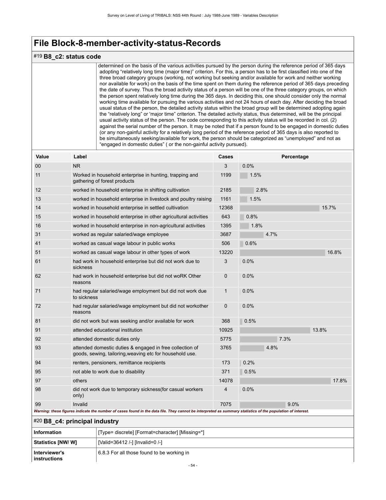#### #19 **B8\_c2: status code**

determined on the basis of the various activities pursued by the person during the reference period of 365 days adopting "relatively long time (major time)" criterion. For this, a person has to be first classified into one of the three broad category groups (working, not working but seeking and/or available for work and neither working nor available for work) on the basis of the time spent on them during the reference period of 365 days preceding the date of survey. Thus the broad activity status of a person will be one of the three category groups, on which the person spent relatively long time during the 365 days. In deciding this, one should consider only the normal working time available for pursuing the various activities and not 24 hours of each day. After deciding the broad usual status of the person, the detailed activity status within the broad group will be determined adopting again the "relatively long" or 'major time" criterion. The detailed activity status, thus determined, will be the principal usual activity status of the person. The code corresponding to this activity status will be recorded in col. (2) against the serial number of the person. It may be noted that if a person found to be engaged in domestic duties (or any non-gainful activity for a relatively long period of the reference period of 365 days is also reported to be simultaneously seeking/available for work, the person should be categorized as "unemployed" and not as "engaged in domestic duties" ( or the non-gainful activity pursued).

| Value             | Label                                                                                                                | Cases        | Percentage |
|-------------------|----------------------------------------------------------------------------------------------------------------------|--------------|------------|
| 00                | <b>NR</b>                                                                                                            | 3            | 0.0%       |
| 11                | Worked in household enterprise in hunting, trapping and<br>gathering of forest products                              | 1199         | 1.5%       |
| $12 \overline{ }$ | worked in household enterprise in shifting cultivation                                                               | 2185         | 2.8%       |
| 13                | worked in household enterprise in livestock and poultry raising                                                      | 1161         | 1.5%       |
| 14                | worked in household enterprise in settled cultivation                                                                | 12368        | 15.7%      |
| 15                | worked in household enterprise in other agricultural activities                                                      | 643          | 0.8%       |
| 16                | worked in household enterprise in non-agricultural activities                                                        | 1395         | 1.8%       |
| 31                | worked as regular salaried/wage employee                                                                             | 3687         | 4.7%       |
| 41                | worked as casual wage labour in public works                                                                         | 506          | 0.6%       |
| 51                | worked as casual wage labour in other types of work                                                                  | 13220        | 16.8%      |
| 61                | had work in household enterprise but did not work due to<br>sickness                                                 | 3            | 0.0%       |
| 62                | had work in household enterprise but did not woRK Other<br>reasons                                                   | 0            | 0.0%       |
| 71                | had regular salaried/wage employment but did not work due<br>to sickness                                             | $\mathbf{1}$ | 0.0%       |
| 72                | had regular salaried/wage employment but did not workother<br>reasons                                                | 0            | 0.0%       |
| 81                | did not work but was seeking and/or available for work                                                               | 368          | 0.5%       |
| 91                | attended educational institution                                                                                     | 10925        | 13.8%      |
| 92                | attended domestic duties only                                                                                        | 5775         | 7.3%       |
| 93                | attended domestic duties & engaged in free collection of<br>goods, sewing, tailoring, weaving etc for household use. | 3765         | 4.8%       |
| 94                | renters, pensioners, remittance recipients                                                                           | 173          | 0.2%       |
| 95                | not able to work due to disability                                                                                   | 371          | 0.5%       |
| 97                | others                                                                                                               | 14078        | 17.8%      |
| 98                | did not work due to temporary sickness(for casual workers<br>only)                                                   | 4            | 0.0%       |
| 99                | Invalid                                                                                                              | 7075         | 9.0%       |

*Warning: these figures indicate the number of cases found in the data file. They cannot be interpreted as summary statistics of the population of interest.*

#### #20 **B8\_c4: principal industry**

| Information                   | Type= discrete] [Format=character] [Missing=*] |
|-------------------------------|------------------------------------------------|
| <b>Statistics [NW/W]</b>      | [Valid=36412 /-] [Invalid=0 /-]                |
| Interviewer's<br>instructions | 6.8.3 For all those found to be working in     |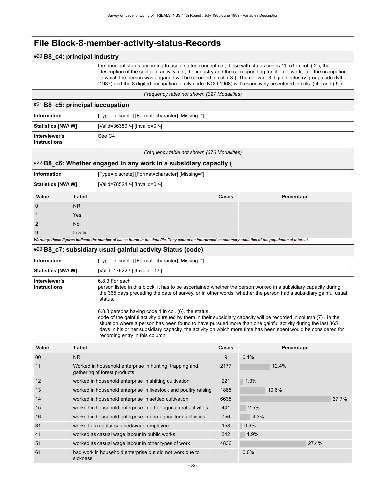#### #20 **B8\_c4: principal industry**

the principal status according to usual status concept i.e., those with status codes 11- 51 in col. ( 2 ), the description of the sector of activity, i.e., the industry and the corresponding function of work, i.e., the occupation in which the person was engaged will be recorded in col. ( 3 ). The relevant 3 digited industry group code (NIC 1987) and the 3 digited occupation family code (NCO 1968) will respectively be entered in cols. ( 4 ) and ( 5 ).

#### *Frequency table not shown (327 Modalities)*

#### #21 **B8\_c5: principal ioccupation**

| Information                   | [Type= discrete] [Format=character] [Missing=*] |
|-------------------------------|-------------------------------------------------|
| Statistics [NW/W]             | [Valid=36389 /-] [Invalid=0 /-]                 |
| Interviewer's<br>instructions | See C <sub>4</sub>                              |
|                               |                                                 |

*Frequency table not shown (376 Modalities)*

#### #22 **B8\_c6: Whether engaged in any work in a subsidiary capacity (**

| Information       | [Type= discrete] [Format=character] [Missing=*] |
|-------------------|-------------------------------------------------|
| Statistics [NW/W] | [Valid=78524 /-] [Invalid=0 /-]                 |
|                   |                                                 |

| Value                                                                                                                                                       | Label     | Cases | Percentage |
|-------------------------------------------------------------------------------------------------------------------------------------------------------------|-----------|-------|------------|
| $\Omega$                                                                                                                                                    | <b>NR</b> |       |            |
|                                                                                                                                                             | Yes       |       |            |
|                                                                                                                                                             | No.       |       |            |
| -9                                                                                                                                                          | Invalid   |       |            |
| Warning: these figures indicate the number of cases found in the data file. They cannot be interpreted as summary statistics of the population of interest. |           |       |            |

#### #23 **B8\_c7: subsidiary usual gainful activity Status (code)**

| [Type= discrete] [Format=character] [Missing=*]<br>Information<br>Statistics [NW/ W]<br>[Valid=17622 /-] [Invalid=0 /-]                                                                                                                                                                                                                                                                                                                                                                                                                                                                                                                                                                                                                        |  |
|------------------------------------------------------------------------------------------------------------------------------------------------------------------------------------------------------------------------------------------------------------------------------------------------------------------------------------------------------------------------------------------------------------------------------------------------------------------------------------------------------------------------------------------------------------------------------------------------------------------------------------------------------------------------------------------------------------------------------------------------|--|
|                                                                                                                                                                                                                                                                                                                                                                                                                                                                                                                                                                                                                                                                                                                                                |  |
|                                                                                                                                                                                                                                                                                                                                                                                                                                                                                                                                                                                                                                                                                                                                                |  |
| 6.8.3 For each<br>Interviewer's<br>person listed in this block, it has to be ascertained whether the person worked in a subsidiary capacity during<br>instructions<br>the 365 days preceding the date of survey, or in other words, whether the person had a subsidiary gainful usual<br>status.<br>6.8.3 persons having code 1 in col. (6), the status<br>code of the gainful activity pursued by them in their subsidiary capacity will be recorded in column (7). In the<br>situation where a person has been found to have pursued more than one gainful activity during the last 365<br>days in his or her subsidiary capacity, the activity on which more time has been spent would be considered for<br>recording entry in this column. |  |

| Value | Label                                                                                   | Cases | Percentage |
|-------|-----------------------------------------------------------------------------------------|-------|------------|
| 00    | NR.                                                                                     | 9     | 0.1%       |
| 11    | Worked in household enterprise in hunting, trapping and<br>gathering of forest products | 2177  | 12.4%      |
| 12    | worked in household enterprise in shifting cultivation                                  | 221   | 1.3%       |
| 13    | worked in household enterprise in livestock and poultry raising                         | 1865  | 10.6%      |
| 14    | worked in household enterprise in settled cultivation                                   | 6635  | 37.7%      |
| 15    | worked in household enterprise in other agricultural activities                         | 441   | 2.5%       |
| 16    | worked in household enterprise in non-agricultural activities                           | 756   | 4.3%       |
| 31    | worked as regular salaried/wage employee                                                | 158   | 0.9%       |
| 41    | worked as casual wage labour in public works                                            | 342   | 1.9%       |
| 51    | worked as casual wage labour in other types of work                                     | 4836  | 27.4%      |
| 61    | had work in household enterprise but did not work due to<br>sickness                    |       | 0.0%       |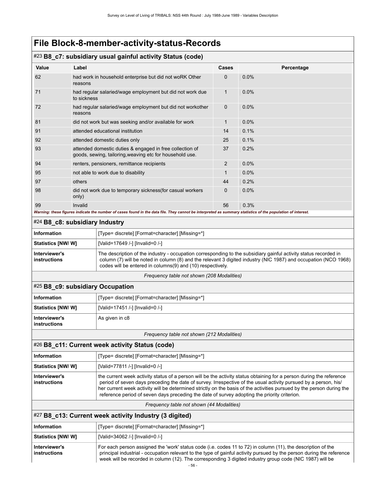#### #23 **B8\_c7: subsidiary usual gainful activity Status (code)**

| Value                                                                                                                                                       | Label                                                                                                                | <b>Cases</b>   | Percentage |
|-------------------------------------------------------------------------------------------------------------------------------------------------------------|----------------------------------------------------------------------------------------------------------------------|----------------|------------|
| 62                                                                                                                                                          | had work in household enterprise but did not woRK Other<br>reasons                                                   | 0              | 0.0%       |
| 71                                                                                                                                                          | had regular salaried/wage employment but did not work due<br>to sickness                                             | 1              | 0.0%       |
| 72                                                                                                                                                          | had regular salaried/wage employment but did not workother<br>reasons                                                | 0              | 0.0%       |
| 81                                                                                                                                                          | did not work but was seeking and/or available for work                                                               | $\mathbf{1}$   | 0.0%       |
| 91                                                                                                                                                          | attended educational institution                                                                                     | 14             | 0.1%       |
| 92                                                                                                                                                          | attended domestic duties only                                                                                        | 25             | 0.1%       |
| 93                                                                                                                                                          | attended domestic duties & engaged in free collection of<br>goods, sewing, tailoring, weaving etc for household use. | 37             | 0.2%       |
| 94                                                                                                                                                          | renters, pensioners, remittance recipients                                                                           | $\overline{2}$ | 0.0%       |
| 95                                                                                                                                                          | not able to work due to disability                                                                                   | 1              | 0.0%       |
| 97                                                                                                                                                          | others                                                                                                               | 44             | 0.2%       |
| 98                                                                                                                                                          | did not work due to temporary sickness (for casual workers<br>only)                                                  | 0              | 0.0%       |
| 99                                                                                                                                                          | Invalid                                                                                                              | 56             | 0.3%       |
| Warning: these figures indicate the number of cases found in the data file. They cannot be interpreted as summary statistics of the population of interest. |                                                                                                                      |                |            |

#### #24 **B8\_c8: subsidiary Industry**

| Information                   | [Type= discrete] [Format=character] [Missing=*]                                                                                                                                                                                                                                                   |  |
|-------------------------------|---------------------------------------------------------------------------------------------------------------------------------------------------------------------------------------------------------------------------------------------------------------------------------------------------|--|
| <b>Statistics [NW/W]</b>      | [Valid=17649 /-] [Invalid=0 /-]                                                                                                                                                                                                                                                                   |  |
| Interviewer's<br>instructions | The description of the industry - occupation corresponding to the subsidiary gainful activity status recorded in<br>column (7) will be noted in column (8) and the relevant 3 digited industry (NIC 1987) and occupation (NCO 1968)<br>codes will be entered in columns(9) and (10) respectively. |  |
|                               |                                                                                                                                                                                                                                                                                                   |  |

#### *Frequency table not shown (208 Modalities)*

#### #25 **B8\_c9: subsidiary Occupation**

| Information                   | [Type= discrete] [Format=character] [Missing=*] |
|-------------------------------|-------------------------------------------------|
| Statistics [NW/W]             | [Valid=17451 /-] [Invalid=0 /-]                 |
| Interviewer's<br>instructions | As given in c8                                  |

#### *Frequency table not shown (212 Modalities)*

#### #26 **B8\_c11: Current week activity Status (code)**

| <b>Information</b>            | [Type= discrete] [Format=character] [Missing=*]                                                                                                                                                                                                                                                                                                                                                                                                                  |
|-------------------------------|------------------------------------------------------------------------------------------------------------------------------------------------------------------------------------------------------------------------------------------------------------------------------------------------------------------------------------------------------------------------------------------------------------------------------------------------------------------|
| <b>Statistics [NW/ W]</b>     | [Valid=77811 /-] [Invalid=0 /-]                                                                                                                                                                                                                                                                                                                                                                                                                                  |
| Interviewer's<br>instructions | the current week activity status of a person will be the activity status obtaining for a person during the reference<br>period of seven days preceding the date of survey. Irrespective of the usual activity pursued by a person, his/<br>her current week activity will be determined strictly on the basis of the activities pursued by the person during the<br>reference period of seven days preceding the date of survey adopting the priority criterion. |
|                               |                                                                                                                                                                                                                                                                                                                                                                                                                                                                  |

#### *Frequency table not shown (44 Modalities)*

### #27 **B8\_c13: Current week activity Industry (3 digited)**

| Information                   | [Type= discrete] [Format=character] [Missing=*]                                                                                                                                                                                                                                                                                                   |
|-------------------------------|---------------------------------------------------------------------------------------------------------------------------------------------------------------------------------------------------------------------------------------------------------------------------------------------------------------------------------------------------|
| <b>Statistics [NW/ W]</b>     | [Valid=34062 /-] [Invalid=0 /-]                                                                                                                                                                                                                                                                                                                   |
| Interviewer's<br>instructions | For each person assigned the 'work' status code (i.e. codes 11 to 72) in column (11), the description of the<br>principal industrial - occupation relevant to the type of gainful activity pursued by the person during the reference<br>week will be recorded in column (12). The corresponding 3 digited industry group code (NIC 1987) will be |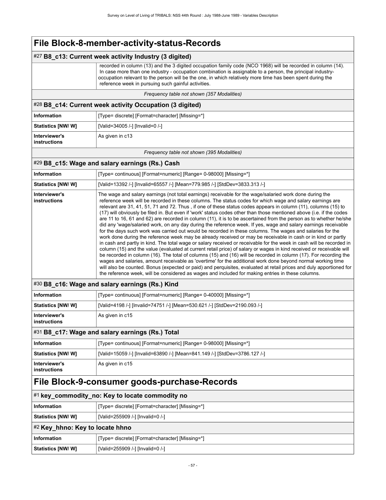#### #27 **B8\_c13: Current week activity Industry (3 digited)**

 recorded in column (13) and the 3 digited occupation family code (NCO 1968) will be recorded in column (14). In case more than one industry - occupation combination is assignable to a person, the principal industryoccupation relevant to the person will be the one, in which relatively more time has been spent during the reference week in pursuing such gainful activities.

*Frequency table not shown (357 Modalities)*

#### #28 **B8\_c14: Current week activity Occupation (3 digited)**

| Information                   | [Type= discrete] [Format=character] [Missing=*] |
|-------------------------------|-------------------------------------------------|
| <b>Statistics [NW/ W]</b>     | [Valid=34005 /-] [Invalid=0 /-]                 |
| Interviewer's<br>instructions | As given in c13                                 |

*Frequency table not shown (395 Modalities)*

#### #29 **B8\_c15: Wage and salary earnings (Rs.) Cash**

| Information                   | [Type= continuous] [Format=numeric] [Range= 0-98000] [Missing=*]                                                                                                                                                                                                                                                                                                                                                                                                                                                                                                                                                                                                                                                                                                                                                                                                                                                                                                                                                                                                                                                                                                                                                                                                                                                                                                                                                                                                                                                                                                                                                                                     |
|-------------------------------|------------------------------------------------------------------------------------------------------------------------------------------------------------------------------------------------------------------------------------------------------------------------------------------------------------------------------------------------------------------------------------------------------------------------------------------------------------------------------------------------------------------------------------------------------------------------------------------------------------------------------------------------------------------------------------------------------------------------------------------------------------------------------------------------------------------------------------------------------------------------------------------------------------------------------------------------------------------------------------------------------------------------------------------------------------------------------------------------------------------------------------------------------------------------------------------------------------------------------------------------------------------------------------------------------------------------------------------------------------------------------------------------------------------------------------------------------------------------------------------------------------------------------------------------------------------------------------------------------------------------------------------------------|
| Statistics [NW/W]             | [Valid=13392 /-] [Invalid=65557 /-] [Mean=779.985 /-] [StdDev=3833.313 /-]                                                                                                                                                                                                                                                                                                                                                                                                                                                                                                                                                                                                                                                                                                                                                                                                                                                                                                                                                                                                                                                                                                                                                                                                                                                                                                                                                                                                                                                                                                                                                                           |
| Interviewer's<br>instructions | The wage and salary earnings (not total earnings) receivable for the wage/salaried work done during the<br>reference week will be recorded in these columns. The status codes for which wage and salary earnings are<br>relevant are 31, 41, 51, 71 and 72. Thus, if one of these status codes appears in column (11), columns (15) to<br>(17) will obviously be filed in. But even if 'work' status codes other than those mentioned above (i.e. if the codes<br>are 11 to 16, 61 and 62) are recorded in column (11), it is to be ascertained from the person as to whether he/she<br>did any 'wage/salaried work, on any day during the reference week. If yes, wage and salary earnings receivable<br>for the days such work was carried out would be recorded in these columns. The wages and salaries for the<br>work done during the reference week may be already received or may be receivable in cash or in kind or partly<br>in cash and partly in kind. The total wage or salary received or receivable for the week in cash will be recorded in<br>column (15) and the value (evaluated at current retail price) of salary or wages in kind received or receivable will<br>be recorded in column (16). The total of columns (15) and (16) will be recorded in column (17). For recording the<br>wages and salaries, amount receivable as 'overtime' for the additional work done beyond normal working time<br>will also be counted. Bonus (expected or paid) and perquisites, evaluated at retail prices and duly apportioned for<br>the reference week, will be considered as wages and included for making entries in these columns. |

#### #30 **B8\_c16: Wage and salary earnings (Rs.) Kind**

| Information                   | [Type= continuous] [Format=numeric] [Range= 0-40000] [Missing=*]          |
|-------------------------------|---------------------------------------------------------------------------|
| Statistics [NW/ W]            | [Valid=4198 /-] [Invalid=74751 /-] [Mean=530.621 /-] [StdDev=2190.093 /-] |
| Interviewer's<br>instructions | As given in c15                                                           |

#### #31 **B8\_c17: Wage and salary earnings (Rs.) Total**

| Information                   | [Type= continuous] [Format=numeric] [Range= 0-98000] [Missing=*]           |
|-------------------------------|----------------------------------------------------------------------------|
| Statistics [NW/ W]            | [Valid=15059 /-] [Invalid=63890 /-] [Mean=841.149 /-] [StdDev=3786.127 /-] |
| Interviewer's<br>instructions | As given in c15                                                            |

| $\sharp$ 1 key_commodity_no: Key to locate commodity no |                                                 |  |
|---------------------------------------------------------|-------------------------------------------------|--|
| Information                                             | [Type= discrete] [Format=character] [Missing=*] |  |
| <b>Statistics [NW/ W]</b>                               | [Valid=255909 /-] [Invalid=0 /-]                |  |
| $\neq$ Key_hhno: Key to locate hhno                     |                                                 |  |
| <b>Information</b>                                      | [Type= discrete] [Format=character] [Missing=*] |  |
| Statistics [NW/ W]                                      | [Valid=255909 /-] [Invalid=0 /-]                |  |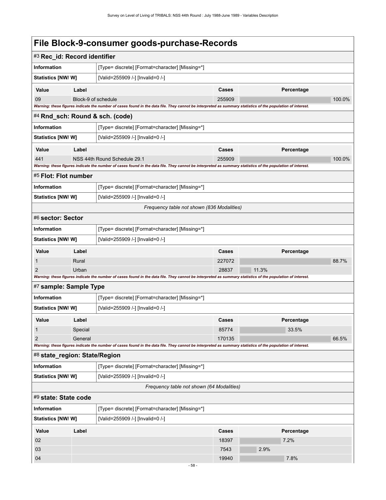| #3 Rec_id: Record identifier    |                     |                                                                                                                                                             |        |            |        |
|---------------------------------|---------------------|-------------------------------------------------------------------------------------------------------------------------------------------------------------|--------|------------|--------|
| <b>Information</b>              |                     | [Type= discrete] [Format=character] [Missing=*]                                                                                                             |        |            |        |
| Statistics [NW/W]               |                     | [Valid=255909 /-] [Invalid=0 /-]                                                                                                                            |        |            |        |
| Value                           | Label               |                                                                                                                                                             | Cases  | Percentage |        |
| 09                              | Block-9 of schedule |                                                                                                                                                             | 255909 |            | 100.0% |
|                                 |                     | Warning: these figures indicate the number of cases found in the data file. They cannot be interpreted as summary statistics of the population of interest. |        |            |        |
| #4 Rnd_sch: Round & sch. (code) |                     |                                                                                                                                                             |        |            |        |
| <b>Information</b>              |                     | [Type= discrete] [Format=character] [Missing=*]                                                                                                             |        |            |        |
| Statistics [NW/W]               |                     | [Valid=255909 /-] [Invalid=0 /-]                                                                                                                            |        |            |        |
| Value                           | Label               |                                                                                                                                                             | Cases  | Percentage |        |
| 441                             |                     | NSS 44th Round Schedule 29.1                                                                                                                                | 255909 |            | 100.0% |
|                                 |                     | Warning: these figures indicate the number of cases found in the data file. They cannot be interpreted as summary statistics of the population of interest. |        |            |        |
| #5 Flot: Flot number            |                     |                                                                                                                                                             |        |            |        |
| <b>Information</b>              |                     | [Type= discrete] [Format=character] [Missing=*]                                                                                                             |        |            |        |
| <b>Statistics [NW/W]</b>        |                     | [Valid=255909 /-] [Invalid=0 /-]                                                                                                                            |        |            |        |
|                                 |                     | Frequency table not shown (836 Modalities)                                                                                                                  |        |            |        |
| #6 sector: Sector               |                     |                                                                                                                                                             |        |            |        |
| <b>Information</b>              |                     | [Type= discrete] [Format=character] [Missing=*]                                                                                                             |        |            |        |
| <b>Statistics [NW/W]</b>        |                     | [Valid=255909 /-] [Invalid=0 /-]                                                                                                                            |        |            |        |
| Value                           | Label               |                                                                                                                                                             | Cases  | Percentage |        |
| 1                               | Rural               |                                                                                                                                                             | 227072 |            | 88.7%  |
| 2                               | Urban               |                                                                                                                                                             | 28837  | 11.3%      |        |
|                                 |                     | Warning: these figures indicate the number of cases found in the data file. They cannot be interpreted as summary statistics of the population of interest. |        |            |        |
| #7 sample: Sample Type          |                     |                                                                                                                                                             |        |            |        |
| <b>Information</b>              |                     | [Type= discrete] [Format=character] [Missing=*]                                                                                                             |        |            |        |
| Statistics [NW/W]               |                     | [Valid=255909 /-] [Invalid=0 /-]                                                                                                                            |        |            |        |
| Value                           | Label               |                                                                                                                                                             | Cases  | Percentage |        |
| 1                               | Special             |                                                                                                                                                             | 85774  | 33.5%      |        |
| $\overline{2}$                  | General             |                                                                                                                                                             | 170135 |            | 66.5%  |
| #8 state_region: State/Region   |                     | Warning: these figures indicate the number of cases found in the data file. They cannot be interpreted as summary statistics of the population of interest. |        |            |        |
| Information                     |                     |                                                                                                                                                             |        |            |        |
|                                 |                     | [Type= discrete] [Format=character] [Missing=*]<br>[Valid=255909 /-] [Invalid=0 /-]                                                                         |        |            |        |
| Statistics [NW/W]               |                     | Frequency table not shown (64 Modalities)                                                                                                                   |        |            |        |
| #9 state: State code            |                     |                                                                                                                                                             |        |            |        |
|                                 |                     |                                                                                                                                                             |        |            |        |
| <b>Information</b>              |                     | [Type= discrete] [Format=character] [Missing=*]                                                                                                             |        |            |        |
| <b>Statistics [NW/W]</b>        |                     | [Valid=255909 /-] [Invalid=0 /-]                                                                                                                            |        |            |        |
| Value                           | Label               |                                                                                                                                                             | Cases  | Percentage |        |
| 02                              |                     |                                                                                                                                                             | 18397  | 7.2%       |        |
| 03                              |                     |                                                                                                                                                             | 7543   | 2.9%       |        |
| 04                              |                     |                                                                                                                                                             | 19940  | 7.8%       |        |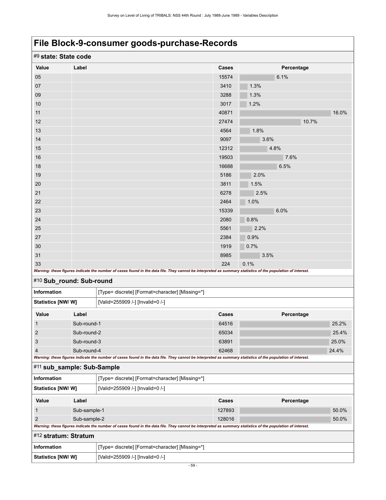| #9 state: State code       |                          |                                                                                                                                                             |        |      |            |       |
|----------------------------|--------------------------|-------------------------------------------------------------------------------------------------------------------------------------------------------------|--------|------|------------|-------|
| Value                      | Label                    |                                                                                                                                                             | Cases  |      | Percentage |       |
| 05                         |                          |                                                                                                                                                             | 15574  |      | 6.1%       |       |
| 07                         |                          |                                                                                                                                                             | 3410   | 1.3% |            |       |
| 09                         |                          |                                                                                                                                                             | 3288   | 1.3% |            |       |
| 10                         |                          |                                                                                                                                                             | 3017   | 1.2% |            |       |
| 11                         |                          |                                                                                                                                                             | 40871  |      |            | 16.0% |
| 12                         |                          |                                                                                                                                                             | 27474  |      | 10.7%      |       |
| 13                         |                          |                                                                                                                                                             | 4564   | 1.8% |            |       |
| 14                         |                          |                                                                                                                                                             | 9097   | 3.6% |            |       |
| 15                         |                          |                                                                                                                                                             | 12312  |      | 4.8%       |       |
| 16                         |                          |                                                                                                                                                             | 19503  |      | 7.6%       |       |
| 18                         |                          |                                                                                                                                                             | 16688  |      | 6.5%       |       |
| 19                         |                          |                                                                                                                                                             | 5186   | 2.0% |            |       |
| 20                         |                          |                                                                                                                                                             | 3811   | 1.5% |            |       |
| 21                         |                          |                                                                                                                                                             | 6278   | 2.5% |            |       |
| 22                         |                          |                                                                                                                                                             | 2464   | 1.0% |            |       |
| 23                         |                          |                                                                                                                                                             | 15339  |      | 6.0%       |       |
| 24                         |                          |                                                                                                                                                             | 2080   | 0.8% |            |       |
| 25                         |                          |                                                                                                                                                             | 5561   | 2.2% |            |       |
| 27                         |                          |                                                                                                                                                             | 2384   | 0.9% |            |       |
| 30                         |                          |                                                                                                                                                             | 1919   | 0.7% |            |       |
| 31                         |                          |                                                                                                                                                             | 8985   | 3.5% |            |       |
| 33                         |                          |                                                                                                                                                             | 224    | 0.1% |            |       |
|                            |                          | Warning: these figures indicate the number of cases found in the data file. They cannot be interpreted as summary statistics of the population of interest. |        |      |            |       |
|                            | #10 Sub_round: Sub-round |                                                                                                                                                             |        |      |            |       |
| Information                |                          | [Type= discrete] [Format=character] [Missing=*]                                                                                                             |        |      |            |       |
| Statistics [NW/W]          |                          | [Valid=255909 /-] [Invalid=0 /-]                                                                                                                            |        |      |            |       |
| Value                      | Label                    |                                                                                                                                                             | Cases  |      | Percentage |       |
| 1                          | Sub-round-1              |                                                                                                                                                             | 64516  |      |            | 25.2% |
| $\overline{c}$             | Sub-round-2              |                                                                                                                                                             | 65034  |      |            | 25.4% |
| 3                          | Sub-round-3              |                                                                                                                                                             | 63891  |      |            | 25.0% |
| 4                          | Sub-round-4              |                                                                                                                                                             | 62468  |      |            | 24.4% |
|                            |                          | Warning: these figures indicate the number of cases found in the data file. They cannot be interpreted as summary statistics of the population of interest. |        |      |            |       |
| #11 sub_sample: Sub-Sample |                          |                                                                                                                                                             |        |      |            |       |
| <b>Information</b>         |                          | [Type= discrete] [Format=character] [Missing=*]                                                                                                             |        |      |            |       |
| Statistics [NW/W]          |                          | [Valid=255909 /-] [Invalid=0 /-]                                                                                                                            |        |      |            |       |
| Value                      | Label                    |                                                                                                                                                             | Cases  |      | Percentage |       |
| 1                          | Sub-sample-1             |                                                                                                                                                             | 127893 |      |            | 50.0% |
| $\overline{2}$             | Sub-sample-2             |                                                                                                                                                             | 128016 |      |            | 50.0% |
|                            |                          | Warning: these figures indicate the number of cases found in the data file. They cannot be interpreted as summary statistics of the population of interest. |        |      |            |       |
| #12 stratum: Stratum       |                          |                                                                                                                                                             |        |      |            |       |
| Information                |                          | [Type= discrete] [Format=character] [Missing=*]                                                                                                             |        |      |            |       |
| Statistics [NW/W]          |                          | [Valid=255909 /-] [Invalid=0 /-]                                                                                                                            |        |      |            |       |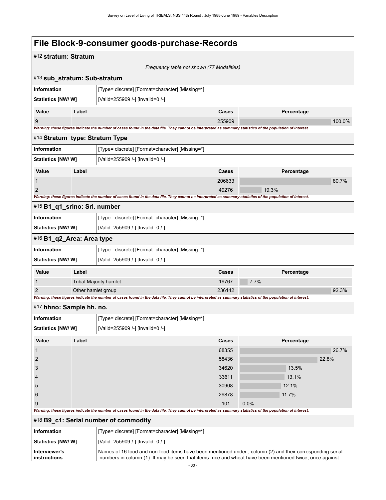| #12 stratum: Stratum           |       |                                                                                                                                                                                                                      |                                           |            |        |
|--------------------------------|-------|----------------------------------------------------------------------------------------------------------------------------------------------------------------------------------------------------------------------|-------------------------------------------|------------|--------|
|                                |       |                                                                                                                                                                                                                      | Frequency table not shown (77 Modalities) |            |        |
| #13 sub_stratum: Sub-stratum   |       |                                                                                                                                                                                                                      |                                           |            |        |
| <b>Information</b>             |       | [Type= discrete] [Format=character] [Missing=*]                                                                                                                                                                      |                                           |            |        |
| Statistics [NW/ W]             |       | [Valid=255909 /-] [Invalid=0 /-]                                                                                                                                                                                     |                                           |            |        |
| Value                          | Label |                                                                                                                                                                                                                      | Cases                                     | Percentage |        |
| 9                              |       |                                                                                                                                                                                                                      | 255909                                    |            | 100.0% |
|                                |       | Warning: these figures indicate the number of cases found in the data file. They cannot be interpreted as summary statistics of the population of interest.                                                          |                                           |            |        |
| #14 Stratum_type: Stratum Type |       |                                                                                                                                                                                                                      |                                           |            |        |
| <b>Information</b>             |       | [Type= discrete] [Format=character] [Missing=*]                                                                                                                                                                      |                                           |            |        |
| <b>Statistics [NW/ W]</b>      |       | [Valid=255909 /-] [Invalid=0 /-]                                                                                                                                                                                     |                                           |            |        |
| Value                          | Label |                                                                                                                                                                                                                      | <b>Cases</b>                              | Percentage |        |
| 1                              |       |                                                                                                                                                                                                                      | 206633                                    |            | 80.7%  |
| 2                              |       |                                                                                                                                                                                                                      | 49276                                     | 19.3%      |        |
|                                |       | Warning: these figures indicate the number of cases found in the data file. They cannot be interpreted as summary statistics of the population of interest.                                                          |                                           |            |        |
| #15 B1_q1_srlno: Srl. number   |       |                                                                                                                                                                                                                      |                                           |            |        |
| <b>Information</b>             |       | [Type= discrete] [Format=character] [Missing=*]                                                                                                                                                                      |                                           |            |        |
| Statistics [NW/ W]             |       | [Valid=255909 /-] [Invalid=0 /-]                                                                                                                                                                                     |                                           |            |        |
| #16 B1_q2_Area: Area type      |       |                                                                                                                                                                                                                      |                                           |            |        |
| Information                    |       | [Type= discrete] [Format=character] [Missing=*]                                                                                                                                                                      |                                           |            |        |
| Statistics [NW/W]              |       | [Valid=255909 /-] [Invalid=0 /-]                                                                                                                                                                                     |                                           |            |        |
| Value                          | Label |                                                                                                                                                                                                                      | <b>Cases</b>                              | Percentage |        |
| 1                              |       | <b>Tribal Majority hamlet</b>                                                                                                                                                                                        | 19767                                     | 7.7%       |        |
| 2<br>Other hamlet group        |       |                                                                                                                                                                                                                      | 236142                                    |            | 92.3%  |
|                                |       | Warning: these figures indicate the number of cases found in the data file. They cannot be interpreted as summary statistics of the population of interest.                                                          |                                           |            |        |
| #17 hhno: Sample hh. no.       |       |                                                                                                                                                                                                                      |                                           |            |        |
| Information                    |       | [Type= discrete] [Format=character] [Missing=*]                                                                                                                                                                      |                                           |            |        |
| Statistics [NW/ W]             |       | [Valid=255909 /-] [Invalid=0 /-]                                                                                                                                                                                     |                                           |            |        |
| Value                          | Label |                                                                                                                                                                                                                      | Cases                                     | Percentage |        |
| 1                              |       |                                                                                                                                                                                                                      | 68355                                     |            | 26.7%  |
| 2                              |       |                                                                                                                                                                                                                      | 58436                                     |            | 22.8%  |
| 3                              |       |                                                                                                                                                                                                                      | 34620                                     | 13.5%      |        |
| 4                              |       |                                                                                                                                                                                                                      | 33611                                     | 13.1%      |        |
| 5                              |       |                                                                                                                                                                                                                      | 30908                                     | 12.1%      |        |
| 6                              |       |                                                                                                                                                                                                                      | 29878                                     | 11.7%      |        |
| 9                              |       | Warning: these figures indicate the number of cases found in the data file. They cannot be interpreted as summary statistics of the population of interest.                                                          | 101                                       | 0.0%       |        |
|                                |       | #18 B9_c1: Serial number of commodity                                                                                                                                                                                |                                           |            |        |
| Information                    |       | [Type= discrete] [Format=character] [Missing=*]                                                                                                                                                                      |                                           |            |        |
| Statistics [NW/W]              |       | [Valid=255909 /-] [Invalid=0 /-]                                                                                                                                                                                     |                                           |            |        |
| Interviewer's<br>instructions  |       | Names of 16 food and non-food items have been mentioned under, column (2) and their corresponding serial<br>numbers in column (1). It may be seen that items- rice and wheat have been mentioned twice, once against |                                           |            |        |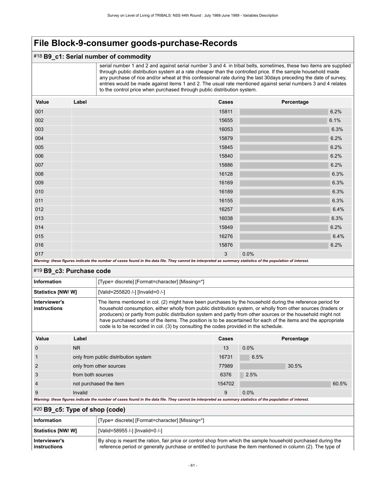#### #18 **B9\_c1: Serial number of commodity**

 serial number 1 and 2 and against serial number 3 and 4. in tribal belts, sometimes, these two items are supplied through public distribution system at a rate cheaper than the controlled price. If the sample household made any purchase of rice and/or wheat at this confessional rate during the last 30days preceding the date of survey, entries would be made against items 1 and 2. The usual rate mentioned against serial numbers 3 and 4 relates to the control price when purchased through public distribution system.

| Value | Label                                                                                                                                                       | Cases | Percentage |      |
|-------|-------------------------------------------------------------------------------------------------------------------------------------------------------------|-------|------------|------|
| 001   |                                                                                                                                                             | 15811 |            | 6.2% |
| 002   |                                                                                                                                                             | 15655 |            | 6.1% |
| 003   |                                                                                                                                                             | 16053 |            | 6.3% |
| 004   |                                                                                                                                                             | 15879 |            | 6.2% |
| 005   |                                                                                                                                                             | 15845 |            | 6.2% |
| 006   |                                                                                                                                                             | 15840 |            | 6.2% |
| 007   |                                                                                                                                                             | 15886 |            | 6.2% |
| 008   |                                                                                                                                                             | 16128 |            | 6.3% |
| 009   |                                                                                                                                                             | 16169 |            | 6.3% |
| 010   |                                                                                                                                                             | 16189 |            | 6.3% |
| 011   |                                                                                                                                                             | 16155 |            | 6.3% |
| 012   |                                                                                                                                                             | 16257 |            | 6.4% |
| 013   |                                                                                                                                                             | 16038 |            | 6.3% |
| 014   |                                                                                                                                                             | 15849 |            | 6.2% |
| 015   |                                                                                                                                                             | 16276 |            | 6.4% |
| 016   |                                                                                                                                                             | 15876 |            | 6.2% |
| 017   |                                                                                                                                                             | 3     | 0.0%       |      |
|       | Warning: these figures indicate the number of cases found in the data file. They cannot be interpreted as summary statistics of the population of interest. |       |            |      |

#### #19 **B9\_c3: Purchase code**

| Information                   | [Type= discrete] [Format=character] [Missing=*]                                                                                                                                                                                                                                                                                                                                                                                                                                                                                                        |
|-------------------------------|--------------------------------------------------------------------------------------------------------------------------------------------------------------------------------------------------------------------------------------------------------------------------------------------------------------------------------------------------------------------------------------------------------------------------------------------------------------------------------------------------------------------------------------------------------|
| Statistics [NW/W]             | [Valid=255820 /-] [Invalid=0 /-]                                                                                                                                                                                                                                                                                                                                                                                                                                                                                                                       |
| Interviewer's<br>instructions | The items mentioned in col. (2) might have been purchases by the household during the reference period for<br>household consumption, either wholly from public distribution system, or wholly from other sources (traders or<br>producers) or partly from public distribution system and partly from other sources or the household might not<br>have purchased some of the items. The position is to be ascertained for each of the items and the appropriate<br>code is to be recorded in col. (3) by consulting the codes provided in the schedule. |

| Value          | Label                                                                                                                                                       | <b>Cases</b> | Percentage |       |  |  |  |
|----------------|-------------------------------------------------------------------------------------------------------------------------------------------------------------|--------------|------------|-------|--|--|--|
| $\Omega$       | <b>NR</b>                                                                                                                                                   | 13           | $0.0\%$    |       |  |  |  |
|                | only from public distribution system                                                                                                                        | 16731        | 6.5%       |       |  |  |  |
| $\overline{2}$ | only from other sources                                                                                                                                     | 77989        | 30.5%      |       |  |  |  |
| 3              | from both sources                                                                                                                                           | 6376         | 2.5%       |       |  |  |  |
| $\overline{4}$ | not purchased the item                                                                                                                                      | 154702       |            | 60.5% |  |  |  |
| 9              | Invalid                                                                                                                                                     | 9            | $0.0\%$    |       |  |  |  |
|                | Warning: these figures indicate the number of cases found in the data file. They cannot be interpreted as summary statistics of the population of interest. |              |            |       |  |  |  |

#### #20 **B9\_c5: Type of shop (code)**

| Information                   | [Type= discrete] [Format=character] [Missing=*]                                                                                                                                                                              |
|-------------------------------|------------------------------------------------------------------------------------------------------------------------------------------------------------------------------------------------------------------------------|
| <b>Statistics [NW/ W]</b>     | [Valid=58955 /-] [Invalid=0 /-]                                                                                                                                                                                              |
| Interviewer's<br>instructions | By shop is meant the ration, fair price or control shop from which the sample household purchased during the<br>reference period or generally purchase or entitled to purchase the item mentioned in column (2). The type of |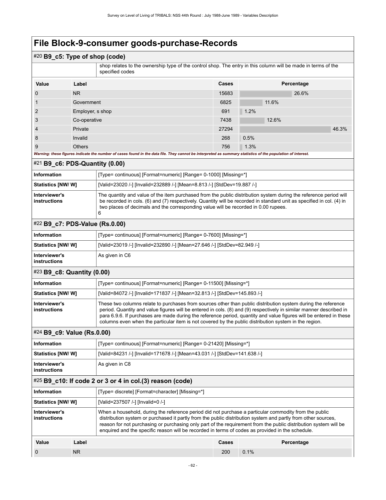#### #20 **B9\_c5: Type of shop (code)**

 shop relates to the ownership type of the control shop. The entry in this column will be made in terms of the specified codes

| Value          | Label                                                                                                                                                       | Cases | Percentage |       |
|----------------|-------------------------------------------------------------------------------------------------------------------------------------------------------------|-------|------------|-------|
| $\mathbf 0$    | N <sub>R</sub>                                                                                                                                              | 15683 | 26.6%      |       |
|                | Government                                                                                                                                                  | 6825  | 11.6%      |       |
| $\overline{2}$ | Employer, s shop                                                                                                                                            | 691   | 1.2%       |       |
| 3              | Co-operative                                                                                                                                                | 7438  | 12.6%      |       |
| $\overline{4}$ | Private                                                                                                                                                     | 27294 |            | 46.3% |
| 8              | Invalid                                                                                                                                                     | 268   | 0.5%       |       |
| 9              | <b>Others</b>                                                                                                                                               | 756   | 1.3%       |       |
|                | Warning: these figures indicate the number of cases found in the data file. They cannot be interpreted as summary statistics of the population of interest. |       |            |       |

#### #21 **B9\_c6: PDS-Quantity (0.00)**

| <b>Information</b>                   | [Type= continuous] [Format=numeric] [Range= 0-1000] [Missing=*]                                                                                                                                                                                                                                                                   |
|--------------------------------------|-----------------------------------------------------------------------------------------------------------------------------------------------------------------------------------------------------------------------------------------------------------------------------------------------------------------------------------|
| Statistics [NW/ W]                   | [Valid=23020 /-] [Invalid=232889 /-] [Mean=8.813 /-] [StdDev=19.887 /-]                                                                                                                                                                                                                                                           |
| Interviewer's<br><i>instructions</i> | The quantity and value of the item purchased from the public distribution system during the reference period will<br>be recorded in cols. (6) and (7) respectively. Quantity will be recorded in standard unit as specified in col. (4) in<br>two places of decimals and the corresponding value will be recorded in 0.00 rupees. |

#### #22 **B9\_c7: PDS-Value (Rs.0.00)**

| [Type= continuous] [Format=numeric] [Range= 0-7600] [Missing=*]<br>Information |                                                                          |  |
|--------------------------------------------------------------------------------|--------------------------------------------------------------------------|--|
| Statistics [NW/ W]                                                             | [Valid=23019 /-] [Invalid=232890 /-] [Mean=27.646 /-] [StdDev=82.949 /-] |  |
| Interviewer's<br>instructions                                                  | As given in C6                                                           |  |

#### #23 **B9\_c8: Quantity (0.00)**

| Information                   | [Type= continuous] [Format=numeric] [Range= 0-11500] [Missing=*]                                                                                                                                                                                                                                                                                                                                                                                                    |  |
|-------------------------------|---------------------------------------------------------------------------------------------------------------------------------------------------------------------------------------------------------------------------------------------------------------------------------------------------------------------------------------------------------------------------------------------------------------------------------------------------------------------|--|
| <b>Statistics [NW/W]</b>      | [Valid=84072 /-] [Invalid=171837 /-] [Mean=32.813 /-] [StdDev=145.893 /-]                                                                                                                                                                                                                                                                                                                                                                                           |  |
| Interviewer's<br>instructions | These two columns relate to purchases from sources other than public distribution system during the reference<br>period. Quantity and value figures will be entered in cols. (8) and (9) respectively in similar manner described in<br>para 6.9.6. If purchases are made during the reference period, quantity and value figures will be entered in these<br>columns even when the particular item is not covered by the public distribution system in the region. |  |

#### #24 **B9\_c9: Value (Rs.0.00)**

| Information                   | [Type= continuous] [Format=numeric] [Range= 0-21420] [Missing=*]          |
|-------------------------------|---------------------------------------------------------------------------|
| <b>Statistics [NW/W]</b>      | [Valid=84231 /-] [Invalid=171678 /-] [Mean=43.031 /-] [StdDev=141.638 /-] |
| Interviewer's<br>instructions | As given in C8                                                            |

#### #25 **B9\_c10: If code 2 or 3 or 4 in col.(3) reason (code)**

| <b>Information</b>            |       | [Type= discrete] [Format=character] [Missing=*]                                                                                                                                                                                                                                                                                                                                                                                                |       |            |  |
|-------------------------------|-------|------------------------------------------------------------------------------------------------------------------------------------------------------------------------------------------------------------------------------------------------------------------------------------------------------------------------------------------------------------------------------------------------------------------------------------------------|-------|------------|--|
| <b>Statistics [NW/ W]</b>     |       | [Valid=237507 /-] [Invalid=0 /-]                                                                                                                                                                                                                                                                                                                                                                                                               |       |            |  |
| Interviewer's<br>instructions |       | When a household, during the reference period did not purchase a particular commodity from the public<br>distribution system or purchased it partly from the public distribution system and partly from other sources,<br>reason for not purchasing or purchasing only part of the requirement from the public distribution system will be<br>enquired and the specific reason will be recorded in terms of codes as provided in the schedule. |       |            |  |
| Value                         | Label |                                                                                                                                                                                                                                                                                                                                                                                                                                                | Cases | Percentage |  |
|                               | NR.   |                                                                                                                                                                                                                                                                                                                                                                                                                                                | 200   | $0.1\%$    |  |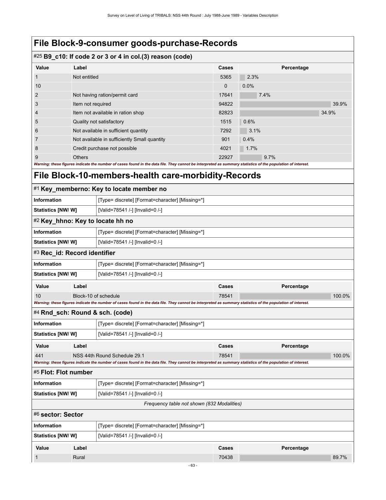### #25 **B9\_c10: If code 2 or 3 or 4 in col.(3) reason (code)**

|                | $\cdot$ $\cdot$<br>$\cdot$<br>$\mathbf{r}$   |              |            |       |
|----------------|----------------------------------------------|--------------|------------|-------|
| Value          | Label                                        | <b>Cases</b> | Percentage |       |
|                | Not entitled                                 | 5365         | 2.3%       |       |
| 10             |                                              | $\mathbf{0}$ | 0.0%       |       |
| $\overline{2}$ | Not having ration/permit card                | 17641        | 7.4%       |       |
| 3              | Item not required                            | 94822        |            | 39.9% |
| $\overline{4}$ | Item not available in ration shop            | 82823        |            | 34.9% |
| 5              | Quality not satisfactory                     | 1515         | 0.6%       |       |
| 6              | Not available in sufficient quantity         | 7292         | 3.1%       |       |
| 7              | Not available in sufficiently Small quantity | 901          | 0.4%       |       |
| 8              | Credit purchase not possible                 | 4021         | 1.7%       |       |
| 9              | <b>Others</b>                                | 22927        | 9.7%       |       |
|                |                                              |              |            |       |

*Warning: these figures indicate the number of cases found in the data file. They cannot be interpreted as summary statistics of the population of interest.*

### **File Block-10-members-health care-morbidity-Records**

#### #1 **Key\_memberno: Key to locate member no**

| <b>Information</b> |                                  |                      | [Type= discrete] [Format=character] [Missing=*]                                                                                                             |       |            |        |
|--------------------|----------------------------------|----------------------|-------------------------------------------------------------------------------------------------------------------------------------------------------------|-------|------------|--------|
| Statistics [NW/W]  |                                  |                      | [Valid=78541 /-] [Invalid=0 /-]                                                                                                                             |       |            |        |
|                    | #2 Key_hhno: Key to locate hh no |                      |                                                                                                                                                             |       |            |        |
|                    | Information                      |                      | [Type= discrete] [Format=character] [Missing=*]                                                                                                             |       |            |        |
|                    | Statistics [NW/W]                |                      | [Valid=78541 /-] [Invalid=0 /-]                                                                                                                             |       |            |        |
|                    | #3 Rec_id: Record identifier     |                      |                                                                                                                                                             |       |            |        |
|                    | <b>Information</b>               |                      | [Type= discrete] [Format=character] [Missing=*]                                                                                                             |       |            |        |
|                    | Statistics [NW/ W]               |                      | [Valid=78541 /-] [Invalid=0 /-]                                                                                                                             |       |            |        |
|                    | Value                            | Label                |                                                                                                                                                             | Cases | Percentage |        |
|                    | 10                               | Block-10 of schedule |                                                                                                                                                             | 78541 |            | 100.0% |
|                    |                                  |                      | Warning: these figures indicate the number of cases found in the data file. They cannot be interpreted as summary statistics of the population of interest. |       |            |        |
|                    | #4 Rnd_sch: Round & sch. (code)  |                      |                                                                                                                                                             |       |            |        |
|                    | <b>Information</b>               |                      | [Type= discrete] [Format=character] [Missing=*]                                                                                                             |       |            |        |
| Statistics [NW/W]  |                                  |                      |                                                                                                                                                             |       |            |        |
|                    |                                  |                      | [Valid=78541 /-] [Invalid=0 /-]                                                                                                                             |       |            |        |
|                    | Value                            | Label                |                                                                                                                                                             | Cases | Percentage |        |
|                    | 441                              |                      | NSS 44th Round Schedule 29.1                                                                                                                                | 78541 |            | 100.0% |
|                    |                                  |                      | Warning: these figures indicate the number of cases found in the data file. They cannot be interpreted as summary statistics of the population of interest. |       |            |        |
|                    | #5 Flot: Flot number             |                      |                                                                                                                                                             |       |            |        |
|                    | <b>Information</b>               |                      | [Type= discrete] [Format=character] [Missing=*]                                                                                                             |       |            |        |
|                    | <b>Statistics [NW/W]</b>         |                      | [Valid=78541 /-] [Invalid=0 /-]                                                                                                                             |       |            |        |
|                    |                                  |                      | Frequency table not shown (832 Modalities)                                                                                                                  |       |            |        |
|                    | #6 sector: Sector                |                      |                                                                                                                                                             |       |            |        |
|                    | <b>Information</b>               |                      | [Type= discrete] [Format=character] [Missing=*]                                                                                                             |       |            |        |
|                    | Statistics [NW/W]                |                      | [Valid=78541 /-] [Invalid=0 /-]                                                                                                                             |       |            |        |
|                    | Value                            | Label                |                                                                                                                                                             | Cases | Percentage |        |
|                    | $\mathbf 1$                      | Rural                |                                                                                                                                                             | 70438 |            | 89.7%  |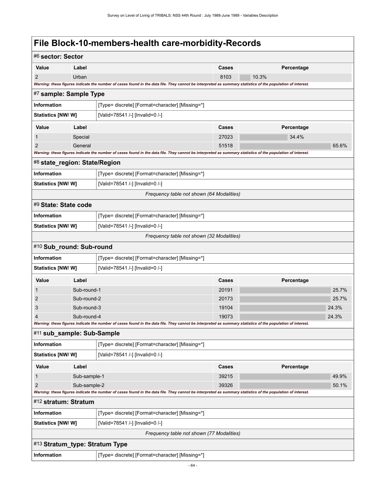| #6 sector: Sector              |                                                 |                                                                                                                                                             |       |            |       |  |  |  |
|--------------------------------|-------------------------------------------------|-------------------------------------------------------------------------------------------------------------------------------------------------------------|-------|------------|-------|--|--|--|
| Value                          | Label                                           |                                                                                                                                                             | Cases | Percentage |       |  |  |  |
| $\overline{2}$                 | Urban                                           |                                                                                                                                                             | 8103  | 10.3%      |       |  |  |  |
|                                |                                                 | Warning: these figures indicate the number of cases found in the data file. They cannot be interpreted as summary statistics of the population of interest. |       |            |       |  |  |  |
|                                | #7 sample: Sample Type                          |                                                                                                                                                             |       |            |       |  |  |  |
| Information                    |                                                 | [Type= discrete] [Format=character] [Missing=*]                                                                                                             |       |            |       |  |  |  |
| Statistics [NW/W]              |                                                 | [Valid=78541 /-] [Invalid=0 /-]                                                                                                                             |       |            |       |  |  |  |
| Value                          | Label                                           |                                                                                                                                                             | Cases | Percentage |       |  |  |  |
| 1                              | Special                                         |                                                                                                                                                             | 27023 | 34.4%      |       |  |  |  |
| 2                              | General                                         |                                                                                                                                                             | 51518 |            | 65.6% |  |  |  |
|                                |                                                 | Warning: these figures indicate the number of cases found in the data file. They cannot be interpreted as summary statistics of the population of interest. |       |            |       |  |  |  |
| #8 state_region: State/Region  |                                                 |                                                                                                                                                             |       |            |       |  |  |  |
| Information                    |                                                 | [Type= discrete] [Format=character] [Missing=*]                                                                                                             |       |            |       |  |  |  |
| <b>Statistics [NW/ W]</b>      |                                                 | [Valid=78541 /-] [Invalid=0 /-]                                                                                                                             |       |            |       |  |  |  |
|                                |                                                 | Frequency table not shown (64 Modalities)                                                                                                                   |       |            |       |  |  |  |
| #9 State: State code           |                                                 |                                                                                                                                                             |       |            |       |  |  |  |
| <b>Information</b>             |                                                 | [Type= discrete] [Format=character] [Missing=*]                                                                                                             |       |            |       |  |  |  |
| <b>Statistics [NW/ W]</b>      |                                                 | [Valid=78541 /-] [Invalid=0 /-]                                                                                                                             |       |            |       |  |  |  |
|                                |                                                 | Frequency table not shown (32 Modalities)                                                                                                                   |       |            |       |  |  |  |
| #10 Sub_round: Sub-round       |                                                 |                                                                                                                                                             |       |            |       |  |  |  |
| Information                    |                                                 | [Type= discrete] [Format=character] [Missing=*]                                                                                                             |       |            |       |  |  |  |
| Statistics [NW/ W]             |                                                 | [Valid=78541 /-] [Invalid=0 /-]                                                                                                                             |       |            |       |  |  |  |
| Value                          | Label                                           |                                                                                                                                                             | Cases | Percentage |       |  |  |  |
| 1                              | Sub-round-1                                     |                                                                                                                                                             | 20191 |            | 25.7% |  |  |  |
| $\overline{2}$                 | Sub-round-2                                     |                                                                                                                                                             | 20173 |            | 25.7% |  |  |  |
| 3                              | Sub-round-3                                     |                                                                                                                                                             | 19104 |            | 24.3% |  |  |  |
| 4                              | Sub-round-4                                     |                                                                                                                                                             | 19073 |            | 24.3% |  |  |  |
|                                |                                                 | Warning: these figures indicate the number of cases found in the data file. They cannot be interpreted as summary statistics of the population of interest. |       |            |       |  |  |  |
| #11 sub_sample: Sub-Sample     |                                                 |                                                                                                                                                             |       |            |       |  |  |  |
| Information                    |                                                 | [Type= discrete] [Format=character] [Missing=*]                                                                                                             |       |            |       |  |  |  |
| Statistics [NW/W]              |                                                 | [Valid=78541 /-] [Invalid=0 /-]                                                                                                                             |       |            |       |  |  |  |
| Value                          | Label                                           |                                                                                                                                                             | Cases | Percentage |       |  |  |  |
| 1                              | Sub-sample-1                                    |                                                                                                                                                             | 39215 |            | 49.9% |  |  |  |
| $\overline{2}$                 | Sub-sample-2                                    |                                                                                                                                                             | 39326 |            | 50.1% |  |  |  |
|                                |                                                 | Warning: these figures indicate the number of cases found in the data file. They cannot be interpreted as summary statistics of the population of interest. |       |            |       |  |  |  |
|                                | #12 stratum: Stratum                            |                                                                                                                                                             |       |            |       |  |  |  |
| Information                    |                                                 | [Type= discrete] [Format=character] [Missing=*]                                                                                                             |       |            |       |  |  |  |
| Statistics [NW/W]              |                                                 | [Valid=78541 /-] [Invalid=0 /-]                                                                                                                             |       |            |       |  |  |  |
|                                | Frequency table not shown (77 Modalities)       |                                                                                                                                                             |       |            |       |  |  |  |
| #13 Stratum_type: Stratum Type |                                                 |                                                                                                                                                             |       |            |       |  |  |  |
| Information                    | [Type= discrete] [Format=character] [Missing=*] |                                                                                                                                                             |       |            |       |  |  |  |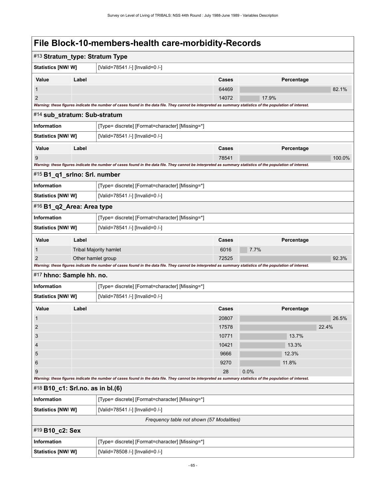| #13 Stratum_type: Stratum Type   |                    |                                                                                                                                                             |       |            |        |
|----------------------------------|--------------------|-------------------------------------------------------------------------------------------------------------------------------------------------------------|-------|------------|--------|
| Statistics [NW/ W]               |                    | [Valid=78541 /-] [Invalid=0 /-]                                                                                                                             |       |            |        |
| Value                            | Label              |                                                                                                                                                             | Cases | Percentage |        |
| 1                                |                    |                                                                                                                                                             | 64469 |            | 82.1%  |
| $\overline{2}$                   |                    |                                                                                                                                                             | 14072 | 17.9%      |        |
|                                  |                    | Warning: these figures indicate the number of cases found in the data file. They cannot be interpreted as summary statistics of the population of interest. |       |            |        |
| #14 sub_stratum: Sub-stratum     |                    |                                                                                                                                                             |       |            |        |
| <b>Information</b>               |                    | [Type= discrete] [Format=character] [Missing=*]                                                                                                             |       |            |        |
| <b>Statistics [NW/W]</b>         |                    | [Valid=78541 /-] [Invalid=0 /-]                                                                                                                             |       |            |        |
| Value                            | Label              |                                                                                                                                                             | Cases | Percentage |        |
| 9                                |                    |                                                                                                                                                             | 78541 |            | 100.0% |
|                                  |                    | Warning: these figures indicate the number of cases found in the data file. They cannot be interpreted as summary statistics of the population of interest. |       |            |        |
| #15 B1_q1_srlno: Srl. number     |                    |                                                                                                                                                             |       |            |        |
| <b>Information</b>               |                    | [Type= discrete] [Format=character] [Missing=*]                                                                                                             |       |            |        |
| <b>Statistics [NW/ W]</b>        |                    | [Valid=78541 /-] [Invalid=0 /-]                                                                                                                             |       |            |        |
| #16 B1_q2_Area: Area type        |                    |                                                                                                                                                             |       |            |        |
| Information                      |                    | [Type= discrete] [Format=character] [Missing=*]                                                                                                             |       |            |        |
| <b>Statistics [NW/W]</b>         |                    | [Valid=78541 /-] [Invalid=0 /-]                                                                                                                             |       |            |        |
| Value                            | Label              |                                                                                                                                                             | Cases | Percentage |        |
| 1                                |                    | <b>Tribal Majority hamlet</b>                                                                                                                               | 6016  | 7.7%       |        |
| 2                                | Other hamlet group |                                                                                                                                                             | 72525 |            | 92.3%  |
|                                  |                    | Warning: these figures indicate the number of cases found in the data file. They cannot be interpreted as summary statistics of the population of interest. |       |            |        |
| #17 hhno: Sample hh. no.         |                    |                                                                                                                                                             |       |            |        |
| <b>Information</b>               |                    | [Type= discrete] [Format=character] [Missing=*]                                                                                                             |       |            |        |
| <b>Statistics [NW/ W]</b>        |                    | [Valid=78541 /-] [Invalid=0 /-]                                                                                                                             |       |            |        |
| Value                            | Label              |                                                                                                                                                             | Cases | Percentage |        |
| 1                                |                    |                                                                                                                                                             | 20807 |            | 26.5%  |
| 2                                |                    |                                                                                                                                                             | 17578 |            | 22.4%  |
| 3                                |                    |                                                                                                                                                             | 10771 | 13.7%      |        |
| 4                                |                    |                                                                                                                                                             | 10421 | 13.3%      |        |
| 5                                |                    |                                                                                                                                                             | 9666  | 12.3%      |        |
| 6                                |                    |                                                                                                                                                             | 9270  | 11.8%      |        |
| 9                                |                    | Warning: these figures indicate the number of cases found in the data file. They cannot be interpreted as summary statistics of the population of interest. | 28    | 0.0%       |        |
| #18 B10_c1: Srl.no. as in bl.(6) |                    |                                                                                                                                                             |       |            |        |
| Information                      |                    | [Type= discrete] [Format=character] [Missing=*]                                                                                                             |       |            |        |
| Statistics [NW/W]                |                    | [Valid=78541 /-] [Invalid=0 /-]                                                                                                                             |       |            |        |
|                                  |                    | Frequency table not shown (57 Modalities)                                                                                                                   |       |            |        |
| #19 B10_c2: Sex                  |                    |                                                                                                                                                             |       |            |        |
| <b>Information</b>               |                    | [Type= discrete] [Format=character] [Missing=*]                                                                                                             |       |            |        |
| Statistics [NW/W]                |                    | [Valid=78508 /-] [Invalid=0 /-]                                                                                                                             |       |            |        |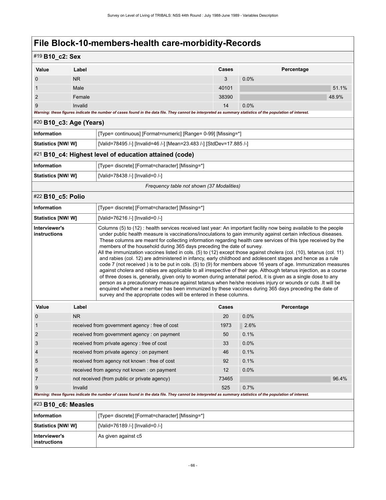| #19 B10_c2: Sex                                                                                                                                             |                |  |       |            |       |  |  |
|-------------------------------------------------------------------------------------------------------------------------------------------------------------|----------------|--|-------|------------|-------|--|--|
| Value                                                                                                                                                       | Label          |  | Cases | Percentage |       |  |  |
| $\overline{0}$                                                                                                                                              | N <sub>R</sub> |  | 3     | 0.0%       |       |  |  |
| $\overline{1}$                                                                                                                                              | Male           |  | 40101 |            | 51.1% |  |  |
| $\overline{2}$                                                                                                                                              | Female         |  | 38390 |            | 48.9% |  |  |
| 9                                                                                                                                                           | Invalid        |  | 14    | $0.0\%$    |       |  |  |
| Warning: these figures indicate the number of cases found in the data file. They cannot be interpreted as summary statistics of the population of interest. |                |  |       |            |       |  |  |
| #20 B10_c3: Age (Years)                                                                                                                                     |                |  |       |            |       |  |  |
| <b>Information</b><br>$T_{max} =$ continuous) $T_{normal} =$ $T_{sum}$ $T_{max} = 0.001$ $M_{ion} =$ $t_{max}$                                              |                |  |       |            |       |  |  |

| #21 B10_c4: Highest level of education attained (code) |                                                                      |  |  |  |
|--------------------------------------------------------|----------------------------------------------------------------------|--|--|--|
| Statistics [NW/ W]                                     | [Valid=78495 /-] [Invalid=46 /-] [Mean=23.483 /-] [StdDev=17.885 /-] |  |  |  |
| Information                                            | [Type= continuous] [Format=numeric] [Range= 0-99] [Missing=*]        |  |  |  |

| Information        | [Type= discrete] [Format=character] [Missing=*] |
|--------------------|-------------------------------------------------|
| Statistics [NW/ W] | [Valid=78438 /-] [Invalid=0 /-]                 |

*Frequency table not shown (37 Modalities)*

| #22 B10_c5: Polio                    |           |                                                                                                                                                                                                                                                                                                                                                                                                                                                                                                                                                                                                                                                                                                                                                                                                                                                                                                                                                                                                                                                                                                                                                                                                                                                                                                                                 |       |            |  |
|--------------------------------------|-----------|---------------------------------------------------------------------------------------------------------------------------------------------------------------------------------------------------------------------------------------------------------------------------------------------------------------------------------------------------------------------------------------------------------------------------------------------------------------------------------------------------------------------------------------------------------------------------------------------------------------------------------------------------------------------------------------------------------------------------------------------------------------------------------------------------------------------------------------------------------------------------------------------------------------------------------------------------------------------------------------------------------------------------------------------------------------------------------------------------------------------------------------------------------------------------------------------------------------------------------------------------------------------------------------------------------------------------------|-------|------------|--|
| <b>Information</b>                   |           | [Type= discrete] [Format=character] [Missing=*]                                                                                                                                                                                                                                                                                                                                                                                                                                                                                                                                                                                                                                                                                                                                                                                                                                                                                                                                                                                                                                                                                                                                                                                                                                                                                 |       |            |  |
| Statistics [NW/W]                    |           | [Valid=76216 /-] [Invalid=0 /-]                                                                                                                                                                                                                                                                                                                                                                                                                                                                                                                                                                                                                                                                                                                                                                                                                                                                                                                                                                                                                                                                                                                                                                                                                                                                                                 |       |            |  |
| Interviewer's<br><b>instructions</b> |           | Columns (5) to (12): health services received last year: An important facility now being available to the people<br>under public health measure is vaccinations/inoculations to gain immunity against certain infectious diseases.<br>These columns are meant for collecting information regarding health care services of this type received by the<br>members of the household during 365 days preceding the date of survey.<br>All the immunization vaccines listed in cols. (5) to (12) except those against cholera (col. (10), tetanus (col. 11)<br>and rabies (col. 12) are administered in infancy, early childhood and adolescent stages and hence as a rule<br>code 7 (not received) is to be put in cols. (5) to (9) for members above 16 years of age. Immunization measures<br>against cholera and rabies are applicable to all irrespective of their age. Although tetanus injection, as a course<br>of three doses is, generally, given only to women during antenatal period, it is given as a single dose to any<br>person as a precautionary measure against tetanus when he/she receives injury or wounds or cuts . It will be<br>enquired whether a member has been immunized by these vaccines during 365 days preceding the date of<br>survey and the appropriate codes will be entered in these columns. |       |            |  |
| Value                                | Label     |                                                                                                                                                                                                                                                                                                                                                                                                                                                                                                                                                                                                                                                                                                                                                                                                                                                                                                                                                                                                                                                                                                                                                                                                                                                                                                                                 | Cases | Percentage |  |
| 0                                    | <b>NR</b> |                                                                                                                                                                                                                                                                                                                                                                                                                                                                                                                                                                                                                                                                                                                                                                                                                                                                                                                                                                                                                                                                                                                                                                                                                                                                                                                                 | 20    | 0.0%       |  |
| 1                                    |           | received from government agency: free of cost                                                                                                                                                                                                                                                                                                                                                                                                                                                                                                                                                                                                                                                                                                                                                                                                                                                                                                                                                                                                                                                                                                                                                                                                                                                                                   | 1973  | 2.6%       |  |
| $\overline{2}$                       |           | received from government agency: on payment                                                                                                                                                                                                                                                                                                                                                                                                                                                                                                                                                                                                                                                                                                                                                                                                                                                                                                                                                                                                                                                                                                                                                                                                                                                                                     | 50    | 0.1%       |  |
| 3                                    |           | received from private agency: free of cost                                                                                                                                                                                                                                                                                                                                                                                                                                                                                                                                                                                                                                                                                                                                                                                                                                                                                                                                                                                                                                                                                                                                                                                                                                                                                      | 33    | 0.0%       |  |
| 4                                    |           | received from private agency : on payment                                                                                                                                                                                                                                                                                                                                                                                                                                                                                                                                                                                                                                                                                                                                                                                                                                                                                                                                                                                                                                                                                                                                                                                                                                                                                       | 46    | 0.1%       |  |
| 5                                    |           | received from agency not known: free of cost                                                                                                                                                                                                                                                                                                                                                                                                                                                                                                                                                                                                                                                                                                                                                                                                                                                                                                                                                                                                                                                                                                                                                                                                                                                                                    | 92    | 0.1%       |  |
| 6                                    |           | received from agency not known: on payment                                                                                                                                                                                                                                                                                                                                                                                                                                                                                                                                                                                                                                                                                                                                                                                                                                                                                                                                                                                                                                                                                                                                                                                                                                                                                      | 12    | 0.0%       |  |
| 7                                    |           | not received (from public or private agency)                                                                                                                                                                                                                                                                                                                                                                                                                                                                                                                                                                                                                                                                                                                                                                                                                                                                                                                                                                                                                                                                                                                                                                                                                                                                                    | 73465 | 96.4%      |  |
| 9                                    | Invalid   |                                                                                                                                                                                                                                                                                                                                                                                                                                                                                                                                                                                                                                                                                                                                                                                                                                                                                                                                                                                                                                                                                                                                                                                                                                                                                                                                 | 525   | 0.7%       |  |
|                                      |           | Warning: these figures indicate the number of cases found in the data file. They cannot be interpreted as summary statistics of the population of interest.                                                                                                                                                                                                                                                                                                                                                                                                                                                                                                                                                                                                                                                                                                                                                                                                                                                                                                                                                                                                                                                                                                                                                                     |       |            |  |
| #23 B10_c6: Measles                  |           |                                                                                                                                                                                                                                                                                                                                                                                                                                                                                                                                                                                                                                                                                                                                                                                                                                                                                                                                                                                                                                                                                                                                                                                                                                                                                                                                 |       |            |  |
|                                      |           |                                                                                                                                                                                                                                                                                                                                                                                                                                                                                                                                                                                                                                                                                                                                                                                                                                                                                                                                                                                                                                                                                                                                                                                                                                                                                                                                 |       |            |  |

| ∣ Information                   | [Type= discrete] [Format=character] [Missing=*] |
|---------------------------------|-------------------------------------------------|
| Statistics [NW/W]               | [Valid=76189 /-] [Invalid=0 /-]                 |
| ∣ Interviewer's<br>instructions | As given against c5                             |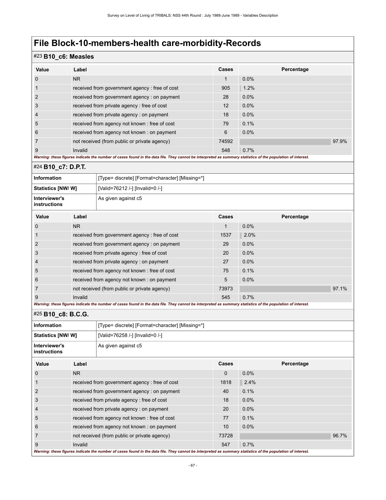| #23 B10_c6: Measles |  |  |  |
|---------------------|--|--|--|
|---------------------|--|--|--|

| Value          | Label                                                                                                                                                      | Cases | Percentage |       |
|----------------|------------------------------------------------------------------------------------------------------------------------------------------------------------|-------|------------|-------|
| $\overline{0}$ | N <sub>R</sub>                                                                                                                                             | 1     | $0.0\%$    |       |
| $\mathbf 1$    | received from government agency: free of cost                                                                                                              | 905   | 1.2%       |       |
| $\overline{2}$ | received from government agency: on payment                                                                                                                | 28    | 0.0%       |       |
| 3              | received from private agency: free of cost                                                                                                                 | 12    | $0.0\%$    |       |
| $\overline{4}$ | received from private agency : on payment                                                                                                                  | 18    | 0.0%       |       |
| 5              | received from agency not known: free of cost                                                                                                               | 79    | 0.1%       |       |
| 6              | received from agency not known : on payment                                                                                                                | 6     | 0.0%       |       |
| $\overline{7}$ | not received (from public or private agency)                                                                                                               | 74592 |            | 97.9% |
| 9              | Invalid                                                                                                                                                    | 548   | 0.7%       |       |
|                | Warning: these figures indicate the number of cases found in the data file. They cannot be interpreted as summany statistics of the nonvlation of interest |       |            |       |

*Warning: these figures indicate the number of cases found in the data file. They cannot be interpreted as summary statistics of the population of interest.*

#24 **B10\_c7: D.P.T.**

| <b>Information</b>                                                                                                                                          |                                              | [Type= discrete] [Format=character] [Missing=*] |              |            |       |  |  |
|-------------------------------------------------------------------------------------------------------------------------------------------------------------|----------------------------------------------|-------------------------------------------------|--------------|------------|-------|--|--|
| Statistics [NW/ W]                                                                                                                                          |                                              | [Valid=76212 /-] [Invalid=0 /-]                 |              |            |       |  |  |
| Interviewer's<br><b>instructions</b>                                                                                                                        |                                              | As given against c5                             |              |            |       |  |  |
| Value                                                                                                                                                       | Label                                        |                                                 | <b>Cases</b> | Percentage |       |  |  |
| $\mathbf{0}$                                                                                                                                                | N <sub>R</sub>                               |                                                 | 1            | 0.0%       |       |  |  |
| $\mathbf 1$                                                                                                                                                 |                                              | received from government agency: free of cost   |              | 2.0%       |       |  |  |
| $\overline{2}$                                                                                                                                              |                                              | received from government agency: on payment     |              | 0.0%       |       |  |  |
| 3                                                                                                                                                           | received from private agency: free of cost   |                                                 | 20           | 0.0%       |       |  |  |
| $\overline{4}$                                                                                                                                              | received from private agency: on payment     |                                                 | 27           | 0.0%       |       |  |  |
| 5                                                                                                                                                           | received from agency not known: free of cost |                                                 | 75           | 0.1%       |       |  |  |
| 6                                                                                                                                                           | received from agency not known : on payment  |                                                 | 5            | 0.0%       |       |  |  |
| 7                                                                                                                                                           | not received (from public or private agency) |                                                 | 73973        |            | 97.1% |  |  |
| 9                                                                                                                                                           | Invalid                                      |                                                 | 545          | 0.7%       |       |  |  |
| Warning: these figures indicate the number of cases found in the data file. They cannot be interpreted as summary statistics of the population of interest. |                                              |                                                 |              |            |       |  |  |

#### #25 **B10\_c8: B.C.G.**

| <b>Information</b>                                                                                                                                          |                                              | [Type= discrete] [Format=character] [Missing=*] |       |            |  |  |  |
|-------------------------------------------------------------------------------------------------------------------------------------------------------------|----------------------------------------------|-------------------------------------------------|-------|------------|--|--|--|
| Statistics [NW/W]                                                                                                                                           |                                              | [Valid=76258 /-] [Invalid=0 /-]                 |       |            |  |  |  |
| Interviewer's<br>instructions                                                                                                                               |                                              | As given against c5                             |       |            |  |  |  |
| Value                                                                                                                                                       | Label                                        |                                                 | Cases | Percentage |  |  |  |
| $\mathbf 0$                                                                                                                                                 | NR.                                          |                                                 | 0     | 0.0%       |  |  |  |
| 1                                                                                                                                                           |                                              | received from government agency: free of cost   |       | 2.4%       |  |  |  |
| 2                                                                                                                                                           |                                              | received from government agency: on payment     |       | 0.1%       |  |  |  |
| 3                                                                                                                                                           | received from private agency: free of cost   |                                                 | 18    | 0.0%       |  |  |  |
| 4                                                                                                                                                           | received from private agency: on payment     |                                                 | 20    | 0.0%       |  |  |  |
| 5                                                                                                                                                           |                                              | received from agency not known: free of cost    | 77    | 0.1%       |  |  |  |
| 6                                                                                                                                                           | received from agency not known : on payment  |                                                 | 10    | 0.0%       |  |  |  |
| 7                                                                                                                                                           | not received (from public or private agency) |                                                 | 73728 | 96.7%      |  |  |  |
| 9                                                                                                                                                           | Invalid                                      |                                                 | 547   | 0.7%       |  |  |  |
| Warning: these figures indicate the number of cases found in the data file. They cannot be interpreted as summary statistics of the population of interest. |                                              |                                                 |       |            |  |  |  |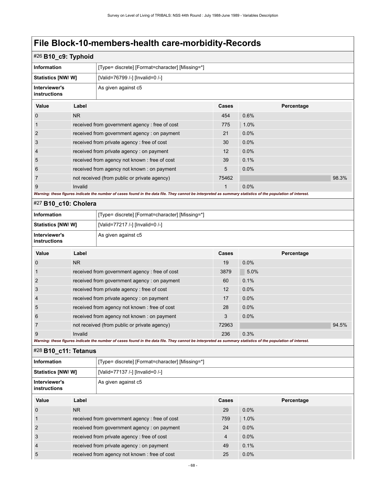| #26 B10_c9: Typhoid                  |           |                                                                                                                                                             |              |         |            |       |  |
|--------------------------------------|-----------|-------------------------------------------------------------------------------------------------------------------------------------------------------------|--------------|---------|------------|-------|--|
| <b>Information</b>                   |           | [Type= discrete] [Format=character] [Missing=*]                                                                                                             |              |         |            |       |  |
| <b>Statistics [NW/W]</b>             |           | [Valid=76799 /-] [Invalid=0 /-]                                                                                                                             |              |         |            |       |  |
| Interviewer's<br>instructions        |           | As given against c5                                                                                                                                         |              |         |            |       |  |
| Value                                | Label     |                                                                                                                                                             | Cases        |         | Percentage |       |  |
| 0                                    | NR        |                                                                                                                                                             | 454          | 0.6%    |            |       |  |
| 1                                    |           | received from government agency: free of cost                                                                                                               | 775          | 1.0%    |            |       |  |
| 2                                    |           | received from government agency : on payment                                                                                                                | 21           | 0.0%    |            |       |  |
| 3                                    |           | received from private agency: free of cost                                                                                                                  | 30           | 0.0%    |            |       |  |
| 4                                    |           | received from private agency : on payment                                                                                                                   | 12           | 0.0%    |            |       |  |
| 5                                    |           | received from agency not known: free of cost                                                                                                                | 39           | 0.1%    |            |       |  |
| 6                                    |           | received from agency not known : on payment                                                                                                                 | 5            | 0.0%    |            |       |  |
| 7                                    |           | not received (from public or private agency)                                                                                                                | 75462        |         |            | 98.3% |  |
| 9                                    | Invalid   |                                                                                                                                                             | $\mathbf{1}$ | 0.0%    |            |       |  |
|                                      |           | Warning: these figures indicate the number of cases found in the data file. They cannot be interpreted as summary statistics of the population of interest. |              |         |            |       |  |
| #27 B10_c10: Cholera                 |           |                                                                                                                                                             |              |         |            |       |  |
| <b>Information</b>                   |           | [Type= discrete] [Format=character] [Missing=*]                                                                                                             |              |         |            |       |  |
| <b>Statistics [NW/W]</b>             |           | [Valid=77217 /-] [Invalid=0 /-]                                                                                                                             |              |         |            |       |  |
| Interviewer's<br>instructions        |           | As given against c5                                                                                                                                         |              |         |            |       |  |
| Value                                | Label     |                                                                                                                                                             | Cases        |         | Percentage |       |  |
| $\mathbf 0$                          | <b>NR</b> |                                                                                                                                                             | 19           | 0.0%    |            |       |  |
| 1                                    |           | received from government agency: free of cost                                                                                                               | 3879         | 5.0%    |            |       |  |
| 2                                    |           | received from government agency: on payment                                                                                                                 | 60           | 0.1%    |            |       |  |
| 3                                    |           | received from private agency: free of cost                                                                                                                  | 12           | 0.0%    |            |       |  |
| 4                                    |           | received from private agency : on payment                                                                                                                   | 17           | 0.0%    |            |       |  |
| 5                                    |           | received from agency not known: free of cost                                                                                                                | 28           | 0.0%    |            |       |  |
| 6                                    |           | received from agency not known : on payment                                                                                                                 | 3            | 0.0%    |            |       |  |
| 7                                    |           | not received (from public or private agency)                                                                                                                | 72963        |         |            | 94.5% |  |
| 9                                    | Invalid   |                                                                                                                                                             | 236          | 0.3%    |            |       |  |
| #28 B10_c11: Tetanus                 |           | Warning: these figures indicate the number of cases found in the data file. They cannot be interpreted as summary statistics of the population of interest. |              |         |            |       |  |
| <b>Information</b>                   |           | [Type= discrete] [Format=character] [Missing=*]                                                                                                             |              |         |            |       |  |
| <b>Statistics [NW/W]</b>             |           | [Valid=77137 /-] [Invalid=0 /-]                                                                                                                             |              |         |            |       |  |
| Interviewer's<br><b>instructions</b> |           | As given against c5                                                                                                                                         |              |         |            |       |  |
| Value                                | Label     |                                                                                                                                                             | Cases        |         | Percentage |       |  |
| $\boldsymbol{0}$                     | <b>NR</b> |                                                                                                                                                             | 29           | $0.0\%$ |            |       |  |
| 1                                    |           | received from government agency: free of cost                                                                                                               | 759          | 1.0%    |            |       |  |
| $\overline{c}$                       |           | received from government agency: on payment                                                                                                                 | 24           | 0.0%    |            |       |  |
| 3                                    |           | received from private agency: free of cost                                                                                                                  | 4            | 0.0%    |            |       |  |
| 4                                    |           | received from private agency: on payment                                                                                                                    | 49           | 0.1%    |            |       |  |
| 5                                    |           | received from agency not known : free of cost                                                                                                               | 25           | 0.0%    |            |       |  |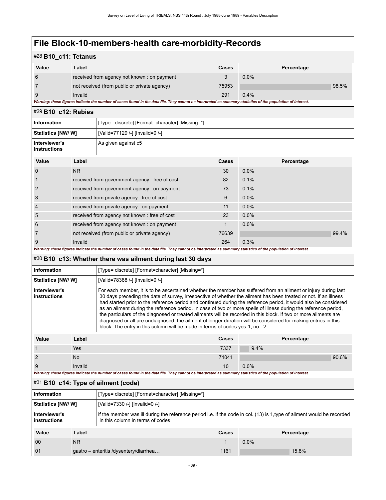# **File Block-10-members-health care-morbidity-Records**

| #28 B10_c11: Tetanus                 |           |                                                                                                                                                                                                                                                                                                                                                                                                                                                                                                                                                                                                |              |            |       |
|--------------------------------------|-----------|------------------------------------------------------------------------------------------------------------------------------------------------------------------------------------------------------------------------------------------------------------------------------------------------------------------------------------------------------------------------------------------------------------------------------------------------------------------------------------------------------------------------------------------------------------------------------------------------|--------------|------------|-------|
| Value                                | Label     |                                                                                                                                                                                                                                                                                                                                                                                                                                                                                                                                                                                                | Cases        | Percentage |       |
| 6                                    |           | received from agency not known : on payment                                                                                                                                                                                                                                                                                                                                                                                                                                                                                                                                                    | 3            | 0.0%       |       |
| $\overline{7}$                       |           | not received (from public or private agency)                                                                                                                                                                                                                                                                                                                                                                                                                                                                                                                                                   | 75953        |            | 98.5% |
| 9                                    | Invalid   |                                                                                                                                                                                                                                                                                                                                                                                                                                                                                                                                                                                                | 291          | 0.4%       |       |
|                                      |           | Warning: these figures indicate the number of cases found in the data file. They cannot be interpreted as summary statistics of the population of interest.                                                                                                                                                                                                                                                                                                                                                                                                                                    |              |            |       |
| #29 B10_c12: Rabies                  |           |                                                                                                                                                                                                                                                                                                                                                                                                                                                                                                                                                                                                |              |            |       |
| <b>Information</b>                   |           | [Type= discrete] [Format=character] [Missing=*]                                                                                                                                                                                                                                                                                                                                                                                                                                                                                                                                                |              |            |       |
| <b>Statistics [NW/W]</b>             |           | [Valid=77129 /-] [Invalid=0 /-]                                                                                                                                                                                                                                                                                                                                                                                                                                                                                                                                                                |              |            |       |
| Interviewer's<br><b>instructions</b> |           | As given against c5                                                                                                                                                                                                                                                                                                                                                                                                                                                                                                                                                                            |              |            |       |
| Value                                | Label     |                                                                                                                                                                                                                                                                                                                                                                                                                                                                                                                                                                                                | Cases        | Percentage |       |
| $\mathbf 0$                          | <b>NR</b> |                                                                                                                                                                                                                                                                                                                                                                                                                                                                                                                                                                                                | 30           | 0.0%       |       |
| 1                                    |           | received from government agency: free of cost                                                                                                                                                                                                                                                                                                                                                                                                                                                                                                                                                  | 82           | 0.1%       |       |
| $\overline{2}$                       |           | received from government agency: on payment                                                                                                                                                                                                                                                                                                                                                                                                                                                                                                                                                    | 73           | 0.1%       |       |
| 3                                    |           | received from private agency: free of cost                                                                                                                                                                                                                                                                                                                                                                                                                                                                                                                                                     | 6            | 0.0%       |       |
| $\overline{4}$                       |           | received from private agency : on payment                                                                                                                                                                                                                                                                                                                                                                                                                                                                                                                                                      | 11           | 0.0%       |       |
| 5                                    |           | received from agency not known: free of cost                                                                                                                                                                                                                                                                                                                                                                                                                                                                                                                                                   | 23           | 0.0%       |       |
| 6                                    |           | received from agency not known : on payment                                                                                                                                                                                                                                                                                                                                                                                                                                                                                                                                                    | $\mathbf{1}$ | 0.0%       |       |
| $\overline{7}$                       |           | not received (from public or private agency)                                                                                                                                                                                                                                                                                                                                                                                                                                                                                                                                                   | 76639        |            | 99.4% |
| 9                                    | Invalid   |                                                                                                                                                                                                                                                                                                                                                                                                                                                                                                                                                                                                | 264          | 0.3%       |       |
|                                      |           | Warning: these figures indicate the number of cases found in the data file. They cannot be interpreted as summary statistics of the population of interest.                                                                                                                                                                                                                                                                                                                                                                                                                                    |              |            |       |
|                                      |           | #30 B10_c13: Whether there was ailment during last 30 days                                                                                                                                                                                                                                                                                                                                                                                                                                                                                                                                     |              |            |       |
| <b>Information</b>                   |           | [Type= discrete] [Format=character] [Missing=*]                                                                                                                                                                                                                                                                                                                                                                                                                                                                                                                                                |              |            |       |
| Statistics [NW/W]                    |           | [Valid=78388 /-] [Invalid=0 /-]                                                                                                                                                                                                                                                                                                                                                                                                                                                                                                                                                                |              |            |       |
| Interviewer's<br><b>instructions</b> |           | For each member, it is to be ascertained whether the member has suffered from an ailment or injury during last<br>30 days preceding the date of survey, irrespective of whether the ailment has been treated or not. If an illness<br>had started prior to the reference period and continued during the reference period, it would also be considered<br>as an ailment during the reference period. In case of two or more spells of illness during the reference period,<br>the particulars of the diagnosed or treated ailments will be recorded in this block. If two or more ailments are |              |            |       |

|       | block. The entry in this column will be made in terms of codes yes-1, no - 2. |  |              |            |       |
|-------|-------------------------------------------------------------------------------|--|--------------|------------|-------|
| Value | Label                                                                         |  | <b>Cases</b> | Percentage |       |
|       | Yes                                                                           |  | 7337         | $9.4\%$    |       |
|       | N <sub>o</sub>                                                                |  | 71041        |            | 90.6% |
| 9     | Invalid                                                                       |  | 10           | 0.0%       |       |

diagnosed or all are undiagnosed, the ailment of longer duration will be considered for making entries in this

*Warning: these figures indicate the number of cases found in the data file. They cannot be interpreted as summary statistics of the population of interest.*

|  |  |  | #31 B10_c14: Type of ailment (code) |  |  |
|--|--|--|-------------------------------------|--|--|
|--|--|--|-------------------------------------|--|--|

| Information<br>[Type= discrete] [Format=character] [Missing=*]                                                                                                                               |                |                                        |       |      |            |
|----------------------------------------------------------------------------------------------------------------------------------------------------------------------------------------------|----------------|----------------------------------------|-------|------|------------|
| <b>Statistics [NW/ W]</b><br>[Valid=7330 /-] [Invalid=0 /-]                                                                                                                                  |                |                                        |       |      |            |
| if the member was ill during the reference period i.e. if the code in col. (13) is 1, type of ailment would be recorded<br>Interviewer's<br>in this column in terms of codes<br>instructions |                |                                        |       |      |            |
| Value                                                                                                                                                                                        | Label          |                                        | Cases |      | Percentage |
| 00                                                                                                                                                                                           | N <sub>R</sub> |                                        |       | 0.0% |            |
| 01                                                                                                                                                                                           |                | gastro – enteritis /dysentery/diarrhea | 1161  |      | 15.8%      |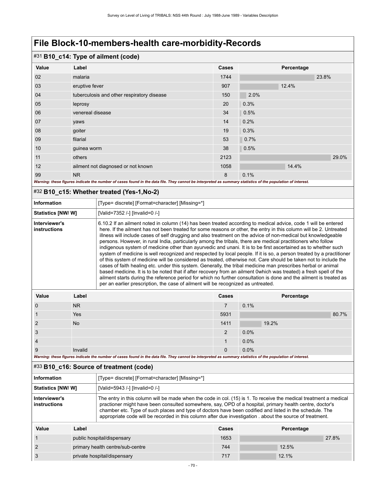# **File Block-10-members-health care-morbidity-Records**

## #31 **B10\_c14: Type of ailment (code)**

|       | $\sim$ . B to Ly . Type or all then (code) |       |      |            |       |
|-------|--------------------------------------------|-------|------|------------|-------|
| Value | Label                                      | Cases |      | Percentage |       |
| 02    | malaria                                    | 1744  |      |            | 23.8% |
| 03    | eruptive fever                             | 907   |      | 12.4%      |       |
| 04    | tuberculosis and other respiratory disease | 150   | 2.0% |            |       |
| 05    | leprosy                                    | 20    | 0.3% |            |       |
| 06    | venereal disease                           | 34    | 0.5% |            |       |
| 07    | yaws                                       | 14    | 0.2% |            |       |
| 08    | goiter                                     | 19    | 0.3% |            |       |
| 09    | filarial                                   | 53    | 0.7% |            |       |
| 10    | guinea worm                                | 38    | 0.5% |            |       |
| 11    | others                                     | 2123  |      |            | 29.0% |
| 12    | ailment not diagnosed or not known         | 1058  |      | 14.4%      |       |
| 99    | <b>NR</b>                                  | 8     | 0.1% |            |       |
|       |                                            |       |      |            |       |

*Warning: these figures indicate the number of cases found in the data file. They cannot be interpreted as summary statistics of the population of interest.*

#### #32 **B10\_c15: Whether treated (Yes-1,No-2)**

| Information                   | [Type= discrete] [Format=character] [Missing=*]                                                                                                                                                                                                                                                                                                                                                                                                                                                                                                                                                                                                                                                                                                                                                                                                                                                                                                                                                                                                                                                                                                                                                                                                                                       |
|-------------------------------|---------------------------------------------------------------------------------------------------------------------------------------------------------------------------------------------------------------------------------------------------------------------------------------------------------------------------------------------------------------------------------------------------------------------------------------------------------------------------------------------------------------------------------------------------------------------------------------------------------------------------------------------------------------------------------------------------------------------------------------------------------------------------------------------------------------------------------------------------------------------------------------------------------------------------------------------------------------------------------------------------------------------------------------------------------------------------------------------------------------------------------------------------------------------------------------------------------------------------------------------------------------------------------------|
| Statistics [NW/ W]            | [Valid=7352 /-] [Invalid=0 /-]                                                                                                                                                                                                                                                                                                                                                                                                                                                                                                                                                                                                                                                                                                                                                                                                                                                                                                                                                                                                                                                                                                                                                                                                                                                        |
| Interviewer's<br>instructions | 6.10.2 If an ailment noted in column (14) has been treated according to medical advice, code 1 will be entered<br>here. If the ailment has not been treated for some reasons or other, the entry in this column will be 2. Untreated<br>illness will include cases of self drugging and also treatment on the advice of non-medical but knowledgeable<br>persons. However, in rural India, particularly among the tribals, there are medical practitioners who follow<br>indigenous system of medicine other than ayurvedic and unani. It is to be first ascertained as to whether such<br>system of medicine is well recognized and respected by local people. If it is so, a person treated by a practitioner<br>of this system of medicine will be considered as treated, otherwise not. Care should be taken not to include the<br>cases of faith healing etc. under this system. Generally, the tribal medicine man prescribes herbal or animal<br>based medicine. It is to be noted that if after recovery from an ailment 0 which was treated) a fresh spell of the<br>ailment starts during the reference period for which no further consultation is done and the ailment is treated as<br>per an earlier prescription, the case of ailment will be recognized as untreated. |

| Value          | Label                                                                                                                                                       | Cases          | Percentage |
|----------------|-------------------------------------------------------------------------------------------------------------------------------------------------------------|----------------|------------|
| $\mathbf 0$    | <b>NR</b>                                                                                                                                                   |                | 0.1%       |
|                | <b>Yes</b>                                                                                                                                                  | 5931           | 80.7%      |
|                | <b>No</b>                                                                                                                                                   | 1411           | 19.2%      |
| 3              |                                                                                                                                                             | $\overline{2}$ | 0.0%       |
| $\overline{4}$ |                                                                                                                                                             |                | 0.0%       |
| 9              | Invalid                                                                                                                                                     | $\mathbf{0}$   | $0.0\%$    |
|                | Warning: these figures indicate the number of cases found in the data file. They cannot be interpreted as summary statistics of the population of interest. |                |            |

### #33 **B10\_c16: Source of treatment (code)**

| Information                   | [Type= discrete] [Format=character] [Missing=*]                                                                                                                                                                                                                                                                                                                                                                                                      |
|-------------------------------|------------------------------------------------------------------------------------------------------------------------------------------------------------------------------------------------------------------------------------------------------------------------------------------------------------------------------------------------------------------------------------------------------------------------------------------------------|
| <b>Statistics [NW/ W]</b>     | [Valid=5943 /-] [Invalid=0 /-]                                                                                                                                                                                                                                                                                                                                                                                                                       |
| Interviewer's<br>instructions | The entry in this column will be made when the code in col. (15) is 1. To receive the medical treatment a medical<br>practioner might have been consulted somewhere, say, OPD of a hospital, primary health centre, doctor's<br>chamber etc. Type of such places and type of doctors have been codified and listed in the schedule. The<br>appropriate code will be recorded in this column after due investigation . about the source of treatment. |

| Value | Label                            | Cases | Percentage |
|-------|----------------------------------|-------|------------|
|       | public hospital/dispensary       | 1653  | 27.8%      |
|       | primary health centre/sub-centre | 744   | 12.5%      |
|       | private hospital/dispensary      | 717   | 12.1%      |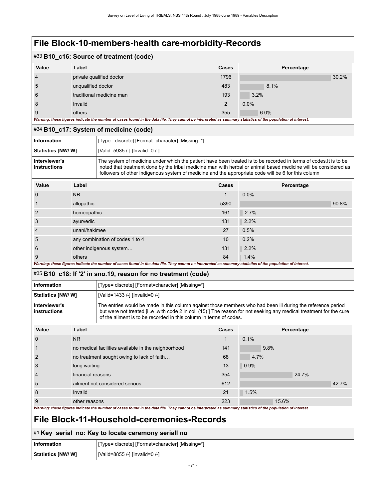# **File Block-10-members-health care-morbidity-Records**

### #33 **B10\_c16: Source of treatment (code)**

| -              |                                                                                                                                                             |       |            |
|----------------|-------------------------------------------------------------------------------------------------------------------------------------------------------------|-------|------------|
| Value          | Label                                                                                                                                                       | Cases | Percentage |
| $\overline{4}$ | private qualified doctor                                                                                                                                    | 1796  | 30.2%      |
| 5              | unqualified doctor                                                                                                                                          | 483   | 8.1%       |
| 6              | traditional medicine man                                                                                                                                    | 193   | 3.2%       |
| 8              | Invalid                                                                                                                                                     | 2     | $0.0\%$    |
| 9              | others                                                                                                                                                      | 355   | 6.0%       |
|                | Warning: these figures indicate the number of cases found in the data file. They cannot be interpreted as summary statistics of the population of interest. |       |            |

### #34 **B10\_c17: System of medicine (code)**

| Information                   | [Type= discrete] [Format=character] [Missing=*]                                                                                                                                                                                                                                                                                             |
|-------------------------------|---------------------------------------------------------------------------------------------------------------------------------------------------------------------------------------------------------------------------------------------------------------------------------------------------------------------------------------------|
| Statistics [NW/ W]            | [Valid=5935 /-] [Invalid=0 /-]                                                                                                                                                                                                                                                                                                              |
| Interviewer's<br>instructions | The system of medicine under which the patient have been treated is to be recorded in terms of codes. It is to be<br>noted that treatment done by the tribal medicine man with herbal or animal based medicine will be considered as<br>followers of other indigenous system of medicine and the appropriate code will be 6 for this column |

| Value          | Label                                                                                                                                                       | Cases | Percentage |
|----------------|-------------------------------------------------------------------------------------------------------------------------------------------------------------|-------|------------|
| $\Omega$       | N <sub>R</sub>                                                                                                                                              |       | 0.0%       |
|                | allopathic                                                                                                                                                  | 5390  | 90.8%      |
| 2              | homeopathic                                                                                                                                                 | 161   | 2.7%       |
| 3              | ayurvedic                                                                                                                                                   | 131   | 2.2%       |
| $\overline{4}$ | unani/hakimee                                                                                                                                               | 27    | 0.5%       |
| 5              | any combination of codes 1 to 4                                                                                                                             | 10    | 0.2%       |
| 6              | other indigenous system                                                                                                                                     | 131   | 2.2%       |
| 9              | others                                                                                                                                                      | 84    | 1.4%       |
|                | Warning: these figures indicate the number of cases found in the data file. They cannot be interpreted as summary statistics of the population of interest. |       |            |

### #35 **B10\_c18: If '2' in sno.19, reason for no treatment (code)**

| <b>Information</b>            | Type= discrete] [Format=character] [Missing=*]                                                                                                                                                                                                                                                           |
|-------------------------------|----------------------------------------------------------------------------------------------------------------------------------------------------------------------------------------------------------------------------------------------------------------------------------------------------------|
| <b>Statistics [NW/ W]</b>     | [Valid=1433 /-] [Invalid=0 /-]                                                                                                                                                                                                                                                                           |
| Interviewer's<br>instructions | The entries would be made in this column against those members who had been ill during the reference period<br>but were not treated [i .e .with code 2 in col. (15)] The reason for not seeking any medical treatment for the cure<br>of the aliment is to be recorded in this column in terms of codes. |

| <b>Value</b>   | Label                                                                                                                                                       | Cases | Percentage |
|----------------|-------------------------------------------------------------------------------------------------------------------------------------------------------------|-------|------------|
| 0              | N <sub>R</sub>                                                                                                                                              |       | 0.1%       |
|                | no medical facilities available in the neighborhood                                                                                                         | 141   | 9.8%       |
| $\overline{2}$ | no treatment sought owing to lack of faith                                                                                                                  | 68    | 4.7%       |
| 3              | long waiting                                                                                                                                                | 13    | 0.9%       |
| 4              | financial reasons                                                                                                                                           | 354   | 24.7%      |
| 5              | ailment not considered serious                                                                                                                              | 612   | 42.7%      |
| 8              | Invalid                                                                                                                                                     | 21    | 1.5%       |
| 9              | other reasons                                                                                                                                               | 223   | 15.6%      |
|                | Warning: these figures indicate the number of cases found in the data file. They cannot be interpreted as summary statistics of the population of interest. |       |            |

# **File Block-11-Household-ceremonies-Records**

### #1 **Key\_serial\_no: Key to locate ceremony seriall no**

| Information        | [Type= discrete] [Format=character] [Missing=*] |
|--------------------|-------------------------------------------------|
| Statistics [NW/ W] | [Valid=8855 /-] [Invalid=0 /-]                  |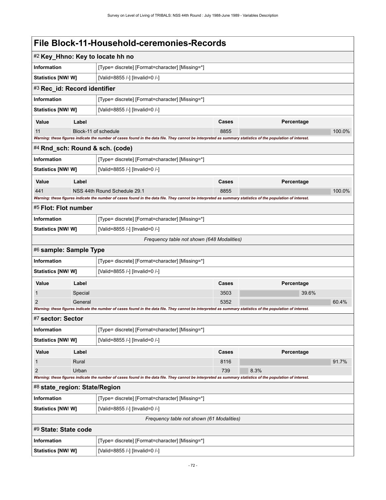| File Block-11-Household-ceremonies-Records |         |                                                                                                                                                             |             |            |        |
|--------------------------------------------|---------|-------------------------------------------------------------------------------------------------------------------------------------------------------------|-------------|------------|--------|
|                                            |         | #2 Key_Hhno: Key to locate hh no                                                                                                                            |             |            |        |
| Information                                |         | [Type= discrete] [Format=character] [Missing=*]                                                                                                             |             |            |        |
| <b>Statistics [NW/ W]</b>                  |         | [Valid=8855 /-] [Invalid=0 /-]                                                                                                                              |             |            |        |
| #3 Rec_id: Record identifier               |         |                                                                                                                                                             |             |            |        |
| <b>Information</b>                         |         | [Type= discrete] [Format=character] [Missing=*]                                                                                                             |             |            |        |
| Statistics [NW/ W]                         |         | [Valid=8855 /-] [Invalid=0 /-]                                                                                                                              |             |            |        |
| Value                                      | Label   |                                                                                                                                                             | Cases       | Percentage |        |
| 11                                         |         | Block-11 of schedule                                                                                                                                        | 8855        |            | 100.0% |
|                                            |         | Warning: these figures indicate the number of cases found in the data file. They cannot be interpreted as summary statistics of the population of interest. |             |            |        |
| #4 Rnd_sch: Round & sch. (code)            |         |                                                                                                                                                             |             |            |        |
| <b>Information</b>                         |         | [Type= discrete] [Format=character] [Missing=*]                                                                                                             |             |            |        |
| Statistics [NW/ W]                         |         | [Valid=8855 /-] [Invalid=0 /-]                                                                                                                              |             |            |        |
| <b>Value</b>                               | Label   |                                                                                                                                                             | Cases       | Percentage |        |
| 441                                        |         | NSS 44th Round Schedule 29.1                                                                                                                                | 8855        |            | 100.0% |
|                                            |         | Warning: these figures indicate the number of cases found in the data file. They cannot be interpreted as summary statistics of the population of interest. |             |            |        |
| #5 Flot: Flot number                       |         |                                                                                                                                                             |             |            |        |
| <b>Information</b>                         |         | [Type= discrete] [Format=character] [Missing=*]                                                                                                             |             |            |        |
| Statistics [NW/W]                          |         | [Valid=8855 /-] [Invalid=0 /-]                                                                                                                              |             |            |        |
|                                            |         | Frequency table not shown (648 Modalities)                                                                                                                  |             |            |        |
| #6 sample: Sample Type                     |         |                                                                                                                                                             |             |            |        |
| <b>Information</b>                         |         | [Type= discrete] [Format=character] [Missing=*]                                                                                                             |             |            |        |
| Statistics [NW/ W]                         |         | [Valid=8855 /-] [Invalid=0 /-]                                                                                                                              |             |            |        |
| Value                                      | Label   |                                                                                                                                                             | Cases       | Percentage |        |
| 1                                          | Special |                                                                                                                                                             | 3503        | 39.6%      |        |
| $\overline{2}$                             | General | Warning: these figures indicate the number of cases found in the data file. They cannot be interpreted as summary statistics of the population of interest. | 5352        |            | 60.4%  |
| #7 sector: Sector                          |         |                                                                                                                                                             |             |            |        |
| <b>Information</b>                         |         | [Type= discrete] [Format=character] [Missing=*]                                                                                                             |             |            |        |
| Statistics [NW/W]                          |         | [Valid=8855 /-] [Invalid=0 /-]                                                                                                                              |             |            |        |
|                                            |         |                                                                                                                                                             |             |            |        |
| Value                                      | Label   |                                                                                                                                                             | Cases       | Percentage |        |
| Rural<br>1<br>$\overline{2}$<br>Urban      |         |                                                                                                                                                             | 8116<br>739 | 8.3%       | 91.7%  |
|                                            |         | Warning: these figures indicate the number of cases found in the data file. They cannot be interpreted as summary statistics of the population of interest. |             |            |        |
| #8 state_region: State/Region              |         |                                                                                                                                                             |             |            |        |
| Information                                |         | [Type= discrete] [Format=character] [Missing=*]                                                                                                             |             |            |        |
| Statistics [NW/W]                          |         | [Valid=8855 /-] [Invalid=0 /-]                                                                                                                              |             |            |        |
|                                            |         | Frequency table not shown (61 Modalities)                                                                                                                   |             |            |        |
| #9 State: State code                       |         |                                                                                                                                                             |             |            |        |
| Information                                |         | [Type= discrete] [Format=character] [Missing=*]                                                                                                             |             |            |        |
| Statistics [NW/W]                          |         | [Valid=8855 /-] [Invalid=0 /-]                                                                                                                              |             |            |        |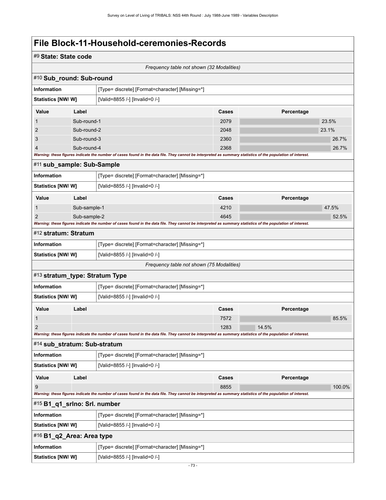### #9 **State: State code**

*Frequency table not shown (32 Modalities)*

|                              | Frequency table not shown (32 Modalities)       |                                                                                                                                                             |       |            |        |  |
|------------------------------|-------------------------------------------------|-------------------------------------------------------------------------------------------------------------------------------------------------------------|-------|------------|--------|--|
| #10 Sub_round: Sub-round     |                                                 |                                                                                                                                                             |       |            |        |  |
| Information                  |                                                 | [Type= discrete] [Format=character] [Missing=*]                                                                                                             |       |            |        |  |
| Statistics [NW/ W]           |                                                 | [Valid=8855 /-] [Invalid=0 /-]                                                                                                                              |       |            |        |  |
| <b>Value</b>                 | Label                                           |                                                                                                                                                             | Cases | Percentage |        |  |
| 1                            | Sub-round-1                                     |                                                                                                                                                             | 2079  |            | 23.5%  |  |
| 2                            | Sub-round-2                                     |                                                                                                                                                             | 2048  |            | 23.1%  |  |
| 3                            | Sub-round-3                                     |                                                                                                                                                             | 2360  |            | 26.7%  |  |
| 4                            | Sub-round-4                                     |                                                                                                                                                             | 2368  |            | 26.7%  |  |
|                              |                                                 | Warning: these figures indicate the number of cases found in the data file. They cannot be interpreted as summary statistics of the population of interest. |       |            |        |  |
| #11 sub_sample: Sub-Sample   |                                                 |                                                                                                                                                             |       |            |        |  |
| <b>Information</b>           |                                                 | [Type= discrete] [Format=character] [Missing=*]                                                                                                             |       |            |        |  |
| Statistics [NW/W]            |                                                 | [Valid=8855 /-] [Invalid=0 /-]                                                                                                                              |       |            |        |  |
| Value                        | Label                                           |                                                                                                                                                             | Cases | Percentage |        |  |
| 1                            | Sub-sample-1                                    |                                                                                                                                                             | 4210  |            | 47.5%  |  |
| 2                            | Sub-sample-2                                    |                                                                                                                                                             | 4645  |            | 52.5%  |  |
|                              |                                                 | Warning: these figures indicate the number of cases found in the data file. They cannot be interpreted as summary statistics of the population of interest. |       |            |        |  |
| #12 stratum: Stratum         |                                                 |                                                                                                                                                             |       |            |        |  |
| Information                  |                                                 | [Type= discrete] [Format=character] [Missing=*]                                                                                                             |       |            |        |  |
| Statistics [NW/W]            |                                                 | [Valid=8855 /-] [Invalid=0 /-]                                                                                                                              |       |            |        |  |
|                              |                                                 | Frequency table not shown (75 Modalities)                                                                                                                   |       |            |        |  |
|                              | #13 stratum_type: Stratum Type                  |                                                                                                                                                             |       |            |        |  |
| <b>Information</b>           |                                                 | [Type= discrete] [Format=character] [Missing=*]                                                                                                             |       |            |        |  |
| <b>Statistics [NW/W]</b>     |                                                 | [Valid=8855 /-] [Invalid=0 /-]                                                                                                                              |       |            |        |  |
| Value                        | Label                                           |                                                                                                                                                             | Cases | Percentage |        |  |
| 1                            |                                                 |                                                                                                                                                             | 7572  |            | 85.5%  |  |
| 2                            |                                                 |                                                                                                                                                             | 1283  | 14.5%      |        |  |
|                              |                                                 | Warning: these figures indicate the number of cases found in the data file. They cannot be interpreted as summary statistics of the population of interest. |       |            |        |  |
| #14 sub_stratum: Sub-stratum |                                                 |                                                                                                                                                             |       |            |        |  |
| Information                  |                                                 | [Type= discrete] [Format=character] [Missing=*]                                                                                                             |       |            |        |  |
| Statistics [NW/W]            |                                                 | [Valid=8855 /-] [Invalid=0 /-]                                                                                                                              |       |            |        |  |
| Value                        | Label                                           |                                                                                                                                                             | Cases | Percentage |        |  |
| 9                            |                                                 |                                                                                                                                                             | 8855  |            | 100.0% |  |
|                              |                                                 | Warning: these figures indicate the number of cases found in the data file. They cannot be interpreted as summary statistics of the population of interest. |       |            |        |  |
| #15 B1_q1_srlno: Srl. number |                                                 |                                                                                                                                                             |       |            |        |  |
| Information                  | [Type= discrete] [Format=character] [Missing=*] |                                                                                                                                                             |       |            |        |  |
| Statistics [NW/W]            |                                                 | [Valid=8855 /-] [Invalid=0 /-]                                                                                                                              |       |            |        |  |
| #16 B1_q2_Area: Area type    |                                                 |                                                                                                                                                             |       |            |        |  |
| Information                  |                                                 | [Type= discrete] [Format=character] [Missing=*]                                                                                                             |       |            |        |  |
| Statistics [NW/W]            |                                                 | [Valid=8855 /-] [Invalid=0 /-]                                                                                                                              |       |            |        |  |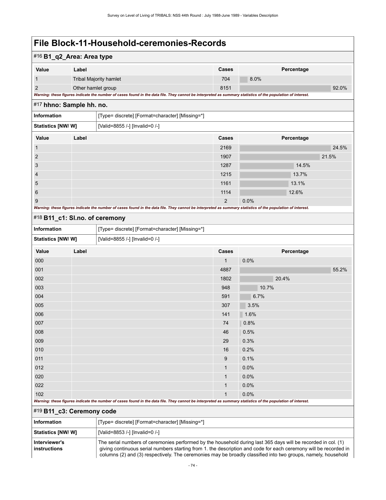### #16 **B1\_q2\_Area: Area type**

| Value         | Label                                                                                                                                                       | Cases | Percentage |       |
|---------------|-------------------------------------------------------------------------------------------------------------------------------------------------------------|-------|------------|-------|
|               | <b>Tribal Majority hamlet</b>                                                                                                                               | 704   | 8.0%       |       |
| $\mathcal{P}$ | Other hamlet group                                                                                                                                          | 8151  |            | 92.0% |
|               | Warning: these figures indicate the number of cases found in the data file. They cannot be interpreted as summary statistics of the population of interest. |       |            |       |

### #17 **hhno: Sample hh. no.**

| <b>Information</b><br>[Type= discrete] [Format=character] [Missing=*] |       |                                                                                                                                                             |       |         |            |       |
|-----------------------------------------------------------------------|-------|-------------------------------------------------------------------------------------------------------------------------------------------------------------|-------|---------|------------|-------|
| <b>Statistics [NW/W]</b>                                              |       | [Valid=8855 /-] [Invalid=0 /-]                                                                                                                              |       |         |            |       |
| Value                                                                 | Label |                                                                                                                                                             | Cases |         | Percentage |       |
| $\overline{1}$                                                        |       |                                                                                                                                                             | 2169  |         |            | 24.5% |
| $\overline{2}$                                                        |       |                                                                                                                                                             | 1907  |         |            | 21.5% |
| 3                                                                     |       |                                                                                                                                                             | 1287  |         | 14.5%      |       |
| $\overline{4}$                                                        |       |                                                                                                                                                             | 1215  |         | 13.7%      |       |
| $5\overline{)}$                                                       |       |                                                                                                                                                             | 1161  |         | 13.1%      |       |
| 6                                                                     |       |                                                                                                                                                             | 1114  |         | 12.6%      |       |
| 9                                                                     |       |                                                                                                                                                             | 2     | $0.0\%$ |            |       |
|                                                                       |       | Warning: these figures indicate the number of cases found in the data file. They cannot be interpreted as summary statistics of the population of interest. |       |         |            |       |

### #18 **B11\_c1: Sl.no. of ceremony**

| Information       | Type= discrete] [Format=character] [Missing=*] |
|-------------------|------------------------------------------------|
| Statistics [NW/W] | [Valid=8855 /-] [Invalid=0 /-]                 |

| Value | Label                                                                                                                                                       | Cases        | Percentage |
|-------|-------------------------------------------------------------------------------------------------------------------------------------------------------------|--------------|------------|
| 000   |                                                                                                                                                             | $\mathbf{1}$ | 0.0%       |
| 001   |                                                                                                                                                             | 4887         | 55.2%      |
| 002   |                                                                                                                                                             | 1802         | 20.4%      |
| 003   |                                                                                                                                                             | 948          | 10.7%      |
| 004   |                                                                                                                                                             | 591          | 6.7%       |
| 005   |                                                                                                                                                             | 307          | 3.5%       |
| 006   |                                                                                                                                                             | 141          | 1.6%       |
| 007   |                                                                                                                                                             | 74           | 0.8%       |
| 008   |                                                                                                                                                             | 46           | 0.5%       |
| 009   |                                                                                                                                                             | 29           | 0.3%       |
| 010   |                                                                                                                                                             | 16           | 0.2%       |
| 011   |                                                                                                                                                             | 9            | 0.1%       |
| 012   |                                                                                                                                                             | $\mathbf{1}$ | 0.0%       |
| 020   |                                                                                                                                                             | $\mathbf{1}$ | 0.0%       |
| 022   |                                                                                                                                                             | $\mathbf{1}$ | 0.0%       |
| 102   |                                                                                                                                                             | $\mathbf{1}$ | 0.0%       |
|       | Warning: these figures indicate the number of cases found in the data file. They cannot be interpreted as summary statistics of the population of interest. |              |            |

## #19 **B11\_c3: Ceremony code**

| <b>Information</b>            | [Type= discrete] [Format=character] [Missing=*]                                                                                                                                                                                                                                                                                                    |
|-------------------------------|----------------------------------------------------------------------------------------------------------------------------------------------------------------------------------------------------------------------------------------------------------------------------------------------------------------------------------------------------|
| <b>Statistics [NW/ W]</b>     | [Valid=8853 /-] [Invalid=0 /-]                                                                                                                                                                                                                                                                                                                     |
| Interviewer's<br>instructions | The serial numbers of ceremonies performed by the household during last 365 days will be recorded in col. (1)<br>giving continuous serial numbers starting from 1. the description and code for each ceremony will be recorded in<br>columns (2) and (3) respectively. The ceremonies may be broadly classified into two groups, namely, household |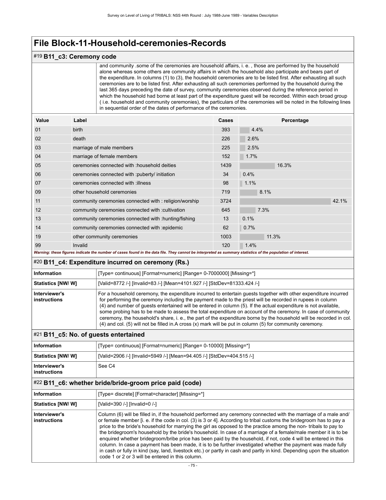### #19 **B11\_c3: Ceremony code**

 and community .some of the ceremonies are household affairs, i. e. , those are performed by the household alone whereas some others are community affairs in which the household also participate and bears part of the expenditure. In columns (1) to (3), the household ceremonies are to be listed first. After exhausting all such ceremonies are to be listed first. After exhausting all such ceremonies performed by the household during the last 365 days preceding the date of survey, community ceremonies observed during the reference period in which the household had borne at least part of the expenditure guest will be recorded. Within each broad group ( i.e. household and community ceremonies), the particulars of the ceremonies will be noted in the following lines in sequential order of the dates of performance of the ceremonies.

| Value | Label                                                                                                                                                       | <b>Cases</b> | Percentage |
|-------|-------------------------------------------------------------------------------------------------------------------------------------------------------------|--------------|------------|
| 01    | birth                                                                                                                                                       | 393          | 4.4%       |
| 02    | death                                                                                                                                                       | 226          | 2.6%       |
| 03    | marriage of male members                                                                                                                                    | 225          | 2.5%       |
| 04    | marriage of female members                                                                                                                                  | 152          | 1.7%       |
| 05    | ceremonies connected with : household deities                                                                                                               | 1439         | 16.3%      |
| 06    | ceremonies connected with : puberty/ initiation                                                                                                             | 34           | 0.4%       |
| 07    | ceremonies connected with : illness                                                                                                                         | 98           | 1.1%       |
| 09    | other household ceremonies                                                                                                                                  | 719          | 8.1%       |
| 11    | community ceremonies connected with : religion/worship                                                                                                      | 3724         | 42.1%      |
| 12    | community ceremonies connected with :cultivation                                                                                                            | 645          | 7.3%       |
| 13    | community ceremonies connected with : hunting/fishing                                                                                                       | 13           | 0.1%       |
| 14    | community ceremonies connected with :epidemic                                                                                                               | 62           | 0.7%       |
| 19    | other community ceremonies                                                                                                                                  | 1003         | 11.3%      |
| 99    | Invalid                                                                                                                                                     | 120          | 1.4%       |
|       | Warning: these figures indicate the number of cases found in the data file. They cannot be interpreted as summary statistics of the population of interest. |              |            |

#### #20 **B11\_c4: Expenditure incurred on ceremony (Rs.)**

| <b>Information</b>            | [Type= continuous] [Format=numeric] [Range= 0-7000000] [Missing=*]                                                                                                                                                                                                                                                                                                                                                                                                                                                                                                                                                                                                                                  |
|-------------------------------|-----------------------------------------------------------------------------------------------------------------------------------------------------------------------------------------------------------------------------------------------------------------------------------------------------------------------------------------------------------------------------------------------------------------------------------------------------------------------------------------------------------------------------------------------------------------------------------------------------------------------------------------------------------------------------------------------------|
| Statistics [NW/W]             | [Valid=8772 /-] [Invalid=83 /-] [Mean=4101.927 /-] [StdDev=81333.424 /-]                                                                                                                                                                                                                                                                                                                                                                                                                                                                                                                                                                                                                            |
| Interviewer's<br>instructions | For a household ceremony, the expenditure incurred to entertain guests together with other expenditure incurred<br>for performing the ceremony including the payment made to the priest will be recorded in rupees in column<br>(4) and number of guests entertained will be entered in column (5). If the actual expenditure is not available,<br>some probing has to be made to assess the total expenditure on account of the ceremony. In case of community<br>ceremony, the household's share, i. e., the part of the expenditure borne by the household will be recorded in col.<br>(4) and col. (5) will not be filled in A cross (x) mark will be put in column (5) for community ceremony. |

### #21 **B11\_c5: No. of guests entertained**

| <b>Information</b>            | [Type= continuous] [Format=numeric] [Range= 0-10000] [Missing=*]                                                                                                                                                                                                                                                                                                                                                                                                                                                                                                                                                                                                                                                                                                                                                                                                                                     |
|-------------------------------|------------------------------------------------------------------------------------------------------------------------------------------------------------------------------------------------------------------------------------------------------------------------------------------------------------------------------------------------------------------------------------------------------------------------------------------------------------------------------------------------------------------------------------------------------------------------------------------------------------------------------------------------------------------------------------------------------------------------------------------------------------------------------------------------------------------------------------------------------------------------------------------------------|
| <b>Statistics [NW/W]</b>      | [Valid=2906 /-] [Invalid=5949 /-] [Mean=94.405 /-] [StdDev=404.515 /-]                                                                                                                                                                                                                                                                                                                                                                                                                                                                                                                                                                                                                                                                                                                                                                                                                               |
| Interviewer's<br>instructions | See C <sub>4</sub>                                                                                                                                                                                                                                                                                                                                                                                                                                                                                                                                                                                                                                                                                                                                                                                                                                                                                   |
|                               | #22 B11_c6: whether bride/bride-groom price paid (code)                                                                                                                                                                                                                                                                                                                                                                                                                                                                                                                                                                                                                                                                                                                                                                                                                                              |
| <b>Information</b>            | [Type= discrete] [Format=character] [Missing=*]                                                                                                                                                                                                                                                                                                                                                                                                                                                                                                                                                                                                                                                                                                                                                                                                                                                      |
| <b>Statistics [NW/W]</b>      | [Valid=390 /-] [Invalid=0 /-]                                                                                                                                                                                                                                                                                                                                                                                                                                                                                                                                                                                                                                                                                                                                                                                                                                                                        |
| Interviewer's<br>instructions | Column (6) will be filled in, if the household performed any ceremony connected with the marriage of a male and/<br>or female member <i>[i. e. if the code in col. (3)</i> is 3 or 4]. According to tribal customs the bridegroom has to pay a<br>price to the bride's household for marrying the girl as opposed to the practice among the non-tribals to pay to<br>the bridegroom's household by the bride's household. In case of a marriage of a female/male member it is to be<br>enquired whether bridegroom/bribe price has been paid by the household, if not, code 4 will be entered in this<br>column. In case a payment has been made, it is to be further investigated whether the payment was made fully<br>in cash or fully in kind (say, land, livestock etc.) or partly in cash and partly in kind. Depending upon the situation<br>code 1 or 2 or 3 will be entered in this column. |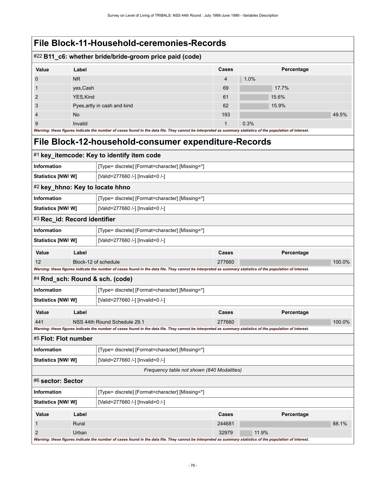### #22 **B11\_c6: whether bride/bride-groom price paid (code)**

| Label                        | Cases | Percentage                                                                                                     |
|------------------------------|-------|----------------------------------------------------------------------------------------------------------------|
| N <sub>R</sub>               | 4     | 1.0%                                                                                                           |
| yes, Cash                    | 69    | 17.7%                                                                                                          |
| YES, Kind                    | 61    | 15.6%                                                                                                          |
| Pyes, artly in cash and kind | 62    | 15.9%                                                                                                          |
| <b>No</b>                    | 193   | 49.5%                                                                                                          |
| Invalid                      |       | 0.3%                                                                                                           |
|                              |       | na and a state and a state of the state of the state of the state of the state of the state of the state of th |

*Warning: these figures indicate the number of cases found in the data file. They cannot be interpreted as summary statistics of the population of interest.*

## **File Block-12-household-consumer expenditure-Records**

|                                 |       | #1 key_itemcode: Key to identify item code                                                                                                                  |        |            |        |
|---------------------------------|-------|-------------------------------------------------------------------------------------------------------------------------------------------------------------|--------|------------|--------|
| <b>Information</b>              |       | [Type= discrete] [Format=character] [Missing=*]                                                                                                             |        |            |        |
| Statistics [NW/W]               |       | [Valid=277660 /-] [Invalid=0 /-]                                                                                                                            |        |            |        |
| #2 key_hhno: Key to locate hhno |       |                                                                                                                                                             |        |            |        |
| <b>Information</b>              |       | [Type= discrete] [Format=character] [Missing=*]                                                                                                             |        |            |        |
| Statistics [NW/ W]              |       | [Valid=277660 /-] [Invalid=0 /-]                                                                                                                            |        |            |        |
| #3 Rec_id: Record identifier    |       |                                                                                                                                                             |        |            |        |
| <b>Information</b>              |       | [Type= discrete] [Format=character] [Missing=*]                                                                                                             |        |            |        |
| Statistics [NW/ W]              |       | [Valid=277660 /-] [Invalid=0 /-]                                                                                                                            |        |            |        |
| Value                           | Label |                                                                                                                                                             | Cases  | Percentage |        |
| 12                              |       | Block-12 of schedule                                                                                                                                        | 277660 |            | 100.0% |
|                                 |       | Warning: these figures indicate the number of cases found in the data file. They cannot be interpreted as summary statistics of the population of interest. |        |            |        |
| #4 Rnd_sch: Round & sch. (code) |       |                                                                                                                                                             |        |            |        |
| <b>Information</b>              |       | [Type= discrete] [Format=character] [Missing=*]                                                                                                             |        |            |        |
| Statistics [NW/ W]              |       | [Valid=277660 /-] [Invalid=0 /-]                                                                                                                            |        |            |        |
| Value                           | Label |                                                                                                                                                             | Cases  | Percentage |        |
| 441                             |       | NSS 44th Round Schedule 29.1                                                                                                                                | 277660 |            | 100.0% |
|                                 |       | Warning: these figures indicate the number of cases found in the data file. They cannot be interpreted as summary statistics of the population of interest. |        |            |        |
| #5 Flot: Flot number            |       |                                                                                                                                                             |        |            |        |
| <b>Information</b>              |       | [Type= discrete] [Format=character] [Missing=*]                                                                                                             |        |            |        |
| Statistics [NW/W]               |       | [Valid=277660 /-] [Invalid=0 /-]                                                                                                                            |        |            |        |
|                                 |       | Frequency table not shown (840 Modalities)                                                                                                                  |        |            |        |
| #6 sector: Sector               |       |                                                                                                                                                             |        |            |        |
| <b>Information</b>              |       | [Type= discrete] [Format=character] [Missing=*]                                                                                                             |        |            |        |
| Statistics [NW/W]               |       | [Valid=277660 /-] [Invalid=0 /-]                                                                                                                            |        |            |        |
| Value                           | Label |                                                                                                                                                             | Cases  | Percentage |        |
| 1                               | Rural |                                                                                                                                                             | 244681 |            | 88.1%  |
| 2                               | Urban |                                                                                                                                                             | 32979  | 11.9%      |        |
|                                 |       | Warning: these figures indicate the number of cases found in the data file. They cannot be interpreted as summary statistics of the population of interest. |        |            |        |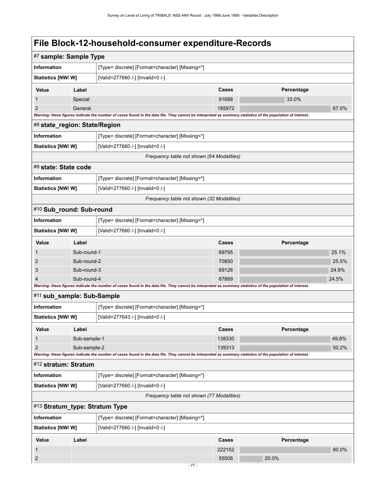| #7 sample: Sample Type         |              |                                                                                                                                                             |        |            |       |
|--------------------------------|--------------|-------------------------------------------------------------------------------------------------------------------------------------------------------------|--------|------------|-------|
| Information                    |              | [Type= discrete] [Format=character] [Missing=*]                                                                                                             |        |            |       |
| Statistics [NW/ W]             |              | [Valid=277660 /-] [Invalid=0 /-]                                                                                                                            |        |            |       |
| Value                          | Label        |                                                                                                                                                             | Cases  | Percentage |       |
| 1                              | Special      |                                                                                                                                                             | 91688  | 33.0%      |       |
| 2                              | General      |                                                                                                                                                             | 185972 |            | 67.0% |
|                                |              | Warning: these figures indicate the number of cases found in the data file. They cannot be interpreted as summary statistics of the population of interest. |        |            |       |
| #8 state_region: State/Region  |              |                                                                                                                                                             |        |            |       |
| <b>Information</b>             |              | [Type= discrete] [Format=character] [Missing=*]                                                                                                             |        |            |       |
| Statistics [NW/ W]             |              | [Valid=277660 /-] [Invalid=0 /-]                                                                                                                            |        |            |       |
|                                |              | Frequency table not shown (64 Modalities)                                                                                                                   |        |            |       |
| #9 state: State code           |              |                                                                                                                                                             |        |            |       |
| <b>Information</b>             |              | [Type= discrete] [Format=character] [Missing=*]                                                                                                             |        |            |       |
| <b>Statistics [NW/ W]</b>      |              | [Valid=277660 /-] [Invalid=0 /-]                                                                                                                            |        |            |       |
|                                |              | Frequency table not shown (32 Modalities)                                                                                                                   |        |            |       |
| #10 Sub_round: Sub-round       |              |                                                                                                                                                             |        |            |       |
| <b>Information</b>             |              | [Type= discrete] [Format=character] [Missing=*]                                                                                                             |        |            |       |
| Statistics [NW/ W]             |              | [Valid=277660 /-] [Invalid=0 /-]                                                                                                                            |        |            |       |
| Value                          | Label        |                                                                                                                                                             | Cases  | Percentage |       |
| 1                              | Sub-round-1  |                                                                                                                                                             | 69795  |            | 25.1% |
| $\overline{2}$                 | Sub-round-2  |                                                                                                                                                             | 70850  |            | 25.5% |
| 3                              | Sub-round-3  |                                                                                                                                                             | 69126  |            | 24.9% |
|                                | Sub-round-4  | Warning: these figures indicate the number of cases found in the data file. They cannot be interpreted as summary statistics of the population of interest. | 67889  |            | 24.5% |
| #11 sub_sample: Sub-Sample     |              |                                                                                                                                                             |        |            |       |
| <b>Information</b>             |              | [Type= discrete] [Format=character] [Missing=*]                                                                                                             |        |            |       |
| <b>Statistics [NW/ W]</b>      |              | [Valid=277643 /-] [Invalid=0 /-]                                                                                                                            |        |            |       |
| Value                          | Label        |                                                                                                                                                             | Cases  | Percentage |       |
| $\mathbf{1}$                   | Sub-sample-1 |                                                                                                                                                             | 138330 |            | 49.8% |
| $\overline{2}$                 | Sub-sample-2 |                                                                                                                                                             | 139313 |            | 50.2% |
|                                |              | Warning: these figures indicate the number of cases found in the data file. They cannot be interpreted as summary statistics of the population of interest. |        |            |       |
| #12 stratum: Stratum           |              |                                                                                                                                                             |        |            |       |
| <b>Information</b>             |              | [Type= discrete] [Format=character] [Missing=*]                                                                                                             |        |            |       |
| <b>Statistics [NW/W]</b>       |              | [Valid=277660 /-] [Invalid=0 /-]                                                                                                                            |        |            |       |
|                                |              | Frequency table not shown (77 Modalities)                                                                                                                   |        |            |       |
| #13 Stratum_type: Stratum Type |              |                                                                                                                                                             |        |            |       |
| <b>Information</b>             |              | [Type= discrete] [Format=character] [Missing=*]                                                                                                             |        |            |       |
| Statistics [NW/W]              |              | [Valid=277660 /-] [Invalid=0 /-]                                                                                                                            |        |            |       |
| Value                          | Label        |                                                                                                                                                             | Cases  | Percentage |       |
| 1                              |              |                                                                                                                                                             | 222152 |            | 80.0% |
| $\overline{c}$                 |              |                                                                                                                                                             | 55508  | 20.0%      |       |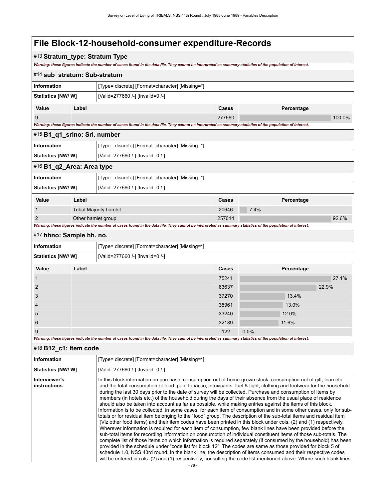### #13 **Stratum\_type: Stratum Type** *Warning: these figures indicate the number of cases found in the data file. They cannot be interpreted as summary statistics of the population of interest.* #14 **sub\_stratum: Sub-stratum Information information information [Type= discrete]** [Format=character] [Missing=\*] **Statistics [NW/ W]** [Valid=277660 /-] [Invalid=0 /-] **Value Label Cases Percentage** 9 277660 100.0% *Warning: these figures indicate the number of cases found in the data file. They cannot be interpreted as summary statistics of the population of interest.* #15 **B1\_q1\_srlno: Srl. number Information information information [Type= discrete]** [Format=character] [Missing=\*] **Statistics [NW/ W]** [Valid=277660 /-] [Invalid=0 /-] #16 **B1\_q2\_Area: Area type Information** [Type= discrete] [Format=character] [Missing=\*] **Statistics [NW/ W]** [Valid=277660 /-] [Invalid=0 /-] **Value Label Cases Percentage** 1 Tribal Majority hamlet 20646 7.4% 2 Other hamlet group 257014 257014 92.6% *Warning: these figures indicate the number of cases found in the data file. They cannot be interpreted as summary statistics of the population of interest.* #17 **hhno: Sample hh. no. Information information information [Type= discrete]** [Format=character] [Missing=\*] **Statistics [NW/ W]** [Valid=277660 /-] [Invalid=0 /-] **Value Label Cases Percentage** 1  $1.37 \pm 0.0000$   $1.37 \pm 0.0000$   $1.37 \pm 0.0000$   $1.37 \pm 0.0000$   $1.37 \pm 0.0000$   $1.37 \pm 0.0000$   $1.37 \pm 0.0000$   $1.37 \pm 0.0000$   $1.37 \pm 0.0000$   $1.37 \pm 0.0000$   $1.37 \pm 0.0000$   $1.37 \pm 0.0000$   $1.37 \pm 0.0000$   $1.37 \pm 0.0$ 2 63637 22.9% 22.9% 22.9% 22.9% 22.9% 22.9% 22.9% 22.9% 22.9% 22.9% 22.9% 22.9% 22.9% 22.9%  $3$  37270 13.4% and  $37270$  13.4% 4 35961 **13.0% 13.0% 13.0% 13.0% 13.0% 13.0% 13.0%** 13.0% 13.0% 13.0% 13.0% 13.0% 13.0%  $5$  33240  $12.0\%$  $6$  32189  $11.6\%$ 9 122  $\mid$  0.0% *Warning: these figures indicate the number of cases found in the data file. They cannot be interpreted as summary statistics of the population of interest.* #18 **B12\_c1: Item code Information information** [Type= discrete] [Format=character] [Missing=\*] **Statistics [NW/ W]** [Valid=277660 /-] [Invalid=0 /-] **Interviewer's instructions** In this block information on purchase, consumption out of home-grown stock, consumption out of gift, loan etc. and the total consumption of food, pan, tobacco, intoxicants, fuel & light, clothing and footwear for the household

 during the last 30 days prior to the date of survey will be collected. Purchase and consumption of items by members (in hotels etc.) of the household during the days of their absence from the usual place of residence should also be taken into account as far as possible, while making entries against the items of this block. Information is to be collected, in some cases, for each item of consumption and in some other cases, only for subtotals or for residual item belonging to the "food" group. The description of the sub-total items and residual item (Viz other food items) and their item codes have been printed in this block under cols. (2) and (1) respectively. Wherever information is required for each item of consumption, few blank lines have been provided before the sub-total items for recording information on consumption of individual constituent items of those sub-totals. The complete list of those items on which information is required separately (if consumed by the household) has been provided in the schedule under "code list for block 12". The codes are same as those provided for block 5 of schedule 1.0, NSS 43rd round. In the blank line, the description of items consumed and their respective codes will be entered in cols. (2) and (1) respectively, consulting the code list mentioned above. Where such blank lines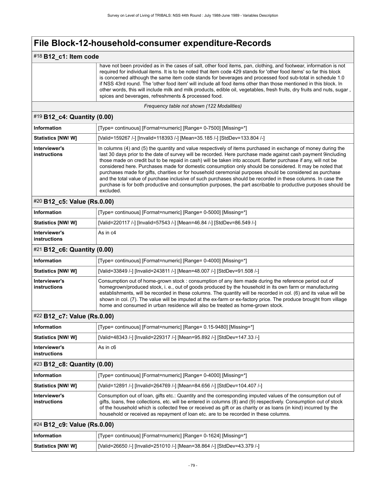### #18 **B12\_c1: Item code**

 have not been provided as in the cases of salt, other food items, pan, clothing, and footwear, information is not required for individual items. It is to be noted that item code 429 stands for 'other food items' so far this block is concerned although the same item code stands for beverages and processed food sub-total in schedule 1.0 if NSS 43rd round. The 'other food item' will include all food items other than those mentioned in this block. In other words, this will include milk and milk products, edible oil, vegetables, fresh fruits, dry fruits and nuts, sugar , spices and beverages, refreshments & processed food.

*Frequency table not shown (122 Modalities)*

### #19 **B12\_c4: Quantity (0.00)**

| Information                   | [Type= continuous] [Format=numeric] [Range= 0-7500] [Missing=*]                                                                                                                                                                                                                                                                                                                                                                                                                                                                                                                                                                                                                                                                                                                                                           |
|-------------------------------|---------------------------------------------------------------------------------------------------------------------------------------------------------------------------------------------------------------------------------------------------------------------------------------------------------------------------------------------------------------------------------------------------------------------------------------------------------------------------------------------------------------------------------------------------------------------------------------------------------------------------------------------------------------------------------------------------------------------------------------------------------------------------------------------------------------------------|
| Statistics [NW/W]             | [Valid=159267 /-] [Invalid=118393 /-] [Mean=35.185 /-] [StdDev=133.804 /-]                                                                                                                                                                                                                                                                                                                                                                                                                                                                                                                                                                                                                                                                                                                                                |
| Interviewer's<br>instructions | In columns (4) and (5) the quantity and value respectively of items purchased in exchange of money during the<br>last 30 days prior to the date of survey will be recorded. Here purchase made against cash payment 9 including<br>those made on credit but to be repaid in cash) will be taken into account. Barter purchase if any, will not be<br>considered here. Purchases made for domestic consumption only should be considered. It may be noted that<br>purchases made for gifts, charities or for household ceremonial purposes should be considered as purchase<br>and the total value of purchase inclusive of such purchases should be recorded in these columns. In case the<br>purchase is for both productive and consumption purposes, the part ascribable to productive purposes should be<br>excluded. |

### #20 **B12\_c5: Value (Rs.0.00)**

| Information                   | [Type= continuous] [Format=numeric] [Range= 0-5000] [Missing=*]         |
|-------------------------------|-------------------------------------------------------------------------|
| Statistics [NW/ W]            | [Valid=220117 /-] [Invalid=57543 /-] [Mean=46.84 /-] [StdDev=86.549 /-] |
| Interviewer's<br>instructions | As in c4                                                                |

### #21 **B12\_c6: Quantity (0.00)**

| Information                   | [Type= continuous] [Format=numeric] [Range= 0-4000] [Missing=*]                                                                                                                                                                                                                                                                                                                                                                                                                                                                               |
|-------------------------------|-----------------------------------------------------------------------------------------------------------------------------------------------------------------------------------------------------------------------------------------------------------------------------------------------------------------------------------------------------------------------------------------------------------------------------------------------------------------------------------------------------------------------------------------------|
| <b>Statistics [NW/ W]</b>     | [Valid=33849 /-] [Invalid=243811 /-] [Mean=48.007 /-] [StdDev=91.508 /-]                                                                                                                                                                                                                                                                                                                                                                                                                                                                      |
| Interviewer's<br>instructions | Consumption out of home-grown stock: consumption of any item made during the reference period out of<br>homegrown/produced stock, i. e., out of goods produced by the household in its own farm or manufacturing<br>establishments, will be recorded in these columns. The quantity will be recorded in col. (6) and its value will be<br>shown in col. (7). The value will be imputed at the ex-farm or ex-factory price. The produce brought from village<br>home and consumed in urban residence will also be treated as home-grown stock. |

### #22 **B12\_c7: Value (Rs.0.00)**

| <b>Information</b>            | [Type= continuous] [Format=numeric] [Range= 0.15-9480] [Missing=*]                                                                                                                                                                                                                                                                                                                                                                             |
|-------------------------------|------------------------------------------------------------------------------------------------------------------------------------------------------------------------------------------------------------------------------------------------------------------------------------------------------------------------------------------------------------------------------------------------------------------------------------------------|
| Statistics [NW/ W]            | [Valid=48343 /-] [Invalid=229317 /-] [Mean=95.892 /-] [StdDev=147.33 /-]                                                                                                                                                                                                                                                                                                                                                                       |
| Interviewer's<br>instructions | As in c6                                                                                                                                                                                                                                                                                                                                                                                                                                       |
| $#23$ B12_c8: Quantity (0.00) |                                                                                                                                                                                                                                                                                                                                                                                                                                                |
| <b>Information</b>            | [Type= continuous] [Format=numeric] [Range= 0-4000] [Missing=*]                                                                                                                                                                                                                                                                                                                                                                                |
| Statistics [NW/ W]            | [Valid=12891 /-] [Invalid=264769 /-] [Mean=84.656 /-] [StdDev=104.407 /-]                                                                                                                                                                                                                                                                                                                                                                      |
| Interviewer's<br>instructions | Consumption out of loan, gifts etc.: Quantity and the corresponding imputed values of the consumption out of<br>gifts, loans, free collections, etc. will be entered in columns (8) and (9) respectively. Consumption out of stock<br>of the household which is collected free or received as gift or as charity or as loans (in kind) incurred by the<br>household or received as repayment of loan etc. are to be recorded in these columns. |
| #24 B12_c9: Value (Rs.0.00)   |                                                                                                                                                                                                                                                                                                                                                                                                                                                |

| Information        | [Type= continuous] [Format=numeric] [Range= 0-1624] [Missing=*]          |
|--------------------|--------------------------------------------------------------------------|
| Statistics [NW/ W] | [Valid=26650 /-] [Invalid=251010 /-] [Mean=38.864 /-] [StdDev=43.379 /-] |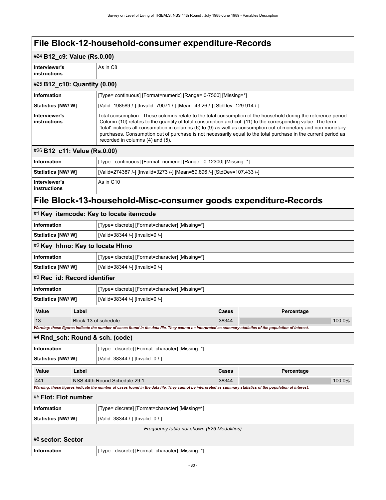| #24 B12_c9: Value (Rs.0.00)     |       |                                                                                                                                                                                                                                                                                                                                                                                                                                                                                                       |       |            |        |
|---------------------------------|-------|-------------------------------------------------------------------------------------------------------------------------------------------------------------------------------------------------------------------------------------------------------------------------------------------------------------------------------------------------------------------------------------------------------------------------------------------------------------------------------------------------------|-------|------------|--------|
| Interviewer's<br>instructions   |       | As in C8                                                                                                                                                                                                                                                                                                                                                                                                                                                                                              |       |            |        |
| #25 B12_c10: Quantity (0.00)    |       |                                                                                                                                                                                                                                                                                                                                                                                                                                                                                                       |       |            |        |
| <b>Information</b>              |       | [Type= continuous] [Format=numeric] [Range= 0-7500] [Missing=*]                                                                                                                                                                                                                                                                                                                                                                                                                                       |       |            |        |
| Statistics [NW/W]               |       | [Valid=198589 /-] [Invalid=79071 /-] [Mean=43.26 /-] [StdDev=129.914 /-]                                                                                                                                                                                                                                                                                                                                                                                                                              |       |            |        |
| Interviewer's<br>instructions   |       | Total consumption: These columns relate to the total consumption of the household during the reference period.<br>Column (10) relates to the quantity of total consumption and col. (11) to the corresponding value. The term<br>'total' includes all consumption in columns (6) to (9) as well as consumption out of monetary and non-monetary<br>purchases. Consumption out of purchase is not necessarily equal to the total purchase in the current period as<br>recorded in columns (4) and (5). |       |            |        |
| #26 B12_c11: Value (Rs.0.00)    |       |                                                                                                                                                                                                                                                                                                                                                                                                                                                                                                       |       |            |        |
| <b>Information</b>              |       | [Type= continuous] [Format=numeric] [Range= 0-12300] [Missing=*]                                                                                                                                                                                                                                                                                                                                                                                                                                      |       |            |        |
| Statistics [NW/W]               |       | [Valid=274387 /-] [Invalid=3273 /-] [Mean=59.896 /-] [StdDev=107.433 /-]                                                                                                                                                                                                                                                                                                                                                                                                                              |       |            |        |
| Interviewer's<br>instructions   |       | As in C10                                                                                                                                                                                                                                                                                                                                                                                                                                                                                             |       |            |        |
|                                 |       | File Block-13-household-Misc-consumer goods expenditure-Records                                                                                                                                                                                                                                                                                                                                                                                                                                       |       |            |        |
|                                 |       | #1 Key itemcode: Key to locate itemcode                                                                                                                                                                                                                                                                                                                                                                                                                                                               |       |            |        |
| <b>Information</b>              |       | [Type= discrete] [Format=character] [Missing=*]                                                                                                                                                                                                                                                                                                                                                                                                                                                       |       |            |        |
| Statistics [NW/W]               |       | [Valid=38344 /-] [Invalid=0 /-]                                                                                                                                                                                                                                                                                                                                                                                                                                                                       |       |            |        |
| #2 Key_hhno: Key to locate Hhno |       |                                                                                                                                                                                                                                                                                                                                                                                                                                                                                                       |       |            |        |
| <b>Information</b>              |       | [Type= discrete] [Format=character] [Missing=*]                                                                                                                                                                                                                                                                                                                                                                                                                                                       |       |            |        |
| Statistics [NW/ W]              |       | [Valid=38344 /-] [Invalid=0 /-]                                                                                                                                                                                                                                                                                                                                                                                                                                                                       |       |            |        |
| #3 Rec_id: Record identifier    |       |                                                                                                                                                                                                                                                                                                                                                                                                                                                                                                       |       |            |        |
| Information                     |       | [Type= discrete] [Format=character] [Missing=*]                                                                                                                                                                                                                                                                                                                                                                                                                                                       |       |            |        |
| Statistics [NW/W]               |       | [Valid=38344 /-] [Invalid=0 /-]                                                                                                                                                                                                                                                                                                                                                                                                                                                                       |       |            |        |
| Value                           | Label |                                                                                                                                                                                                                                                                                                                                                                                                                                                                                                       | Cases | Percentage |        |
| 13                              |       | Block-13 of schedule                                                                                                                                                                                                                                                                                                                                                                                                                                                                                  | 38344 |            | 100.0% |
|                                 |       | Warning: these figures indicate the number of cases found in the data file. They cannot be interpreted as summary statistics of the population of interest.                                                                                                                                                                                                                                                                                                                                           |       |            |        |
|                                 |       | #4 Rnd_sch: Round & sch. (code)                                                                                                                                                                                                                                                                                                                                                                                                                                                                       |       |            |        |
| <b>Information</b>              |       | [Type= discrete] [Format=character] [Missing=*]                                                                                                                                                                                                                                                                                                                                                                                                                                                       |       |            |        |
| <b>Statistics [NW/ W]</b>       |       | [Valid=38344 /-] [Invalid=0 /-]                                                                                                                                                                                                                                                                                                                                                                                                                                                                       |       |            |        |
| Value                           | Label |                                                                                                                                                                                                                                                                                                                                                                                                                                                                                                       | Cases | Percentage |        |
| 441                             |       | NSS 44th Round Schedule 29.1                                                                                                                                                                                                                                                                                                                                                                                                                                                                          | 38344 |            | 100.0% |
|                                 |       | Warning: these figures indicate the number of cases found in the data file. They cannot be interpreted as summary statistics of the population of interest.                                                                                                                                                                                                                                                                                                                                           |       |            |        |
| #5 Flot: Flot number            |       |                                                                                                                                                                                                                                                                                                                                                                                                                                                                                                       |       |            |        |
| <b>Information</b>              |       | [Type= discrete] [Format=character] [Missing=*]                                                                                                                                                                                                                                                                                                                                                                                                                                                       |       |            |        |
| Statistics [NW/W]               |       | [Valid=38344 /-] [Invalid=0 /-]                                                                                                                                                                                                                                                                                                                                                                                                                                                                       |       |            |        |
|                                 |       | Frequency table not shown (826 Modalities)                                                                                                                                                                                                                                                                                                                                                                                                                                                            |       |            |        |
| #6 sector: Sector               |       |                                                                                                                                                                                                                                                                                                                                                                                                                                                                                                       |       |            |        |
| Information                     |       | [Type= discrete] [Format=character] [Missing=*]                                                                                                                                                                                                                                                                                                                                                                                                                                                       |       |            |        |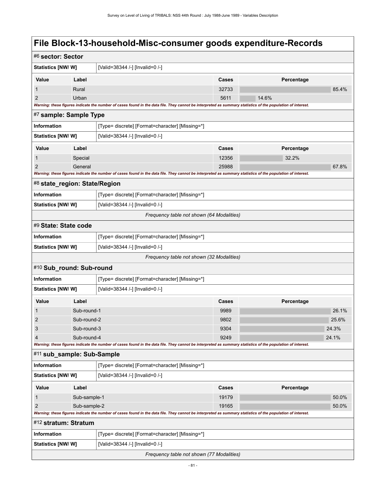# **File Block-13-household-Misc-consumer goods expenditure-Records**

| #6 sector: Sector             |              |                                                                                                                                                             |       |            |       |
|-------------------------------|--------------|-------------------------------------------------------------------------------------------------------------------------------------------------------------|-------|------------|-------|
| Statistics [NW/ W]            |              | [Valid=38344 /-] [Invalid=0 /-]                                                                                                                             |       |            |       |
| Value                         | Label        |                                                                                                                                                             | Cases | Percentage |       |
| $\mathbf{1}$                  | Rural        |                                                                                                                                                             | 32733 |            | 85.4% |
| $\overline{2}$                | Urban        |                                                                                                                                                             | 5611  | 14.6%      |       |
|                               |              | Warning: these figures indicate the number of cases found in the data file. They cannot be interpreted as summary statistics of the population of interest. |       |            |       |
| #7 sample: Sample Type        |              |                                                                                                                                                             |       |            |       |
| <b>Information</b>            |              | [Type= discrete] [Format=character] [Missing=*]                                                                                                             |       |            |       |
| Statistics [NW/W]             |              | [Valid=38344 /-] [Invalid=0 /-]                                                                                                                             |       |            |       |
| Value                         | Label        |                                                                                                                                                             | Cases | Percentage |       |
| 1                             | Special      |                                                                                                                                                             | 12356 | 32.2%      |       |
| $\overline{2}$                | General      |                                                                                                                                                             | 25988 |            | 67.8% |
|                               |              | Warning: these figures indicate the number of cases found in the data file. They cannot be interpreted as summary statistics of the population of interest. |       |            |       |
| #8 state_region: State/Region |              |                                                                                                                                                             |       |            |       |
| <b>Information</b>            |              | [Type= discrete] [Format=character] [Missing=*]                                                                                                             |       |            |       |
| Statistics [NW/W]             |              | [Valid=38344 /-] [Invalid=0 /-]                                                                                                                             |       |            |       |
|                               |              | Frequency table not shown (64 Modalities)                                                                                                                   |       |            |       |
| #9 State: State code          |              |                                                                                                                                                             |       |            |       |
| <b>Information</b>            |              | [Type= discrete] [Format=character] [Missing=*]                                                                                                             |       |            |       |
| Statistics [NW/W]             |              | [Valid=38344 /-] [Invalid=0 /-]                                                                                                                             |       |            |       |
|                               |              | Frequency table not shown (32 Modalities)                                                                                                                   |       |            |       |
| #10 Sub_round: Sub-round      |              |                                                                                                                                                             |       |            |       |
| Information                   |              | [Type= discrete] [Format=character] [Missing=*]                                                                                                             |       |            |       |
| Statistics [NW/ W]            |              | [Valid=38344 /-] [Invalid=0 /-]                                                                                                                             |       |            |       |
| Value                         | Label        |                                                                                                                                                             | Cases | Percentage |       |
| 1                             | Sub-round-1  |                                                                                                                                                             | 9989  |            | 26.1% |
| 2                             | Sub-round-2  |                                                                                                                                                             | 9802  |            | 25.6% |
| 3                             | Sub-round-3  |                                                                                                                                                             | 9304  |            | 24.3% |
| 4                             | Sub-round-4  |                                                                                                                                                             | 9249  |            | 24.1% |
|                               |              | Warning: these figures indicate the number of cases found in the data file. They cannot be interpreted as summary statistics of the population of interest. |       |            |       |
| #11 sub_sample: Sub-Sample    |              |                                                                                                                                                             |       |            |       |
| Information                   |              | [Type= discrete] [Format=character] [Missing=*]                                                                                                             |       |            |       |
| Statistics [NW/ W]            |              | [Valid=38344 /-] [Invalid=0 /-]                                                                                                                             |       |            |       |
| Value                         | Label        |                                                                                                                                                             | Cases | Percentage |       |
| 1                             | Sub-sample-1 |                                                                                                                                                             | 19179 |            | 50.0% |
| $\overline{2}$                | Sub-sample-2 |                                                                                                                                                             | 19165 |            | 50.0% |
|                               |              | Warning: these figures indicate the number of cases found in the data file. They cannot be interpreted as summary statistics of the population of interest. |       |            |       |
| #12 stratum: Stratum          |              |                                                                                                                                                             |       |            |       |
| Information                   |              | [Type= discrete] [Format=character] [Missing=*]                                                                                                             |       |            |       |
| Statistics [NW/W]             |              | [Valid=38344 /-] [Invalid=0 /-]                                                                                                                             |       |            |       |
|                               |              | Frequency table not shown (77 Modalities)                                                                                                                   |       |            |       |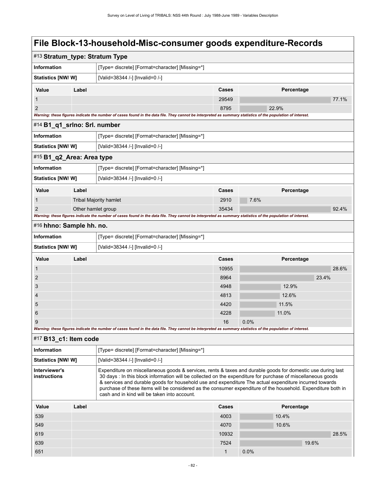# **File Block-13-household-Misc-consumer goods expenditure-Records**

|                               |                    | #13 Stratum_type: Stratum Type                                                                                                                                                                                                                                                                                                                                                                                                                                                                        |           |               |       |
|-------------------------------|--------------------|-------------------------------------------------------------------------------------------------------------------------------------------------------------------------------------------------------------------------------------------------------------------------------------------------------------------------------------------------------------------------------------------------------------------------------------------------------------------------------------------------------|-----------|---------------|-------|
| Information                   |                    | [Type= discrete] [Format=character] [Missing=*]                                                                                                                                                                                                                                                                                                                                                                                                                                                       |           |               |       |
| Statistics [NW/W]             |                    | [Valid=38344 /-] [Invalid=0 /-]                                                                                                                                                                                                                                                                                                                                                                                                                                                                       |           |               |       |
| Value                         | Label              |                                                                                                                                                                                                                                                                                                                                                                                                                                                                                                       | Cases     | Percentage    |       |
| 1                             |                    |                                                                                                                                                                                                                                                                                                                                                                                                                                                                                                       | 29549     |               | 77.1% |
| $\overline{2}$                |                    |                                                                                                                                                                                                                                                                                                                                                                                                                                                                                                       | 8795      | 22.9%         |       |
|                               |                    | Warning: these figures indicate the number of cases found in the data file. They cannot be interpreted as summary statistics of the population of interest.                                                                                                                                                                                                                                                                                                                                           |           |               |       |
| #14 B1_q1_srlno: Srl. number  |                    |                                                                                                                                                                                                                                                                                                                                                                                                                                                                                                       |           |               |       |
| Information                   |                    | [Type= discrete] [Format=character] [Missing=*]                                                                                                                                                                                                                                                                                                                                                                                                                                                       |           |               |       |
| <b>Statistics [NW/ W]</b>     |                    | [Valid=38344 /-] [Invalid=0 /-]                                                                                                                                                                                                                                                                                                                                                                                                                                                                       |           |               |       |
| #15 B1_q2_Area: Area type     |                    |                                                                                                                                                                                                                                                                                                                                                                                                                                                                                                       |           |               |       |
| Information                   |                    | [Type= discrete] [Format=character] [Missing=*]                                                                                                                                                                                                                                                                                                                                                                                                                                                       |           |               |       |
| Statistics [NW/ W]            |                    | [Valid=38344 /-] [Invalid=0 /-]                                                                                                                                                                                                                                                                                                                                                                                                                                                                       |           |               |       |
| Value                         | Label              |                                                                                                                                                                                                                                                                                                                                                                                                                                                                                                       | Cases     | Percentage    |       |
| 1                             |                    | Tribal Majority hamlet                                                                                                                                                                                                                                                                                                                                                                                                                                                                                | 2910      | 7.6%          |       |
| 2                             | Other hamlet group |                                                                                                                                                                                                                                                                                                                                                                                                                                                                                                       | 35434     |               | 92.4% |
|                               |                    | Warning: these figures indicate the number of cases found in the data file. They cannot be interpreted as summary statistics of the population of interest.                                                                                                                                                                                                                                                                                                                                           |           |               |       |
| #16 hhno: Sample hh. no.      |                    |                                                                                                                                                                                                                                                                                                                                                                                                                                                                                                       |           |               |       |
| Information                   |                    | [Type= discrete] [Format=character] [Missing=*]                                                                                                                                                                                                                                                                                                                                                                                                                                                       |           |               |       |
| Statistics [NW/ W]            |                    | [Valid=38344 /-] [Invalid=0 /-]                                                                                                                                                                                                                                                                                                                                                                                                                                                                       |           |               |       |
| Value                         | Label              |                                                                                                                                                                                                                                                                                                                                                                                                                                                                                                       | Cases     | Percentage    |       |
| 1                             |                    |                                                                                                                                                                                                                                                                                                                                                                                                                                                                                                       | 10955     |               | 28.6% |
| $\overline{2}$                |                    |                                                                                                                                                                                                                                                                                                                                                                                                                                                                                                       | 8964      |               | 23.4% |
| 3                             |                    |                                                                                                                                                                                                                                                                                                                                                                                                                                                                                                       | 4948      | 12.9%         |       |
|                               |                    |                                                                                                                                                                                                                                                                                                                                                                                                                                                                                                       | 4813      | 12.6%         |       |
| 4                             |                    |                                                                                                                                                                                                                                                                                                                                                                                                                                                                                                       |           |               |       |
| 5                             |                    |                                                                                                                                                                                                                                                                                                                                                                                                                                                                                                       | 4420      | 11.5%         |       |
| 6                             |                    |                                                                                                                                                                                                                                                                                                                                                                                                                                                                                                       | 4228      | 11.0%         |       |
| 9                             |                    | Warning: these figures indicate the number of cases found in the data file. They cannot be interpreted as summary statistics of the population of interest.                                                                                                                                                                                                                                                                                                                                           | 16        | 0.0%          |       |
| #17 B13_c1: Item code         |                    |                                                                                                                                                                                                                                                                                                                                                                                                                                                                                                       |           |               |       |
| <b>Information</b>            |                    | [Type= discrete] [Format=character] [Missing=*]                                                                                                                                                                                                                                                                                                                                                                                                                                                       |           |               |       |
| Statistics [NW/W]             |                    | [Valid=38344 /-] [Invalid=0 /-]                                                                                                                                                                                                                                                                                                                                                                                                                                                                       |           |               |       |
| Interviewer's<br>instructions |                    | Expenditure on miscellaneous goods & services, rents & taxes and durable goods for domestic use during last<br>30 days : In this block information will be collected on the expenditure for purchase of miscellaneous goods<br>& services and durable goods for household use and expenditure The actual expenditure incurred towards<br>purchase of these items will be considered as the consumer expenditure of the household. Expenditure both in<br>cash and in kind will be taken into account. |           |               |       |
| Value                         | Label              |                                                                                                                                                                                                                                                                                                                                                                                                                                                                                                       | Cases     | Percentage    |       |
| 539                           |                    |                                                                                                                                                                                                                                                                                                                                                                                                                                                                                                       | 4003      | 10.4%         |       |
| 549                           |                    |                                                                                                                                                                                                                                                                                                                                                                                                                                                                                                       | 4070      | 10.6%         |       |
| 619                           |                    |                                                                                                                                                                                                                                                                                                                                                                                                                                                                                                       | 10932     |               | 28.5% |
| 639<br>651                    |                    |                                                                                                                                                                                                                                                                                                                                                                                                                                                                                                       | 7524<br>1 | 19.6%<br>0.0% |       |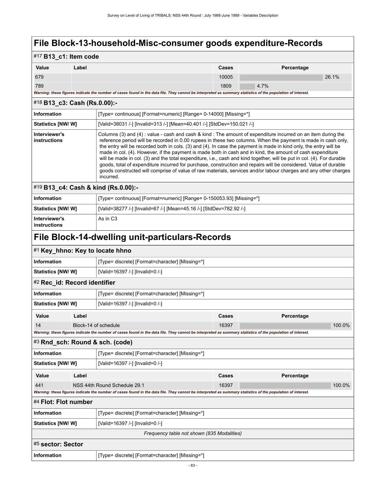## **File Block-13-household-Misc-consumer goods expenditure-Records**

#### #17 **B13\_c1: Item code Value Label Cases Percentage** 679 10005 26.1% 789 1809 - Paul Bernard, Amerikaansk politikus († 1808 - 1809 - 1809 1814) *Warning: these figures indicate the number of cases found in the data file. They cannot be interpreted as summary statistics of the population of interest.* #18 **B13\_c3: Cash (Rs.0.00):- Information** [Type= continuous] [Format=numeric] [Range= 0-14000] [Missing=\*] **Statistics [NW/ W]** [Valid=38031 /-] [Invalid=313 /-] [Mean=40.401 /-] [StdDev=150.021 /-] **Interviewer's instructions** Columns (3) and (4) : value - cash and cash & kind : The amount of expenditure incurred on an item during the reference period will be recorded in 0.00 rupees in these two columns. When the payment is made in cash only, the entry will be recorded both in cols. (3) and (4). In case the payment is made in kind only, the entry will be made in col. (4). However, if the payment is made both in cash and in kind, the amount of cash expenditure will be made in col. (3) and the total expenditure, i.e., cash and kind together, will be put in col. (4). For durable goods, total of expenditure incurred for purchase, construction and repairs will be considered. Value of durable goods constructed will comprise of value of raw materials, services and/or labour charges and any other charges incurred.

#### #19 **B13\_c4: Cash & kind (Rs.0.00):-**

| ∣ Information                   | [Type= continuous] [Format=numeric] [Range= 0-150053.93] [Missing=*] |
|---------------------------------|----------------------------------------------------------------------|
| Statistics [NW/W]               | [Valid=38277 /-] [Invalid=67 /-] [Mean=45.16 /-] [StdDev=782.92 /-]  |
| ∣ Interviewer's<br>instructions | As in C3                                                             |

## **File Block-14-dwelling unit-particulars-Records**

| #1 Key_hhno: Key to locate hhno                      |                                                              |                                                                                                                                                             |       |            |        |
|------------------------------------------------------|--------------------------------------------------------------|-------------------------------------------------------------------------------------------------------------------------------------------------------------|-------|------------|--------|
| Information                                          |                                                              | [Type= discrete] [Format=character] [Missing=*]                                                                                                             |       |            |        |
| <b>Statistics [NW/ W]</b>                            |                                                              | [Valid=16397 /-] [Invalid=0 /-]                                                                                                                             |       |            |        |
|                                                      | #2 Rec_id: Record identifier                                 |                                                                                                                                                             |       |            |        |
| <b>Information</b>                                   |                                                              | [Type= discrete] [Format=character] [Missing=*]                                                                                                             |       |            |        |
| Statistics [NW/W]                                    |                                                              | [Valid=16397 /-] [Invalid=0 /-]                                                                                                                             |       |            |        |
| Value                                                | Label                                                        |                                                                                                                                                             | Cases | Percentage |        |
| 14                                                   | Block-14 of schedule                                         |                                                                                                                                                             | 16397 |            | 100.0% |
|                                                      |                                                              | Warning: these figures indicate the number of cases found in the data file. They cannot be interpreted as summary statistics of the population of interest. |       |            |        |
| #3 Rnd_sch: Round & sch. (code)                      |                                                              |                                                                                                                                                             |       |            |        |
| Information                                          | [Type= discrete] [Format=character] [Missing=*]              |                                                                                                                                                             |       |            |        |
| Statistics [NW/W]<br>[Valid=16397 /-] [Invalid=0 /-] |                                                              |                                                                                                                                                             |       |            |        |
| Value                                                | Label                                                        |                                                                                                                                                             | Cases | Percentage |        |
| 441                                                  | NSS 44th Round Schedule 29.1                                 |                                                                                                                                                             | 16397 |            | 100.0% |
|                                                      |                                                              | Warning: these figures indicate the number of cases found in the data file. They cannot be interpreted as summary statistics of the population of interest. |       |            |        |
| #4 Flot: Flot number                                 |                                                              |                                                                                                                                                             |       |            |        |
| Information                                          | [Type= discrete] [Format=character] [Missing=*]              |                                                                                                                                                             |       |            |        |
|                                                      | <b>Statistics [NW/ W]</b><br>[Valid=16397 /-] [Invalid=0 /-] |                                                                                                                                                             |       |            |        |
| Frequency table not shown (835 Modalities)           |                                                              |                                                                                                                                                             |       |            |        |
| #5 sector: Sector                                    |                                                              |                                                                                                                                                             |       |            |        |
| <b>Information</b>                                   |                                                              | [Type= discrete] [Format=character] [Missing=*]                                                                                                             |       |            |        |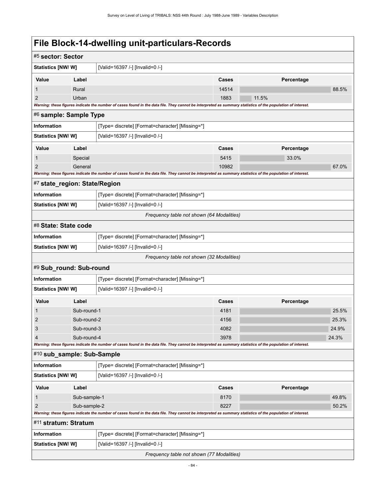| #5 sector: Sector                                            |                                                                                                                                                                                       |                                                                                                                                                             |       |            |       |
|--------------------------------------------------------------|---------------------------------------------------------------------------------------------------------------------------------------------------------------------------------------|-------------------------------------------------------------------------------------------------------------------------------------------------------------|-------|------------|-------|
| <b>Statistics [NW/ W]</b>                                    |                                                                                                                                                                                       | [Valid=16397 /-] [Invalid=0 /-]                                                                                                                             |       |            |       |
|                                                              |                                                                                                                                                                                       |                                                                                                                                                             |       |            |       |
| Value                                                        | Label                                                                                                                                                                                 |                                                                                                                                                             | Cases | Percentage |       |
| $\mathbf 1$                                                  | Rural                                                                                                                                                                                 |                                                                                                                                                             | 14514 |            | 88.5% |
| $\overline{2}$                                               | Urban                                                                                                                                                                                 |                                                                                                                                                             | 1883  | 11.5%      |       |
|                                                              | Warning: these figures indicate the number of cases found in the data file. They cannot be interpreted as summary statistics of the population of interest.<br>#6 sample: Sample Type |                                                                                                                                                             |       |            |       |
| Information                                                  |                                                                                                                                                                                       | [Type= discrete] [Format=character] [Missing=*]                                                                                                             |       |            |       |
| Statistics [NW/W]                                            |                                                                                                                                                                                       | [Valid=16397 /-] [Invalid=0 /-]                                                                                                                             |       |            |       |
| Value                                                        | Label                                                                                                                                                                                 |                                                                                                                                                             | Cases | Percentage |       |
| 1                                                            | Special                                                                                                                                                                               |                                                                                                                                                             | 5415  | 33.0%      |       |
| $\overline{2}$                                               | General                                                                                                                                                                               |                                                                                                                                                             | 10982 |            | 67.0% |
|                                                              |                                                                                                                                                                                       | Warning: these figures indicate the number of cases found in the data file. They cannot be interpreted as summary statistics of the population of interest. |       |            |       |
| #7 state_region: State/Region                                |                                                                                                                                                                                       |                                                                                                                                                             |       |            |       |
| <b>Information</b>                                           |                                                                                                                                                                                       | [Type= discrete] [Format=character] [Missing=*]                                                                                                             |       |            |       |
| Statistics [NW/ W]                                           |                                                                                                                                                                                       | [Valid=16397 /-] [Invalid=0 /-]                                                                                                                             |       |            |       |
|                                                              |                                                                                                                                                                                       | Frequency table not shown (64 Modalities)                                                                                                                   |       |            |       |
| #8 State: State code                                         |                                                                                                                                                                                       |                                                                                                                                                             |       |            |       |
| Information                                                  |                                                                                                                                                                                       | [Type= discrete] [Format=character] [Missing=*]                                                                                                             |       |            |       |
| [Valid=16397 /-] [Invalid=0 /-]<br><b>Statistics [NW/ W]</b> |                                                                                                                                                                                       |                                                                                                                                                             |       |            |       |
|                                                              |                                                                                                                                                                                       | Frequency table not shown (32 Modalities)                                                                                                                   |       |            |       |
| #9 Sub_round: Sub-round                                      |                                                                                                                                                                                       |                                                                                                                                                             |       |            |       |
| <b>Information</b>                                           |                                                                                                                                                                                       | [Type= discrete] [Format=character] [Missing=*]                                                                                                             |       |            |       |
| Statistics [NW/W]                                            |                                                                                                                                                                                       | [Valid=16397 /-] [Invalid=0 /-]                                                                                                                             |       |            |       |
| Value                                                        | Label                                                                                                                                                                                 |                                                                                                                                                             | Cases | Percentage |       |
| 1                                                            | Sub-round-1                                                                                                                                                                           |                                                                                                                                                             | 4181  |            | 25.5% |
| 2                                                            | Sub-round-2                                                                                                                                                                           |                                                                                                                                                             | 4156  |            | 25.3% |
| 3                                                            | Sub-round-3                                                                                                                                                                           |                                                                                                                                                             | 4082  |            | 24.9% |
| $\overline{4}$                                               | Sub-round-4                                                                                                                                                                           |                                                                                                                                                             | 3978  |            | 24.3% |
|                                                              |                                                                                                                                                                                       | Warning: these figures indicate the number of cases found in the data file. They cannot be interpreted as summary statistics of the population of interest. |       |            |       |
| #10 sub_sample: Sub-Sample                                   |                                                                                                                                                                                       |                                                                                                                                                             |       |            |       |
| <b>Information</b>                                           |                                                                                                                                                                                       | [Type= discrete] [Format=character] [Missing=*]                                                                                                             |       |            |       |
| <b>Statistics [NW/W]</b>                                     |                                                                                                                                                                                       | [Valid=16397 /-] [Invalid=0 /-]                                                                                                                             |       |            |       |
| Value                                                        | Label                                                                                                                                                                                 |                                                                                                                                                             | Cases | Percentage |       |
| 1                                                            | Sub-sample-1                                                                                                                                                                          |                                                                                                                                                             | 8170  |            | 49.8% |
| $\overline{2}$                                               | Sub-sample-2                                                                                                                                                                          |                                                                                                                                                             | 8227  |            | 50.2% |
|                                                              |                                                                                                                                                                                       | Warning: these figures indicate the number of cases found in the data file. They cannot be interpreted as summary statistics of the population of interest. |       |            |       |
| #11 stratum: Stratum                                         |                                                                                                                                                                                       |                                                                                                                                                             |       |            |       |
| Information                                                  |                                                                                                                                                                                       | [Type= discrete] [Format=character] [Missing=*]                                                                                                             |       |            |       |
| <b>Statistics [NW/W]</b>                                     |                                                                                                                                                                                       | [Valid=16397 /-] [Invalid=0 /-]                                                                                                                             |       |            |       |
|                                                              |                                                                                                                                                                                       | Frequency table not shown (77 Modalities)                                                                                                                   |       |            |       |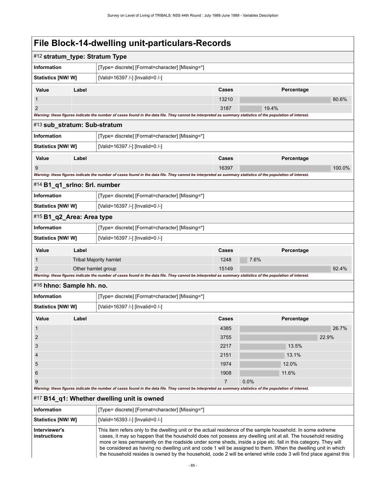| #12 stratum_type: Stratum Type |                    |                                                                                                                                                             |               |            |        |
|--------------------------------|--------------------|-------------------------------------------------------------------------------------------------------------------------------------------------------------|---------------|------------|--------|
| Information                    |                    | [Type= discrete] [Format=character] [Missing=*]                                                                                                             |               |            |        |
| Statistics [NW/ W]             |                    | [Valid=16397 /-] [Invalid=0 /-]                                                                                                                             |               |            |        |
|                                |                    |                                                                                                                                                             |               |            |        |
| Value                          | Label              |                                                                                                                                                             | Cases         | Percentage |        |
| 1<br>$\overline{2}$            |                    |                                                                                                                                                             | 13210<br>3187 | 19.4%      | 80.6%  |
|                                |                    | Warning: these figures indicate the number of cases found in the data file. They cannot be interpreted as summary statistics of the population of interest. |               |            |        |
| #13 sub_stratum: Sub-stratum   |                    |                                                                                                                                                             |               |            |        |
| <b>Information</b>             |                    | [Type= discrete] [Format=character] [Missing=*]                                                                                                             |               |            |        |
| Statistics [NW/ W]             |                    | [Valid=16397 /-] [Invalid=0 /-]                                                                                                                             |               |            |        |
| Value                          | Label              |                                                                                                                                                             | <b>Cases</b>  | Percentage |        |
| 9                              |                    |                                                                                                                                                             | 16397         |            | 100.0% |
|                                |                    | Warning: these figures indicate the number of cases found in the data file. They cannot be interpreted as summary statistics of the population of interest. |               |            |        |
| #14 B1_q1_srlno: Srl. number   |                    |                                                                                                                                                             |               |            |        |
| <b>Information</b>             |                    | [Type= discrete] [Format=character] [Missing=*]                                                                                                             |               |            |        |
| Statistics [NW/W]              |                    | [Valid=16397 /-] [Invalid=0 /-]                                                                                                                             |               |            |        |
| #15 B1_q2_Area: Area type      |                    |                                                                                                                                                             |               |            |        |
| <b>Information</b>             |                    | [Type= discrete] [Format=character] [Missing=*]                                                                                                             |               |            |        |
| <b>Statistics [NW/ W]</b>      |                    | [Valid=16397 /-] [Invalid=0 /-]                                                                                                                             |               |            |        |
| Value                          | Label              |                                                                                                                                                             | Cases         | Percentage |        |
| 1                              |                    | <b>Tribal Majority hamlet</b>                                                                                                                               | 1248          | 7.6%       |        |
| 2                              | Other hamlet group |                                                                                                                                                             | 15149         |            | 92.4%  |
|                                |                    | Warning: these figures indicate the number of cases found in the data file. They cannot be interpreted as summary statistics of the population of interest. |               |            |        |
| #16 hhno: Sample hh. no.       |                    |                                                                                                                                                             |               |            |        |
| <b>Information</b>             |                    | [Type= discrete] [Format=character] [Missing=*]                                                                                                             |               |            |        |
| <b>Statistics [NW/ W]</b>      |                    | [Valid=16397 /-] [Invalid=0 /-]                                                                                                                             |               |            |        |
| Value                          | Label              |                                                                                                                                                             | Cases         | Percentage |        |
| $\mathbf{1}$                   |                    |                                                                                                                                                             | 4385          |            | 26.7%  |
| $\overline{2}$                 |                    |                                                                                                                                                             | 3755          |            | 22.9%  |
| 3                              |                    |                                                                                                                                                             | 2217          | 13.5%      |        |
| $\overline{4}$                 |                    |                                                                                                                                                             | 2151          | 13.1%      |        |
| 5                              |                    |                                                                                                                                                             | 1974          | 12.0%      |        |
| $6\phantom{1}$                 |                    |                                                                                                                                                             | 1908          | 11.6%      |        |
| 9                              |                    |                                                                                                                                                             | 7             | 0.0%       |        |
|                                |                    | Warning: these figures indicate the number of cases found in the data file. They cannot be interpreted as summary statistics of the population of interest. |               |            |        |
|                                |                    | #17 B14_q1: Whether dwelling unit is owned                                                                                                                  |               |            |        |
| Information                    |                    | [Type= discrete] [Format=character] [Missing=*]                                                                                                             |               |            |        |
| Statistics [NW/W]              |                    | [Valid=16393 /-] [Invalid=0 /-]                                                                                                                             |               |            |        |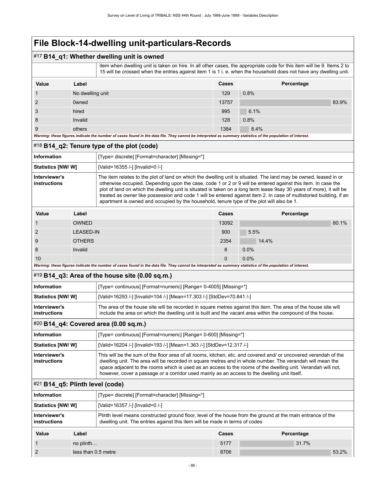### #17 **B14\_q1: Whether dwelling unit is owned**

 item when dwelling unit is taken on hire. In all other cases, the appropriate code for this item will be 9. Items 2 to 15 will be crossed when the entries against item 1 is 1 i. e. when the household does not have any dwelling unit.

| Value | Label                                                                                                                                                       | Cases | Percentage |       |
|-------|-------------------------------------------------------------------------------------------------------------------------------------------------------------|-------|------------|-------|
|       | No dwelling unit                                                                                                                                            | 129   | 0.8%       |       |
| 2     | <b>Owned</b>                                                                                                                                                | 13757 |            | 83.9% |
| 3     | hired                                                                                                                                                       | 995   | 6.1%       |       |
| 8     | Invalid                                                                                                                                                     | 128   | 0.8%       |       |
| 9     | others                                                                                                                                                      | 1384  | 8.4%       |       |
|       | Warning: these figures indicate the number of cases found in the data file. They cannot be interpreted as summary statistics of the population of interest. |       |            |       |

### #18 **B14\_q2: Tenure type of the plot (code)**

| Information                   | [Type= discrete] [Format=character] [Missing=*]                                                                                                                                                                                                                                                                                                                                                                                                                                                                                                                              |
|-------------------------------|------------------------------------------------------------------------------------------------------------------------------------------------------------------------------------------------------------------------------------------------------------------------------------------------------------------------------------------------------------------------------------------------------------------------------------------------------------------------------------------------------------------------------------------------------------------------------|
| <b>Statistics [NW/ W]</b>     | [Valid=16355 /-] [Invalid=0 /-]                                                                                                                                                                                                                                                                                                                                                                                                                                                                                                                                              |
| Interviewer's<br>instructions | The item relates to the plot of land on which the dwelling unit is situated. The land may be owned, leased in or<br>otherwise occupied. Depending upon the case, code 1 or 2 or 9 will be entered against this item. In case the<br>plot of land on which the dwelling unit is situated is taken on a long term lease 9say 30 years of more), it will be<br>treated as owner like possession and code 1 will be entered against item 2. In case of multistoried building, if an<br>apartment is owned and occupied by the household, tenure type of the plot will also be 1. |
|                               |                                                                                                                                                                                                                                                                                                                                                                                                                                                                                                                                                                              |

| Value | Label            | Cases    | Percentage |
|-------|------------------|----------|------------|
|       | <b>OWNED</b>     | 13092    | 80.1%      |
| 2     | <b>LEASED-IN</b> | 900      | 5.5%       |
| 9     | <b>OTHERS</b>    | 2354     | 14.4%      |
| 8     | Invalid          | 8        | 0.0%       |
| 10    |                  | $\Omega$ | 0.0%       |

*Warning: these figures indicate the number of cases found in the data file. They cannot be interpreted as summary statistics of the population of interest.*

#### #19 **B14\_q3: Area of the house site (0.00 sq.m.)**

| Information                   | [Type= continuous] [Format=numeric] [Range= 0-4005] [Missing=*]                                                                                                                                                               |
|-------------------------------|-------------------------------------------------------------------------------------------------------------------------------------------------------------------------------------------------------------------------------|
| <b>Statistics [NW/ W]</b>     | [Valid=16293 /-] [Invalid=104 /-] [Mean=17.303 /-] [StdDev=70.841 /-]                                                                                                                                                         |
| Interviewer's<br>instructions | The area of the house site will be recorded in square metres against this item. The area of the house site will<br>include the area on which the dwelling unit is built and the vacant area within the compound of the house. |

### #20 **B14\_q4: Covered area (0.00 sq.m.)**

| <b>Information</b>            | [Type= continuous] [Format=numeric] [Range= 0-600] [Missing=*]                                                                                                                                                                                                                                                                                                                                                                                |
|-------------------------------|-----------------------------------------------------------------------------------------------------------------------------------------------------------------------------------------------------------------------------------------------------------------------------------------------------------------------------------------------------------------------------------------------------------------------------------------------|
| <b>Statistics [NW/ W]</b>     | [Valid=16204 /-] [Invalid=193 /-] [Mean=1.363 /-] [StdDev=12.317 /-]                                                                                                                                                                                                                                                                                                                                                                          |
| Interviewer's<br>instructions | This will be the sum of the floor area of all rooms, kitchen, etc. and covered and/ or uncovered verandah of the<br>dwelling unit. The area will be recorded in square metres and in whole number. The verandah will mean the<br>space adjacent to the rooms which is used as an access to the rooms of the dwelling unit. Verandah will not,<br>however, cover a passage or a corridor used mainly as an access to the dwelling unit itself. |

### #21 **B14\_q5: Plinth level (code)**

| Information                   |                                                                                                                                                                                            | [Type= discrete] [Format=character] [Missing=*] |       |            |       |       |
|-------------------------------|--------------------------------------------------------------------------------------------------------------------------------------------------------------------------------------------|-------------------------------------------------|-------|------------|-------|-------|
| Statistics [NW/W]             |                                                                                                                                                                                            | [Valid=16357 /-] [Invalid=0 /-]                 |       |            |       |       |
| Interviewer's<br>instructions | Plinth level means constructed ground floor, level of the house from the ground at the main entrance of the<br>dwelling unit. The entries against this item will be made in terms of codes |                                                 |       |            |       |       |
| Value                         | Label                                                                                                                                                                                      |                                                 | Cases | Percentage |       |       |
|                               | no plinth                                                                                                                                                                                  |                                                 | 5177  |            | 31.7% |       |
|                               | less than 0.5 metre                                                                                                                                                                        |                                                 | 8706  |            |       | 53.2% |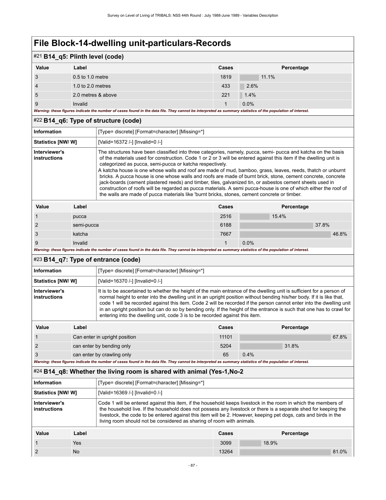### #21 **B14\_q5: Plinth level (code)**

| Value          | Label                                                                                                                                                      | <b>Cases</b> | Percentage |
|----------------|------------------------------------------------------------------------------------------------------------------------------------------------------------|--------------|------------|
| $\mathbf{3}$   | 0.5 to 1.0 metre                                                                                                                                           | 1819         | 11.1%      |
| $\overline{4}$ | 1.0 to 2.0 metres                                                                                                                                          | 433          | 2.6%       |
| 5              | 2.0 metres & above                                                                                                                                         | 221          | 1.4%       |
| 9              | Invalid                                                                                                                                                    |              | $0.0\%$    |
|                | Warning: those figures indicate the number of cases found in the data file. They cannot be interpreted as summary statistics of the nonulation of interest |              |            |

*Warning: these figures indicate the number of cases found in the data file. They cannot be interpreted as summary statistics of the population of interest.*

#### #22 **B14\_q6: Type of structure (code)**

| <b>Information</b>            | [Type= discrete] [Format=character] [Missing=*]                                                                                                                                                                                                                                                                                                                                                                                                                                                                                                                                                                                                                                                                                                                                                                                                                 |
|-------------------------------|-----------------------------------------------------------------------------------------------------------------------------------------------------------------------------------------------------------------------------------------------------------------------------------------------------------------------------------------------------------------------------------------------------------------------------------------------------------------------------------------------------------------------------------------------------------------------------------------------------------------------------------------------------------------------------------------------------------------------------------------------------------------------------------------------------------------------------------------------------------------|
| <b>Statistics [NW/ W]</b>     | [Valid=16372 /-] [Invalid=0 /-]                                                                                                                                                                                                                                                                                                                                                                                                                                                                                                                                                                                                                                                                                                                                                                                                                                 |
| Interviewer's<br>instructions | The structures have been classified into three categories, namely, pucca, semi- pucca and katcha on the basis<br>of the materials used for construction. Code 1 or 2 or 3 will be entered against this item if the dwelling unit is<br>categorized as pucca, semi-pucca or katcha respectively.<br>A katcha house is one whose walls and roof are made of mud, bamboo, grass, leaves, reeds, thatch or unburnt<br>bricks. A pucca house is one whose walls and roofs are made of burnt brick, stone, cement concrete, concrete<br>jack-boards (cement plastered reeds) and timber, tiles, galvanized tin, or asbestos cement sheets used in<br>construction of roofs will be regarded as pucca materials. A semi pucca-house is one of which either the roof of<br>the walls are made of pucca materials like 'burnt bricks, stones, cement concrete or timber. |

| Value | Label                                                                                                                                                       | <b>Cases</b> | Percentage |       |  |  |
|-------|-------------------------------------------------------------------------------------------------------------------------------------------------------------|--------------|------------|-------|--|--|
|       | pucca                                                                                                                                                       | 2516         | 15.4%      |       |  |  |
|       | semi-pucca                                                                                                                                                  | 6188         |            | 37.8% |  |  |
|       | katcha                                                                                                                                                      | 7667         |            | 46.8% |  |  |
|       | Invalid                                                                                                                                                     |              | $0.0\%$    |       |  |  |
|       | Warning: these figures indicate the number of cases found in the data file. They cannot be interpreted as summary statistics of the population of interest. |              |            |       |  |  |

### #23 **B14\_q7: Type of entrance (code)**

| Information                   |       | [Type= discrete] [Format=character] [Missing=*]                                                                                                                                                                                                                                                                                                                                                                                                                                                                                                                                  |       |            |  |
|-------------------------------|-------|----------------------------------------------------------------------------------------------------------------------------------------------------------------------------------------------------------------------------------------------------------------------------------------------------------------------------------------------------------------------------------------------------------------------------------------------------------------------------------------------------------------------------------------------------------------------------------|-------|------------|--|
| Statistics [NW/ W]            |       | [Valid=16370 /-] [Invalid=0 /-]                                                                                                                                                                                                                                                                                                                                                                                                                                                                                                                                                  |       |            |  |
| Interviewer's<br>instructions |       | It is to be ascertained to whether the height of the main entrance of the dwelling unit is sufficient for a person of<br>normal height to enter into the dwelling unit in an upright position without bending his/her body. If it is like that,<br>code 1 will be recorded against this item. Code 2 will be recorded if the person cannot enter into the dwelling unit<br>in an upright position but can do so by bending only. If the height of the entrance is such that one has to crawl for<br>entering into the dwelling unit, code 3 is to be recorded against this item. |       |            |  |
| Value                         | Label |                                                                                                                                                                                                                                                                                                                                                                                                                                                                                                                                                                                  | Cases | Percentage |  |
|                               |       | Can enter in upright position                                                                                                                                                                                                                                                                                                                                                                                                                                                                                                                                                    | 11101 | 67.8%      |  |
|                               |       | can enter by bending only                                                                                                                                                                                                                                                                                                                                                                                                                                                                                                                                                        | 5204  | 31.8%      |  |

*Warning: these figures indicate the number of cases found in the data file. They cannot be interpreted as summary statistics of the population of interest.*

#### #24 **B14\_q8: Whether the living room is shared with animal (Yes-1,No-2**

3 can enter by crawling only 65 0.4%

| Information                   |       | [Type= discrete] [Format=character] [Missing=*] |                                                                                                                                                                                                                                                                                                                                                                                                                               |            |  |
|-------------------------------|-------|-------------------------------------------------|-------------------------------------------------------------------------------------------------------------------------------------------------------------------------------------------------------------------------------------------------------------------------------------------------------------------------------------------------------------------------------------------------------------------------------|------------|--|
| Statistics [NW/W]             |       | [Valid=16369 /-] [Invalid=0 /-]                 |                                                                                                                                                                                                                                                                                                                                                                                                                               |            |  |
| Interviewer's<br>instructions |       |                                                 | Code 1 will be entered against this item, if the household keeps livestock in the room in which the members of<br>the household live. If the household does not possess any livestock or there is a separate shed for keeping the<br>livestock, the code to be entered against this item will be 2. However, keeping pet dogs, cats and birds in the<br>living room should not be considered as sharing of room with animals. |            |  |
| Value                         | Label |                                                 | Cases                                                                                                                                                                                                                                                                                                                                                                                                                         | Percentage |  |
|                               | Yes   |                                                 | 3099                                                                                                                                                                                                                                                                                                                                                                                                                          | 18.9%      |  |
| No.                           |       | 13264                                           | 81.0%                                                                                                                                                                                                                                                                                                                                                                                                                         |            |  |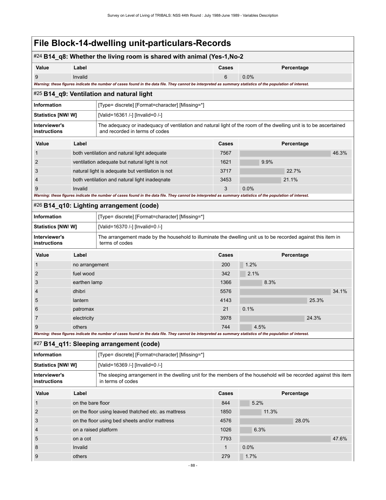### #24 **B14\_q8: Whether the living room is shared with animal (Yes-1,No-2**

| Value | _abel                                                                                                                                                       | Cases | Percentage |
|-------|-------------------------------------------------------------------------------------------------------------------------------------------------------------|-------|------------|
|       | Invalid                                                                                                                                                     |       | $0.0\%$    |
|       | Warning: these figures indicate the number of cases found in the data file. They cannot be interpreted as summary statistics of the population of interest. |       |            |

### #25 **B14\_q9: Ventilation and natural light**

| Information                   | [Type= discrete] [Format=character] [Missing=*]                                                                                                     |
|-------------------------------|-----------------------------------------------------------------------------------------------------------------------------------------------------|
| <b>Statistics [NW/ W]</b>     | [Valid=16361 /-] [Invalid=0 /-]                                                                                                                     |
| Interviewer's<br>instructions | The adequacy or inadequacy of ventilation and natural light of the room of the dwelling unit is to be ascertained<br>and recorded in terms of codes |

| Value          | Label                                            | Cases | Percentage |  |
|----------------|--------------------------------------------------|-------|------------|--|
|                | both ventilation and natural light adequate      | 7567  | 46.3%      |  |
|                | ventilation adequate but natural light is not    | 1621  | $9.9\%$    |  |
| 3              | natural light is adequate but ventilation is not | 3717  | 22.7%      |  |
| $\overline{4}$ | both ventilation and natural light inadegnate    | 3453  | 21.1%      |  |
|                | Invalid                                          |       | 0.0%       |  |

*Warning: these figures indicate the number of cases found in the data file. They cannot be interpreted as summary statistics of the population of interest.*

#### #26 **B14\_q10: Lighting arrangement (code)**

| <b>Information</b>                   | [Type= discrete] [Format=character] [Missing=*]                                                                                |
|--------------------------------------|--------------------------------------------------------------------------------------------------------------------------------|
| Statistics [NW/W]                    | [Valid=16370 /-] [Invalid=0 /-]                                                                                                |
| Interviewer's<br><b>instructions</b> | The arrangement made by the household to illuminate the dwelling unit us to be recorded against this item in<br>terms of codes |

| Value                                                                                                                                                       | Label          | Cases | Percentage |  |  |
|-------------------------------------------------------------------------------------------------------------------------------------------------------------|----------------|-------|------------|--|--|
|                                                                                                                                                             | no arrangement | 200   | 1.2%       |  |  |
| 2                                                                                                                                                           | fuel wood      | 342   | 2.1%       |  |  |
| 3                                                                                                                                                           | earthen lamp   | 1366  | 8.3%       |  |  |
| $\overline{4}$                                                                                                                                              | dhibri         | 5576  | 34.1%      |  |  |
| 5                                                                                                                                                           | lantern        | 4143  | 25.3%      |  |  |
| 6                                                                                                                                                           | patromax       | 21    | 0.1%       |  |  |
| 7                                                                                                                                                           | electricity    | 3978  | 24.3%      |  |  |
| 9                                                                                                                                                           | others         | 744   | 4.5%       |  |  |
| Warning: these figures indicate the number of cases found in the data file. They cannot be interpreted as summary statistics of the population of interest. |                |       |            |  |  |

#### #27 **B14\_q11: Sleeping arrangement (code)**

| Information                   | [Type= discrete] [Format=character] [Missing=*]                                                                                        |
|-------------------------------|----------------------------------------------------------------------------------------------------------------------------------------|
| <b>Statistics [NW/ W]</b>     | [Valid=16369 /-] [Invalid=0 /-]                                                                                                        |
| Interviewer's<br>instructions | The sleeping arrangement in the dwelling unit for the members of the household will be recorded against this item<br>in terms of codes |

| Value | Label                                               | Cases | Percentage |
|-------|-----------------------------------------------------|-------|------------|
|       | on the bare floor                                   | 844   | 5.2%       |
| 2     | on the floor using leaved thatched etc. as mattress | 1850  | 11.3%      |
| 3     | on the floor using bed sheets and/or mattress       | 4576  | 28.0%      |
| 4     | on a raised platform                                | 1026  | 6.3%       |
| 5     | on a cot                                            | 7793  | 47.6%      |
| 8     | Invalid                                             |       | $0.0\%$    |
| 9     | others                                              | 279   | 1.7%       |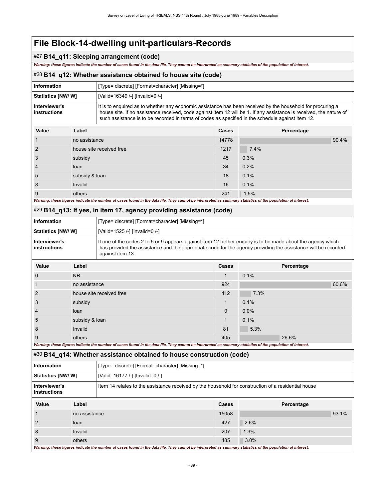### #27 **B14\_q11: Sleeping arrangement (code)**

*Warning: these figures indicate the number of cases found in the data file. They cannot be interpreted as summary statistics of the population of interest.*

### #28 **B14\_q12: Whether assistance obtained fo house site (code)**

| Information                   | [Type= discrete] [Format=character] [Missing=*]                                                                                                                                                                                                                                                                                        |
|-------------------------------|----------------------------------------------------------------------------------------------------------------------------------------------------------------------------------------------------------------------------------------------------------------------------------------------------------------------------------------|
| <b>Statistics [NW/ W]</b>     | [Valid=16349 /-] [Invalid=0 /-]                                                                                                                                                                                                                                                                                                        |
| Interviewer's<br>instructions | It is to enquired as to whether any economic assistance has been received by the household for procuring a<br>house site. If no assistance received, code against item 12 will be 1. If any assistance is received, the nature of<br>such assistance is to be recorded in terms of codes as specified in the schedule against item 12. |

| Value          | Label                                                                                                                                                       | Cases | Percentage |
|----------------|-------------------------------------------------------------------------------------------------------------------------------------------------------------|-------|------------|
|                | no assistance                                                                                                                                               | 14778 | 90.4%      |
| 2              | house site received free                                                                                                                                    | 1217  | 7.4%       |
| 3              | subsidy                                                                                                                                                     | 45    | 0.3%       |
| $\overline{4}$ | loan                                                                                                                                                        | 34    | 0.2%       |
| 5              | subsidy & loan                                                                                                                                              | 18    | 0.1%       |
| 8              | Invalid                                                                                                                                                     | 16    | 0.1%       |
| 9              | others                                                                                                                                                      | 241   | 1.5%       |
|                | Warning: these figures indicate the number of cases found in the data file. They cannot be interpreted as summary statistics of the population of interest. |       |            |

### #29 **B14\_q13: If yes, in item 17, agency providing assistance (code)**

| - '                           |                |                                                                                                                                                                                                                                                   |              |      |            |       |  |
|-------------------------------|----------------|---------------------------------------------------------------------------------------------------------------------------------------------------------------------------------------------------------------------------------------------------|--------------|------|------------|-------|--|
| <b>Information</b>            |                | [Type= discrete] [Format=character] [Missing=*]                                                                                                                                                                                                   |              |      |            |       |  |
| Statistics [NW/W]             |                | [Valid=1525 /-] [Invalid=0 /-]                                                                                                                                                                                                                    |              |      |            |       |  |
| Interviewer's<br>instructions |                | If one of the codes 2 to 5 or 9 appears against item 12 further enquiry is to be made about the agency which<br>has provided the assistance and the appropriate code for the agency providing the assistance will be recorded<br>against item 13. |              |      |            |       |  |
| Value                         | Label          |                                                                                                                                                                                                                                                   | <b>Cases</b> |      | Percentage |       |  |
| $\Omega$                      | N <sub>R</sub> |                                                                                                                                                                                                                                                   |              | 0.1% |            |       |  |
| $\mathbf{1}$                  |                | no assistance                                                                                                                                                                                                                                     |              |      |            | 60.6% |  |
| 2                             |                | house site received free                                                                                                                                                                                                                          |              | 7.3% |            |       |  |
| 3                             | subsidy        |                                                                                                                                                                                                                                                   |              | 0.1% |            |       |  |
| $\overline{4}$                | loan           |                                                                                                                                                                                                                                                   |              | 0.0% |            |       |  |
| 5                             |                | subsidy & loan                                                                                                                                                                                                                                    |              | 0.1% |            |       |  |
| 8                             | Invalid        |                                                                                                                                                                                                                                                   |              | 5.3% |            |       |  |
| 9                             | others         |                                                                                                                                                                                                                                                   |              |      | 26.6%      |       |  |
|                               |                | Warning: these figures indicate the number of cases found in the data file. They cannot be interpreted as summary statistics of the population of interest.                                                                                       |              |      |            |       |  |

### #30 **B14\_q14: Whether assistance obtained fo house construction (code)**

| Information                                                                                                                                                 |         | [Type= discrete] [Format=character] [Missing=*]                                                     |       |            |       |  |
|-------------------------------------------------------------------------------------------------------------------------------------------------------------|---------|-----------------------------------------------------------------------------------------------------|-------|------------|-------|--|
| Statistics [NW/ W]                                                                                                                                          |         | [Valid=16177 /-] [Invalid=0 /-]                                                                     |       |            |       |  |
| Interviewer's<br>instructions                                                                                                                               |         | Item 14 relates to the assistance received by the household for construction of a residential house |       |            |       |  |
| Value                                                                                                                                                       | Label   |                                                                                                     | Cases | Percentage |       |  |
|                                                                                                                                                             |         | no assistance                                                                                       |       |            | 93.1% |  |
|                                                                                                                                                             | loan    |                                                                                                     | 427   | 2.6%       |       |  |
| 8                                                                                                                                                           | Invalid |                                                                                                     | 207   | 1.3%       |       |  |
| 9                                                                                                                                                           | others  |                                                                                                     | 485   | 3.0%       |       |  |
| Warning: these figures indicate the number of cases found in the data file. They cannot be interpreted as summary statistics of the population of interest. |         |                                                                                                     |       |            |       |  |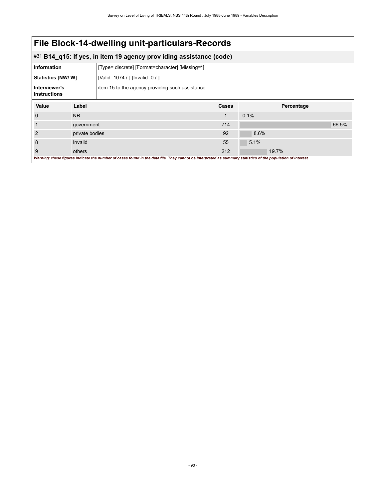| #31 B14_q15: If yes, in item 19 agency prov iding assistance (code)                                                                                         |           |                                                  |             |            |       |  |
|-------------------------------------------------------------------------------------------------------------------------------------------------------------|-----------|--------------------------------------------------|-------------|------------|-------|--|
| <b>Information</b>                                                                                                                                          |           | [Type= discrete] [Format=character] [Missing=*]  |             |            |       |  |
| Statistics [NW/ W]                                                                                                                                          |           | [Valid=1074 /-] [Invalid=0 /-]                   |             |            |       |  |
| Interviewer's<br>instructions                                                                                                                               |           | item 15 to the agency providing such assistance. |             |            |       |  |
| Value                                                                                                                                                       | Label     |                                                  | Cases       | Percentage |       |  |
| $\mathbf 0$                                                                                                                                                 | <b>NR</b> |                                                  | $\mathbf 1$ | 0.1%       |       |  |
|                                                                                                                                                             |           | government                                       |             |            | 66.5% |  |
|                                                                                                                                                             |           | private bodies                                   |             | 8.6%       |       |  |
| 8                                                                                                                                                           | Invalid   |                                                  |             | 5.1%       |       |  |
| 9                                                                                                                                                           | others    |                                                  |             | 19.7%      |       |  |
| Warning: these figures indicate the number of cases found in the data file. They cannot be interpreted as summary statistics of the population of interest. |           |                                                  |             |            |       |  |